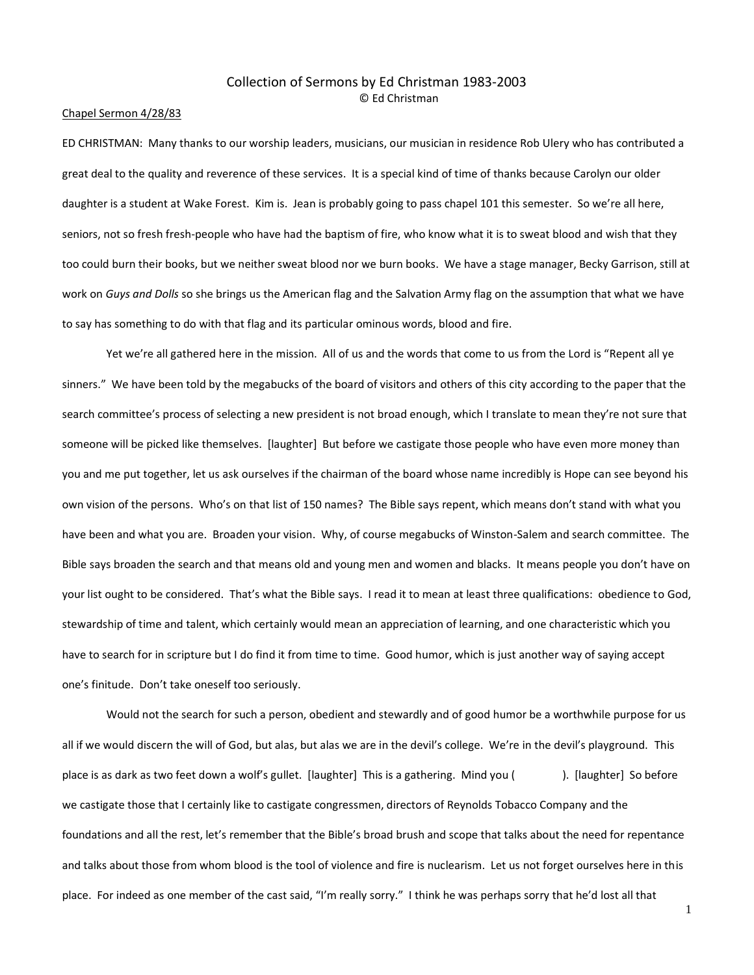# Collection of Sermons by Ed Christman 1983-2003 © Ed Christman

## Chapel Sermon 4/28/83

ED CHRISTMAN: Many thanks to our worship leaders, musicians, our musician in residence Rob Ulery who has contributed a great deal to the quality and reverence of these services. It is a special kind of time of thanks because Carolyn our older daughter is a student at Wake Forest. Kim is. Jean is probably going to pass chapel 101 this semester. So we're all here, seniors, not so fresh fresh-people who have had the baptism of fire, who know what it is to sweat blood and wish that they too could burn their books, but we neither sweat blood nor we burn books. We have a stage manager, Becky Garrison, still at work on *Guys and Dolls* so she brings us the American flag and the Salvation Army flag on the assumption that what we have to say has something to do with that flag and its particular ominous words, blood and fire.

Yet we're all gathered here in the mission. All of us and the words that come to us from the Lord is "Repent all ye sinners." We have been told by the megabucks of the board of visitors and others of this city according to the paper that the search committee's process of selecting a new president is not broad enough, which I translate to mean they're not sure that someone will be picked like themselves. [laughter] But before we castigate those people who have even more money than you and me put together, let us ask ourselves if the chairman of the board whose name incredibly is Hope can see beyond his own vision of the persons. Who's on that list of 150 names? The Bible says repent, which means don't stand with what you have been and what you are. Broaden your vision. Why, of course megabucks of Winston-Salem and search committee. The Bible says broaden the search and that means old and young men and women and blacks. It means people you don't have on your list ought to be considered. That's what the Bible says. I read it to mean at least three qualifications: obedience to God, stewardship of time and talent, which certainly would mean an appreciation of learning, and one characteristic which you have to search for in scripture but I do find it from time to time. Good humor, which is just another way of saying accept one's finitude. Don't take oneself too seriously.

Would not the search for such a person, obedient and stewardly and of good humor be a worthwhile purpose for us all if we would discern the will of God, but alas, but alas we are in the devil's college. We're in the devil's playground. This place is as dark as two feet down a wolf's gullet. [laughter] This is a gathering. Mind you ( ). [laughter] So before we castigate those that I certainly like to castigate congressmen, directors of Reynolds Tobacco Company and the foundations and all the rest, let's remember that the Bible's broad brush and scope that talks about the need for repentance and talks about those from whom blood is the tool of violence and fire is nuclearism. Let us not forget ourselves here in this place. For indeed as one member of the cast said, "I'm really sorry." I think he was perhaps sorry that he'd lost all that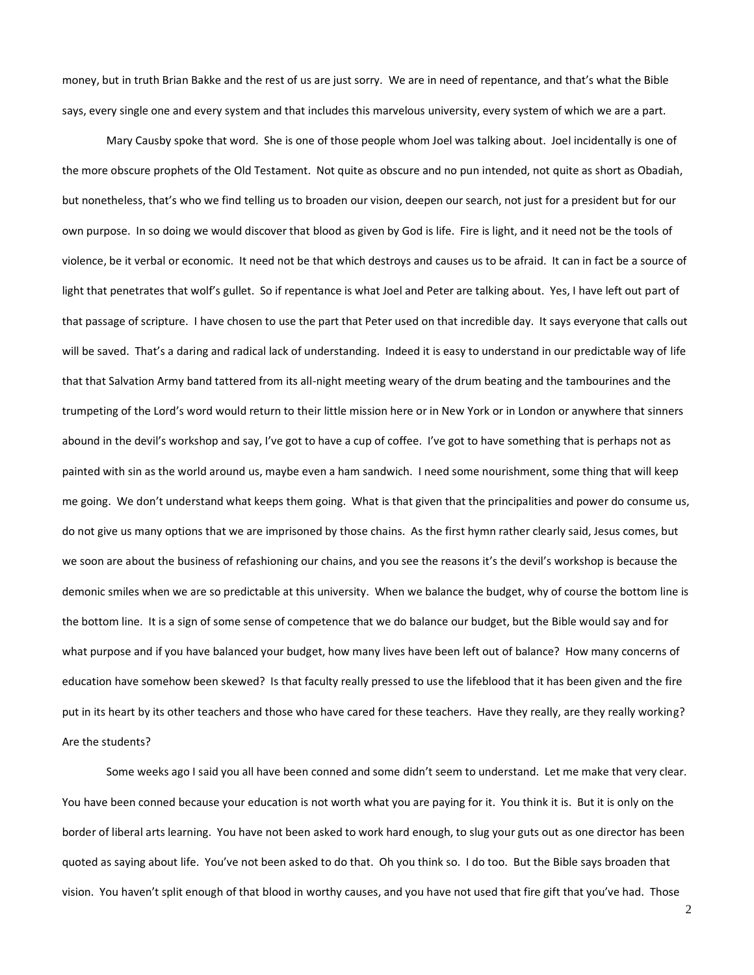money, but in truth Brian Bakke and the rest of us are just sorry. We are in need of repentance, and that's what the Bible says, every single one and every system and that includes this marvelous university, every system of which we are a part.

Mary Causby spoke that word. She is one of those people whom Joel was talking about. Joel incidentally is one of the more obscure prophets of the Old Testament. Not quite as obscure and no pun intended, not quite as short as Obadiah, but nonetheless, that's who we find telling us to broaden our vision, deepen our search, not just for a president but for our own purpose. In so doing we would discover that blood as given by God is life. Fire is light, and it need not be the tools of violence, be it verbal or economic. It need not be that which destroys and causes us to be afraid. It can in fact be a source of light that penetrates that wolf's gullet. So if repentance is what Joel and Peter are talking about. Yes, I have left out part of that passage of scripture. I have chosen to use the part that Peter used on that incredible day. It says everyone that calls out will be saved. That's a daring and radical lack of understanding. Indeed it is easy to understand in our predictable way of life that that Salvation Army band tattered from its all-night meeting weary of the drum beating and the tambourines and the trumpeting of the Lord's word would return to their little mission here or in New York or in London or anywhere that sinners abound in the devil's workshop and say, I've got to have a cup of coffee. I've got to have something that is perhaps not as painted with sin as the world around us, maybe even a ham sandwich. I need some nourishment, some thing that will keep me going. We don't understand what keeps them going. What is that given that the principalities and power do consume us, do not give us many options that we are imprisoned by those chains. As the first hymn rather clearly said, Jesus comes, but we soon are about the business of refashioning our chains, and you see the reasons it's the devil's workshop is because the demonic smiles when we are so predictable at this university. When we balance the budget, why of course the bottom line is the bottom line. It is a sign of some sense of competence that we do balance our budget, but the Bible would say and for what purpose and if you have balanced your budget, how many lives have been left out of balance? How many concerns of education have somehow been skewed? Is that faculty really pressed to use the lifeblood that it has been given and the fire put in its heart by its other teachers and those who have cared for these teachers. Have they really, are they really working? Are the students?

Some weeks ago I said you all have been conned and some didn't seem to understand. Let me make that very clear. You have been conned because your education is not worth what you are paying for it. You think it is. But it is only on the border of liberal arts learning. You have not been asked to work hard enough, to slug your guts out as one director has been quoted as saying about life. You've not been asked to do that. Oh you think so. I do too. But the Bible says broaden that vision. You haven't split enough of that blood in worthy causes, and you have not used that fire gift that you've had. Those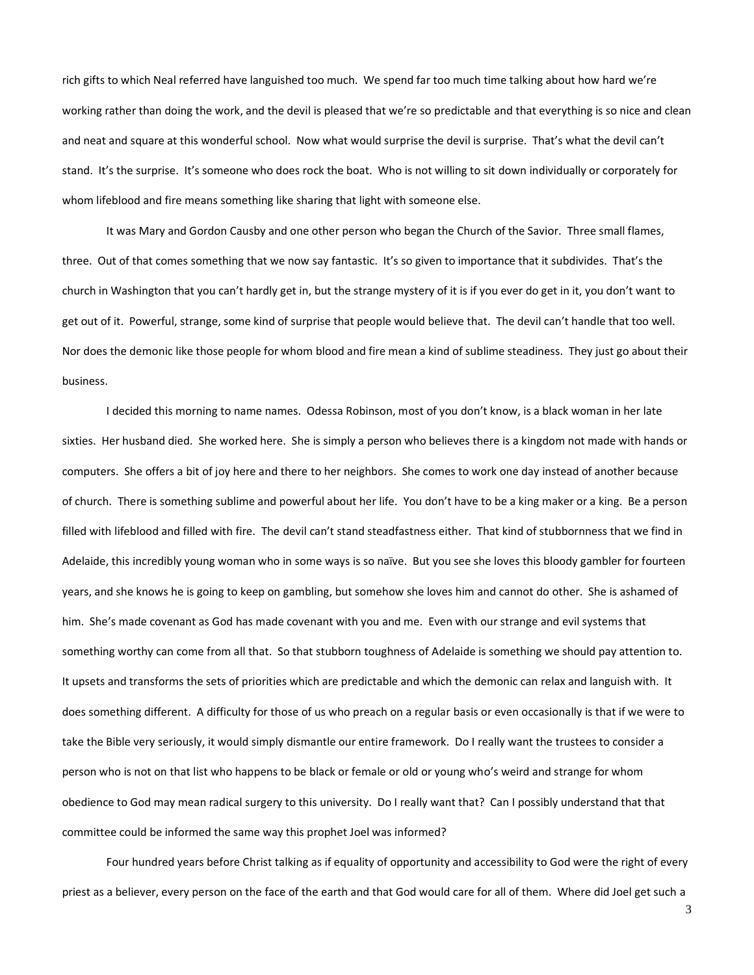rich gifts to which Neal referred have languished too much. We spend far too much time talking about how hard we're working rather than doing the work, and the devil is pleased that we're so predictable and that everything is so nice and clean and neat and square at this wonderful school. Now what would surprise the devil is surprise. That's what the devil can't stand. It's the surprise. It's someone who does rock the boat. Who is not willing to sit down individually or corporately for whom lifeblood and fire means something like sharing that light with someone else.

It was Mary and Gordon Causby and one other person who began the Church of the Savior. Three small flames, three. Out of that comes something that we now say fantastic. It's so given to importance that it subdivides. That's the church in Washington that you can't hardly get in, but the strange mystery of it is if you ever do get in it, you don't want to get out of it. Powerful, strange, some kind of surprise that people would believe that. The devil can't handle that too well. Nor does the demonic like those people for whom blood and fire mean a kind of sublime steadiness. They just go about their business.

I decided this morning to name names. Odessa Robinson, most of you don't know, is a black woman in her late sixties. Her husband died. She worked here. She is simply a person who believes there is a kingdom not made with hands or computers. She offers a bit of joy here and there to her neighbors. She comes to work one day instead of another because of church. There is something sublime and powerful about her life. You don't have to be a king maker or a king. Be a person filled with lifeblood and filled with fire. The devil can't stand steadfastness either. That kind of stubbornness that we find in Adelaide, this incredibly young woman who in some ways is so naïve. But you see she loves this bloody gambler for fourteen years, and she knows he is going to keep on gambling, but somehow she loves him and cannot do other. She is ashamed of him. She's made covenant as God has made covenant with you and me. Even with our strange and evil systems that something worthy can come from all that. So that stubborn toughness of Adelaide is something we should pay attention to. It upsets and transforms the sets of priorities which are predictable and which the demonic can relax and languish with. It does something different. A difficulty for those of us who preach on a regular basis or even occasionally is that if we were to take the Bible very seriously, it would simply dismantle our entire framework. Do I really want the trustees to consider a person who is not on that list who happens to be black or female or old or young who's weird and strange for whom obedience to God may mean radical surgery to this university. Do I really want that? Can I possibly understand that that committee could be informed the same way this prophet Joel was informed?

Four hundred years before Christ talking as if equality of opportunity and accessibility to God were the right of every priest as a believer, every person on the face of the earth and that God would care for all of them. Where did Joel get such a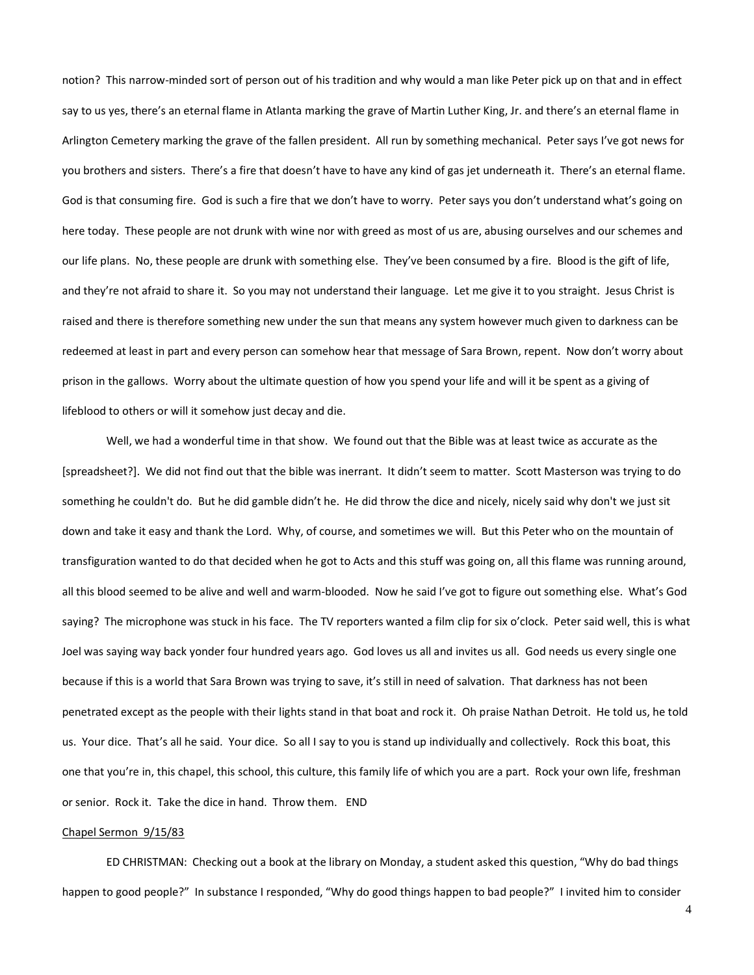notion? This narrow-minded sort of person out of his tradition and why would a man like Peter pick up on that and in effect say to us yes, there's an eternal flame in Atlanta marking the grave of Martin Luther King, Jr. and there's an eternal flame in Arlington Cemetery marking the grave of the fallen president. All run by something mechanical. Peter says I've got news for you brothers and sisters. There's a fire that doesn't have to have any kind of gas jet underneath it. There's an eternal flame. God is that consuming fire. God is such a fire that we don't have to worry. Peter says you don't understand what's going on here today. These people are not drunk with wine nor with greed as most of us are, abusing ourselves and our schemes and our life plans. No, these people are drunk with something else. They've been consumed by a fire. Blood is the gift of life, and they're not afraid to share it. So you may not understand their language. Let me give it to you straight. Jesus Christ is raised and there is therefore something new under the sun that means any system however much given to darkness can be redeemed at least in part and every person can somehow hear that message of Sara Brown, repent. Now don't worry about prison in the gallows. Worry about the ultimate question of how you spend your life and will it be spent as a giving of lifeblood to others or will it somehow just decay and die.

Well, we had a wonderful time in that show. We found out that the Bible was at least twice as accurate as the [spreadsheet?]. We did not find out that the bible was inerrant. It didn't seem to matter. Scott Masterson was trying to do something he couldn't do. But he did gamble didn't he. He did throw the dice and nicely, nicely said why don't we just sit down and take it easy and thank the Lord. Why, of course, and sometimes we will. But this Peter who on the mountain of transfiguration wanted to do that decided when he got to Acts and this stuff was going on, all this flame was running around, all this blood seemed to be alive and well and warm-blooded. Now he said I've got to figure out something else. What's God saying? The microphone was stuck in his face. The TV reporters wanted a film clip for six o'clock. Peter said well, this is what Joel was saying way back yonder four hundred years ago. God loves us all and invites us all. God needs us every single one because if this is a world that Sara Brown was trying to save, it's still in need of salvation. That darkness has not been penetrated except as the people with their lights stand in that boat and rock it. Oh praise Nathan Detroit. He told us, he told us. Your dice. That's all he said. Your dice. So all I say to you is stand up individually and collectively. Rock this boat, this one that you're in, this chapel, this school, this culture, this family life of which you are a part. Rock your own life, freshman or senior. Rock it. Take the dice in hand. Throw them. END

## Chapel Sermon 9/15/83

ED CHRISTMAN: Checking out a book at the library on Monday, a student asked this question, "Why do bad things happen to good people?" In substance I responded, "Why do good things happen to bad people?" I invited him to consider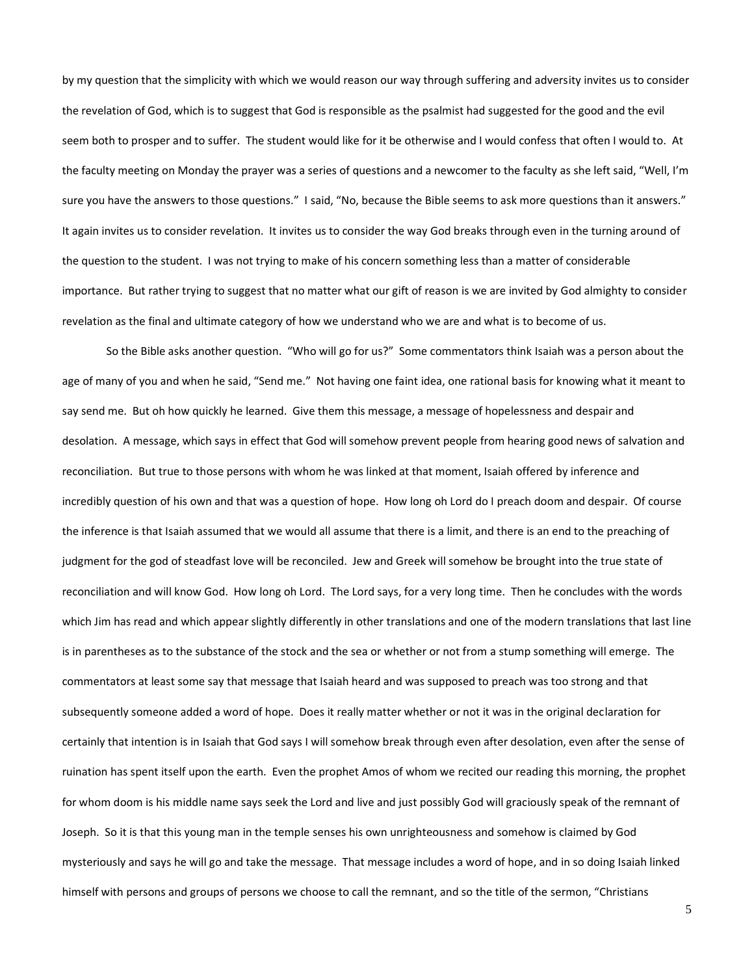by my question that the simplicity with which we would reason our way through suffering and adversity invites us to consider the revelation of God, which is to suggest that God is responsible as the psalmist had suggested for the good and the evil seem both to prosper and to suffer. The student would like for it be otherwise and I would confess that often I would to. At the faculty meeting on Monday the prayer was a series of questions and a newcomer to the faculty as she left said, "Well, I'm sure you have the answers to those questions." I said, "No, because the Bible seems to ask more questions than it answers." It again invites us to consider revelation. It invites us to consider the way God breaks through even in the turning around of the question to the student. I was not trying to make of his concern something less than a matter of considerable importance. But rather trying to suggest that no matter what our gift of reason is we are invited by God almighty to consider revelation as the final and ultimate category of how we understand who we are and what is to become of us.

So the Bible asks another question. "Who will go for us?" Some commentators think Isaiah was a person about the age of many of you and when he said, "Send me." Not having one faint idea, one rational basis for knowing what it meant to say send me. But oh how quickly he learned. Give them this message, a message of hopelessness and despair and desolation. A message, which says in effect that God will somehow prevent people from hearing good news of salvation and reconciliation. But true to those persons with whom he was linked at that moment, Isaiah offered by inference and incredibly question of his own and that was a question of hope. How long oh Lord do I preach doom and despair. Of course the inference is that Isaiah assumed that we would all assume that there is a limit, and there is an end to the preaching of judgment for the god of steadfast love will be reconciled. Jew and Greek will somehow be brought into the true state of reconciliation and will know God. How long oh Lord. The Lord says, for a very long time. Then he concludes with the words which Jim has read and which appear slightly differently in other translations and one of the modern translations that last line is in parentheses as to the substance of the stock and the sea or whether or not from a stump something will emerge. The commentators at least some say that message that Isaiah heard and was supposed to preach was too strong and that subsequently someone added a word of hope. Does it really matter whether or not it was in the original declaration for certainly that intention is in Isaiah that God says I will somehow break through even after desolation, even after the sense of ruination has spent itself upon the earth. Even the prophet Amos of whom we recited our reading this morning, the prophet for whom doom is his middle name says seek the Lord and live and just possibly God will graciously speak of the remnant of Joseph. So it is that this young man in the temple senses his own unrighteousness and somehow is claimed by God mysteriously and says he will go and take the message. That message includes a word of hope, and in so doing Isaiah linked himself with persons and groups of persons we choose to call the remnant, and so the title of the sermon, "Christians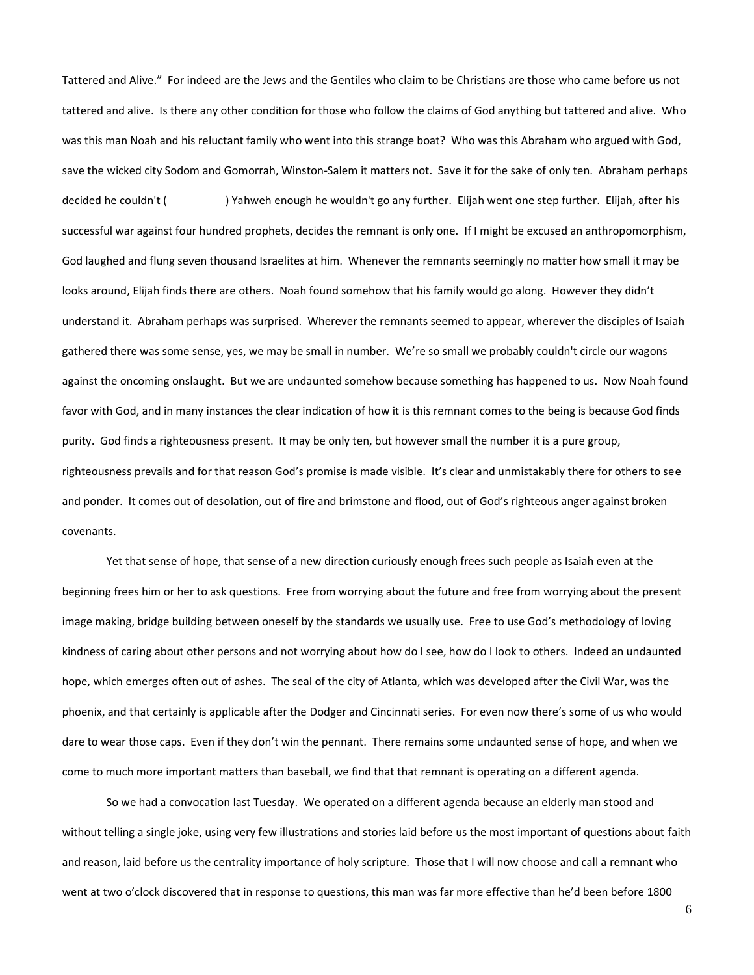Tattered and Alive." For indeed are the Jews and the Gentiles who claim to be Christians are those who came before us not tattered and alive. Is there any other condition for those who follow the claims of God anything but tattered and alive. Who was this man Noah and his reluctant family who went into this strange boat? Who was this Abraham who argued with God, save the wicked city Sodom and Gomorrah, Winston-Salem it matters not. Save it for the sake of only ten. Abraham perhaps decided he couldn't () Yahweh enough he wouldn't go any further. Elijah went one step further. Elijah, after his successful war against four hundred prophets, decides the remnant is only one. If I might be excused an anthropomorphism, God laughed and flung seven thousand Israelites at him. Whenever the remnants seemingly no matter how small it may be looks around, Elijah finds there are others. Noah found somehow that his family would go along. However they didn't understand it. Abraham perhaps was surprised. Wherever the remnants seemed to appear, wherever the disciples of Isaiah gathered there was some sense, yes, we may be small in number. We're so small we probably couldn't circle our wagons against the oncoming onslaught. But we are undaunted somehow because something has happened to us. Now Noah found favor with God, and in many instances the clear indication of how it is this remnant comes to the being is because God finds purity. God finds a righteousness present. It may be only ten, but however small the number it is a pure group, righteousness prevails and for that reason God's promise is made visible. It's clear and unmistakably there for others to see and ponder. It comes out of desolation, out of fire and brimstone and flood, out of God's righteous anger against broken covenants.

Yet that sense of hope, that sense of a new direction curiously enough frees such people as Isaiah even at the beginning frees him or her to ask questions. Free from worrying about the future and free from worrying about the present image making, bridge building between oneself by the standards we usually use. Free to use God's methodology of loving kindness of caring about other persons and not worrying about how do I see, how do I look to others. Indeed an undaunted hope, which emerges often out of ashes. The seal of the city of Atlanta, which was developed after the Civil War, was the phoenix, and that certainly is applicable after the Dodger and Cincinnati series. For even now there's some of us who would dare to wear those caps. Even if they don't win the pennant. There remains some undaunted sense of hope, and when we come to much more important matters than baseball, we find that that remnant is operating on a different agenda.

So we had a convocation last Tuesday. We operated on a different agenda because an elderly man stood and without telling a single joke, using very few illustrations and stories laid before us the most important of questions about faith and reason, laid before us the centrality importance of holy scripture. Those that I will now choose and call a remnant who went at two o'clock discovered that in response to questions, this man was far more effective than he'd been before 1800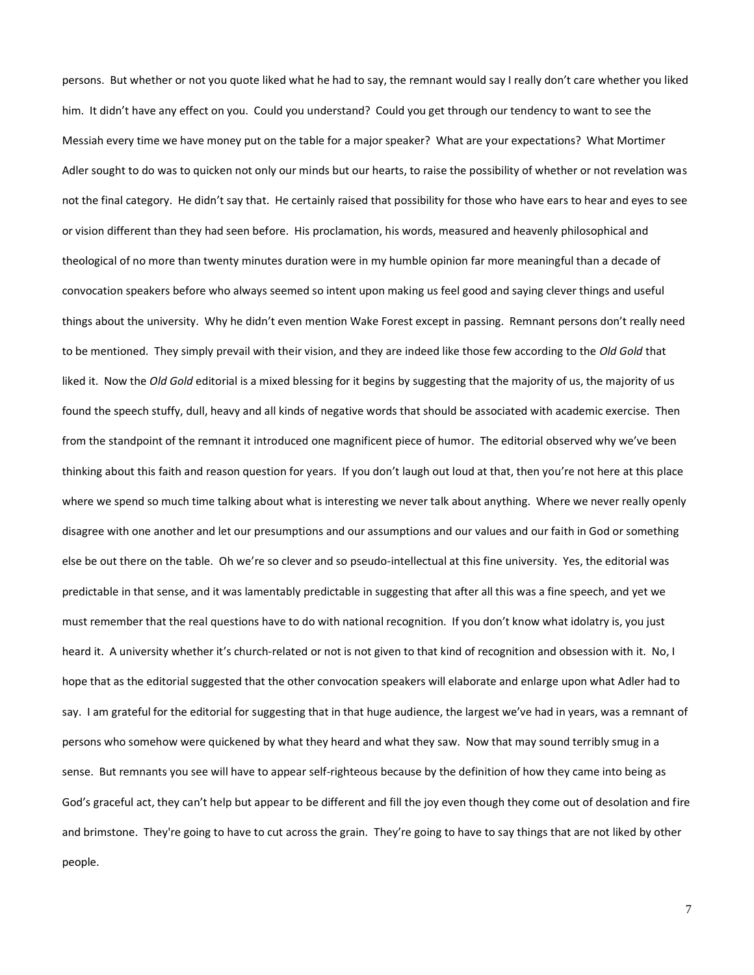persons. But whether or not you quote liked what he had to say, the remnant would say I really don't care whether you liked him. It didn't have any effect on you. Could you understand? Could you get through our tendency to want to see the Messiah every time we have money put on the table for a major speaker? What are your expectations? What Mortimer Adler sought to do was to quicken not only our minds but our hearts, to raise the possibility of whether or not revelation was not the final category. He didn't say that. He certainly raised that possibility for those who have ears to hear and eyes to see or vision different than they had seen before. His proclamation, his words, measured and heavenly philosophical and theological of no more than twenty minutes duration were in my humble opinion far more meaningful than a decade of convocation speakers before who always seemed so intent upon making us feel good and saying clever things and useful things about the university. Why he didn't even mention Wake Forest except in passing. Remnant persons don't really need to be mentioned. They simply prevail with their vision, and they are indeed like those few according to the *Old Gold* that liked it. Now the *Old Gold* editorial is a mixed blessing for it begins by suggesting that the majority of us, the majority of us found the speech stuffy, dull, heavy and all kinds of negative words that should be associated with academic exercise. Then from the standpoint of the remnant it introduced one magnificent piece of humor. The editorial observed why we've been thinking about this faith and reason question for years. If you don't laugh out loud at that, then you're not here at this place where we spend so much time talking about what is interesting we never talk about anything. Where we never really openly disagree with one another and let our presumptions and our assumptions and our values and our faith in God or something else be out there on the table. Oh we're so clever and so pseudo-intellectual at this fine university. Yes, the editorial was predictable in that sense, and it was lamentably predictable in suggesting that after all this was a fine speech, and yet we must remember that the real questions have to do with national recognition. If you don't know what idolatry is, you just heard it. A university whether it's church-related or not is not given to that kind of recognition and obsession with it. No, I hope that as the editorial suggested that the other convocation speakers will elaborate and enlarge upon what Adler had to say. I am grateful for the editorial for suggesting that in that huge audience, the largest we've had in years, was a remnant of persons who somehow were quickened by what they heard and what they saw. Now that may sound terribly smug in a sense. But remnants you see will have to appear self-righteous because by the definition of how they came into being as God's graceful act, they can't help but appear to be different and fill the joy even though they come out of desolation and fire and brimstone. They're going to have to cut across the grain. They're going to have to say things that are not liked by other people.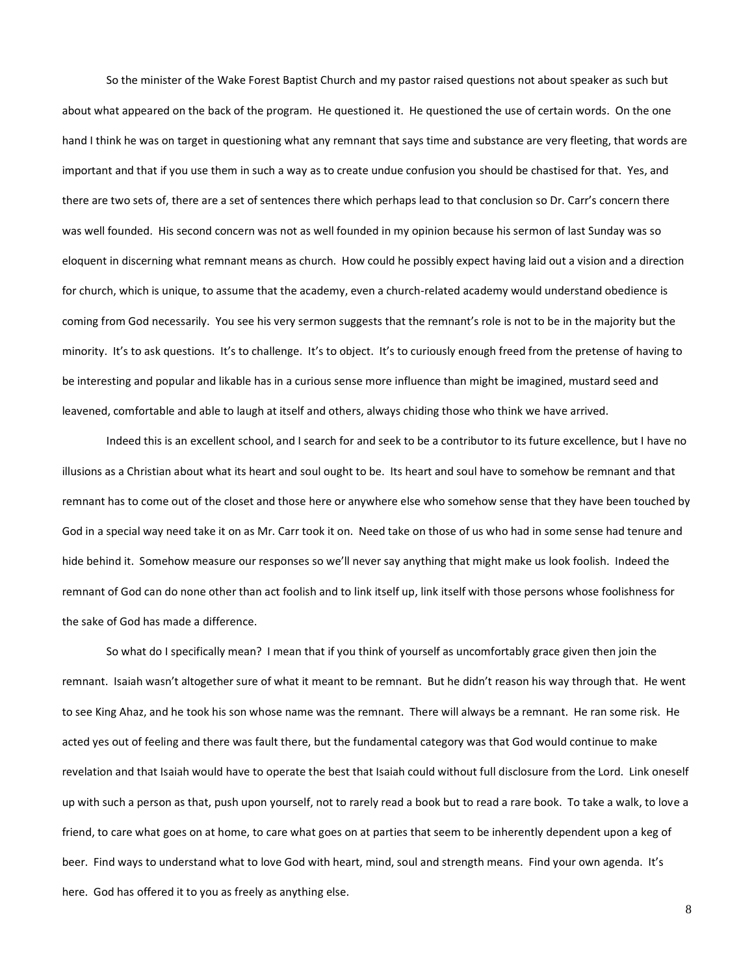So the minister of the Wake Forest Baptist Church and my pastor raised questions not about speaker as such but about what appeared on the back of the program. He questioned it. He questioned the use of certain words. On the one hand I think he was on target in questioning what any remnant that says time and substance are very fleeting, that words are important and that if you use them in such a way as to create undue confusion you should be chastised for that. Yes, and there are two sets of, there are a set of sentences there which perhaps lead to that conclusion so Dr. Carr's concern there was well founded. His second concern was not as well founded in my opinion because his sermon of last Sunday was so eloquent in discerning what remnant means as church. How could he possibly expect having laid out a vision and a direction for church, which is unique, to assume that the academy, even a church-related academy would understand obedience is coming from God necessarily. You see his very sermon suggests that the remnant's role is not to be in the majority but the minority. It's to ask questions. It's to challenge. It's to object. It's to curiously enough freed from the pretense of having to be interesting and popular and likable has in a curious sense more influence than might be imagined, mustard seed and leavened, comfortable and able to laugh at itself and others, always chiding those who think we have arrived.

Indeed this is an excellent school, and I search for and seek to be a contributor to its future excellence, but I have no illusions as a Christian about what its heart and soul ought to be. Its heart and soul have to somehow be remnant and that remnant has to come out of the closet and those here or anywhere else who somehow sense that they have been touched by God in a special way need take it on as Mr. Carr took it on. Need take on those of us who had in some sense had tenure and hide behind it. Somehow measure our responses so we'll never say anything that might make us look foolish. Indeed the remnant of God can do none other than act foolish and to link itself up, link itself with those persons whose foolishness for the sake of God has made a difference.

So what do I specifically mean? I mean that if you think of yourself as uncomfortably grace given then join the remnant. Isaiah wasn't altogether sure of what it meant to be remnant. But he didn't reason his way through that. He went to see King Ahaz, and he took his son whose name was the remnant. There will always be a remnant. He ran some risk. He acted yes out of feeling and there was fault there, but the fundamental category was that God would continue to make revelation and that Isaiah would have to operate the best that Isaiah could without full disclosure from the Lord. Link oneself up with such a person as that, push upon yourself, not to rarely read a book but to read a rare book. To take a walk, to love a friend, to care what goes on at home, to care what goes on at parties that seem to be inherently dependent upon a keg of beer. Find ways to understand what to love God with heart, mind, soul and strength means. Find your own agenda. It's here. God has offered it to you as freely as anything else.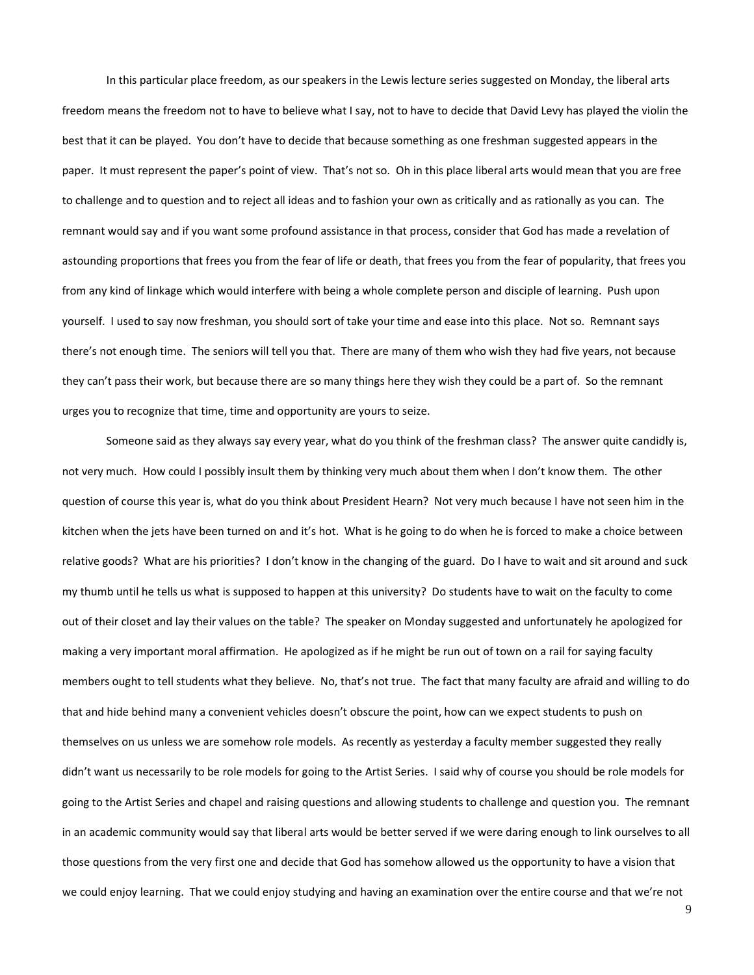In this particular place freedom, as our speakers in the Lewis lecture series suggested on Monday, the liberal arts freedom means the freedom not to have to believe what I say, not to have to decide that David Levy has played the violin the best that it can be played. You don't have to decide that because something as one freshman suggested appears in the paper. It must represent the paper's point of view. That's not so. Oh in this place liberal arts would mean that you are free to challenge and to question and to reject all ideas and to fashion your own as critically and as rationally as you can. The remnant would say and if you want some profound assistance in that process, consider that God has made a revelation of astounding proportions that frees you from the fear of life or death, that frees you from the fear of popularity, that frees you from any kind of linkage which would interfere with being a whole complete person and disciple of learning. Push upon yourself. I used to say now freshman, you should sort of take your time and ease into this place. Not so. Remnant says there's not enough time. The seniors will tell you that. There are many of them who wish they had five years, not because they can't pass their work, but because there are so many things here they wish they could be a part of. So the remnant urges you to recognize that time, time and opportunity are yours to seize.

Someone said as they always say every year, what do you think of the freshman class? The answer quite candidly is, not very much. How could I possibly insult them by thinking very much about them when I don't know them. The other question of course this year is, what do you think about President Hearn? Not very much because I have not seen him in the kitchen when the jets have been turned on and it's hot. What is he going to do when he is forced to make a choice between relative goods? What are his priorities? I don't know in the changing of the guard. Do I have to wait and sit around and suck my thumb until he tells us what is supposed to happen at this university? Do students have to wait on the faculty to come out of their closet and lay their values on the table? The speaker on Monday suggested and unfortunately he apologized for making a very important moral affirmation. He apologized as if he might be run out of town on a rail for saying faculty members ought to tell students what they believe. No, that's not true. The fact that many faculty are afraid and willing to do that and hide behind many a convenient vehicles doesn't obscure the point, how can we expect students to push on themselves on us unless we are somehow role models. As recently as yesterday a faculty member suggested they really didn't want us necessarily to be role models for going to the Artist Series. I said why of course you should be role models for going to the Artist Series and chapel and raising questions and allowing students to challenge and question you. The remnant in an academic community would say that liberal arts would be better served if we were daring enough to link ourselves to all those questions from the very first one and decide that God has somehow allowed us the opportunity to have a vision that we could enjoy learning. That we could enjoy studying and having an examination over the entire course and that we're not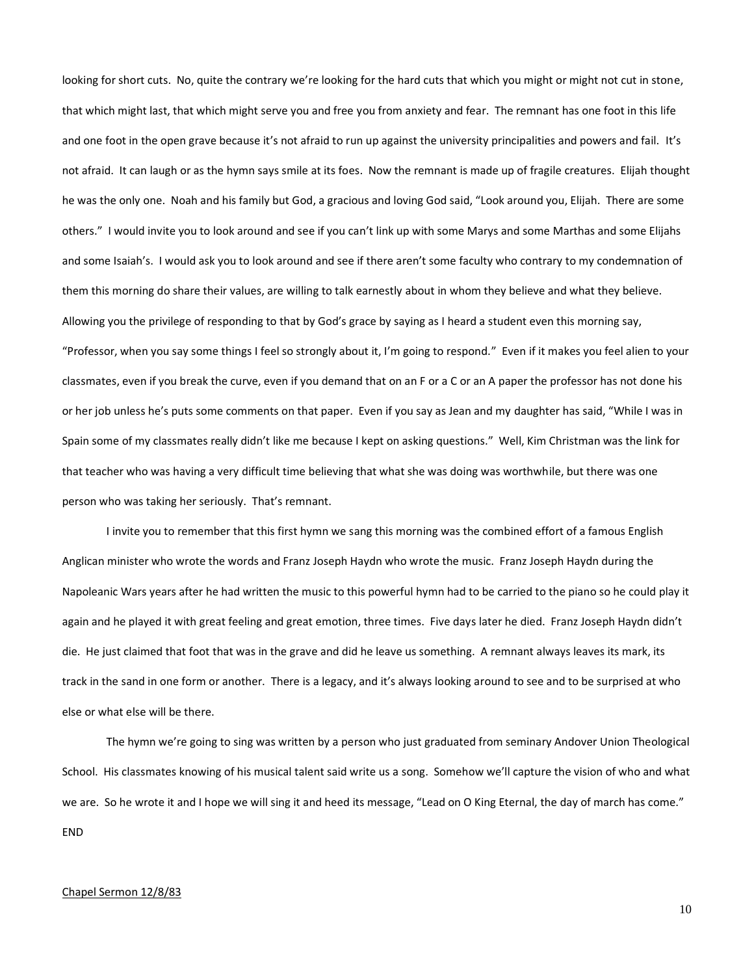looking for short cuts. No, quite the contrary we're looking for the hard cuts that which you might or might not cut in stone, that which might last, that which might serve you and free you from anxiety and fear. The remnant has one foot in this life and one foot in the open grave because it's not afraid to run up against the university principalities and powers and fail. It's not afraid. It can laugh or as the hymn says smile at its foes. Now the remnant is made up of fragile creatures. Elijah thought he was the only one. Noah and his family but God, a gracious and loving God said, "Look around you, Elijah. There are some others." I would invite you to look around and see if you can't link up with some Marys and some Marthas and some Elijahs and some Isaiah's. I would ask you to look around and see if there aren't some faculty who contrary to my condemnation of them this morning do share their values, are willing to talk earnestly about in whom they believe and what they believe. Allowing you the privilege of responding to that by God's grace by saying as I heard a student even this morning say, "Professor, when you say some things I feel so strongly about it, I'm going to respond." Even if it makes you feel alien to your classmates, even if you break the curve, even if you demand that on an F or a C or an A paper the professor has not done his or her job unless he's puts some comments on that paper. Even if you say as Jean and my daughter has said, "While I was in Spain some of my classmates really didn't like me because I kept on asking questions." Well, Kim Christman was the link for that teacher who was having a very difficult time believing that what she was doing was worthwhile, but there was one person who was taking her seriously. That's remnant.

I invite you to remember that this first hymn we sang this morning was the combined effort of a famous English Anglican minister who wrote the words and Franz Joseph Haydn who wrote the music. Franz Joseph Haydn during the Napoleanic Wars years after he had written the music to this powerful hymn had to be carried to the piano so he could play it again and he played it with great feeling and great emotion, three times. Five days later he died. Franz Joseph Haydn didn't die. He just claimed that foot that was in the grave and did he leave us something. A remnant always leaves its mark, its track in the sand in one form or another. There is a legacy, and it's always looking around to see and to be surprised at who else or what else will be there.

The hymn we're going to sing was written by a person who just graduated from seminary Andover Union Theological School. His classmates knowing of his musical talent said write us a song. Somehow we'll capture the vision of who and what we are. So he wrote it and I hope we will sing it and heed its message, "Lead on O King Eternal, the day of march has come." END

## Chapel Sermon 12/8/83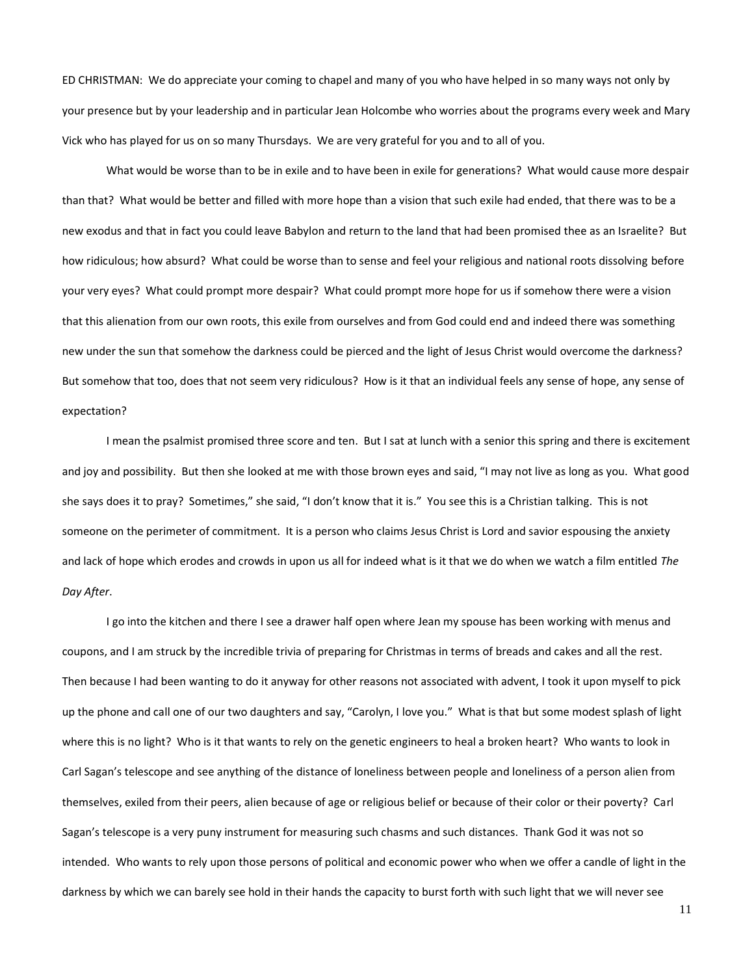ED CHRISTMAN: We do appreciate your coming to chapel and many of you who have helped in so many ways not only by your presence but by your leadership and in particular Jean Holcombe who worries about the programs every week and Mary Vick who has played for us on so many Thursdays. We are very grateful for you and to all of you.

What would be worse than to be in exile and to have been in exile for generations? What would cause more despair than that? What would be better and filled with more hope than a vision that such exile had ended, that there was to be a new exodus and that in fact you could leave Babylon and return to the land that had been promised thee as an Israelite? But how ridiculous; how absurd? What could be worse than to sense and feel your religious and national roots dissolving before your very eyes? What could prompt more despair? What could prompt more hope for us if somehow there were a vision that this alienation from our own roots, this exile from ourselves and from God could end and indeed there was something new under the sun that somehow the darkness could be pierced and the light of Jesus Christ would overcome the darkness? But somehow that too, does that not seem very ridiculous? How is it that an individual feels any sense of hope, any sense of expectation?

I mean the psalmist promised three score and ten. But I sat at lunch with a senior this spring and there is excitement and joy and possibility. But then she looked at me with those brown eyes and said, "I may not live as long as you. What good she says does it to pray? Sometimes," she said, "I don't know that it is." You see this is a Christian talking. This is not someone on the perimeter of commitment. It is a person who claims Jesus Christ is Lord and savior espousing the anxiety and lack of hope which erodes and crowds in upon us all for indeed what is it that we do when we watch a film entitled *The Day After*.

I go into the kitchen and there I see a drawer half open where Jean my spouse has been working with menus and coupons, and I am struck by the incredible trivia of preparing for Christmas in terms of breads and cakes and all the rest. Then because I had been wanting to do it anyway for other reasons not associated with advent, I took it upon myself to pick up the phone and call one of our two daughters and say, "Carolyn, I love you." What is that but some modest splash of light where this is no light? Who is it that wants to rely on the genetic engineers to heal a broken heart? Who wants to look in Carl Sagan's telescope and see anything of the distance of loneliness between people and loneliness of a person alien from themselves, exiled from their peers, alien because of age or religious belief or because of their color or their poverty? Carl Sagan's telescope is a very puny instrument for measuring such chasms and such distances. Thank God it was not so intended. Who wants to rely upon those persons of political and economic power who when we offer a candle of light in the darkness by which we can barely see hold in their hands the capacity to burst forth with such light that we will never see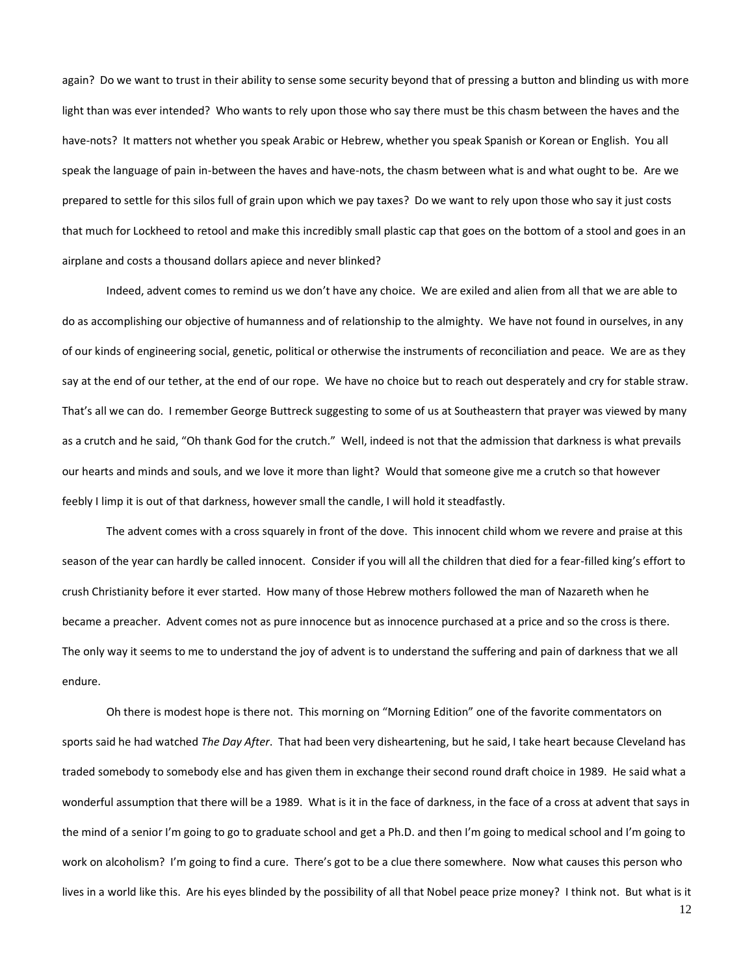again? Do we want to trust in their ability to sense some security beyond that of pressing a button and blinding us with more light than was ever intended? Who wants to rely upon those who say there must be this chasm between the haves and the have-nots? It matters not whether you speak Arabic or Hebrew, whether you speak Spanish or Korean or English. You all speak the language of pain in-between the haves and have-nots, the chasm between what is and what ought to be. Are we prepared to settle for this silos full of grain upon which we pay taxes? Do we want to rely upon those who say it just costs that much for Lockheed to retool and make this incredibly small plastic cap that goes on the bottom of a stool and goes in an airplane and costs a thousand dollars apiece and never blinked?

Indeed, advent comes to remind us we don't have any choice. We are exiled and alien from all that we are able to do as accomplishing our objective of humanness and of relationship to the almighty. We have not found in ourselves, in any of our kinds of engineering social, genetic, political or otherwise the instruments of reconciliation and peace. We are as they say at the end of our tether, at the end of our rope. We have no choice but to reach out desperately and cry for stable straw. That's all we can do. I remember George Buttreck suggesting to some of us at Southeastern that prayer was viewed by many as a crutch and he said, "Oh thank God for the crutch." Well, indeed is not that the admission that darkness is what prevails our hearts and minds and souls, and we love it more than light? Would that someone give me a crutch so that however feebly I limp it is out of that darkness, however small the candle, I will hold it steadfastly.

The advent comes with a cross squarely in front of the dove. This innocent child whom we revere and praise at this season of the year can hardly be called innocent. Consider if you will all the children that died for a fear-filled king's effort to crush Christianity before it ever started. How many of those Hebrew mothers followed the man of Nazareth when he became a preacher. Advent comes not as pure innocence but as innocence purchased at a price and so the cross is there. The only way it seems to me to understand the joy of advent is to understand the suffering and pain of darkness that we all endure.

Oh there is modest hope is there not. This morning on "Morning Edition" one of the favorite commentators on sports said he had watched *The Day After*. That had been very disheartening, but he said, I take heart because Cleveland has traded somebody to somebody else and has given them in exchange their second round draft choice in 1989. He said what a wonderful assumption that there will be a 1989. What is it in the face of darkness, in the face of a cross at advent that says in the mind of a senior I'm going to go to graduate school and get a Ph.D. and then I'm going to medical school and I'm going to work on alcoholism? I'm going to find a cure. There's got to be a clue there somewhere. Now what causes this person who lives in a world like this. Are his eyes blinded by the possibility of all that Nobel peace prize money? I think not. But what is it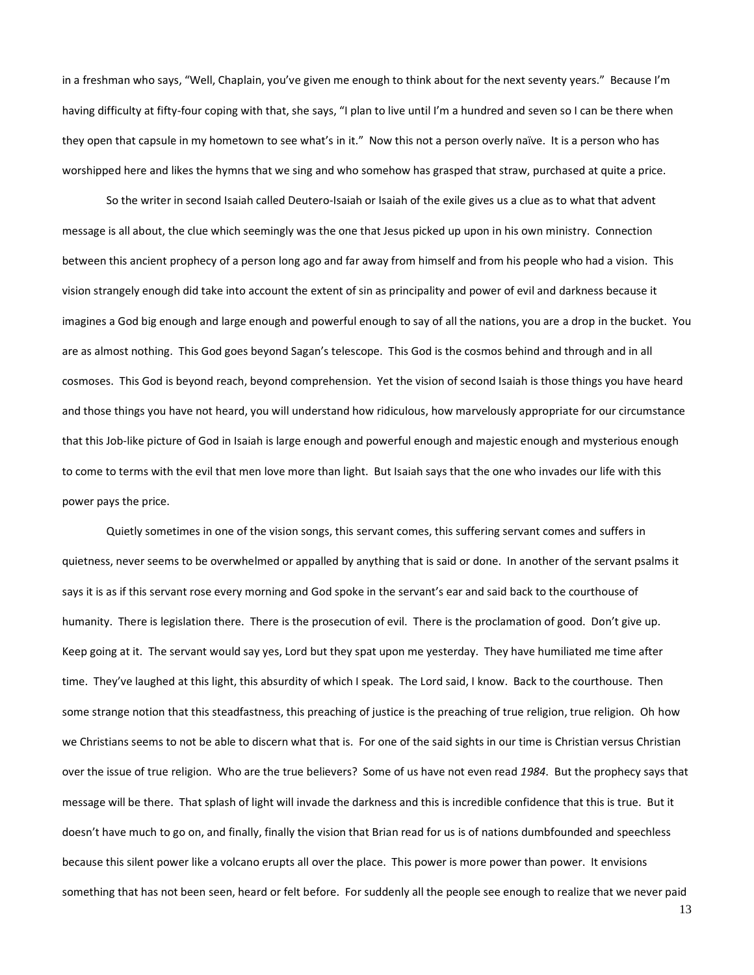in a freshman who says, "Well, Chaplain, you've given me enough to think about for the next seventy years." Because I'm having difficulty at fifty-four coping with that, she says, "I plan to live until I'm a hundred and seven so I can be there when they open that capsule in my hometown to see what's in it." Now this not a person overly naïve. It is a person who has worshipped here and likes the hymns that we sing and who somehow has grasped that straw, purchased at quite a price.

So the writer in second Isaiah called Deutero-Isaiah or Isaiah of the exile gives us a clue as to what that advent message is all about, the clue which seemingly was the one that Jesus picked up upon in his own ministry. Connection between this ancient prophecy of a person long ago and far away from himself and from his people who had a vision. This vision strangely enough did take into account the extent of sin as principality and power of evil and darkness because it imagines a God big enough and large enough and powerful enough to say of all the nations, you are a drop in the bucket. You are as almost nothing. This God goes beyond Sagan's telescope. This God is the cosmos behind and through and in all cosmoses. This God is beyond reach, beyond comprehension. Yet the vision of second Isaiah is those things you have heard and those things you have not heard, you will understand how ridiculous, how marvelously appropriate for our circumstance that this Job-like picture of God in Isaiah is large enough and powerful enough and majestic enough and mysterious enough to come to terms with the evil that men love more than light. But Isaiah says that the one who invades our life with this power pays the price.

Quietly sometimes in one of the vision songs, this servant comes, this suffering servant comes and suffers in quietness, never seems to be overwhelmed or appalled by anything that is said or done. In another of the servant psalms it says it is as if this servant rose every morning and God spoke in the servant's ear and said back to the courthouse of humanity. There is legislation there. There is the prosecution of evil. There is the proclamation of good. Don't give up. Keep going at it. The servant would say yes, Lord but they spat upon me yesterday. They have humiliated me time after time. They've laughed at this light, this absurdity of which I speak. The Lord said, I know. Back to the courthouse. Then some strange notion that this steadfastness, this preaching of justice is the preaching of true religion, true religion. Oh how we Christians seems to not be able to discern what that is. For one of the said sights in our time is Christian versus Christian over the issue of true religion. Who are the true believers? Some of us have not even read *1984*. But the prophecy says that message will be there. That splash of light will invade the darkness and this is incredible confidence that this is true. But it doesn't have much to go on, and finally, finally the vision that Brian read for us is of nations dumbfounded and speechless because this silent power like a volcano erupts all over the place. This power is more power than power. It envisions something that has not been seen, heard or felt before. For suddenly all the people see enough to realize that we never paid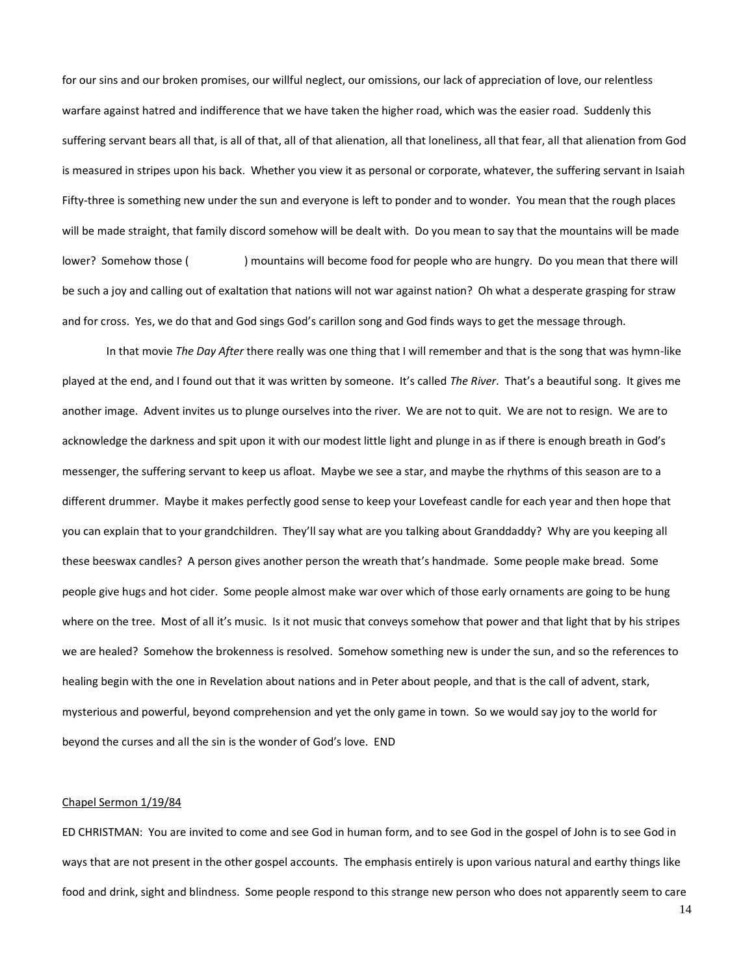for our sins and our broken promises, our willful neglect, our omissions, our lack of appreciation of love, our relentless warfare against hatred and indifference that we have taken the higher road, which was the easier road. Suddenly this suffering servant bears all that, is all of that, all of that alienation, all that loneliness, all that fear, all that alienation from God is measured in stripes upon his back. Whether you view it as personal or corporate, whatever, the suffering servant in Isaiah Fifty-three is something new under the sun and everyone is left to ponder and to wonder. You mean that the rough places will be made straight, that family discord somehow will be dealt with. Do you mean to say that the mountains will be made lower? Somehow those () mountains will become food for people who are hungry. Do you mean that there will be such a joy and calling out of exaltation that nations will not war against nation? Oh what a desperate grasping for straw and for cross. Yes, we do that and God sings God's carillon song and God finds ways to get the message through.

In that movie *The Day After* there really was one thing that I will remember and that is the song that was hymn-like played at the end, and I found out that it was written by someone. It's called *The River*. That's a beautiful song. It gives me another image. Advent invites us to plunge ourselves into the river. We are not to quit. We are not to resign. We are to acknowledge the darkness and spit upon it with our modest little light and plunge in as if there is enough breath in God's messenger, the suffering servant to keep us afloat. Maybe we see a star, and maybe the rhythms of this season are to a different drummer. Maybe it makes perfectly good sense to keep your Lovefeast candle for each year and then hope that you can explain that to your grandchildren. They'll say what are you talking about Granddaddy? Why are you keeping all these beeswax candles? A person gives another person the wreath that's handmade. Some people make bread. Some people give hugs and hot cider. Some people almost make war over which of those early ornaments are going to be hung where on the tree. Most of all it's music. Is it not music that conveys somehow that power and that light that by his stripes we are healed? Somehow the brokenness is resolved. Somehow something new is under the sun, and so the references to healing begin with the one in Revelation about nations and in Peter about people, and that is the call of advent, stark, mysterious and powerful, beyond comprehension and yet the only game in town. So we would say joy to the world for beyond the curses and all the sin is the wonder of God's love. END

## Chapel Sermon 1/19/84

ED CHRISTMAN: You are invited to come and see God in human form, and to see God in the gospel of John is to see God in ways that are not present in the other gospel accounts. The emphasis entirely is upon various natural and earthy things like food and drink, sight and blindness. Some people respond to this strange new person who does not apparently seem to care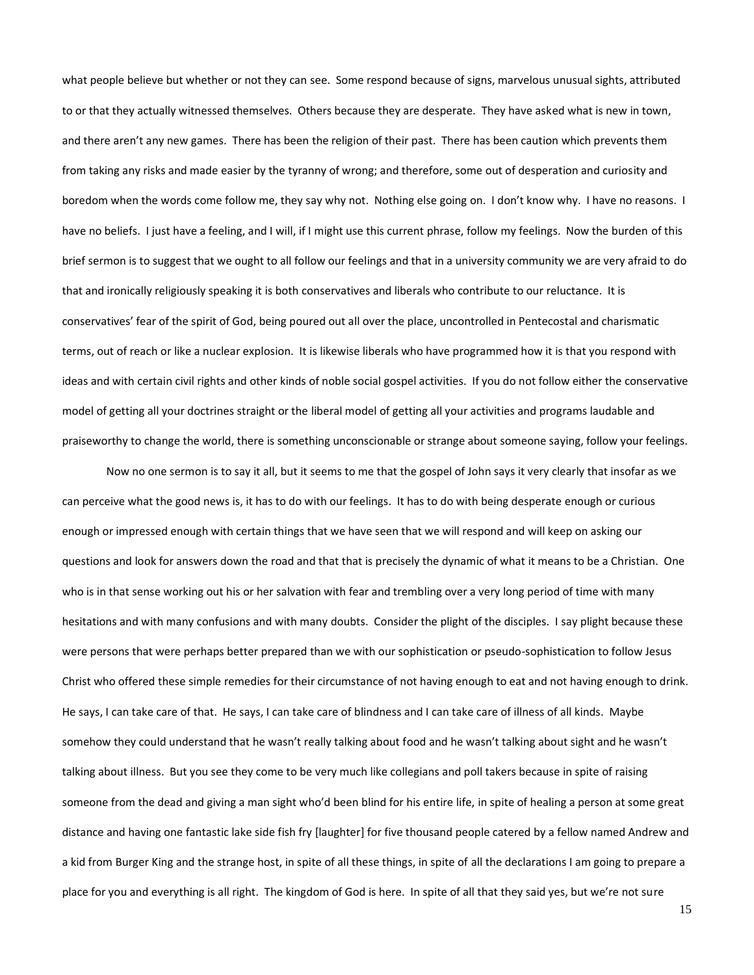what people believe but whether or not they can see. Some respond because of signs, marvelous unusual sights, attributed to or that they actually witnessed themselves. Others because they are desperate. They have asked what is new in town, and there aren't any new games. There has been the religion of their past. There has been caution which prevents them from taking any risks and made easier by the tyranny of wrong; and therefore, some out of desperation and curiosity and boredom when the words come follow me, they say why not. Nothing else going on. I don't know why. I have no reasons. I have no beliefs. I just have a feeling, and I will, if I might use this current phrase, follow my feelings. Now the burden of this brief sermon is to suggest that we ought to all follow our feelings and that in a university community we are very afraid to do that and ironically religiously speaking it is both conservatives and liberals who contribute to our reluctance. It is conservatives' fear of the spirit of God, being poured out all over the place, uncontrolled in Pentecostal and charismatic terms, out of reach or like a nuclear explosion. It is likewise liberals who have programmed how it is that you respond with ideas and with certain civil rights and other kinds of noble social gospel activities. If you do not follow either the conservative model of getting all your doctrines straight or the liberal model of getting all your activities and programs laudable and praiseworthy to change the world, there is something unconscionable or strange about someone saying, follow your feelings.

Now no one sermon is to say it all, but it seems to me that the gospel of John says it very clearly that insofar as we can perceive what the good news is, it has to do with our feelings. It has to do with being desperate enough or curious enough or impressed enough with certain things that we have seen that we will respond and will keep on asking our questions and look for answers down the road and that that is precisely the dynamic of what it means to be a Christian. One who is in that sense working out his or her salvation with fear and trembling over a very long period of time with many hesitations and with many confusions and with many doubts. Consider the plight of the disciples. I say plight because these were persons that were perhaps better prepared than we with our sophistication or pseudo-sophistication to follow Jesus Christ who offered these simple remedies for their circumstance of not having enough to eat and not having enough to drink. He says, I can take care of that. He says, I can take care of blindness and I can take care of illness of all kinds. Maybe somehow they could understand that he wasn't really talking about food and he wasn't talking about sight and he wasn't talking about illness. But you see they come to be very much like collegians and poll takers because in spite of raising someone from the dead and giving a man sight who'd been blind for his entire life, in spite of healing a person at some great distance and having one fantastic lake side fish fry [laughter] for five thousand people catered by a fellow named Andrew and a kid from Burger King and the strange host, in spite of all these things, in spite of all the declarations I am going to prepare a place for you and everything is all right. The kingdom of God is here. In spite of all that they said yes, but we're not sure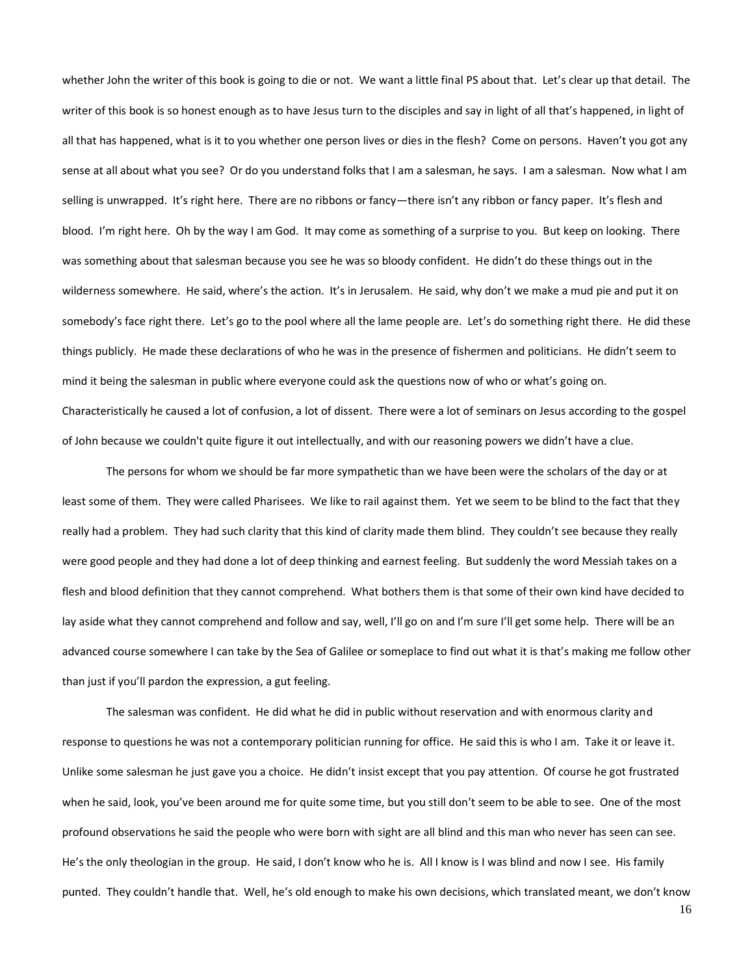whether John the writer of this book is going to die or not. We want a little final PS about that. Let's clear up that detail. The writer of this book is so honest enough as to have Jesus turn to the disciples and say in light of all that's happened, in light of all that has happened, what is it to you whether one person lives or dies in the flesh? Come on persons. Haven't you got any sense at all about what you see? Or do you understand folks that I am a salesman, he says. I am a salesman. Now what I am selling is unwrapped. It's right here. There are no ribbons or fancy—there isn't any ribbon or fancy paper. It's flesh and blood. I'm right here. Oh by the way I am God. It may come as something of a surprise to you. But keep on looking. There was something about that salesman because you see he was so bloody confident. He didn't do these things out in the wilderness somewhere. He said, where's the action. It's in Jerusalem. He said, why don't we make a mud pie and put it on somebody's face right there. Let's go to the pool where all the lame people are. Let's do something right there. He did these things publicly. He made these declarations of who he was in the presence of fishermen and politicians. He didn't seem to mind it being the salesman in public where everyone could ask the questions now of who or what's going on. Characteristically he caused a lot of confusion, a lot of dissent. There were a lot of seminars on Jesus according to the gospel of John because we couldn't quite figure it out intellectually, and with our reasoning powers we didn't have a clue.

The persons for whom we should be far more sympathetic than we have been were the scholars of the day or at least some of them. They were called Pharisees. We like to rail against them. Yet we seem to be blind to the fact that they really had a problem. They had such clarity that this kind of clarity made them blind. They couldn't see because they really were good people and they had done a lot of deep thinking and earnest feeling. But suddenly the word Messiah takes on a flesh and blood definition that they cannot comprehend. What bothers them is that some of their own kind have decided to lay aside what they cannot comprehend and follow and say, well, I'll go on and I'm sure I'll get some help. There will be an advanced course somewhere I can take by the Sea of Galilee or someplace to find out what it is that's making me follow other than just if you'll pardon the expression, a gut feeling.

The salesman was confident. He did what he did in public without reservation and with enormous clarity and response to questions he was not a contemporary politician running for office. He said this is who I am. Take it or leave it. Unlike some salesman he just gave you a choice. He didn't insist except that you pay attention. Of course he got frustrated when he said, look, you've been around me for quite some time, but you still don't seem to be able to see. One of the most profound observations he said the people who were born with sight are all blind and this man who never has seen can see. He's the only theologian in the group. He said, I don't know who he is. All I know is I was blind and now I see. His family punted. They couldn't handle that. Well, he's old enough to make his own decisions, which translated meant, we don't know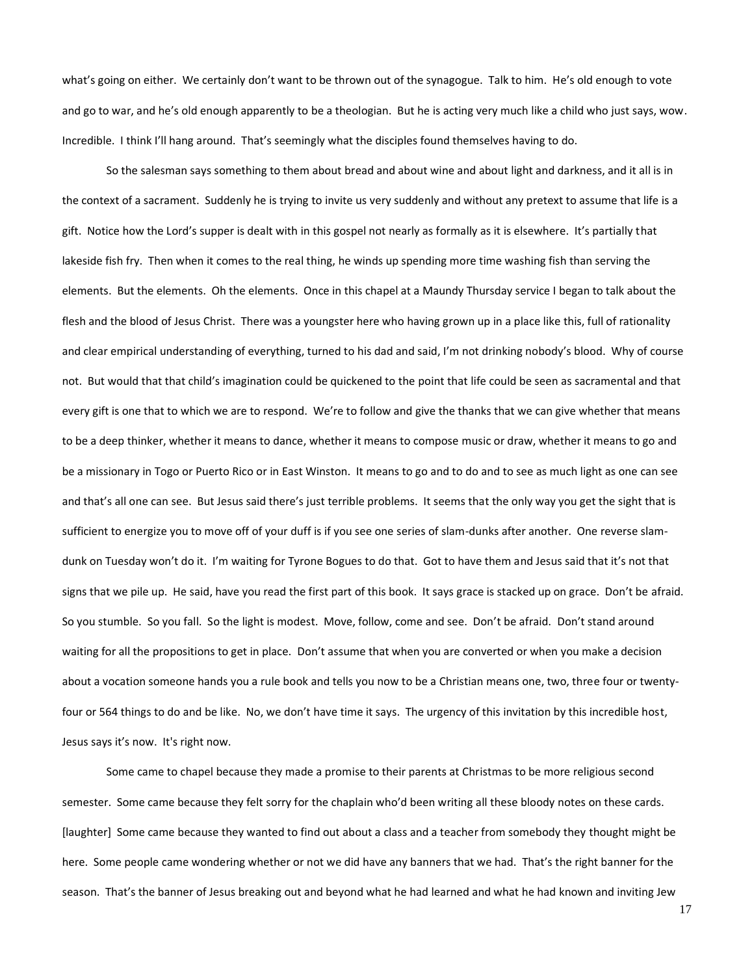what's going on either. We certainly don't want to be thrown out of the synagogue. Talk to him. He's old enough to vote and go to war, and he's old enough apparently to be a theologian. But he is acting very much like a child who just says, wow. Incredible. I think I'll hang around. That's seemingly what the disciples found themselves having to do.

So the salesman says something to them about bread and about wine and about light and darkness, and it all is in the context of a sacrament. Suddenly he is trying to invite us very suddenly and without any pretext to assume that life is a gift. Notice how the Lord's supper is dealt with in this gospel not nearly as formally as it is elsewhere. It's partially that lakeside fish fry. Then when it comes to the real thing, he winds up spending more time washing fish than serving the elements. But the elements. Oh the elements. Once in this chapel at a Maundy Thursday service I began to talk about the flesh and the blood of Jesus Christ. There was a youngster here who having grown up in a place like this, full of rationality and clear empirical understanding of everything, turned to his dad and said, I'm not drinking nobody's blood. Why of course not. But would that that child's imagination could be quickened to the point that life could be seen as sacramental and that every gift is one that to which we are to respond. We're to follow and give the thanks that we can give whether that means to be a deep thinker, whether it means to dance, whether it means to compose music or draw, whether it means to go and be a missionary in Togo or Puerto Rico or in East Winston. It means to go and to do and to see as much light as one can see and that's all one can see. But Jesus said there's just terrible problems. It seems that the only way you get the sight that is sufficient to energize you to move off of your duff is if you see one series of slam-dunks after another. One reverse slamdunk on Tuesday won't do it. I'm waiting for Tyrone Bogues to do that. Got to have them and Jesus said that it's not that signs that we pile up. He said, have you read the first part of this book. It says grace is stacked up on grace. Don't be afraid. So you stumble. So you fall. So the light is modest. Move, follow, come and see. Don't be afraid. Don't stand around waiting for all the propositions to get in place. Don't assume that when you are converted or when you make a decision about a vocation someone hands you a rule book and tells you now to be a Christian means one, two, three four or twentyfour or 564 things to do and be like. No, we don't have time it says. The urgency of this invitation by this incredible host, Jesus says it's now. It's right now.

Some came to chapel because they made a promise to their parents at Christmas to be more religious second semester. Some came because they felt sorry for the chaplain who'd been writing all these bloody notes on these cards. [laughter] Some came because they wanted to find out about a class and a teacher from somebody they thought might be here. Some people came wondering whether or not we did have any banners that we had. That's the right banner for the season. That's the banner of Jesus breaking out and beyond what he had learned and what he had known and inviting Jew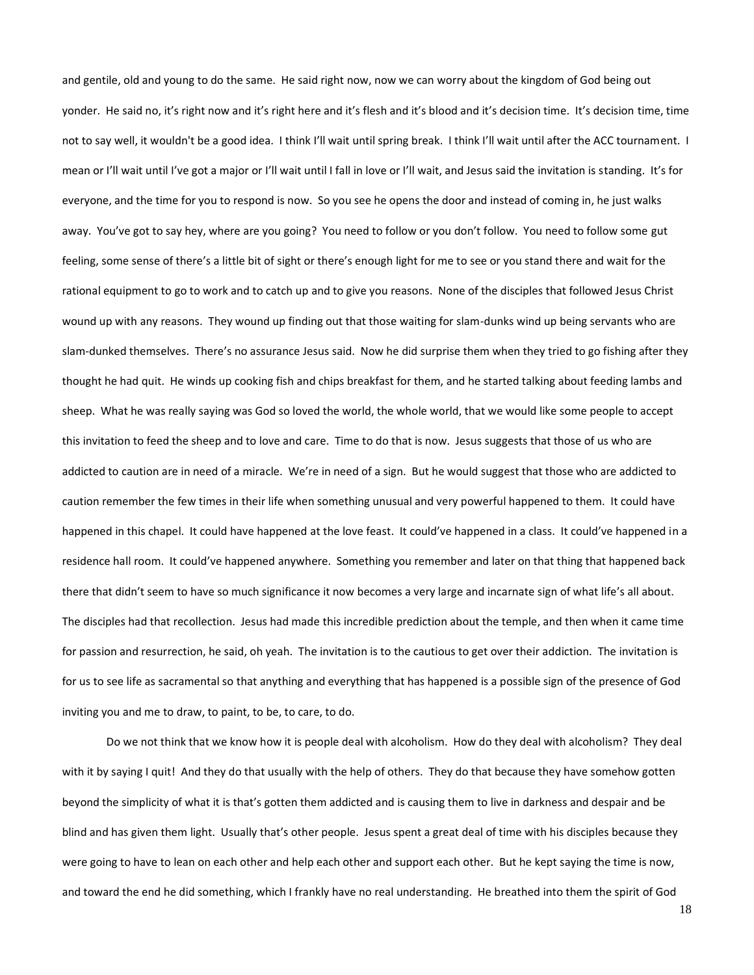and gentile, old and young to do the same. He said right now, now we can worry about the kingdom of God being out yonder. He said no, it's right now and it's right here and it's flesh and it's blood and it's decision time. It's decision time, time not to say well, it wouldn't be a good idea. I think I'll wait until spring break. I think I'll wait until after the ACC tournament. I mean or I'll wait until I've got a major or I'll wait until I fall in love or I'll wait, and Jesus said the invitation is standing. It's for everyone, and the time for you to respond is now. So you see he opens the door and instead of coming in, he just walks away. You've got to say hey, where are you going? You need to follow or you don't follow. You need to follow some gut feeling, some sense of there's a little bit of sight or there's enough light for me to see or you stand there and wait for the rational equipment to go to work and to catch up and to give you reasons. None of the disciples that followed Jesus Christ wound up with any reasons. They wound up finding out that those waiting for slam-dunks wind up being servants who are slam-dunked themselves. There's no assurance Jesus said. Now he did surprise them when they tried to go fishing after they thought he had quit. He winds up cooking fish and chips breakfast for them, and he started talking about feeding lambs and sheep. What he was really saying was God so loved the world, the whole world, that we would like some people to accept this invitation to feed the sheep and to love and care. Time to do that is now. Jesus suggests that those of us who are addicted to caution are in need of a miracle. We're in need of a sign. But he would suggest that those who are addicted to caution remember the few times in their life when something unusual and very powerful happened to them. It could have happened in this chapel. It could have happened at the love feast. It could've happened in a class. It could've happened in a residence hall room. It could've happened anywhere. Something you remember and later on that thing that happened back there that didn't seem to have so much significance it now becomes a very large and incarnate sign of what life's all about. The disciples had that recollection. Jesus had made this incredible prediction about the temple, and then when it came time for passion and resurrection, he said, oh yeah. The invitation is to the cautious to get over their addiction. The invitation is for us to see life as sacramental so that anything and everything that has happened is a possible sign of the presence of God inviting you and me to draw, to paint, to be, to care, to do.

Do we not think that we know how it is people deal with alcoholism. How do they deal with alcoholism? They deal with it by saying I quit! And they do that usually with the help of others. They do that because they have somehow gotten beyond the simplicity of what it is that's gotten them addicted and is causing them to live in darkness and despair and be blind and has given them light. Usually that's other people. Jesus spent a great deal of time with his disciples because they were going to have to lean on each other and help each other and support each other. But he kept saying the time is now, and toward the end he did something, which I frankly have no real understanding. He breathed into them the spirit of God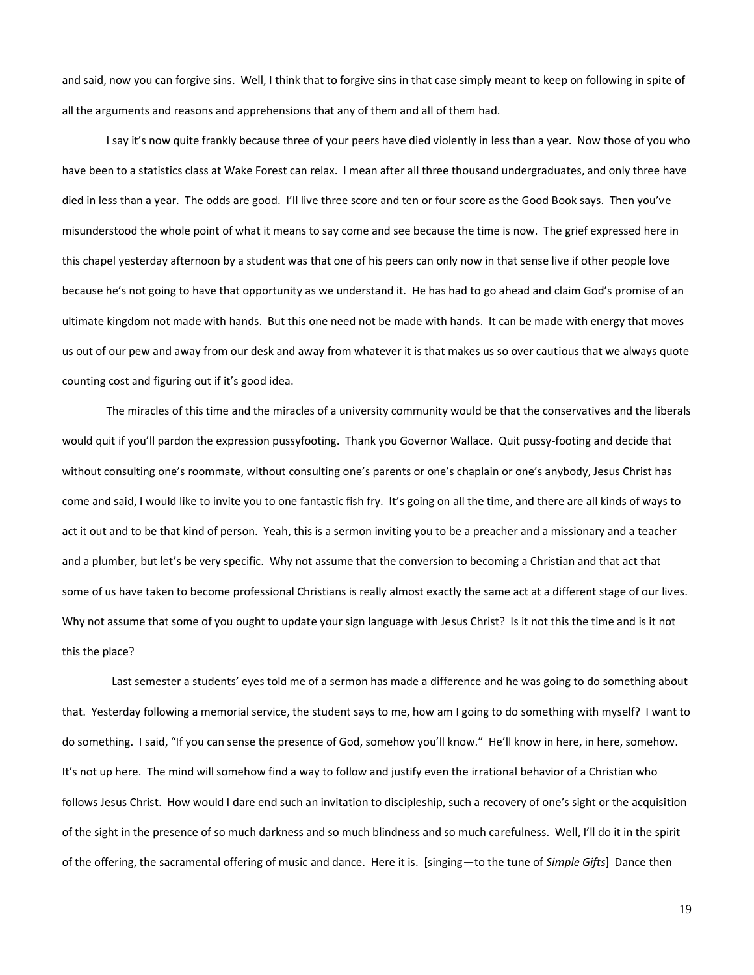and said, now you can forgive sins. Well, I think that to forgive sins in that case simply meant to keep on following in spite of all the arguments and reasons and apprehensions that any of them and all of them had.

I say it's now quite frankly because three of your peers have died violently in less than a year. Now those of you who have been to a statistics class at Wake Forest can relax. I mean after all three thousand undergraduates, and only three have died in less than a year. The odds are good. I'll live three score and ten or four score as the Good Book says. Then you've misunderstood the whole point of what it means to say come and see because the time is now. The grief expressed here in this chapel yesterday afternoon by a student was that one of his peers can only now in that sense live if other people love because he's not going to have that opportunity as we understand it. He has had to go ahead and claim God's promise of an ultimate kingdom not made with hands. But this one need not be made with hands. It can be made with energy that moves us out of our pew and away from our desk and away from whatever it is that makes us so over cautious that we always quote counting cost and figuring out if it's good idea.

The miracles of this time and the miracles of a university community would be that the conservatives and the liberals would quit if you'll pardon the expression pussyfooting. Thank you Governor Wallace. Quit pussy-footing and decide that without consulting one's roommate, without consulting one's parents or one's chaplain or one's anybody, Jesus Christ has come and said, I would like to invite you to one fantastic fish fry. It's going on all the time, and there are all kinds of ways to act it out and to be that kind of person. Yeah, this is a sermon inviting you to be a preacher and a missionary and a teacher and a plumber, but let's be very specific. Why not assume that the conversion to becoming a Christian and that act that some of us have taken to become professional Christians is really almost exactly the same act at a different stage of our lives. Why not assume that some of you ought to update your sign language with Jesus Christ? Is it not this the time and is it not this the place?

 Last semester a students' eyes told me of a sermon has made a difference and he was going to do something about that. Yesterday following a memorial service, the student says to me, how am I going to do something with myself? I want to do something. I said, "If you can sense the presence of God, somehow you'll know." He'll know in here, in here, somehow. It's not up here. The mind will somehow find a way to follow and justify even the irrational behavior of a Christian who follows Jesus Christ. How would I dare end such an invitation to discipleship, such a recovery of one's sight or the acquisition of the sight in the presence of so much darkness and so much blindness and so much carefulness. Well, I'll do it in the spirit of the offering, the sacramental offering of music and dance. Here it is. [singing—to the tune of *Simple Gifts*] Dance then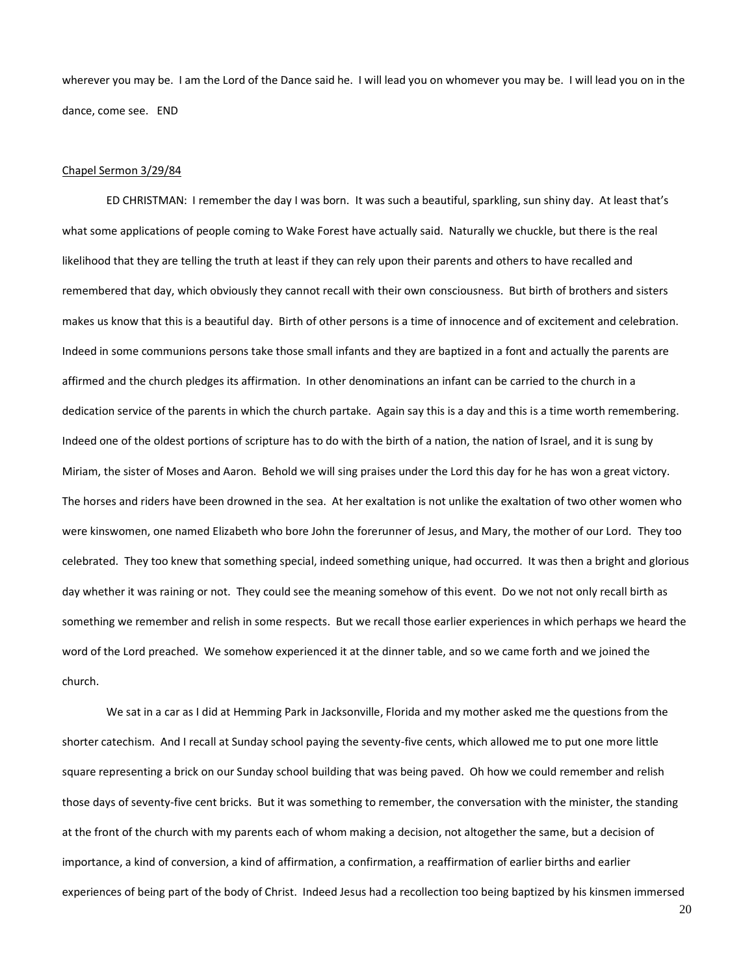wherever you may be. I am the Lord of the Dance said he. I will lead you on whomever you may be. I will lead you on in the dance, come see. END

#### Chapel Sermon 3/29/84

ED CHRISTMAN: I remember the day I was born. It was such a beautiful, sparkling, sun shiny day. At least that's what some applications of people coming to Wake Forest have actually said. Naturally we chuckle, but there is the real likelihood that they are telling the truth at least if they can rely upon their parents and others to have recalled and remembered that day, which obviously they cannot recall with their own consciousness. But birth of brothers and sisters makes us know that this is a beautiful day. Birth of other persons is a time of innocence and of excitement and celebration. Indeed in some communions persons take those small infants and they are baptized in a font and actually the parents are affirmed and the church pledges its affirmation. In other denominations an infant can be carried to the church in a dedication service of the parents in which the church partake. Again say this is a day and this is a time worth remembering. Indeed one of the oldest portions of scripture has to do with the birth of a nation, the nation of Israel, and it is sung by Miriam, the sister of Moses and Aaron. Behold we will sing praises under the Lord this day for he has won a great victory. The horses and riders have been drowned in the sea. At her exaltation is not unlike the exaltation of two other women who were kinswomen, one named Elizabeth who bore John the forerunner of Jesus, and Mary, the mother of our Lord. They too celebrated. They too knew that something special, indeed something unique, had occurred. It was then a bright and glorious day whether it was raining or not. They could see the meaning somehow of this event. Do we not not only recall birth as something we remember and relish in some respects. But we recall those earlier experiences in which perhaps we heard the word of the Lord preached. We somehow experienced it at the dinner table, and so we came forth and we joined the church.

We sat in a car as I did at Hemming Park in Jacksonville, Florida and my mother asked me the questions from the shorter catechism. And I recall at Sunday school paying the seventy-five cents, which allowed me to put one more little square representing a brick on our Sunday school building that was being paved. Oh how we could remember and relish those days of seventy-five cent bricks. But it was something to remember, the conversation with the minister, the standing at the front of the church with my parents each of whom making a decision, not altogether the same, but a decision of importance, a kind of conversion, a kind of affirmation, a confirmation, a reaffirmation of earlier births and earlier experiences of being part of the body of Christ. Indeed Jesus had a recollection too being baptized by his kinsmen immersed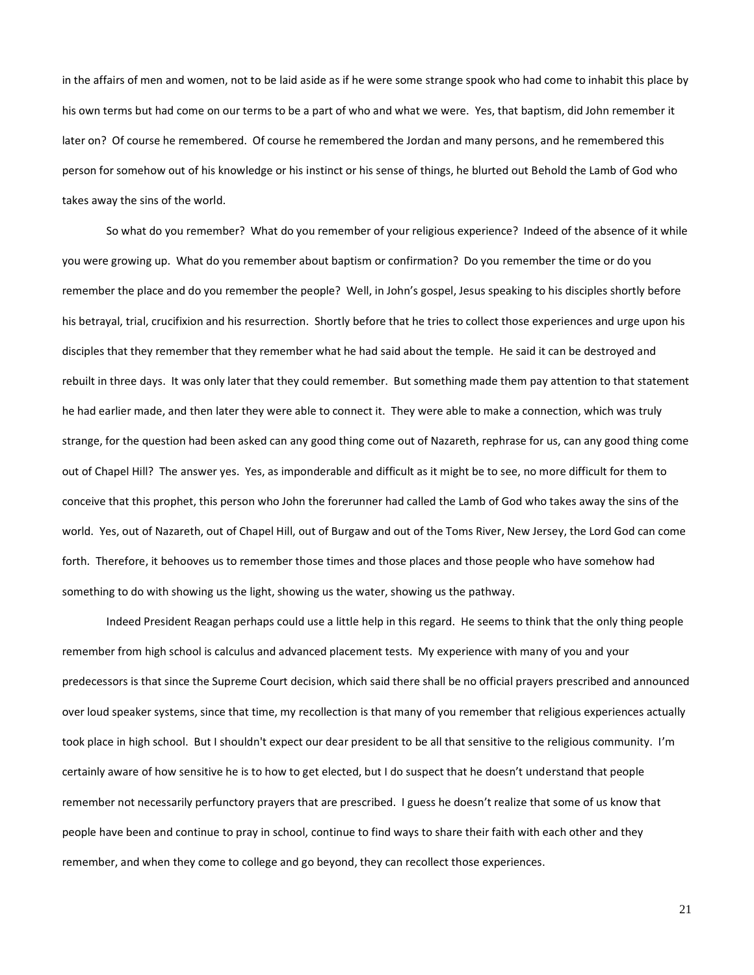in the affairs of men and women, not to be laid aside as if he were some strange spook who had come to inhabit this place by his own terms but had come on our terms to be a part of who and what we were. Yes, that baptism, did John remember it later on? Of course he remembered. Of course he remembered the Jordan and many persons, and he remembered this person for somehow out of his knowledge or his instinct or his sense of things, he blurted out Behold the Lamb of God who takes away the sins of the world.

So what do you remember? What do you remember of your religious experience? Indeed of the absence of it while you were growing up. What do you remember about baptism or confirmation? Do you remember the time or do you remember the place and do you remember the people? Well, in John's gospel, Jesus speaking to his disciples shortly before his betrayal, trial, crucifixion and his resurrection. Shortly before that he tries to collect those experiences and urge upon his disciples that they remember that they remember what he had said about the temple. He said it can be destroyed and rebuilt in three days. It was only later that they could remember. But something made them pay attention to that statement he had earlier made, and then later they were able to connect it. They were able to make a connection, which was truly strange, for the question had been asked can any good thing come out of Nazareth, rephrase for us, can any good thing come out of Chapel Hill? The answer yes. Yes, as imponderable and difficult as it might be to see, no more difficult for them to conceive that this prophet, this person who John the forerunner had called the Lamb of God who takes away the sins of the world. Yes, out of Nazareth, out of Chapel Hill, out of Burgaw and out of the Toms River, New Jersey, the Lord God can come forth. Therefore, it behooves us to remember those times and those places and those people who have somehow had something to do with showing us the light, showing us the water, showing us the pathway.

Indeed President Reagan perhaps could use a little help in this regard. He seems to think that the only thing people remember from high school is calculus and advanced placement tests. My experience with many of you and your predecessors is that since the Supreme Court decision, which said there shall be no official prayers prescribed and announced over loud speaker systems, since that time, my recollection is that many of you remember that religious experiences actually took place in high school. But I shouldn't expect our dear president to be all that sensitive to the religious community. I'm certainly aware of how sensitive he is to how to get elected, but I do suspect that he doesn't understand that people remember not necessarily perfunctory prayers that are prescribed. I guess he doesn't realize that some of us know that people have been and continue to pray in school, continue to find ways to share their faith with each other and they remember, and when they come to college and go beyond, they can recollect those experiences.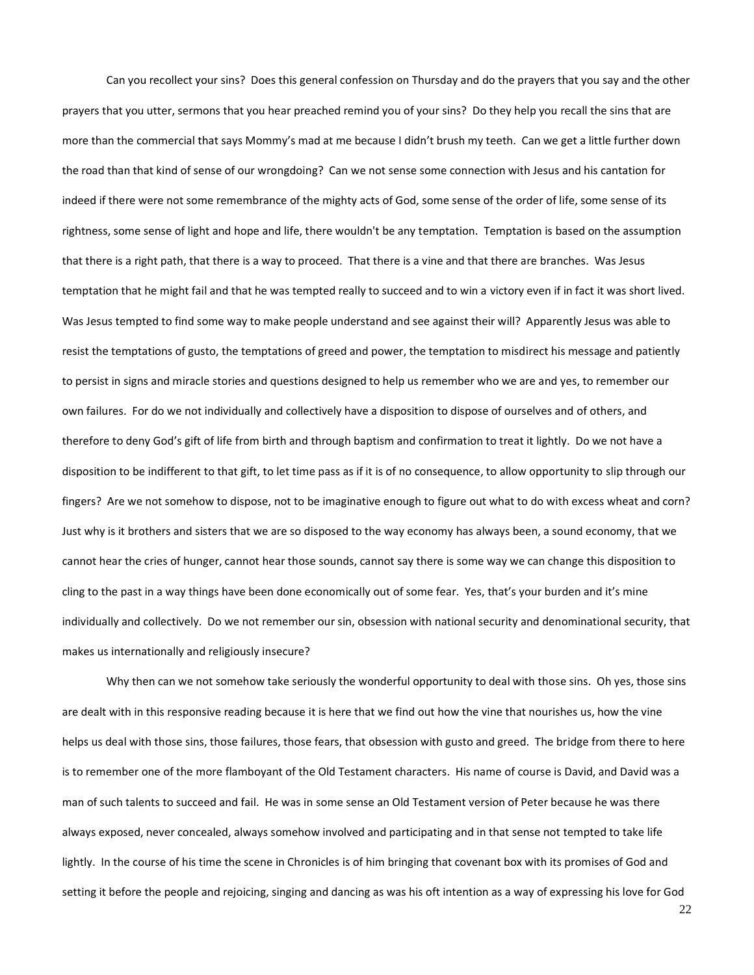Can you recollect your sins? Does this general confession on Thursday and do the prayers that you say and the other prayers that you utter, sermons that you hear preached remind you of your sins? Do they help you recall the sins that are more than the commercial that says Mommy's mad at me because I didn't brush my teeth. Can we get a little further down the road than that kind of sense of our wrongdoing? Can we not sense some connection with Jesus and his cantation for indeed if there were not some remembrance of the mighty acts of God, some sense of the order of life, some sense of its rightness, some sense of light and hope and life, there wouldn't be any temptation. Temptation is based on the assumption that there is a right path, that there is a way to proceed. That there is a vine and that there are branches. Was Jesus temptation that he might fail and that he was tempted really to succeed and to win a victory even if in fact it was short lived. Was Jesus tempted to find some way to make people understand and see against their will? Apparently Jesus was able to resist the temptations of gusto, the temptations of greed and power, the temptation to misdirect his message and patiently to persist in signs and miracle stories and questions designed to help us remember who we are and yes, to remember our own failures. For do we not individually and collectively have a disposition to dispose of ourselves and of others, and therefore to deny God's gift of life from birth and through baptism and confirmation to treat it lightly. Do we not have a disposition to be indifferent to that gift, to let time pass as if it is of no consequence, to allow opportunity to slip through our fingers? Are we not somehow to dispose, not to be imaginative enough to figure out what to do with excess wheat and corn? Just why is it brothers and sisters that we are so disposed to the way economy has always been, a sound economy, that we cannot hear the cries of hunger, cannot hear those sounds, cannot say there is some way we can change this disposition to cling to the past in a way things have been done economically out of some fear. Yes, that's your burden and it's mine individually and collectively. Do we not remember our sin, obsession with national security and denominational security, that makes us internationally and religiously insecure?

Why then can we not somehow take seriously the wonderful opportunity to deal with those sins. Oh yes, those sins are dealt with in this responsive reading because it is here that we find out how the vine that nourishes us, how the vine helps us deal with those sins, those failures, those fears, that obsession with gusto and greed. The bridge from there to here is to remember one of the more flamboyant of the Old Testament characters. His name of course is David, and David was a man of such talents to succeed and fail. He was in some sense an Old Testament version of Peter because he was there always exposed, never concealed, always somehow involved and participating and in that sense not tempted to take life lightly. In the course of his time the scene in Chronicles is of him bringing that covenant box with its promises of God and setting it before the people and rejoicing, singing and dancing as was his oft intention as a way of expressing his love for God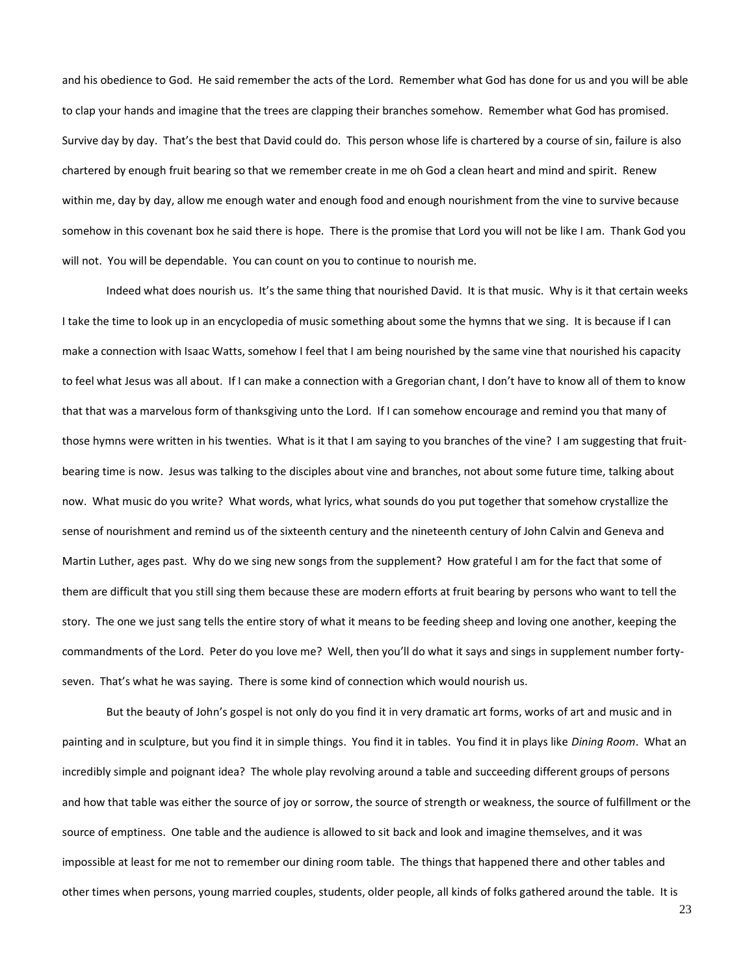and his obedience to God. He said remember the acts of the Lord. Remember what God has done for us and you will be able to clap your hands and imagine that the trees are clapping their branches somehow. Remember what God has promised. Survive day by day. That's the best that David could do. This person whose life is chartered by a course of sin, failure is also chartered by enough fruit bearing so that we remember create in me oh God a clean heart and mind and spirit. Renew within me, day by day, allow me enough water and enough food and enough nourishment from the vine to survive because somehow in this covenant box he said there is hope. There is the promise that Lord you will not be like I am. Thank God you will not. You will be dependable. You can count on you to continue to nourish me.

Indeed what does nourish us. It's the same thing that nourished David. It is that music. Why is it that certain weeks I take the time to look up in an encyclopedia of music something about some the hymns that we sing. It is because if I can make a connection with Isaac Watts, somehow I feel that I am being nourished by the same vine that nourished his capacity to feel what Jesus was all about. If I can make a connection with a Gregorian chant, I don't have to know all of them to know that that was a marvelous form of thanksgiving unto the Lord. If I can somehow encourage and remind you that many of those hymns were written in his twenties. What is it that I am saying to you branches of the vine? I am suggesting that fruitbearing time is now. Jesus was talking to the disciples about vine and branches, not about some future time, talking about now. What music do you write? What words, what lyrics, what sounds do you put together that somehow crystallize the sense of nourishment and remind us of the sixteenth century and the nineteenth century of John Calvin and Geneva and Martin Luther, ages past. Why do we sing new songs from the supplement? How grateful I am for the fact that some of them are difficult that you still sing them because these are modern efforts at fruit bearing by persons who want to tell the story. The one we just sang tells the entire story of what it means to be feeding sheep and loving one another, keeping the commandments of the Lord. Peter do you love me? Well, then you'll do what it says and sings in supplement number fortyseven. That's what he was saying. There is some kind of connection which would nourish us.

But the beauty of John's gospel is not only do you find it in very dramatic art forms, works of art and music and in painting and in sculpture, but you find it in simple things. You find it in tables. You find it in plays like *Dining Room*. What an incredibly simple and poignant idea? The whole play revolving around a table and succeeding different groups of persons and how that table was either the source of joy or sorrow, the source of strength or weakness, the source of fulfillment or the source of emptiness. One table and the audience is allowed to sit back and look and imagine themselves, and it was impossible at least for me not to remember our dining room table. The things that happened there and other tables and other times when persons, young married couples, students, older people, all kinds of folks gathered around the table. It is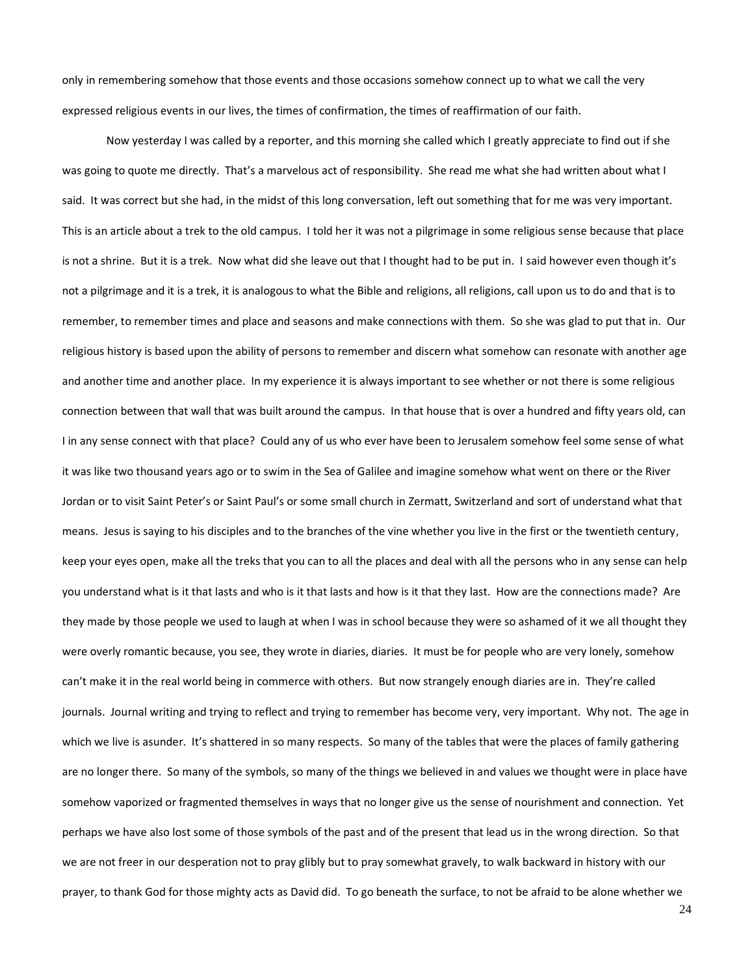only in remembering somehow that those events and those occasions somehow connect up to what we call the very expressed religious events in our lives, the times of confirmation, the times of reaffirmation of our faith.

Now yesterday I was called by a reporter, and this morning she called which I greatly appreciate to find out if she was going to quote me directly. That's a marvelous act of responsibility. She read me what she had written about what I said. It was correct but she had, in the midst of this long conversation, left out something that for me was very important. This is an article about a trek to the old campus. I told her it was not a pilgrimage in some religious sense because that place is not a shrine. But it is a trek. Now what did she leave out that I thought had to be put in. I said however even though it's not a pilgrimage and it is a trek, it is analogous to what the Bible and religions, all religions, call upon us to do and that is to remember, to remember times and place and seasons and make connections with them. So she was glad to put that in. Our religious history is based upon the ability of persons to remember and discern what somehow can resonate with another age and another time and another place. In my experience it is always important to see whether or not there is some religious connection between that wall that was built around the campus. In that house that is over a hundred and fifty years old, can I in any sense connect with that place? Could any of us who ever have been to Jerusalem somehow feel some sense of what it was like two thousand years ago or to swim in the Sea of Galilee and imagine somehow what went on there or the River Jordan or to visit Saint Peter's or Saint Paul's or some small church in Zermatt, Switzerland and sort of understand what that means. Jesus is saying to his disciples and to the branches of the vine whether you live in the first or the twentieth century, keep your eyes open, make all the treks that you can to all the places and deal with all the persons who in any sense can help you understand what is it that lasts and who is it that lasts and how is it that they last. How are the connections made? Are they made by those people we used to laugh at when I was in school because they were so ashamed of it we all thought they were overly romantic because, you see, they wrote in diaries, diaries. It must be for people who are very lonely, somehow can't make it in the real world being in commerce with others. But now strangely enough diaries are in. They're called journals. Journal writing and trying to reflect and trying to remember has become very, very important. Why not. The age in which we live is asunder. It's shattered in so many respects. So many of the tables that were the places of family gathering are no longer there. So many of the symbols, so many of the things we believed in and values we thought were in place have somehow vaporized or fragmented themselves in ways that no longer give us the sense of nourishment and connection. Yet perhaps we have also lost some of those symbols of the past and of the present that lead us in the wrong direction. So that we are not freer in our desperation not to pray glibly but to pray somewhat gravely, to walk backward in history with our prayer, to thank God for those mighty acts as David did. To go beneath the surface, to not be afraid to be alone whether we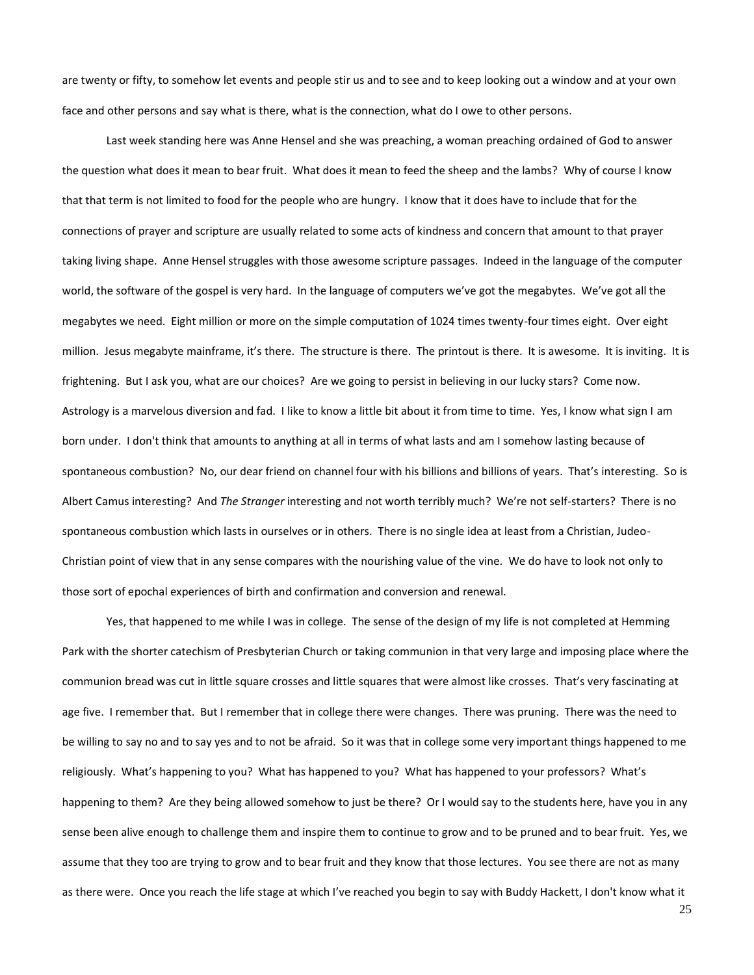are twenty or fifty, to somehow let events and people stir us and to see and to keep looking out a window and at your own face and other persons and say what is there, what is the connection, what do I owe to other persons.

Last week standing here was Anne Hensel and she was preaching, a woman preaching ordained of God to answer the question what does it mean to bear fruit. What does it mean to feed the sheep and the lambs? Why of course I know that that term is not limited to food for the people who are hungry. I know that it does have to include that for the connections of prayer and scripture are usually related to some acts of kindness and concern that amount to that prayer taking living shape. Anne Hensel struggles with those awesome scripture passages. Indeed in the language of the computer world, the software of the gospel is very hard. In the language of computers we've got the megabytes. We've got all the megabytes we need. Eight million or more on the simple computation of 1024 times twenty-four times eight. Over eight million. Jesus megabyte mainframe, it's there. The structure is there. The printout is there. It is awesome. It is inviting. It is frightening. But I ask you, what are our choices? Are we going to persist in believing in our lucky stars? Come now. Astrology is a marvelous diversion and fad. I like to know a little bit about it from time to time. Yes, I know what sign I am born under. I don't think that amounts to anything at all in terms of what lasts and am I somehow lasting because of spontaneous combustion? No, our dear friend on channel four with his billions and billions of years. That's interesting. So is Albert Camus interesting? And *The Stranger* interesting and not worth terribly much? We're not self-starters? There is no spontaneous combustion which lasts in ourselves or in others. There is no single idea at least from a Christian, Judeo-Christian point of view that in any sense compares with the nourishing value of the vine. We do have to look not only to those sort of epochal experiences of birth and confirmation and conversion and renewal.

Yes, that happened to me while I was in college. The sense of the design of my life is not completed at Hemming Park with the shorter catechism of Presbyterian Church or taking communion in that very large and imposing place where the communion bread was cut in little square crosses and little squares that were almost like crosses. That's very fascinating at age five. I remember that. But I remember that in college there were changes. There was pruning. There was the need to be willing to say no and to say yes and to not be afraid. So it was that in college some very important things happened to me religiously. What's happening to you? What has happened to you? What has happened to your professors? What's happening to them? Are they being allowed somehow to just be there? Or I would say to the students here, have you in any sense been alive enough to challenge them and inspire them to continue to grow and to be pruned and to bear fruit. Yes, we assume that they too are trying to grow and to bear fruit and they know that those lectures. You see there are not as many as there were. Once you reach the life stage at which I've reached you begin to say with Buddy Hackett, I don't know what it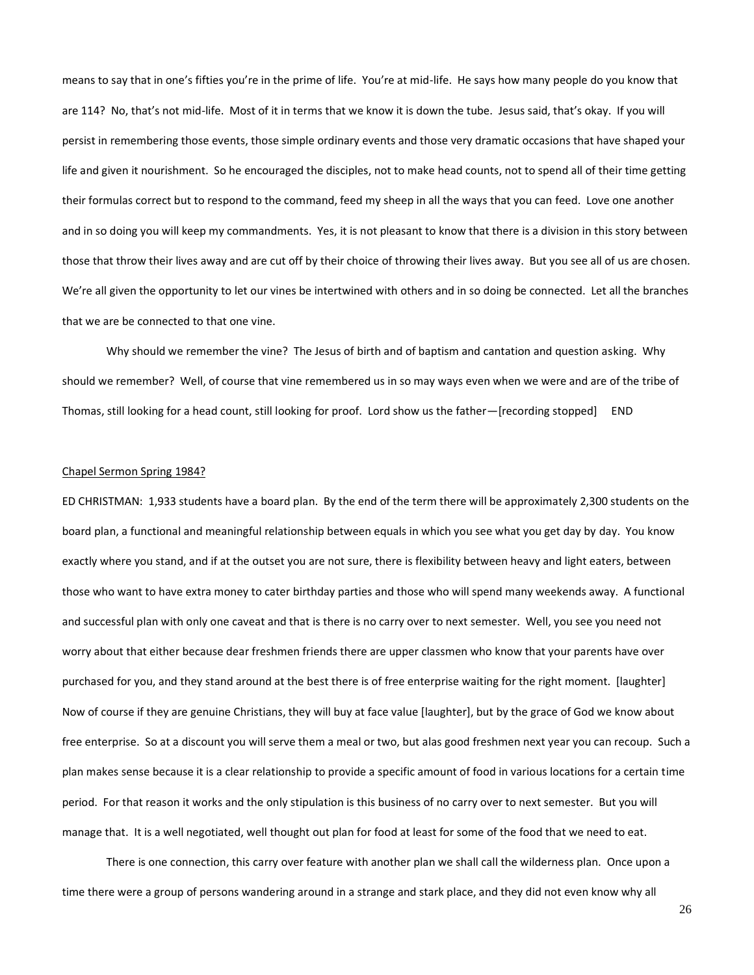means to say that in one's fifties you're in the prime of life. You're at mid-life. He says how many people do you know that are 114? No, that's not mid-life. Most of it in terms that we know it is down the tube. Jesus said, that's okay. If you will persist in remembering those events, those simple ordinary events and those very dramatic occasions that have shaped your life and given it nourishment. So he encouraged the disciples, not to make head counts, not to spend all of their time getting their formulas correct but to respond to the command, feed my sheep in all the ways that you can feed. Love one another and in so doing you will keep my commandments. Yes, it is not pleasant to know that there is a division in this story between those that throw their lives away and are cut off by their choice of throwing their lives away. But you see all of us are chosen. We're all given the opportunity to let our vines be intertwined with others and in so doing be connected. Let all the branches that we are be connected to that one vine.

Why should we remember the vine? The Jesus of birth and of baptism and cantation and question asking. Why should we remember? Well, of course that vine remembered us in so may ways even when we were and are of the tribe of Thomas, still looking for a head count, still looking for proof. Lord show us the father—[recording stopped] END

#### Chapel Sermon Spring 1984?

ED CHRISTMAN: 1,933 students have a board plan. By the end of the term there will be approximately 2,300 students on the board plan, a functional and meaningful relationship between equals in which you see what you get day by day. You know exactly where you stand, and if at the outset you are not sure, there is flexibility between heavy and light eaters, between those who want to have extra money to cater birthday parties and those who will spend many weekends away. A functional and successful plan with only one caveat and that is there is no carry over to next semester. Well, you see you need not worry about that either because dear freshmen friends there are upper classmen who know that your parents have over purchased for you, and they stand around at the best there is of free enterprise waiting for the right moment. [laughter] Now of course if they are genuine Christians, they will buy at face value [laughter], but by the grace of God we know about free enterprise. So at a discount you will serve them a meal or two, but alas good freshmen next year you can recoup. Such a plan makes sense because it is a clear relationship to provide a specific amount of food in various locations for a certain time period. For that reason it works and the only stipulation is this business of no carry over to next semester. But you will manage that. It is a well negotiated, well thought out plan for food at least for some of the food that we need to eat.

There is one connection, this carry over feature with another plan we shall call the wilderness plan. Once upon a time there were a group of persons wandering around in a strange and stark place, and they did not even know why all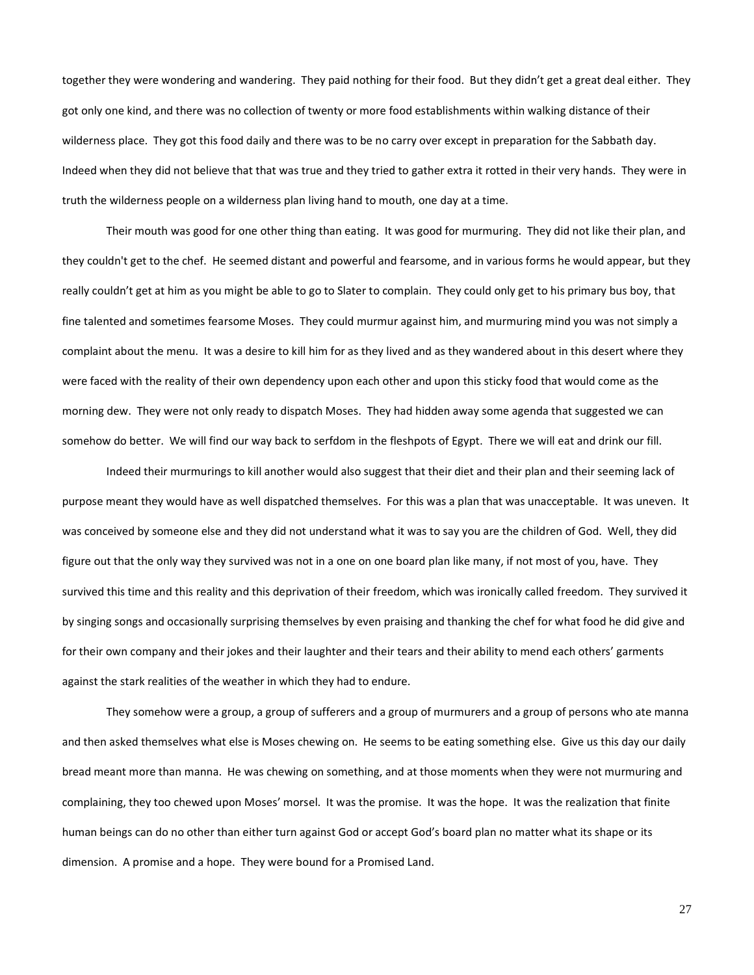together they were wondering and wandering. They paid nothing for their food. But they didn't get a great deal either. They got only one kind, and there was no collection of twenty or more food establishments within walking distance of their wilderness place. They got this food daily and there was to be no carry over except in preparation for the Sabbath day. Indeed when they did not believe that that was true and they tried to gather extra it rotted in their very hands. They were in truth the wilderness people on a wilderness plan living hand to mouth, one day at a time.

Their mouth was good for one other thing than eating. It was good for murmuring. They did not like their plan, and they couldn't get to the chef. He seemed distant and powerful and fearsome, and in various forms he would appear, but they really couldn't get at him as you might be able to go to Slater to complain. They could only get to his primary bus boy, that fine talented and sometimes fearsome Moses. They could murmur against him, and murmuring mind you was not simply a complaint about the menu. It was a desire to kill him for as they lived and as they wandered about in this desert where they were faced with the reality of their own dependency upon each other and upon this sticky food that would come as the morning dew. They were not only ready to dispatch Moses. They had hidden away some agenda that suggested we can somehow do better. We will find our way back to serfdom in the fleshpots of Egypt. There we will eat and drink our fill.

Indeed their murmurings to kill another would also suggest that their diet and their plan and their seeming lack of purpose meant they would have as well dispatched themselves. For this was a plan that was unacceptable. It was uneven. It was conceived by someone else and they did not understand what it was to say you are the children of God. Well, they did figure out that the only way they survived was not in a one on one board plan like many, if not most of you, have. They survived this time and this reality and this deprivation of their freedom, which was ironically called freedom. They survived it by singing songs and occasionally surprising themselves by even praising and thanking the chef for what food he did give and for their own company and their jokes and their laughter and their tears and their ability to mend each others' garments against the stark realities of the weather in which they had to endure.

They somehow were a group, a group of sufferers and a group of murmurers and a group of persons who ate manna and then asked themselves what else is Moses chewing on. He seems to be eating something else. Give us this day our daily bread meant more than manna. He was chewing on something, and at those moments when they were not murmuring and complaining, they too chewed upon Moses' morsel. It was the promise. It was the hope. It was the realization that finite human beings can do no other than either turn against God or accept God's board plan no matter what its shape or its dimension. A promise and a hope. They were bound for a Promised Land.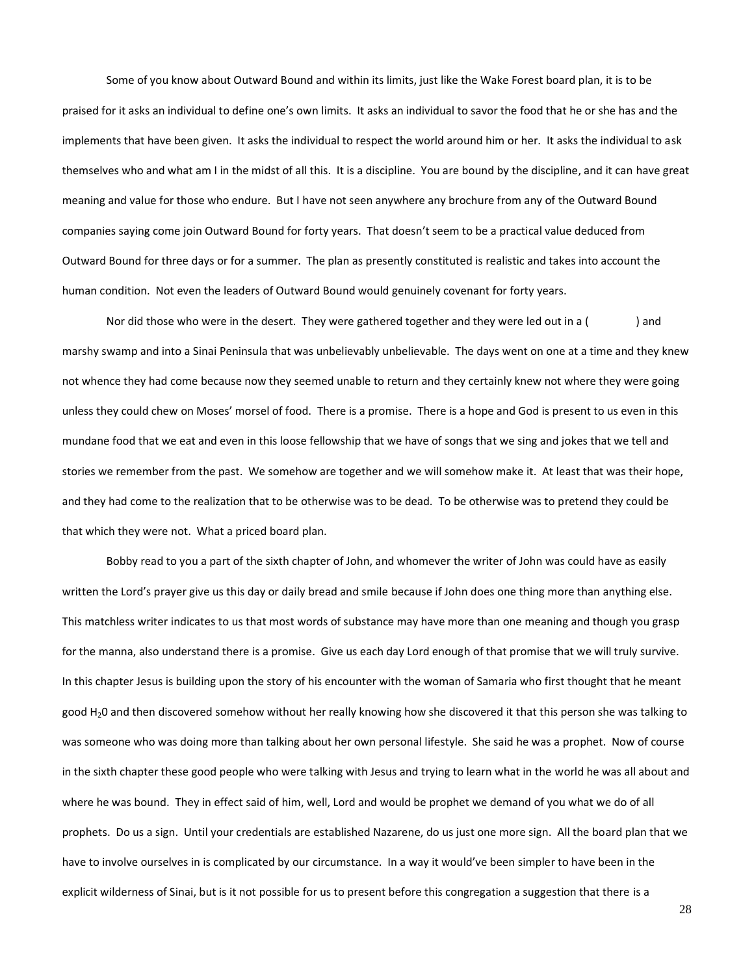Some of you know about Outward Bound and within its limits, just like the Wake Forest board plan, it is to be praised for it asks an individual to define one's own limits. It asks an individual to savor the food that he or she has and the implements that have been given. It asks the individual to respect the world around him or her. It asks the individual to ask themselves who and what am I in the midst of all this. It is a discipline. You are bound by the discipline, and it can have great meaning and value for those who endure. But I have not seen anywhere any brochure from any of the Outward Bound companies saying come join Outward Bound for forty years. That doesn't seem to be a practical value deduced from Outward Bound for three days or for a summer. The plan as presently constituted is realistic and takes into account the human condition. Not even the leaders of Outward Bound would genuinely covenant for forty years.

Nor did those who were in the desert. They were gathered together and they were led out in a () and marshy swamp and into a Sinai Peninsula that was unbelievably unbelievable. The days went on one at a time and they knew not whence they had come because now they seemed unable to return and they certainly knew not where they were going unless they could chew on Moses' morsel of food. There is a promise. There is a hope and God is present to us even in this mundane food that we eat and even in this loose fellowship that we have of songs that we sing and jokes that we tell and stories we remember from the past. We somehow are together and we will somehow make it. At least that was their hope, and they had come to the realization that to be otherwise was to be dead. To be otherwise was to pretend they could be that which they were not. What a priced board plan.

Bobby read to you a part of the sixth chapter of John, and whomever the writer of John was could have as easily written the Lord's prayer give us this day or daily bread and smile because if John does one thing more than anything else. This matchless writer indicates to us that most words of substance may have more than one meaning and though you grasp for the manna, also understand there is a promise. Give us each day Lord enough of that promise that we will truly survive. In this chapter Jesus is building upon the story of his encounter with the woman of Samaria who first thought that he meant good H20 and then discovered somehow without her really knowing how she discovered it that this person she was talking to was someone who was doing more than talking about her own personal lifestyle. She said he was a prophet. Now of course in the sixth chapter these good people who were talking with Jesus and trying to learn what in the world he was all about and where he was bound. They in effect said of him, well, Lord and would be prophet we demand of you what we do of all prophets. Do us a sign. Until your credentials are established Nazarene, do us just one more sign. All the board plan that we have to involve ourselves in is complicated by our circumstance. In a way it would've been simpler to have been in the explicit wilderness of Sinai, but is it not possible for us to present before this congregation a suggestion that there is a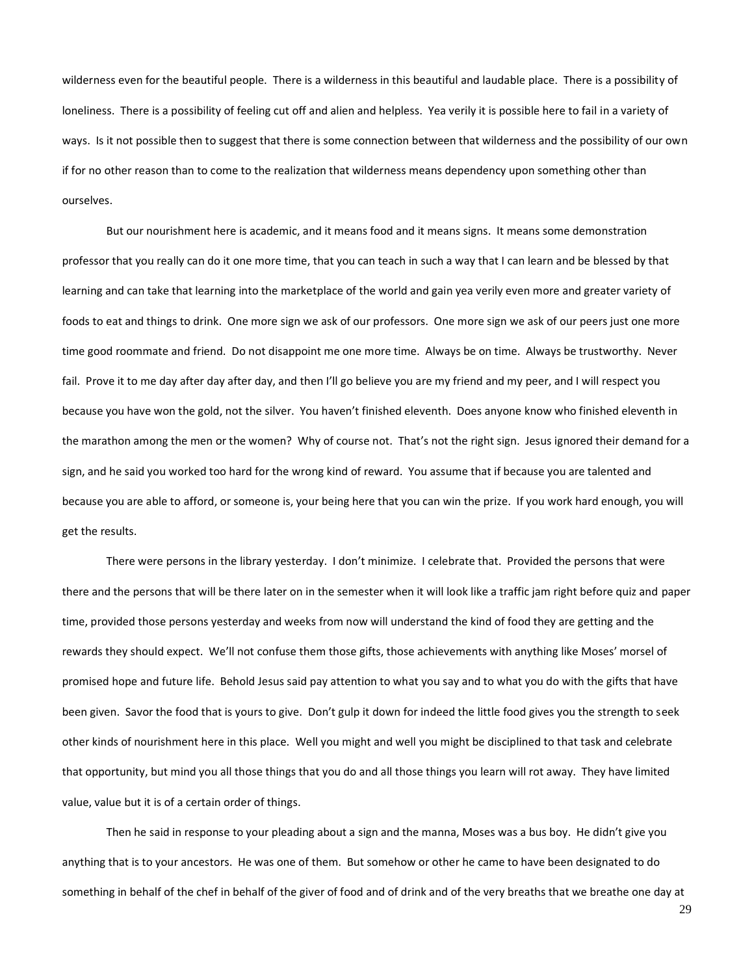wilderness even for the beautiful people. There is a wilderness in this beautiful and laudable place. There is a possibility of loneliness. There is a possibility of feeling cut off and alien and helpless. Yea verily it is possible here to fail in a variety of ways. Is it not possible then to suggest that there is some connection between that wilderness and the possibility of our own if for no other reason than to come to the realization that wilderness means dependency upon something other than ourselves.

But our nourishment here is academic, and it means food and it means signs. It means some demonstration professor that you really can do it one more time, that you can teach in such a way that I can learn and be blessed by that learning and can take that learning into the marketplace of the world and gain yea verily even more and greater variety of foods to eat and things to drink. One more sign we ask of our professors. One more sign we ask of our peers just one more time good roommate and friend. Do not disappoint me one more time. Always be on time. Always be trustworthy. Never fail. Prove it to me day after day after day, and then I'll go believe you are my friend and my peer, and I will respect you because you have won the gold, not the silver. You haven't finished eleventh. Does anyone know who finished eleventh in the marathon among the men or the women? Why of course not. That's not the right sign. Jesus ignored their demand for a sign, and he said you worked too hard for the wrong kind of reward. You assume that if because you are talented and because you are able to afford, or someone is, your being here that you can win the prize. If you work hard enough, you will get the results.

There were persons in the library yesterday. I don't minimize. I celebrate that. Provided the persons that were there and the persons that will be there later on in the semester when it will look like a traffic jam right before quiz and paper time, provided those persons yesterday and weeks from now will understand the kind of food they are getting and the rewards they should expect. We'll not confuse them those gifts, those achievements with anything like Moses' morsel of promised hope and future life. Behold Jesus said pay attention to what you say and to what you do with the gifts that have been given. Savor the food that is yours to give. Don't gulp it down for indeed the little food gives you the strength to seek other kinds of nourishment here in this place. Well you might and well you might be disciplined to that task and celebrate that opportunity, but mind you all those things that you do and all those things you learn will rot away. They have limited value, value but it is of a certain order of things.

Then he said in response to your pleading about a sign and the manna, Moses was a bus boy. He didn't give you anything that is to your ancestors. He was one of them. But somehow or other he came to have been designated to do something in behalf of the chef in behalf of the giver of food and of drink and of the very breaths that we breathe one day at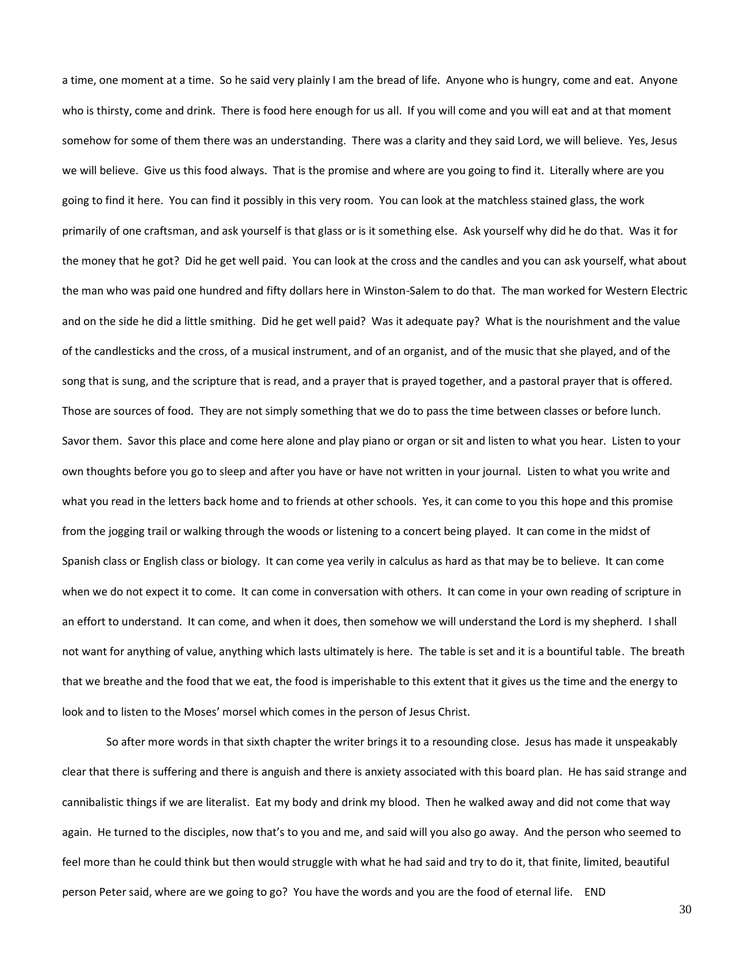a time, one moment at a time. So he said very plainly I am the bread of life. Anyone who is hungry, come and eat. Anyone who is thirsty, come and drink. There is food here enough for us all. If you will come and you will eat and at that moment somehow for some of them there was an understanding. There was a clarity and they said Lord, we will believe. Yes, Jesus we will believe. Give us this food always. That is the promise and where are you going to find it. Literally where are you going to find it here. You can find it possibly in this very room. You can look at the matchless stained glass, the work primarily of one craftsman, and ask yourself is that glass or is it something else. Ask yourself why did he do that. Was it for the money that he got? Did he get well paid. You can look at the cross and the candles and you can ask yourself, what about the man who was paid one hundred and fifty dollars here in Winston-Salem to do that. The man worked for Western Electric and on the side he did a little smithing. Did he get well paid? Was it adequate pay? What is the nourishment and the value of the candlesticks and the cross, of a musical instrument, and of an organist, and of the music that she played, and of the song that is sung, and the scripture that is read, and a prayer that is prayed together, and a pastoral prayer that is offered. Those are sources of food. They are not simply something that we do to pass the time between classes or before lunch. Savor them. Savor this place and come here alone and play piano or organ or sit and listen to what you hear. Listen to your own thoughts before you go to sleep and after you have or have not written in your journal. Listen to what you write and what you read in the letters back home and to friends at other schools. Yes, it can come to you this hope and this promise from the jogging trail or walking through the woods or listening to a concert being played. It can come in the midst of Spanish class or English class or biology. It can come yea verily in calculus as hard as that may be to believe. It can come when we do not expect it to come. It can come in conversation with others. It can come in your own reading of scripture in an effort to understand. It can come, and when it does, then somehow we will understand the Lord is my shepherd. I shall not want for anything of value, anything which lasts ultimately is here. The table is set and it is a bountiful table. The breath that we breathe and the food that we eat, the food is imperishable to this extent that it gives us the time and the energy to look and to listen to the Moses' morsel which comes in the person of Jesus Christ.

So after more words in that sixth chapter the writer brings it to a resounding close. Jesus has made it unspeakably clear that there is suffering and there is anguish and there is anxiety associated with this board plan. He has said strange and cannibalistic things if we are literalist. Eat my body and drink my blood. Then he walked away and did not come that way again. He turned to the disciples, now that's to you and me, and said will you also go away. And the person who seemed to feel more than he could think but then would struggle with what he had said and try to do it, that finite, limited, beautiful person Peter said, where are we going to go? You have the words and you are the food of eternal life. END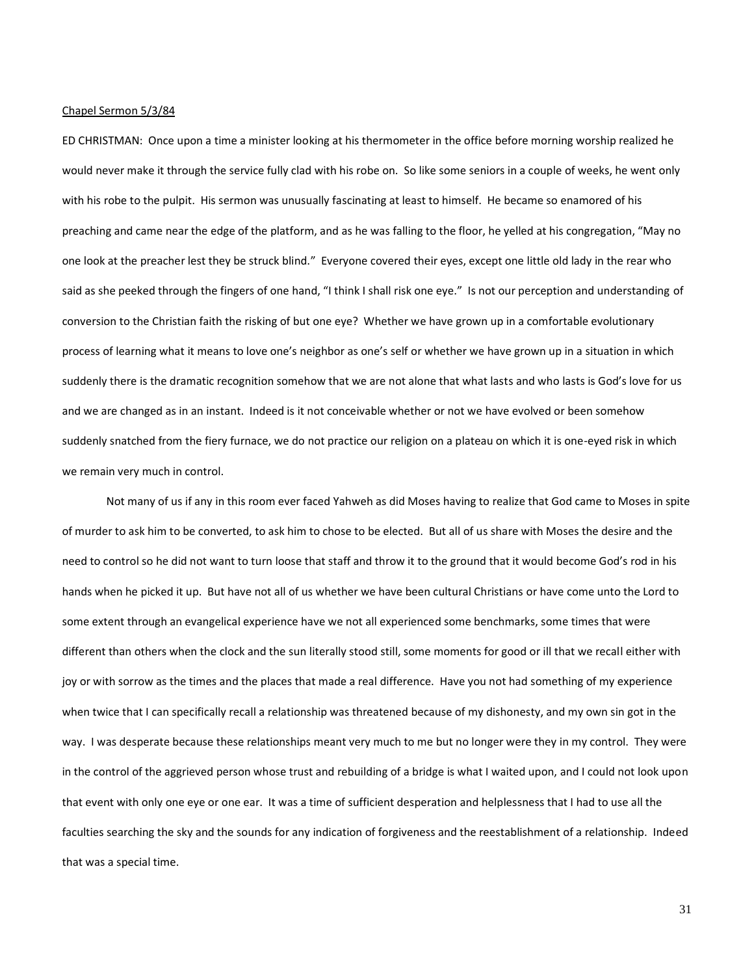### Chapel Sermon 5/3/84

ED CHRISTMAN: Once upon a time a minister looking at his thermometer in the office before morning worship realized he would never make it through the service fully clad with his robe on. So like some seniors in a couple of weeks, he went only with his robe to the pulpit. His sermon was unusually fascinating at least to himself. He became so enamored of his preaching and came near the edge of the platform, and as he was falling to the floor, he yelled at his congregation, "May no one look at the preacher lest they be struck blind." Everyone covered their eyes, except one little old lady in the rear who said as she peeked through the fingers of one hand, "I think I shall risk one eye." Is not our perception and understanding of conversion to the Christian faith the risking of but one eye? Whether we have grown up in a comfortable evolutionary process of learning what it means to love one's neighbor as one's self or whether we have grown up in a situation in which suddenly there is the dramatic recognition somehow that we are not alone that what lasts and who lasts is God's love for us and we are changed as in an instant. Indeed is it not conceivable whether or not we have evolved or been somehow suddenly snatched from the fiery furnace, we do not practice our religion on a plateau on which it is one-eyed risk in which we remain very much in control.

Not many of us if any in this room ever faced Yahweh as did Moses having to realize that God came to Moses in spite of murder to ask him to be converted, to ask him to chose to be elected. But all of us share with Moses the desire and the need to control so he did not want to turn loose that staff and throw it to the ground that it would become God's rod in his hands when he picked it up. But have not all of us whether we have been cultural Christians or have come unto the Lord to some extent through an evangelical experience have we not all experienced some benchmarks, some times that were different than others when the clock and the sun literally stood still, some moments for good or ill that we recall either with joy or with sorrow as the times and the places that made a real difference. Have you not had something of my experience when twice that I can specifically recall a relationship was threatened because of my dishonesty, and my own sin got in the way. I was desperate because these relationships meant very much to me but no longer were they in my control. They were in the control of the aggrieved person whose trust and rebuilding of a bridge is what I waited upon, and I could not look upon that event with only one eye or one ear. It was a time of sufficient desperation and helplessness that I had to use all the faculties searching the sky and the sounds for any indication of forgiveness and the reestablishment of a relationship. Indeed that was a special time.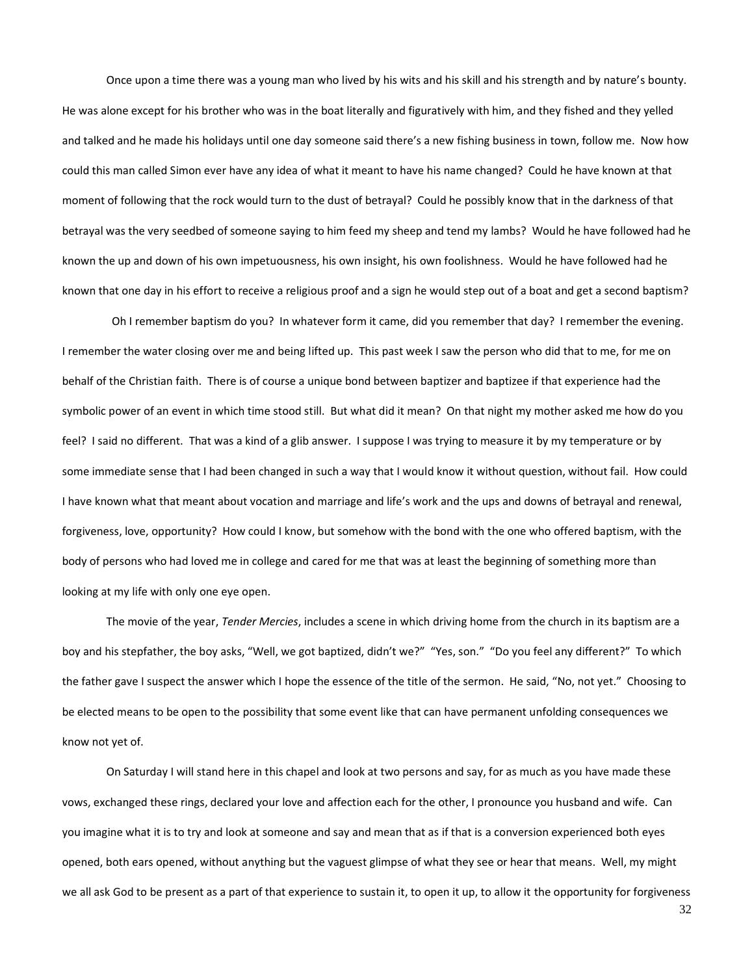Once upon a time there was a young man who lived by his wits and his skill and his strength and by nature's bounty. He was alone except for his brother who was in the boat literally and figuratively with him, and they fished and they yelled and talked and he made his holidays until one day someone said there's a new fishing business in town, follow me. Now how could this man called Simon ever have any idea of what it meant to have his name changed? Could he have known at that moment of following that the rock would turn to the dust of betrayal? Could he possibly know that in the darkness of that betrayal was the very seedbed of someone saying to him feed my sheep and tend my lambs? Would he have followed had he known the up and down of his own impetuousness, his own insight, his own foolishness. Would he have followed had he known that one day in his effort to receive a religious proof and a sign he would step out of a boat and get a second baptism?

 Oh I remember baptism do you? In whatever form it came, did you remember that day? I remember the evening. I remember the water closing over me and being lifted up. This past week I saw the person who did that to me, for me on behalf of the Christian faith. There is of course a unique bond between baptizer and baptizee if that experience had the symbolic power of an event in which time stood still. But what did it mean? On that night my mother asked me how do you feel? I said no different. That was a kind of a glib answer. I suppose I was trying to measure it by my temperature or by some immediate sense that I had been changed in such a way that I would know it without question, without fail. How could I have known what that meant about vocation and marriage and life's work and the ups and downs of betrayal and renewal, forgiveness, love, opportunity? How could I know, but somehow with the bond with the one who offered baptism, with the body of persons who had loved me in college and cared for me that was at least the beginning of something more than looking at my life with only one eye open.

The movie of the year, *Tender Mercies*, includes a scene in which driving home from the church in its baptism are a boy and his stepfather, the boy asks, "Well, we got baptized, didn't we?" "Yes, son." "Do you feel any different?" To which the father gave I suspect the answer which I hope the essence of the title of the sermon. He said, "No, not yet." Choosing to be elected means to be open to the possibility that some event like that can have permanent unfolding consequences we know not yet of.

On Saturday I will stand here in this chapel and look at two persons and say, for as much as you have made these vows, exchanged these rings, declared your love and affection each for the other, I pronounce you husband and wife. Can you imagine what it is to try and look at someone and say and mean that as if that is a conversion experienced both eyes opened, both ears opened, without anything but the vaguest glimpse of what they see or hear that means. Well, my might we all ask God to be present as a part of that experience to sustain it, to open it up, to allow it the opportunity for forgiveness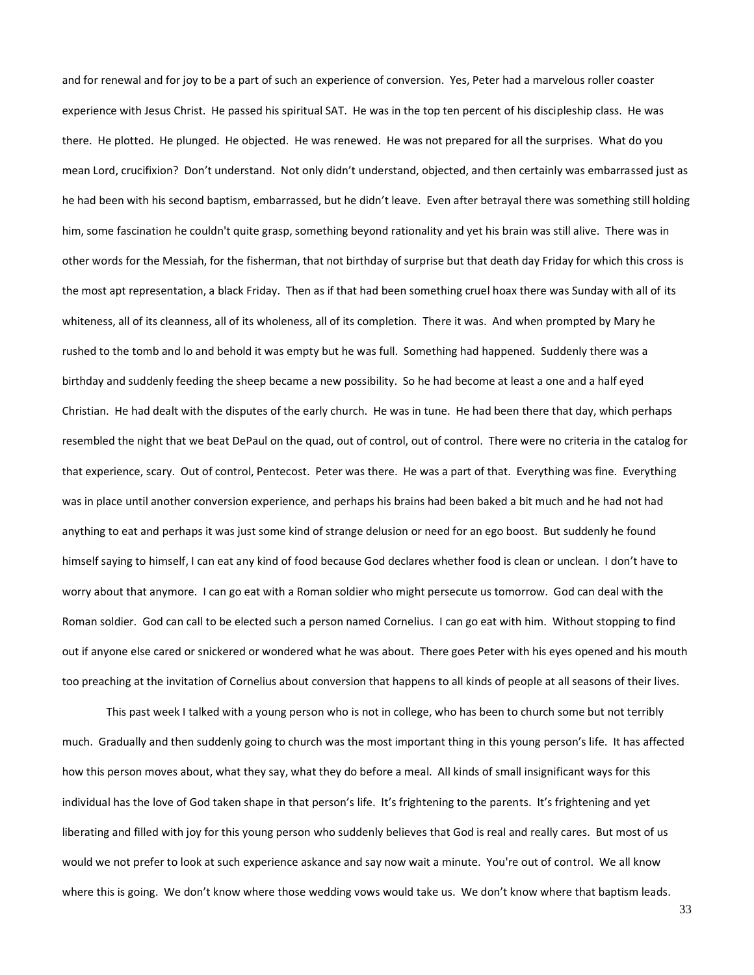and for renewal and for joy to be a part of such an experience of conversion. Yes, Peter had a marvelous roller coaster experience with Jesus Christ. He passed his spiritual SAT. He was in the top ten percent of his discipleship class. He was there. He plotted. He plunged. He objected. He was renewed. He was not prepared for all the surprises. What do you mean Lord, crucifixion? Don't understand. Not only didn't understand, objected, and then certainly was embarrassed just as he had been with his second baptism, embarrassed, but he didn't leave. Even after betrayal there was something still holding him, some fascination he couldn't quite grasp, something beyond rationality and yet his brain was still alive. There was in other words for the Messiah, for the fisherman, that not birthday of surprise but that death day Friday for which this cross is the most apt representation, a black Friday. Then as if that had been something cruel hoax there was Sunday with all of its whiteness, all of its cleanness, all of its wholeness, all of its completion. There it was. And when prompted by Mary he rushed to the tomb and lo and behold it was empty but he was full. Something had happened. Suddenly there was a birthday and suddenly feeding the sheep became a new possibility. So he had become at least a one and a half eyed Christian. He had dealt with the disputes of the early church. He was in tune. He had been there that day, which perhaps resembled the night that we beat DePaul on the quad, out of control, out of control. There were no criteria in the catalog for that experience, scary. Out of control, Pentecost. Peter was there. He was a part of that. Everything was fine. Everything was in place until another conversion experience, and perhaps his brains had been baked a bit much and he had not had anything to eat and perhaps it was just some kind of strange delusion or need for an ego boost. But suddenly he found himself saying to himself, I can eat any kind of food because God declares whether food is clean or unclean. I don't have to worry about that anymore. I can go eat with a Roman soldier who might persecute us tomorrow. God can deal with the Roman soldier. God can call to be elected such a person named Cornelius. I can go eat with him. Without stopping to find out if anyone else cared or snickered or wondered what he was about. There goes Peter with his eyes opened and his mouth too preaching at the invitation of Cornelius about conversion that happens to all kinds of people at all seasons of their lives.

This past week I talked with a young person who is not in college, who has been to church some but not terribly much. Gradually and then suddenly going to church was the most important thing in this young person's life. It has affected how this person moves about, what they say, what they do before a meal. All kinds of small insignificant ways for this individual has the love of God taken shape in that person's life. It's frightening to the parents. It's frightening and yet liberating and filled with joy for this young person who suddenly believes that God is real and really cares. But most of us would we not prefer to look at such experience askance and say now wait a minute. You're out of control. We all know where this is going. We don't know where those wedding vows would take us. We don't know where that baptism leads.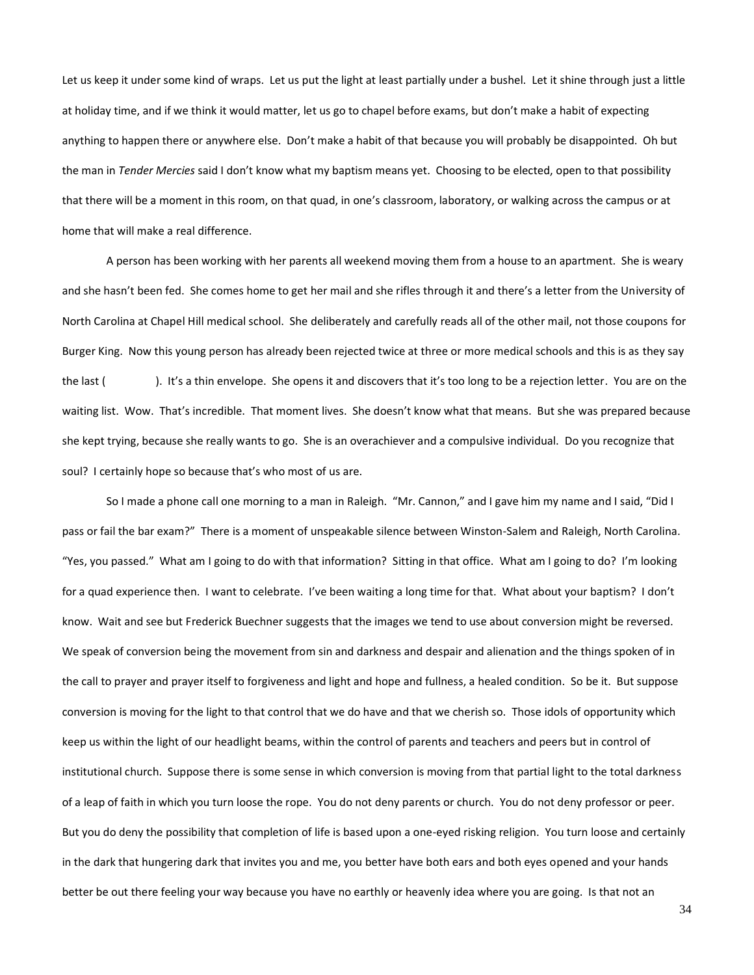Let us keep it under some kind of wraps. Let us put the light at least partially under a bushel. Let it shine through just a little at holiday time, and if we think it would matter, let us go to chapel before exams, but don't make a habit of expecting anything to happen there or anywhere else. Don't make a habit of that because you will probably be disappointed. Oh but the man in *Tender Mercies* said I don't know what my baptism means yet. Choosing to be elected, open to that possibility that there will be a moment in this room, on that quad, in one's classroom, laboratory, or walking across the campus or at home that will make a real difference.

A person has been working with her parents all weekend moving them from a house to an apartment. She is weary and she hasn't been fed. She comes home to get her mail and she rifles through it and there's a letter from the University of North Carolina at Chapel Hill medical school. She deliberately and carefully reads all of the other mail, not those coupons for Burger King. Now this young person has already been rejected twice at three or more medical schools and this is as they say the last ( ). It's a thin envelope. She opens it and discovers that it's too long to be a rejection letter. You are on the waiting list. Wow. That's incredible. That moment lives. She doesn't know what that means. But she was prepared because she kept trying, because she really wants to go. She is an overachiever and a compulsive individual. Do you recognize that soul? I certainly hope so because that's who most of us are.

So I made a phone call one morning to a man in Raleigh. "Mr. Cannon," and I gave him my name and I said, "Did I pass or fail the bar exam?" There is a moment of unspeakable silence between Winston-Salem and Raleigh, North Carolina. "Yes, you passed." What am I going to do with that information? Sitting in that office. What am I going to do? I'm looking for a quad experience then. I want to celebrate. I've been waiting a long time for that. What about your baptism? I don't know. Wait and see but Frederick Buechner suggests that the images we tend to use about conversion might be reversed. We speak of conversion being the movement from sin and darkness and despair and alienation and the things spoken of in the call to prayer and prayer itself to forgiveness and light and hope and fullness, a healed condition. So be it. But suppose conversion is moving for the light to that control that we do have and that we cherish so. Those idols of opportunity which keep us within the light of our headlight beams, within the control of parents and teachers and peers but in control of institutional church. Suppose there is some sense in which conversion is moving from that partial light to the total darkness of a leap of faith in which you turn loose the rope. You do not deny parents or church. You do not deny professor or peer. But you do deny the possibility that completion of life is based upon a one-eyed risking religion. You turn loose and certainly in the dark that hungering dark that invites you and me, you better have both ears and both eyes opened and your hands better be out there feeling your way because you have no earthly or heavenly idea where you are going. Is that not an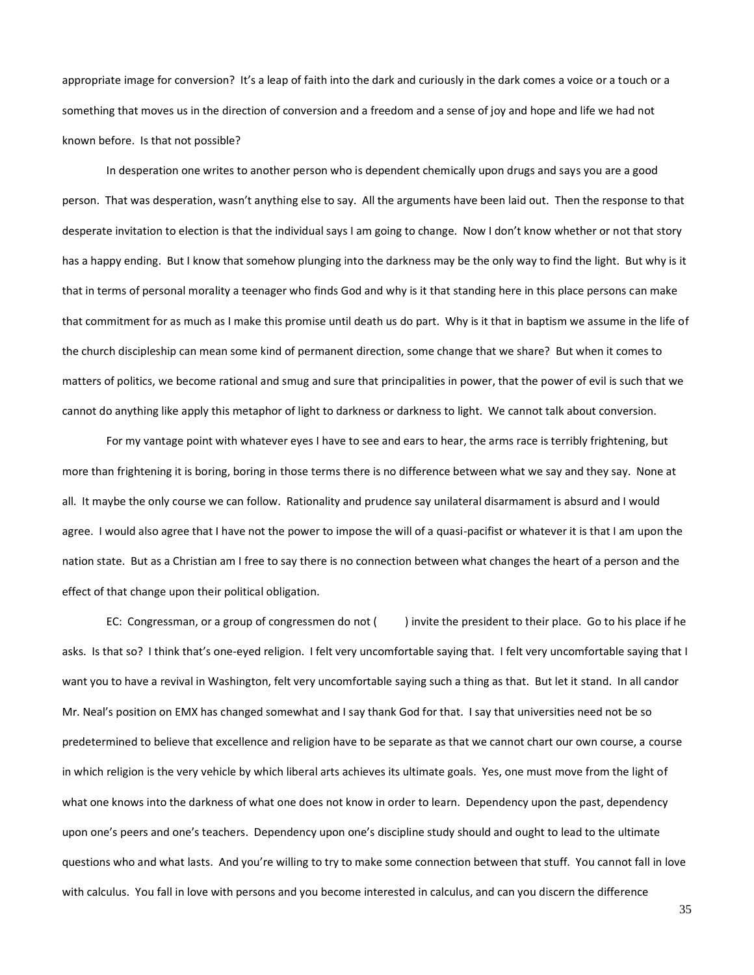appropriate image for conversion? It's a leap of faith into the dark and curiously in the dark comes a voice or a touch or a something that moves us in the direction of conversion and a freedom and a sense of joy and hope and life we had not known before. Is that not possible?

In desperation one writes to another person who is dependent chemically upon drugs and says you are a good person. That was desperation, wasn't anything else to say. All the arguments have been laid out. Then the response to that desperate invitation to election is that the individual says I am going to change. Now I don't know whether or not that story has a happy ending. But I know that somehow plunging into the darkness may be the only way to find the light. But why is it that in terms of personal morality a teenager who finds God and why is it that standing here in this place persons can make that commitment for as much as I make this promise until death us do part. Why is it that in baptism we assume in the life of the church discipleship can mean some kind of permanent direction, some change that we share? But when it comes to matters of politics, we become rational and smug and sure that principalities in power, that the power of evil is such that we cannot do anything like apply this metaphor of light to darkness or darkness to light. We cannot talk about conversion.

For my vantage point with whatever eyes I have to see and ears to hear, the arms race is terribly frightening, but more than frightening it is boring, boring in those terms there is no difference between what we say and they say. None at all. It maybe the only course we can follow. Rationality and prudence say unilateral disarmament is absurd and I would agree. I would also agree that I have not the power to impose the will of a quasi-pacifist or whatever it is that I am upon the nation state. But as a Christian am I free to say there is no connection between what changes the heart of a person and the effect of that change upon their political obligation.

EC: Congressman, or a group of congressmen do not () invite the president to their place. Go to his place if he asks. Is that so? I think that's one-eyed religion. I felt very uncomfortable saying that. I felt very uncomfortable saying that I want you to have a revival in Washington, felt very uncomfortable saying such a thing as that. But let it stand. In all candor Mr. Neal's position on EMX has changed somewhat and I say thank God for that. I say that universities need not be so predetermined to believe that excellence and religion have to be separate as that we cannot chart our own course, a course in which religion is the very vehicle by which liberal arts achieves its ultimate goals. Yes, one must move from the light of what one knows into the darkness of what one does not know in order to learn. Dependency upon the past, dependency upon one's peers and one's teachers. Dependency upon one's discipline study should and ought to lead to the ultimate questions who and what lasts. And you're willing to try to make some connection between that stuff. You cannot fall in love with calculus. You fall in love with persons and you become interested in calculus, and can you discern the difference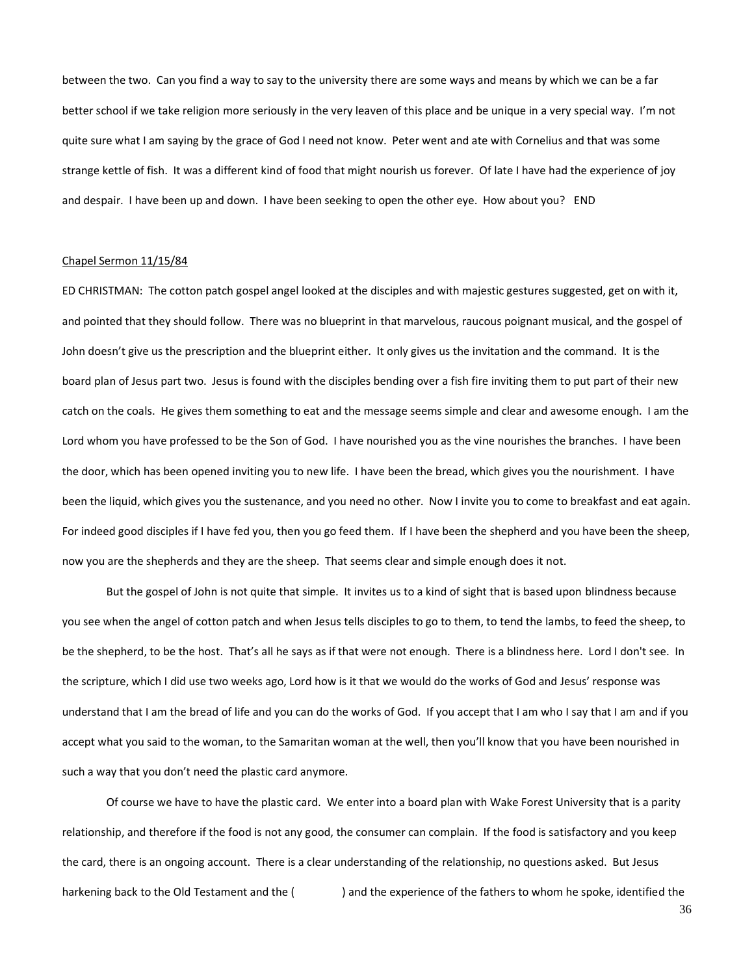between the two. Can you find a way to say to the university there are some ways and means by which we can be a far better school if we take religion more seriously in the very leaven of this place and be unique in a very special way. I'm not quite sure what I am saying by the grace of God I need not know. Peter went and ate with Cornelius and that was some strange kettle of fish. It was a different kind of food that might nourish us forever. Of late I have had the experience of joy and despair. I have been up and down. I have been seeking to open the other eye. How about you? END

### Chapel Sermon 11/15/84

ED CHRISTMAN: The cotton patch gospel angel looked at the disciples and with majestic gestures suggested, get on with it, and pointed that they should follow. There was no blueprint in that marvelous, raucous poignant musical, and the gospel of John doesn't give us the prescription and the blueprint either. It only gives us the invitation and the command. It is the board plan of Jesus part two. Jesus is found with the disciples bending over a fish fire inviting them to put part of their new catch on the coals. He gives them something to eat and the message seems simple and clear and awesome enough. I am the Lord whom you have professed to be the Son of God. I have nourished you as the vine nourishes the branches. I have been the door, which has been opened inviting you to new life. I have been the bread, which gives you the nourishment. I have been the liquid, which gives you the sustenance, and you need no other. Now I invite you to come to breakfast and eat again. For indeed good disciples if I have fed you, then you go feed them. If I have been the shepherd and you have been the sheep, now you are the shepherds and they are the sheep. That seems clear and simple enough does it not.

But the gospel of John is not quite that simple. It invites us to a kind of sight that is based upon blindness because you see when the angel of cotton patch and when Jesus tells disciples to go to them, to tend the lambs, to feed the sheep, to be the shepherd, to be the host. That's all he says as if that were not enough. There is a blindness here. Lord I don't see. In the scripture, which I did use two weeks ago, Lord how is it that we would do the works of God and Jesus' response was understand that I am the bread of life and you can do the works of God. If you accept that I am who I say that I am and if you accept what you said to the woman, to the Samaritan woman at the well, then you'll know that you have been nourished in such a way that you don't need the plastic card anymore.

Of course we have to have the plastic card. We enter into a board plan with Wake Forest University that is a parity relationship, and therefore if the food is not any good, the consumer can complain. If the food is satisfactory and you keep the card, there is an ongoing account. There is a clear understanding of the relationship, no questions asked. But Jesus harkening back to the Old Testament and the () and the experience of the fathers to whom he spoke, identified the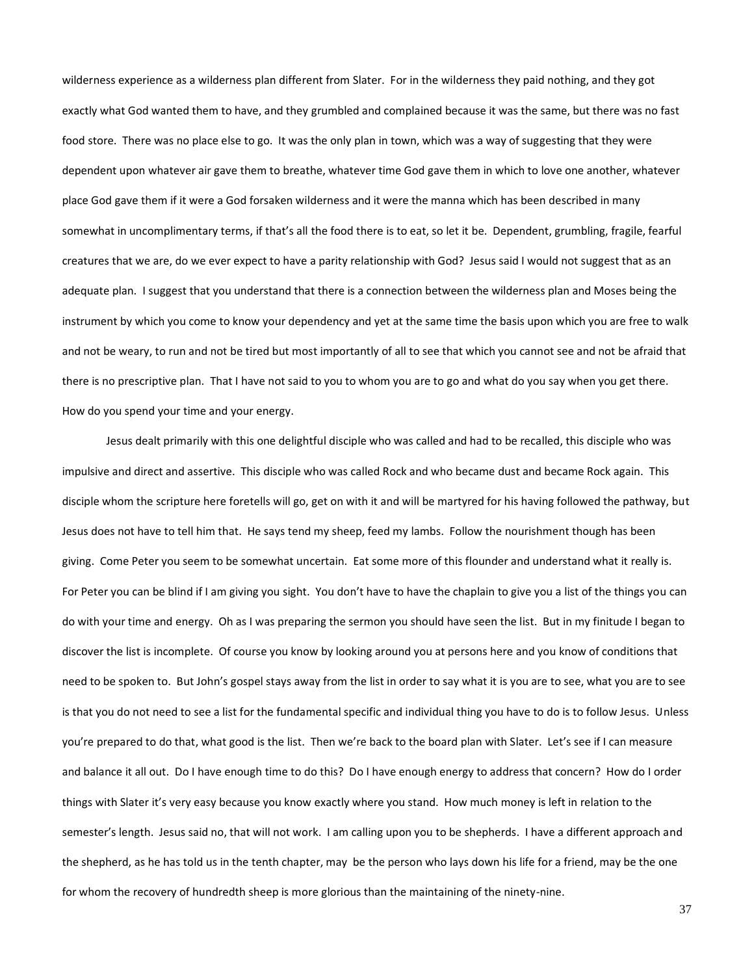wilderness experience as a wilderness plan different from Slater. For in the wilderness they paid nothing, and they got exactly what God wanted them to have, and they grumbled and complained because it was the same, but there was no fast food store. There was no place else to go. It was the only plan in town, which was a way of suggesting that they were dependent upon whatever air gave them to breathe, whatever time God gave them in which to love one another, whatever place God gave them if it were a God forsaken wilderness and it were the manna which has been described in many somewhat in uncomplimentary terms, if that's all the food there is to eat, so let it be. Dependent, grumbling, fragile, fearful creatures that we are, do we ever expect to have a parity relationship with God? Jesus said I would not suggest that as an adequate plan. I suggest that you understand that there is a connection between the wilderness plan and Moses being the instrument by which you come to know your dependency and yet at the same time the basis upon which you are free to walk and not be weary, to run and not be tired but most importantly of all to see that which you cannot see and not be afraid that there is no prescriptive plan. That I have not said to you to whom you are to go and what do you say when you get there. How do you spend your time and your energy.

Jesus dealt primarily with this one delightful disciple who was called and had to be recalled, this disciple who was impulsive and direct and assertive. This disciple who was called Rock and who became dust and became Rock again. This disciple whom the scripture here foretells will go, get on with it and will be martyred for his having followed the pathway, but Jesus does not have to tell him that. He says tend my sheep, feed my lambs. Follow the nourishment though has been giving. Come Peter you seem to be somewhat uncertain. Eat some more of this flounder and understand what it really is. For Peter you can be blind if I am giving you sight. You don't have to have the chaplain to give you a list of the things you can do with your time and energy. Oh as I was preparing the sermon you should have seen the list. But in my finitude I began to discover the list is incomplete. Of course you know by looking around you at persons here and you know of conditions that need to be spoken to. But John's gospel stays away from the list in order to say what it is you are to see, what you are to see is that you do not need to see a list for the fundamental specific and individual thing you have to do is to follow Jesus. Unless you're prepared to do that, what good is the list. Then we're back to the board plan with Slater. Let's see if I can measure and balance it all out. Do I have enough time to do this? Do I have enough energy to address that concern? How do I order things with Slater it's very easy because you know exactly where you stand. How much money is left in relation to the semester's length. Jesus said no, that will not work. I am calling upon you to be shepherds. I have a different approach and the shepherd, as he has told us in the tenth chapter, may be the person who lays down his life for a friend, may be the one for whom the recovery of hundredth sheep is more glorious than the maintaining of the ninety-nine.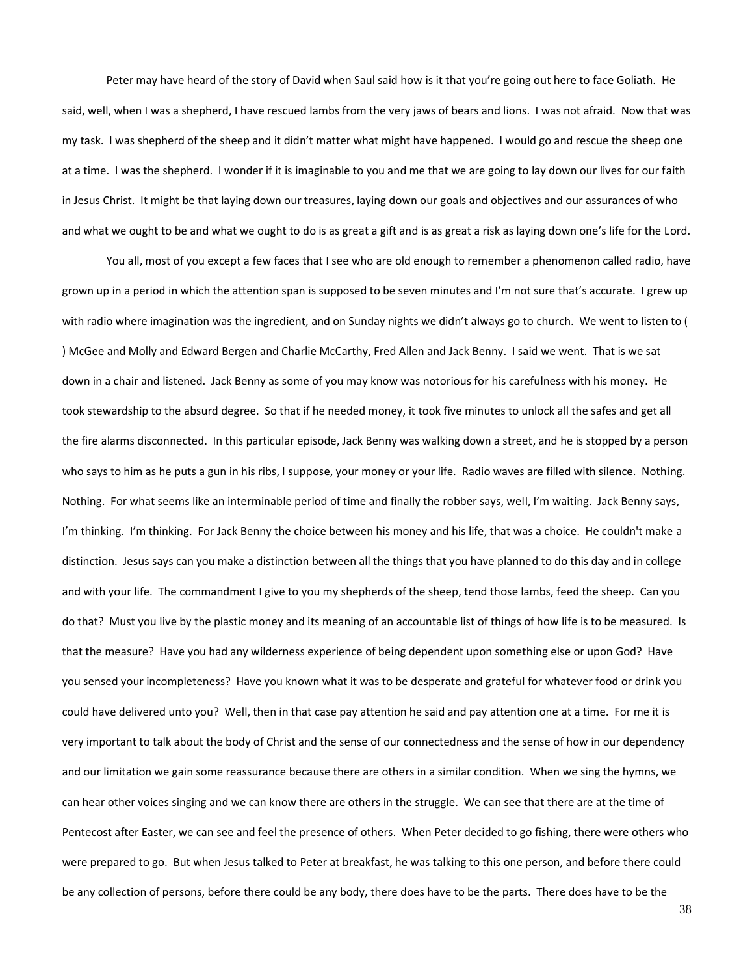Peter may have heard of the story of David when Saul said how is it that you're going out here to face Goliath. He said, well, when I was a shepherd, I have rescued lambs from the very jaws of bears and lions. I was not afraid. Now that was my task. I was shepherd of the sheep and it didn't matter what might have happened. I would go and rescue the sheep one at a time. I was the shepherd. I wonder if it is imaginable to you and me that we are going to lay down our lives for our faith in Jesus Christ. It might be that laying down our treasures, laying down our goals and objectives and our assurances of who and what we ought to be and what we ought to do is as great a gift and is as great a risk as laying down one's life for the Lord.

You all, most of you except a few faces that I see who are old enough to remember a phenomenon called radio, have grown up in a period in which the attention span is supposed to be seven minutes and I'm not sure that's accurate. I grew up with radio where imagination was the ingredient, and on Sunday nights we didn't always go to church. We went to listen to ( ) McGee and Molly and Edward Bergen and Charlie McCarthy, Fred Allen and Jack Benny. I said we went. That is we sat down in a chair and listened. Jack Benny as some of you may know was notorious for his carefulness with his money. He took stewardship to the absurd degree. So that if he needed money, it took five minutes to unlock all the safes and get all the fire alarms disconnected. In this particular episode, Jack Benny was walking down a street, and he is stopped by a person who says to him as he puts a gun in his ribs, I suppose, your money or your life. Radio waves are filled with silence. Nothing. Nothing. For what seems like an interminable period of time and finally the robber says, well, I'm waiting. Jack Benny says, I'm thinking. I'm thinking. For Jack Benny the choice between his money and his life, that was a choice. He couldn't make a distinction. Jesus says can you make a distinction between all the things that you have planned to do this day and in college and with your life. The commandment I give to you my shepherds of the sheep, tend those lambs, feed the sheep. Can you do that? Must you live by the plastic money and its meaning of an accountable list of things of how life is to be measured. Is that the measure? Have you had any wilderness experience of being dependent upon something else or upon God? Have you sensed your incompleteness? Have you known what it was to be desperate and grateful for whatever food or drink you could have delivered unto you? Well, then in that case pay attention he said and pay attention one at a time. For me it is very important to talk about the body of Christ and the sense of our connectedness and the sense of how in our dependency and our limitation we gain some reassurance because there are others in a similar condition. When we sing the hymns, we can hear other voices singing and we can know there are others in the struggle. We can see that there are at the time of Pentecost after Easter, we can see and feel the presence of others. When Peter decided to go fishing, there were others who were prepared to go. But when Jesus talked to Peter at breakfast, he was talking to this one person, and before there could be any collection of persons, before there could be any body, there does have to be the parts. There does have to be the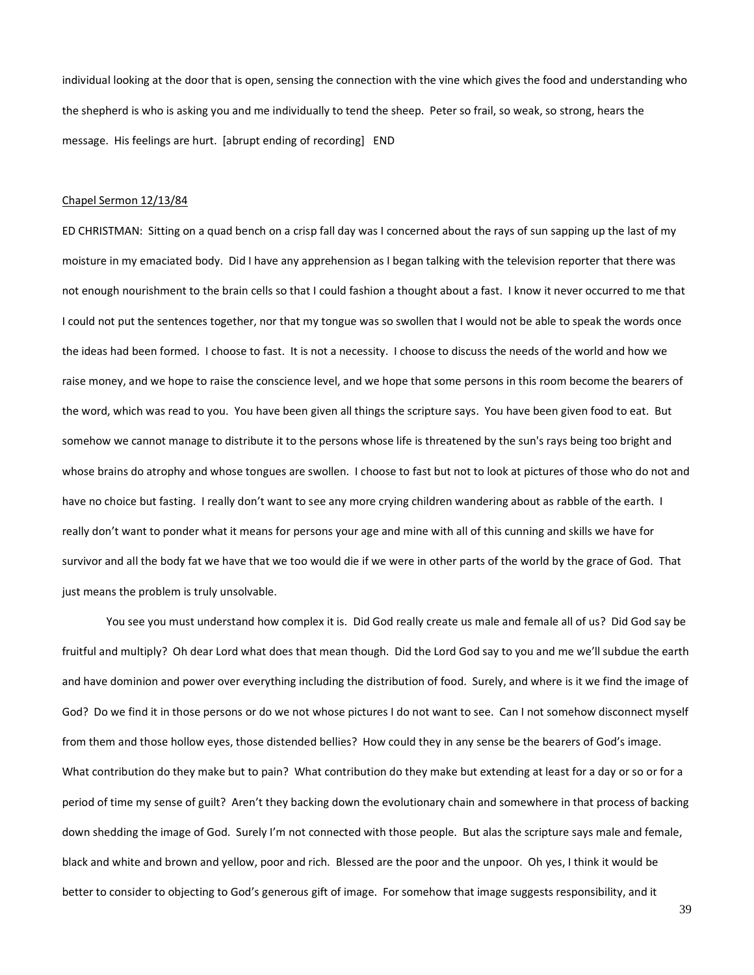individual looking at the door that is open, sensing the connection with the vine which gives the food and understanding who the shepherd is who is asking you and me individually to tend the sheep. Peter so frail, so weak, so strong, hears the message. His feelings are hurt. [abrupt ending of recording] END

#### Chapel Sermon 12/13/84

ED CHRISTMAN: Sitting on a quad bench on a crisp fall day was I concerned about the rays of sun sapping up the last of my moisture in my emaciated body. Did I have any apprehension as I began talking with the television reporter that there was not enough nourishment to the brain cells so that I could fashion a thought about a fast. I know it never occurred to me that I could not put the sentences together, nor that my tongue was so swollen that I would not be able to speak the words once the ideas had been formed. I choose to fast. It is not a necessity. I choose to discuss the needs of the world and how we raise money, and we hope to raise the conscience level, and we hope that some persons in this room become the bearers of the word, which was read to you. You have been given all things the scripture says. You have been given food to eat. But somehow we cannot manage to distribute it to the persons whose life is threatened by the sun's rays being too bright and whose brains do atrophy and whose tongues are swollen. I choose to fast but not to look at pictures of those who do not and have no choice but fasting. I really don't want to see any more crying children wandering about as rabble of the earth. I really don't want to ponder what it means for persons your age and mine with all of this cunning and skills we have for survivor and all the body fat we have that we too would die if we were in other parts of the world by the grace of God. That just means the problem is truly unsolvable.

You see you must understand how complex it is. Did God really create us male and female all of us? Did God say be fruitful and multiply? Oh dear Lord what does that mean though. Did the Lord God say to you and me we'll subdue the earth and have dominion and power over everything including the distribution of food. Surely, and where is it we find the image of God? Do we find it in those persons or do we not whose pictures I do not want to see. Can I not somehow disconnect myself from them and those hollow eyes, those distended bellies? How could they in any sense be the bearers of God's image. What contribution do they make but to pain? What contribution do they make but extending at least for a day or so or for a period of time my sense of guilt? Aren't they backing down the evolutionary chain and somewhere in that process of backing down shedding the image of God. Surely I'm not connected with those people. But alas the scripture says male and female, black and white and brown and yellow, poor and rich. Blessed are the poor and the unpoor. Oh yes, I think it would be better to consider to objecting to God's generous gift of image. For somehow that image suggests responsibility, and it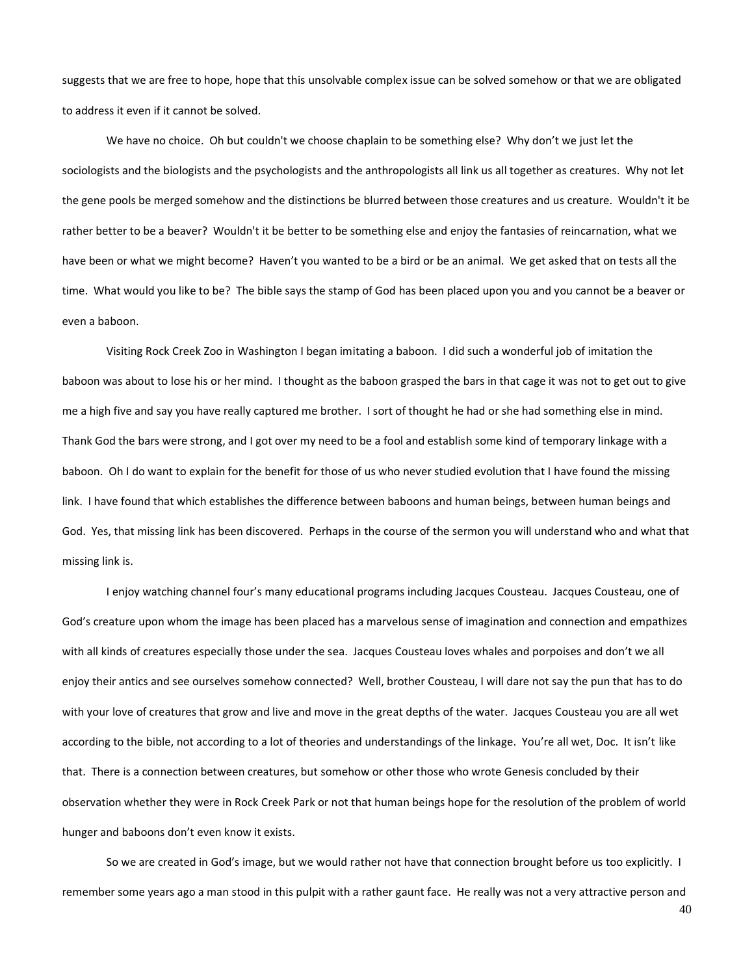suggests that we are free to hope, hope that this unsolvable complex issue can be solved somehow or that we are obligated to address it even if it cannot be solved.

We have no choice. Oh but couldn't we choose chaplain to be something else? Why don't we just let the sociologists and the biologists and the psychologists and the anthropologists all link us all together as creatures. Why not let the gene pools be merged somehow and the distinctions be blurred between those creatures and us creature. Wouldn't it be rather better to be a beaver? Wouldn't it be better to be something else and enjoy the fantasies of reincarnation, what we have been or what we might become? Haven't you wanted to be a bird or be an animal. We get asked that on tests all the time. What would you like to be? The bible says the stamp of God has been placed upon you and you cannot be a beaver or even a baboon.

Visiting Rock Creek Zoo in Washington I began imitating a baboon. I did such a wonderful job of imitation the baboon was about to lose his or her mind. I thought as the baboon grasped the bars in that cage it was not to get out to give me a high five and say you have really captured me brother. I sort of thought he had or she had something else in mind. Thank God the bars were strong, and I got over my need to be a fool and establish some kind of temporary linkage with a baboon. Oh I do want to explain for the benefit for those of us who never studied evolution that I have found the missing link. I have found that which establishes the difference between baboons and human beings, between human beings and God. Yes, that missing link has been discovered. Perhaps in the course of the sermon you will understand who and what that missing link is.

I enjoy watching channel four's many educational programs including Jacques Cousteau. Jacques Cousteau, one of God's creature upon whom the image has been placed has a marvelous sense of imagination and connection and empathizes with all kinds of creatures especially those under the sea. Jacques Cousteau loves whales and porpoises and don't we all enjoy their antics and see ourselves somehow connected? Well, brother Cousteau, I will dare not say the pun that has to do with your love of creatures that grow and live and move in the great depths of the water. Jacques Cousteau you are all wet according to the bible, not according to a lot of theories and understandings of the linkage. You're all wet, Doc. It isn't like that. There is a connection between creatures, but somehow or other those who wrote Genesis concluded by their observation whether they were in Rock Creek Park or not that human beings hope for the resolution of the problem of world hunger and baboons don't even know it exists.

So we are created in God's image, but we would rather not have that connection brought before us too explicitly. I remember some years ago a man stood in this pulpit with a rather gaunt face. He really was not a very attractive person and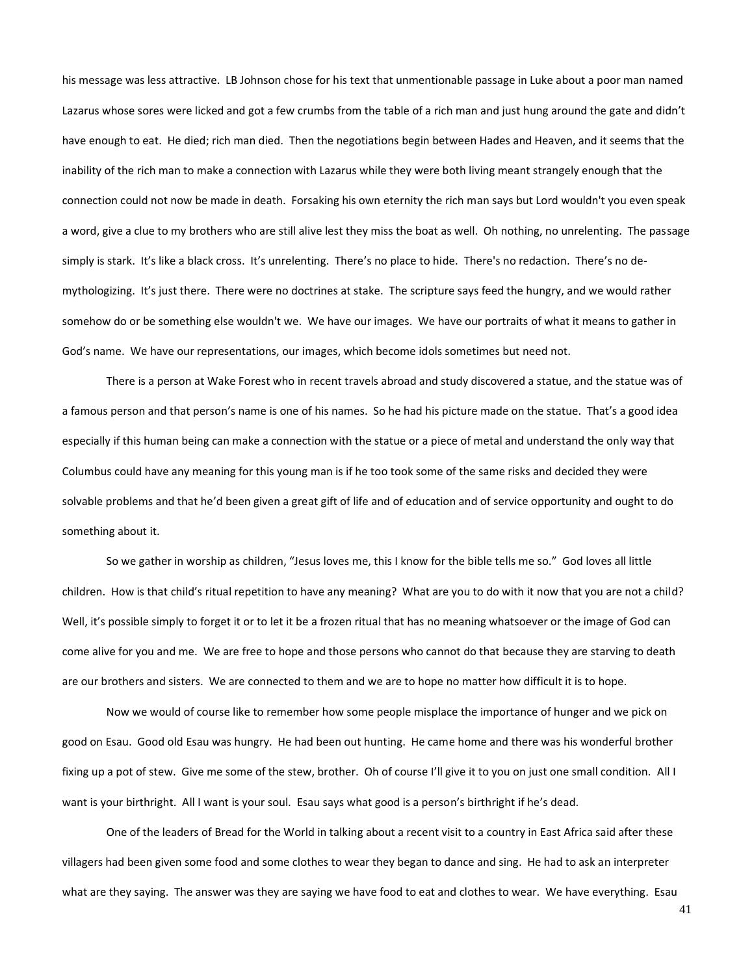his message was less attractive. LB Johnson chose for his text that unmentionable passage in Luke about a poor man named Lazarus whose sores were licked and got a few crumbs from the table of a rich man and just hung around the gate and didn't have enough to eat. He died; rich man died. Then the negotiations begin between Hades and Heaven, and it seems that the inability of the rich man to make a connection with Lazarus while they were both living meant strangely enough that the connection could not now be made in death. Forsaking his own eternity the rich man says but Lord wouldn't you even speak a word, give a clue to my brothers who are still alive lest they miss the boat as well. Oh nothing, no unrelenting. The passage simply is stark. It's like a black cross. It's unrelenting. There's no place to hide. There's no redaction. There's no demythologizing. It's just there. There were no doctrines at stake. The scripture says feed the hungry, and we would rather somehow do or be something else wouldn't we. We have our images. We have our portraits of what it means to gather in God's name. We have our representations, our images, which become idols sometimes but need not.

There is a person at Wake Forest who in recent travels abroad and study discovered a statue, and the statue was of a famous person and that person's name is one of his names. So he had his picture made on the statue. That's a good idea especially if this human being can make a connection with the statue or a piece of metal and understand the only way that Columbus could have any meaning for this young man is if he too took some of the same risks and decided they were solvable problems and that he'd been given a great gift of life and of education and of service opportunity and ought to do something about it.

So we gather in worship as children, "Jesus loves me, this I know for the bible tells me so." God loves all little children. How is that child's ritual repetition to have any meaning? What are you to do with it now that you are not a child? Well, it's possible simply to forget it or to let it be a frozen ritual that has no meaning whatsoever or the image of God can come alive for you and me. We are free to hope and those persons who cannot do that because they are starving to death are our brothers and sisters. We are connected to them and we are to hope no matter how difficult it is to hope.

Now we would of course like to remember how some people misplace the importance of hunger and we pick on good on Esau. Good old Esau was hungry. He had been out hunting. He came home and there was his wonderful brother fixing up a pot of stew. Give me some of the stew, brother. Oh of course I'll give it to you on just one small condition. All I want is your birthright. All I want is your soul. Esau says what good is a person's birthright if he's dead.

One of the leaders of Bread for the World in talking about a recent visit to a country in East Africa said after these villagers had been given some food and some clothes to wear they began to dance and sing. He had to ask an interpreter what are they saying. The answer was they are saying we have food to eat and clothes to wear. We have everything. Esau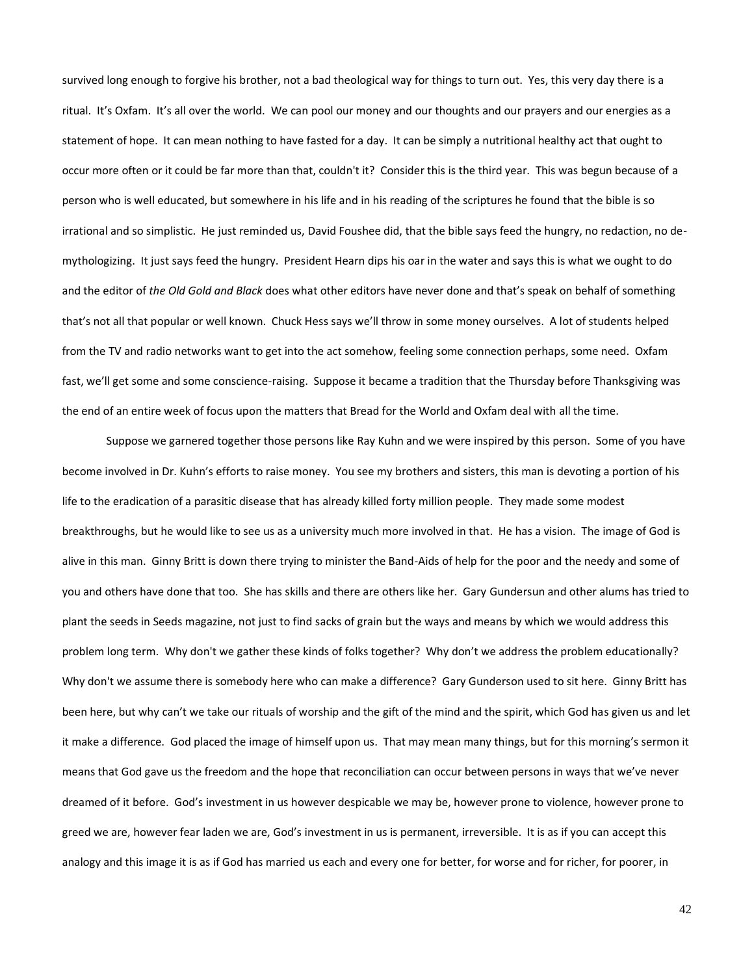survived long enough to forgive his brother, not a bad theological way for things to turn out. Yes, this very day there is a ritual. It's Oxfam. It's all over the world. We can pool our money and our thoughts and our prayers and our energies as a statement of hope. It can mean nothing to have fasted for a day. It can be simply a nutritional healthy act that ought to occur more often or it could be far more than that, couldn't it? Consider this is the third year. This was begun because of a person who is well educated, but somewhere in his life and in his reading of the scriptures he found that the bible is so irrational and so simplistic. He just reminded us, David Foushee did, that the bible says feed the hungry, no redaction, no demythologizing. It just says feed the hungry. President Hearn dips his oar in the water and says this is what we ought to do and the editor of *the Old Gold and Black* does what other editors have never done and that's speak on behalf of something that's not all that popular or well known. Chuck Hess says we'll throw in some money ourselves. A lot of students helped from the TV and radio networks want to get into the act somehow, feeling some connection perhaps, some need. Oxfam fast, we'll get some and some conscience-raising. Suppose it became a tradition that the Thursday before Thanksgiving was the end of an entire week of focus upon the matters that Bread for the World and Oxfam deal with all the time.

Suppose we garnered together those persons like Ray Kuhn and we were inspired by this person. Some of you have become involved in Dr. Kuhn's efforts to raise money. You see my brothers and sisters, this man is devoting a portion of his life to the eradication of a parasitic disease that has already killed forty million people. They made some modest breakthroughs, but he would like to see us as a university much more involved in that. He has a vision. The image of God is alive in this man. Ginny Britt is down there trying to minister the Band-Aids of help for the poor and the needy and some of you and others have done that too. She has skills and there are others like her. Gary Gundersun and other alums has tried to plant the seeds in Seeds magazine, not just to find sacks of grain but the ways and means by which we would address this problem long term. Why don't we gather these kinds of folks together? Why don't we address the problem educationally? Why don't we assume there is somebody here who can make a difference? Gary Gunderson used to sit here. Ginny Britt has been here, but why can't we take our rituals of worship and the gift of the mind and the spirit, which God has given us and let it make a difference. God placed the image of himself upon us. That may mean many things, but for this morning's sermon it means that God gave us the freedom and the hope that reconciliation can occur between persons in ways that we've never dreamed of it before. God's investment in us however despicable we may be, however prone to violence, however prone to greed we are, however fear laden we are, God's investment in us is permanent, irreversible. It is as if you can accept this analogy and this image it is as if God has married us each and every one for better, for worse and for richer, for poorer, in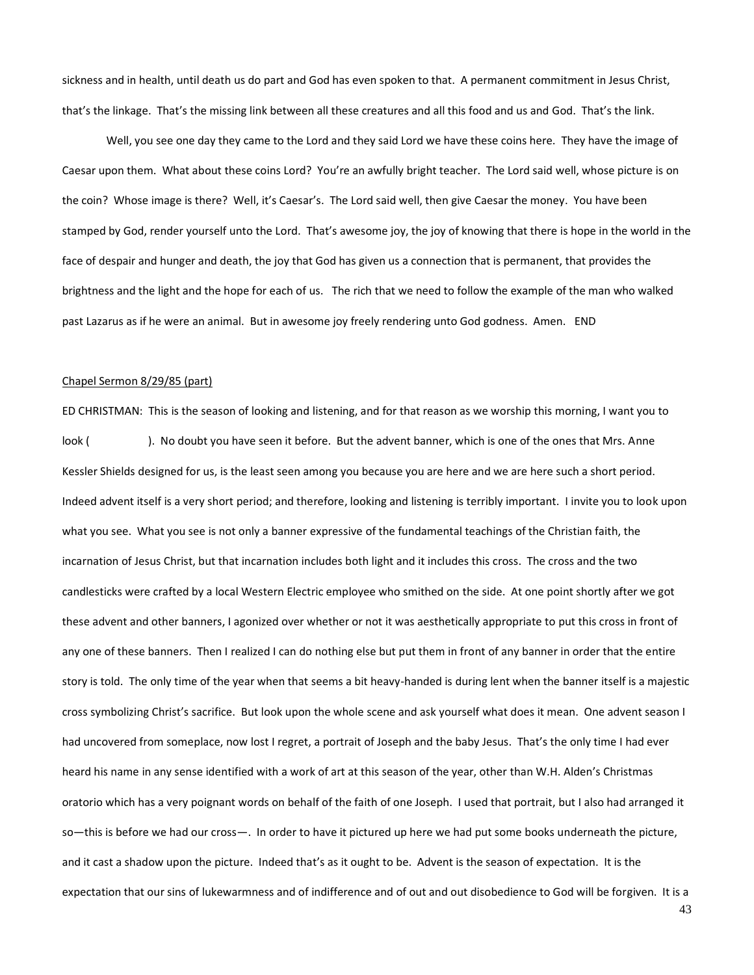sickness and in health, until death us do part and God has even spoken to that. A permanent commitment in Jesus Christ, that's the linkage. That's the missing link between all these creatures and all this food and us and God. That's the link.

Well, you see one day they came to the Lord and they said Lord we have these coins here. They have the image of Caesar upon them. What about these coins Lord? You're an awfully bright teacher. The Lord said well, whose picture is on the coin? Whose image is there? Well, it's Caesar's. The Lord said well, then give Caesar the money. You have been stamped by God, render yourself unto the Lord. That's awesome joy, the joy of knowing that there is hope in the world in the face of despair and hunger and death, the joy that God has given us a connection that is permanent, that provides the brightness and the light and the hope for each of us. The rich that we need to follow the example of the man who walked past Lazarus as if he were an animal. But in awesome joy freely rendering unto God godness. Amen. END

### Chapel Sermon 8/29/85 (part)

ED CHRISTMAN: This is the season of looking and listening, and for that reason as we worship this morning, I want you to look (). No doubt you have seen it before. But the advent banner, which is one of the ones that Mrs. Anne Kessler Shields designed for us, is the least seen among you because you are here and we are here such a short period. Indeed advent itself is a very short period; and therefore, looking and listening is terribly important. I invite you to look upon what you see. What you see is not only a banner expressive of the fundamental teachings of the Christian faith, the incarnation of Jesus Christ, but that incarnation includes both light and it includes this cross. The cross and the two candlesticks were crafted by a local Western Electric employee who smithed on the side. At one point shortly after we got these advent and other banners, I agonized over whether or not it was aesthetically appropriate to put this cross in front of any one of these banners. Then I realized I can do nothing else but put them in front of any banner in order that the entire story is told. The only time of the year when that seems a bit heavy-handed is during lent when the banner itself is a majestic cross symbolizing Christ's sacrifice. But look upon the whole scene and ask yourself what does it mean. One advent season I had uncovered from someplace, now lost I regret, a portrait of Joseph and the baby Jesus. That's the only time I had ever heard his name in any sense identified with a work of art at this season of the year, other than W.H. Alden's Christmas oratorio which has a very poignant words on behalf of the faith of one Joseph. I used that portrait, but I also had arranged it so—this is before we had our cross—. In order to have it pictured up here we had put some books underneath the picture, and it cast a shadow upon the picture. Indeed that's as it ought to be. Advent is the season of expectation. It is the expectation that our sins of lukewarmness and of indifference and of out and out disobedience to God will be forgiven. It is a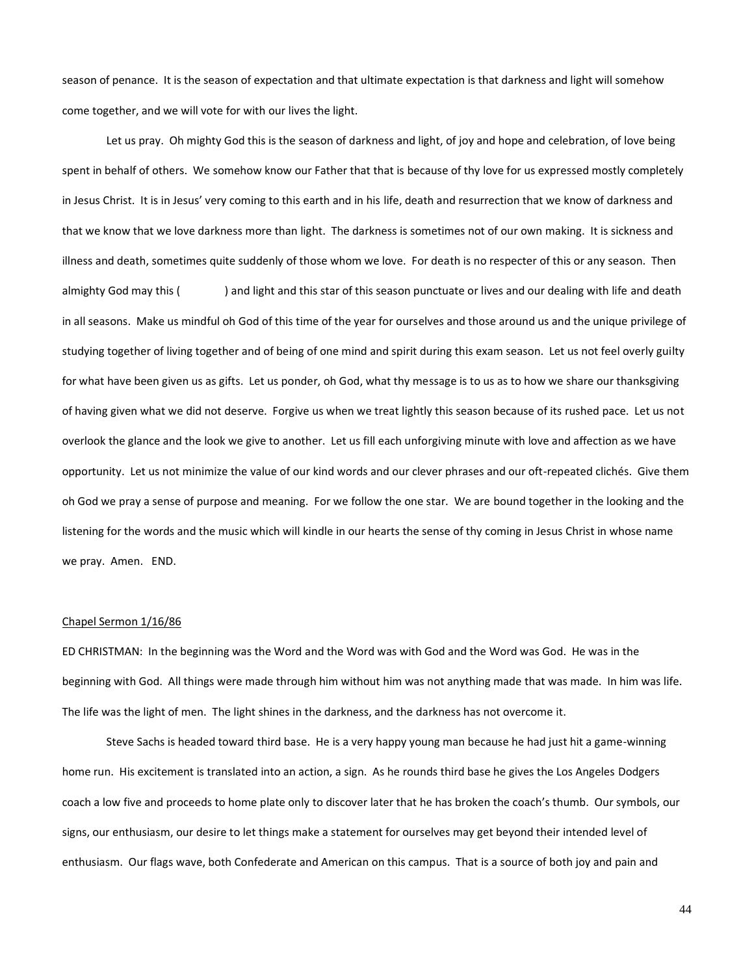season of penance. It is the season of expectation and that ultimate expectation is that darkness and light will somehow come together, and we will vote for with our lives the light.

Let us pray. Oh mighty God this is the season of darkness and light, of joy and hope and celebration, of love being spent in behalf of others. We somehow know our Father that that is because of thy love for us expressed mostly completely in Jesus Christ. It is in Jesus' very coming to this earth and in his life, death and resurrection that we know of darkness and that we know that we love darkness more than light. The darkness is sometimes not of our own making. It is sickness and illness and death, sometimes quite suddenly of those whom we love. For death is no respecter of this or any season. Then almighty God may this () and light and this star of this season punctuate or lives and our dealing with life and death in all seasons. Make us mindful oh God of this time of the year for ourselves and those around us and the unique privilege of studying together of living together and of being of one mind and spirit during this exam season. Let us not feel overly guilty for what have been given us as gifts. Let us ponder, oh God, what thy message is to us as to how we share our thanksgiving of having given what we did not deserve. Forgive us when we treat lightly this season because of its rushed pace. Let us not overlook the glance and the look we give to another. Let us fill each unforgiving minute with love and affection as we have opportunity. Let us not minimize the value of our kind words and our clever phrases and our oft-repeated clichés. Give them oh God we pray a sense of purpose and meaning. For we follow the one star. We are bound together in the looking and the listening for the words and the music which will kindle in our hearts the sense of thy coming in Jesus Christ in whose name we pray. Amen. END.

## Chapel Sermon 1/16/86

ED CHRISTMAN: In the beginning was the Word and the Word was with God and the Word was God. He was in the beginning with God. All things were made through him without him was not anything made that was made. In him was life. The life was the light of men. The light shines in the darkness, and the darkness has not overcome it.

Steve Sachs is headed toward third base. He is a very happy young man because he had just hit a game-winning home run. His excitement is translated into an action, a sign. As he rounds third base he gives the Los Angeles Dodgers coach a low five and proceeds to home plate only to discover later that he has broken the coach's thumb. Our symbols, our signs, our enthusiasm, our desire to let things make a statement for ourselves may get beyond their intended level of enthusiasm. Our flags wave, both Confederate and American on this campus. That is a source of both joy and pain and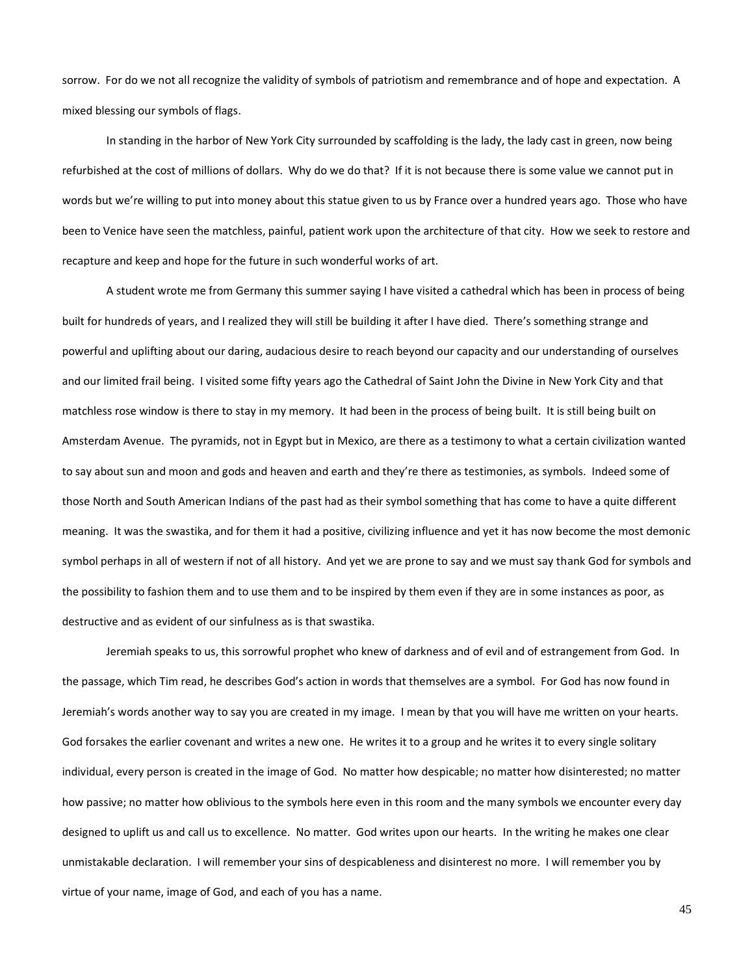sorrow. For do we not all recognize the validity of symbols of patriotism and remembrance and of hope and expectation. A mixed blessing our symbols of flags.

In standing in the harbor of New York City surrounded by scaffolding is the lady, the lady cast in green, now being refurbished at the cost of millions of dollars. Why do we do that? If it is not because there is some value we cannot put in words but we're willing to put into money about this statue given to us by France over a hundred years ago. Those who have been to Venice have seen the matchless, painful, patient work upon the architecture of that city. How we seek to restore and recapture and keep and hope for the future in such wonderful works of art.

A student wrote me from Germany this summer saying I have visited a cathedral which has been in process of being built for hundreds of years, and I realized they will still be building it after I have died. There's something strange and powerful and uplifting about our daring, audacious desire to reach beyond our capacity and our understanding of ourselves and our limited frail being. I visited some fifty years ago the Cathedral of Saint John the Divine in New York City and that matchless rose window is there to stay in my memory. It had been in the process of being built. It is still being built on Amsterdam Avenue. The pyramids, not in Egypt but in Mexico, are there as a testimony to what a certain civilization wanted to say about sun and moon and gods and heaven and earth and they're there as testimonies, as symbols. Indeed some of those North and South American Indians of the past had as their symbol something that has come to have a quite different meaning. It was the swastika, and for them it had a positive, civilizing influence and yet it has now become the most demonic symbol perhaps in all of western if not of all history. And yet we are prone to say and we must say thank God for symbols and the possibility to fashion them and to use them and to be inspired by them even if they are in some instances as poor, as destructive and as evident of our sinfulness as is that swastika.

Jeremiah speaks to us, this sorrowful prophet who knew of darkness and of evil and of estrangement from God. In the passage, which Tim read, he describes God's action in words that themselves are a symbol. For God has now found in Jeremiah's words another way to say you are created in my image. I mean by that you will have me written on your hearts. God forsakes the earlier covenant and writes a new one. He writes it to a group and he writes it to every single solitary individual, every person is created in the image of God. No matter how despicable; no matter how disinterested; no matter how passive; no matter how oblivious to the symbols here even in this room and the many symbols we encounter every day designed to uplift us and call us to excellence. No matter. God writes upon our hearts. In the writing he makes one clear unmistakable declaration. I will remember your sins of despicableness and disinterest no more. I will remember you by virtue of your name, image of God, and each of you has a name.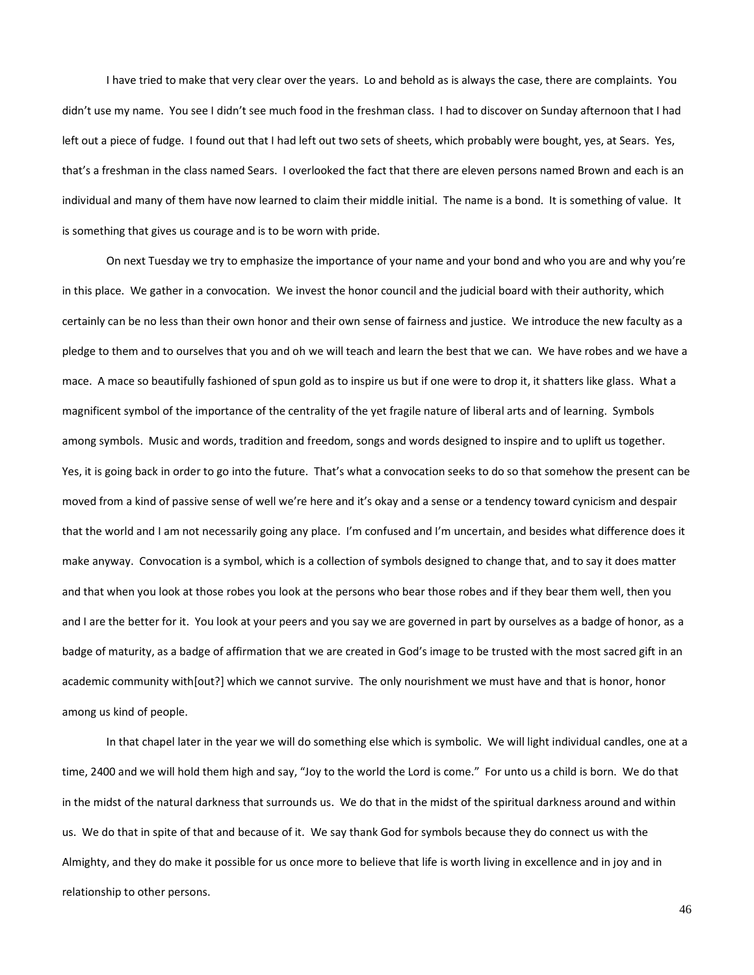I have tried to make that very clear over the years. Lo and behold as is always the case, there are complaints. You didn't use my name. You see I didn't see much food in the freshman class. I had to discover on Sunday afternoon that I had left out a piece of fudge. I found out that I had left out two sets of sheets, which probably were bought, yes, at Sears. Yes, that's a freshman in the class named Sears. I overlooked the fact that there are eleven persons named Brown and each is an individual and many of them have now learned to claim their middle initial. The name is a bond. It is something of value. It is something that gives us courage and is to be worn with pride.

On next Tuesday we try to emphasize the importance of your name and your bond and who you are and why you're in this place. We gather in a convocation. We invest the honor council and the judicial board with their authority, which certainly can be no less than their own honor and their own sense of fairness and justice. We introduce the new faculty as a pledge to them and to ourselves that you and oh we will teach and learn the best that we can. We have robes and we have a mace. A mace so beautifully fashioned of spun gold as to inspire us but if one were to drop it, it shatters like glass. What a magnificent symbol of the importance of the centrality of the yet fragile nature of liberal arts and of learning. Symbols among symbols. Music and words, tradition and freedom, songs and words designed to inspire and to uplift us together. Yes, it is going back in order to go into the future. That's what a convocation seeks to do so that somehow the present can be moved from a kind of passive sense of well we're here and it's okay and a sense or a tendency toward cynicism and despair that the world and I am not necessarily going any place. I'm confused and I'm uncertain, and besides what difference does it make anyway. Convocation is a symbol, which is a collection of symbols designed to change that, and to say it does matter and that when you look at those robes you look at the persons who bear those robes and if they bear them well, then you and I are the better for it. You look at your peers and you say we are governed in part by ourselves as a badge of honor, as a badge of maturity, as a badge of affirmation that we are created in God's image to be trusted with the most sacred gift in an academic community with[out?] which we cannot survive. The only nourishment we must have and that is honor, honor among us kind of people.

In that chapel later in the year we will do something else which is symbolic. We will light individual candles, one at a time, 2400 and we will hold them high and say, "Joy to the world the Lord is come." For unto us a child is born. We do that in the midst of the natural darkness that surrounds us. We do that in the midst of the spiritual darkness around and within us. We do that in spite of that and because of it. We say thank God for symbols because they do connect us with the Almighty, and they do make it possible for us once more to believe that life is worth living in excellence and in joy and in relationship to other persons.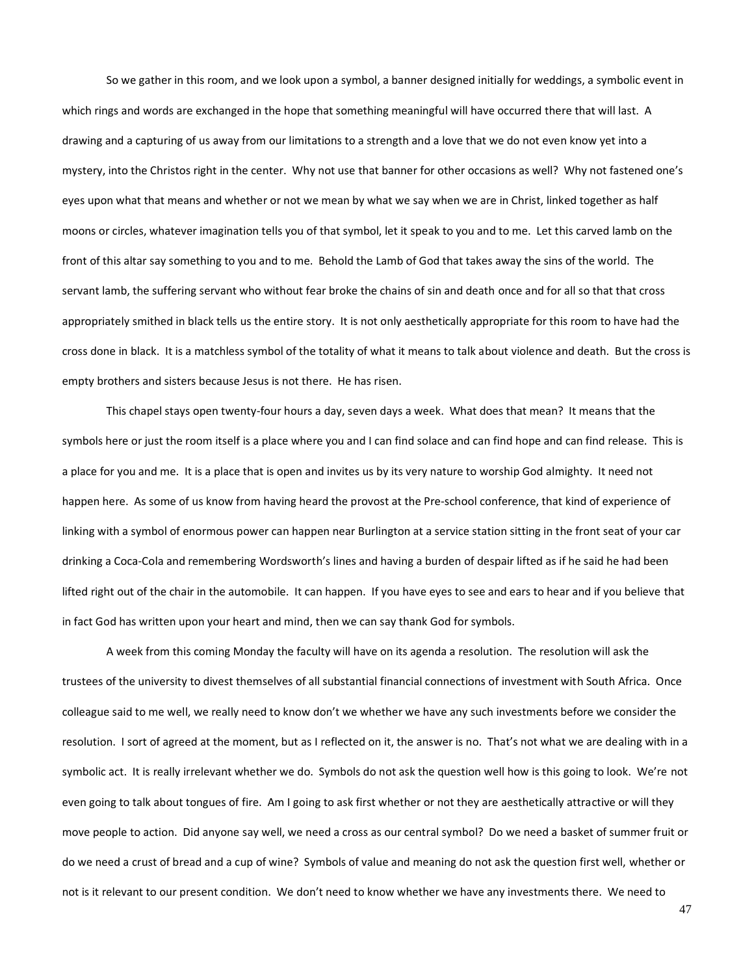So we gather in this room, and we look upon a symbol, a banner designed initially for weddings, a symbolic event in which rings and words are exchanged in the hope that something meaningful will have occurred there that will last. A drawing and a capturing of us away from our limitations to a strength and a love that we do not even know yet into a mystery, into the Christos right in the center. Why not use that banner for other occasions as well? Why not fastened one's eyes upon what that means and whether or not we mean by what we say when we are in Christ, linked together as half moons or circles, whatever imagination tells you of that symbol, let it speak to you and to me. Let this carved lamb on the front of this altar say something to you and to me. Behold the Lamb of God that takes away the sins of the world. The servant lamb, the suffering servant who without fear broke the chains of sin and death once and for all so that that cross appropriately smithed in black tells us the entire story. It is not only aesthetically appropriate for this room to have had the cross done in black. It is a matchless symbol of the totality of what it means to talk about violence and death. But the cross is empty brothers and sisters because Jesus is not there. He has risen.

This chapel stays open twenty-four hours a day, seven days a week. What does that mean? It means that the symbols here or just the room itself is a place where you and I can find solace and can find hope and can find release. This is a place for you and me. It is a place that is open and invites us by its very nature to worship God almighty. It need not happen here. As some of us know from having heard the provost at the Pre-school conference, that kind of experience of linking with a symbol of enormous power can happen near Burlington at a service station sitting in the front seat of your car drinking a Coca-Cola and remembering Wordsworth's lines and having a burden of despair lifted as if he said he had been lifted right out of the chair in the automobile. It can happen. If you have eyes to see and ears to hear and if you believe that in fact God has written upon your heart and mind, then we can say thank God for symbols.

A week from this coming Monday the faculty will have on its agenda a resolution. The resolution will ask the trustees of the university to divest themselves of all substantial financial connections of investment with South Africa. Once colleague said to me well, we really need to know don't we whether we have any such investments before we consider the resolution. I sort of agreed at the moment, but as I reflected on it, the answer is no. That's not what we are dealing with in a symbolic act. It is really irrelevant whether we do. Symbols do not ask the question well how is this going to look. We're not even going to talk about tongues of fire. Am I going to ask first whether or not they are aesthetically attractive or will they move people to action. Did anyone say well, we need a cross as our central symbol? Do we need a basket of summer fruit or do we need a crust of bread and a cup of wine? Symbols of value and meaning do not ask the question first well, whether or not is it relevant to our present condition. We don't need to know whether we have any investments there. We need to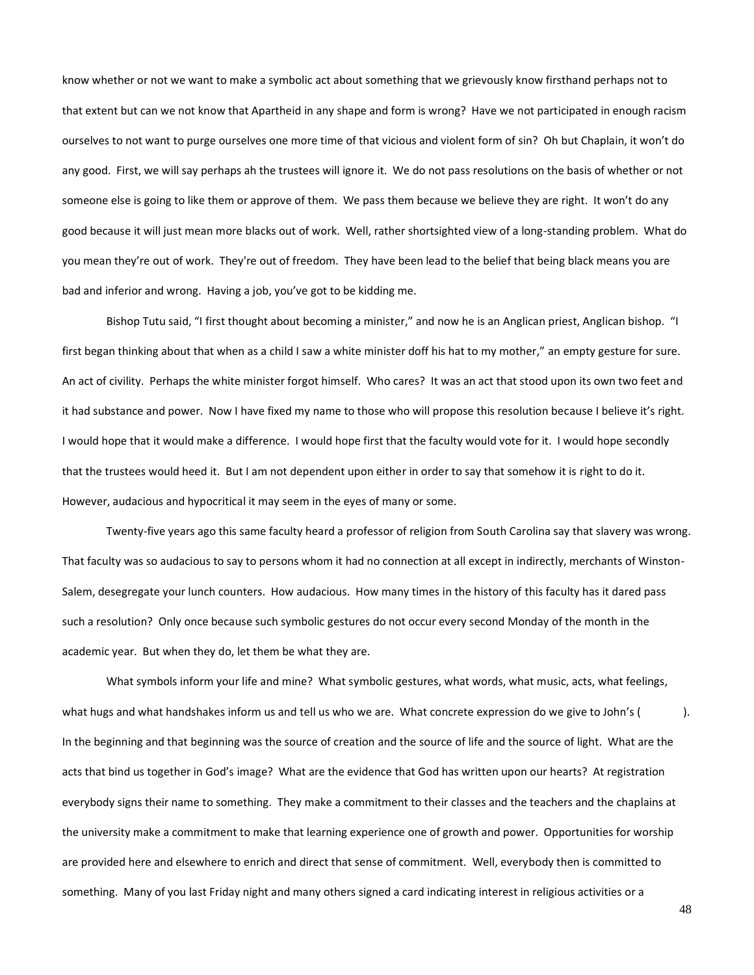know whether or not we want to make a symbolic act about something that we grievously know firsthand perhaps not to that extent but can we not know that Apartheid in any shape and form is wrong? Have we not participated in enough racism ourselves to not want to purge ourselves one more time of that vicious and violent form of sin? Oh but Chaplain, it won't do any good. First, we will say perhaps ah the trustees will ignore it. We do not pass resolutions on the basis of whether or not someone else is going to like them or approve of them. We pass them because we believe they are right. It won't do any good because it will just mean more blacks out of work. Well, rather shortsighted view of a long-standing problem. What do you mean they're out of work. They're out of freedom. They have been lead to the belief that being black means you are bad and inferior and wrong. Having a job, you've got to be kidding me.

Bishop Tutu said, "I first thought about becoming a minister," and now he is an Anglican priest, Anglican bishop. "I first began thinking about that when as a child I saw a white minister doff his hat to my mother," an empty gesture for sure. An act of civility. Perhaps the white minister forgot himself. Who cares? It was an act that stood upon its own two feet and it had substance and power. Now I have fixed my name to those who will propose this resolution because I believe it's right. I would hope that it would make a difference. I would hope first that the faculty would vote for it. I would hope secondly that the trustees would heed it. But I am not dependent upon either in order to say that somehow it is right to do it. However, audacious and hypocritical it may seem in the eyes of many or some.

Twenty-five years ago this same faculty heard a professor of religion from South Carolina say that slavery was wrong. That faculty was so audacious to say to persons whom it had no connection at all except in indirectly, merchants of Winston-Salem, desegregate your lunch counters. How audacious. How many times in the history of this faculty has it dared pass such a resolution? Only once because such symbolic gestures do not occur every second Monday of the month in the academic year. But when they do, let them be what they are.

What symbols inform your life and mine? What symbolic gestures, what words, what music, acts, what feelings, what hugs and what handshakes inform us and tell us who we are. What concrete expression do we give to John's ( ). In the beginning and that beginning was the source of creation and the source of life and the source of light. What are the acts that bind us together in God's image? What are the evidence that God has written upon our hearts? At registration everybody signs their name to something. They make a commitment to their classes and the teachers and the chaplains at the university make a commitment to make that learning experience one of growth and power. Opportunities for worship are provided here and elsewhere to enrich and direct that sense of commitment. Well, everybody then is committed to something. Many of you last Friday night and many others signed a card indicating interest in religious activities or a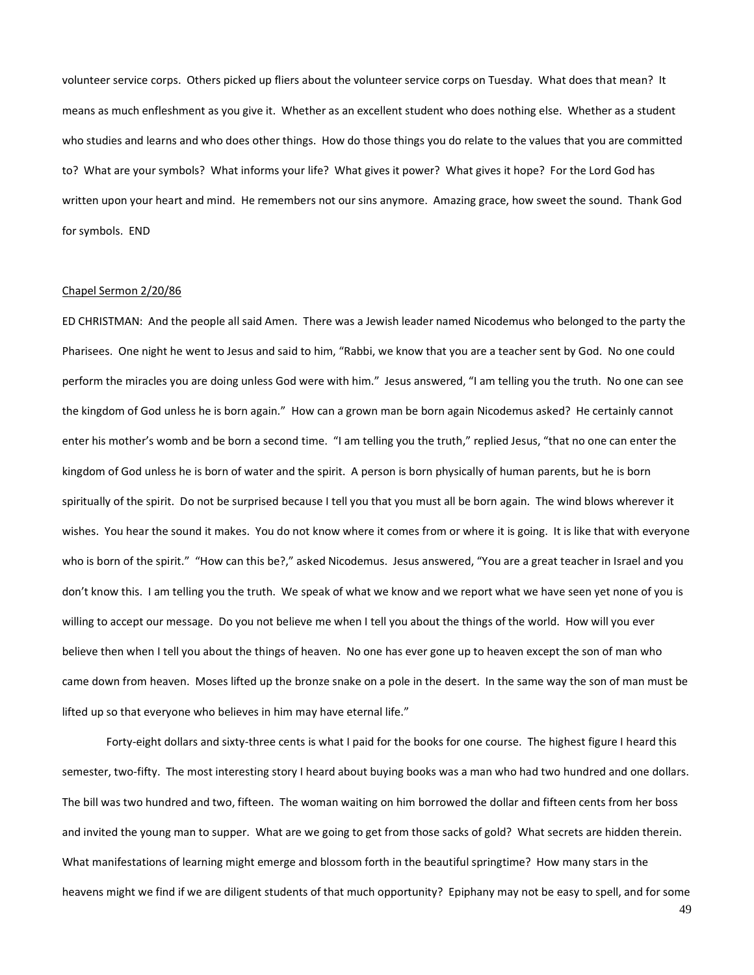volunteer service corps. Others picked up fliers about the volunteer service corps on Tuesday. What does that mean? It means as much enfleshment as you give it. Whether as an excellent student who does nothing else. Whether as a student who studies and learns and who does other things. How do those things you do relate to the values that you are committed to? What are your symbols? What informs your life? What gives it power? What gives it hope? For the Lord God has written upon your heart and mind. He remembers not our sins anymore. Amazing grace, how sweet the sound. Thank God for symbols. END

## Chapel Sermon 2/20/86

ED CHRISTMAN: And the people all said Amen. There was a Jewish leader named Nicodemus who belonged to the party the Pharisees. One night he went to Jesus and said to him, "Rabbi, we know that you are a teacher sent by God. No one could perform the miracles you are doing unless God were with him." Jesus answered, "I am telling you the truth. No one can see the kingdom of God unless he is born again." How can a grown man be born again Nicodemus asked? He certainly cannot enter his mother's womb and be born a second time. "I am telling you the truth," replied Jesus, "that no one can enter the kingdom of God unless he is born of water and the spirit. A person is born physically of human parents, but he is born spiritually of the spirit. Do not be surprised because I tell you that you must all be born again. The wind blows wherever it wishes. You hear the sound it makes. You do not know where it comes from or where it is going. It is like that with everyone who is born of the spirit." "How can this be?," asked Nicodemus. Jesus answered, "You are a great teacher in Israel and you don't know this. I am telling you the truth. We speak of what we know and we report what we have seen yet none of you is willing to accept our message. Do you not believe me when I tell you about the things of the world. How will you ever believe then when I tell you about the things of heaven. No one has ever gone up to heaven except the son of man who came down from heaven. Moses lifted up the bronze snake on a pole in the desert. In the same way the son of man must be lifted up so that everyone who believes in him may have eternal life."

Forty-eight dollars and sixty-three cents is what I paid for the books for one course. The highest figure I heard this semester, two-fifty. The most interesting story I heard about buying books was a man who had two hundred and one dollars. The bill was two hundred and two, fifteen. The woman waiting on him borrowed the dollar and fifteen cents from her boss and invited the young man to supper. What are we going to get from those sacks of gold? What secrets are hidden therein. What manifestations of learning might emerge and blossom forth in the beautiful springtime? How many stars in the heavens might we find if we are diligent students of that much opportunity? Epiphany may not be easy to spell, and for some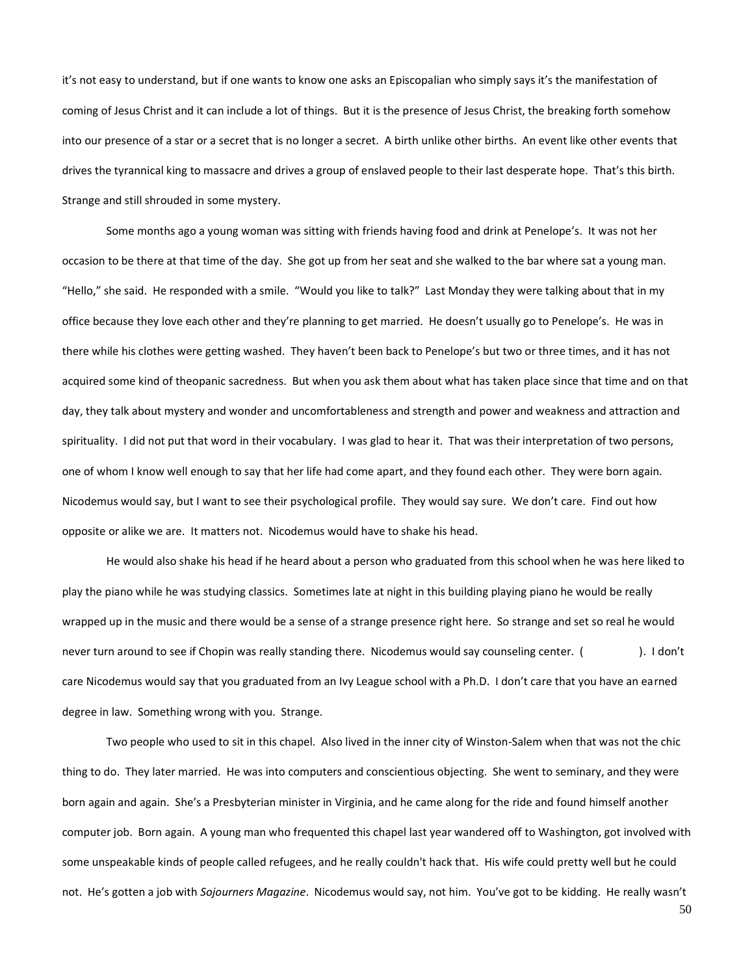it's not easy to understand, but if one wants to know one asks an Episcopalian who simply says it's the manifestation of coming of Jesus Christ and it can include a lot of things. But it is the presence of Jesus Christ, the breaking forth somehow into our presence of a star or a secret that is no longer a secret. A birth unlike other births. An event like other events that drives the tyrannical king to massacre and drives a group of enslaved people to their last desperate hope. That's this birth. Strange and still shrouded in some mystery.

Some months ago a young woman was sitting with friends having food and drink at Penelope's. It was not her occasion to be there at that time of the day. She got up from her seat and she walked to the bar where sat a young man. "Hello," she said. He responded with a smile. "Would you like to talk?" Last Monday they were talking about that in my office because they love each other and they're planning to get married. He doesn't usually go to Penelope's. He was in there while his clothes were getting washed. They haven't been back to Penelope's but two or three times, and it has not acquired some kind of theopanic sacredness. But when you ask them about what has taken place since that time and on that day, they talk about mystery and wonder and uncomfortableness and strength and power and weakness and attraction and spirituality. I did not put that word in their vocabulary. I was glad to hear it. That was their interpretation of two persons, one of whom I know well enough to say that her life had come apart, and they found each other. They were born again. Nicodemus would say, but I want to see their psychological profile. They would say sure. We don't care. Find out how opposite or alike we are. It matters not. Nicodemus would have to shake his head.

He would also shake his head if he heard about a person who graduated from this school when he was here liked to play the piano while he was studying classics. Sometimes late at night in this building playing piano he would be really wrapped up in the music and there would be a sense of a strange presence right here. So strange and set so real he would never turn around to see if Chopin was really standing there. Nicodemus would say counseling center. (
). I don't care Nicodemus would say that you graduated from an Ivy League school with a Ph.D. I don't care that you have an earned degree in law. Something wrong with you. Strange.

Two people who used to sit in this chapel. Also lived in the inner city of Winston-Salem when that was not the chic thing to do. They later married. He was into computers and conscientious objecting. She went to seminary, and they were born again and again. She's a Presbyterian minister in Virginia, and he came along for the ride and found himself another computer job. Born again. A young man who frequented this chapel last year wandered off to Washington, got involved with some unspeakable kinds of people called refugees, and he really couldn't hack that. His wife could pretty well but he could not. He's gotten a job with *Sojourners Magazine*. Nicodemus would say, not him. You've got to be kidding. He really wasn't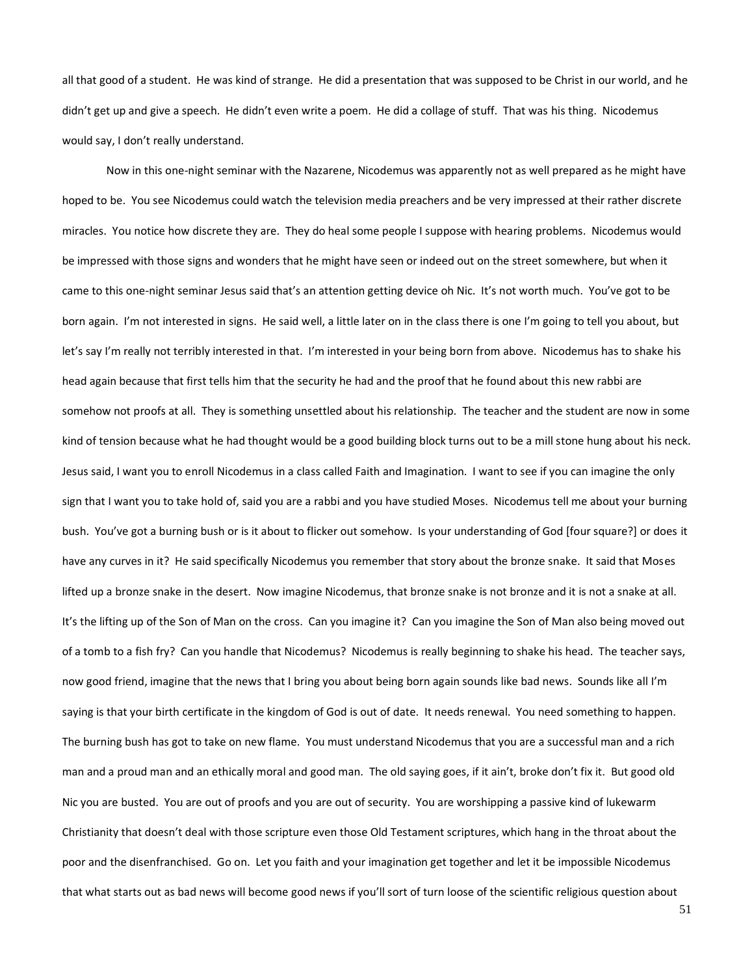all that good of a student. He was kind of strange. He did a presentation that was supposed to be Christ in our world, and he didn't get up and give a speech. He didn't even write a poem. He did a collage of stuff. That was his thing. Nicodemus would say, I don't really understand.

Now in this one-night seminar with the Nazarene, Nicodemus was apparently not as well prepared as he might have hoped to be. You see Nicodemus could watch the television media preachers and be very impressed at their rather discrete miracles. You notice how discrete they are. They do heal some people I suppose with hearing problems. Nicodemus would be impressed with those signs and wonders that he might have seen or indeed out on the street somewhere, but when it came to this one-night seminar Jesus said that's an attention getting device oh Nic. It's not worth much. You've got to be born again. I'm not interested in signs. He said well, a little later on in the class there is one I'm going to tell you about, but let's say I'm really not terribly interested in that. I'm interested in your being born from above. Nicodemus has to shake his head again because that first tells him that the security he had and the proof that he found about this new rabbi are somehow not proofs at all. They is something unsettled about his relationship. The teacher and the student are now in some kind of tension because what he had thought would be a good building block turns out to be a mill stone hung about his neck. Jesus said, I want you to enroll Nicodemus in a class called Faith and Imagination. I want to see if you can imagine the only sign that I want you to take hold of, said you are a rabbi and you have studied Moses. Nicodemus tell me about your burning bush. You've got a burning bush or is it about to flicker out somehow. Is your understanding of God [four square?] or does it have any curves in it? He said specifically Nicodemus you remember that story about the bronze snake. It said that Moses lifted up a bronze snake in the desert. Now imagine Nicodemus, that bronze snake is not bronze and it is not a snake at all. It's the lifting up of the Son of Man on the cross. Can you imagine it? Can you imagine the Son of Man also being moved out of a tomb to a fish fry? Can you handle that Nicodemus? Nicodemus is really beginning to shake his head. The teacher says, now good friend, imagine that the news that I bring you about being born again sounds like bad news. Sounds like all I'm saying is that your birth certificate in the kingdom of God is out of date. It needs renewal. You need something to happen. The burning bush has got to take on new flame. You must understand Nicodemus that you are a successful man and a rich man and a proud man and an ethically moral and good man. The old saying goes, if it ain't, broke don't fix it. But good old Nic you are busted. You are out of proofs and you are out of security. You are worshipping a passive kind of lukewarm Christianity that doesn't deal with those scripture even those Old Testament scriptures, which hang in the throat about the poor and the disenfranchised. Go on. Let you faith and your imagination get together and let it be impossible Nicodemus that what starts out as bad news will become good news if you'll sort of turn loose of the scientific religious question about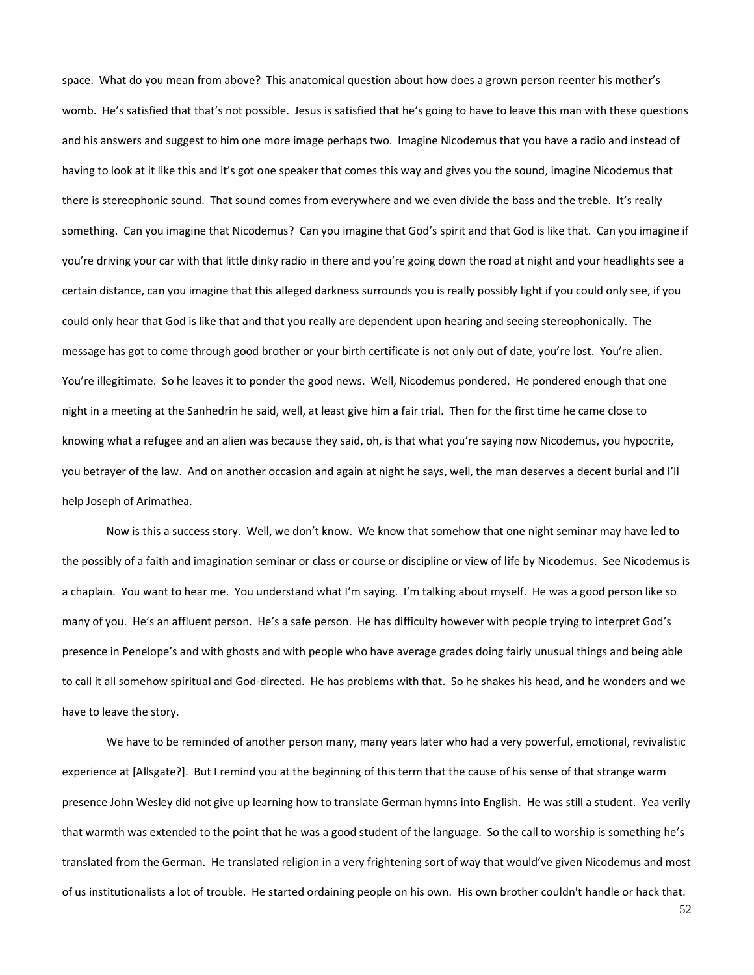space. What do you mean from above? This anatomical question about how does a grown person reenter his mother's womb. He's satisfied that that's not possible. Jesus is satisfied that he's going to have to leave this man with these questions and his answers and suggest to him one more image perhaps two. Imagine Nicodemus that you have a radio and instead of having to look at it like this and it's got one speaker that comes this way and gives you the sound, imagine Nicodemus that there is stereophonic sound. That sound comes from everywhere and we even divide the bass and the treble. It's really something. Can you imagine that Nicodemus? Can you imagine that God's spirit and that God is like that. Can you imagine if you're driving your car with that little dinky radio in there and you're going down the road at night and your headlights see a certain distance, can you imagine that this alleged darkness surrounds you is really possibly light if you could only see, if you could only hear that God is like that and that you really are dependent upon hearing and seeing stereophonically. The message has got to come through good brother or your birth certificate is not only out of date, you're lost. You're alien. You're illegitimate. So he leaves it to ponder the good news. Well, Nicodemus pondered. He pondered enough that one night in a meeting at the Sanhedrin he said, well, at least give him a fair trial. Then for the first time he came close to knowing what a refugee and an alien was because they said, oh, is that what you're saying now Nicodemus, you hypocrite, you betrayer of the law. And on another occasion and again at night he says, well, the man deserves a decent burial and I'll help Joseph of Arimathea.

Now is this a success story. Well, we don't know. We know that somehow that one night seminar may have led to the possibly of a faith and imagination seminar or class or course or discipline or view of life by Nicodemus. See Nicodemus is a chaplain. You want to hear me. You understand what I'm saying. I'm talking about myself. He was a good person like so many of you. He's an affluent person. He's a safe person. He has difficulty however with people trying to interpret God's presence in Penelope's and with ghosts and with people who have average grades doing fairly unusual things and being able to call it all somehow spiritual and God-directed. He has problems with that. So he shakes his head, and he wonders and we have to leave the story.

We have to be reminded of another person many, many years later who had a very powerful, emotional, revivalistic experience at [Allsgate?]. But I remind you at the beginning of this term that the cause of his sense of that strange warm presence John Wesley did not give up learning how to translate German hymns into English. He was still a student. Yea verily that warmth was extended to the point that he was a good student of the language. So the call to worship is something he's translated from the German. He translated religion in a very frightening sort of way that would've given Nicodemus and most of us institutionalists a lot of trouble. He started ordaining people on his own. His own brother couldn't handle or hack that.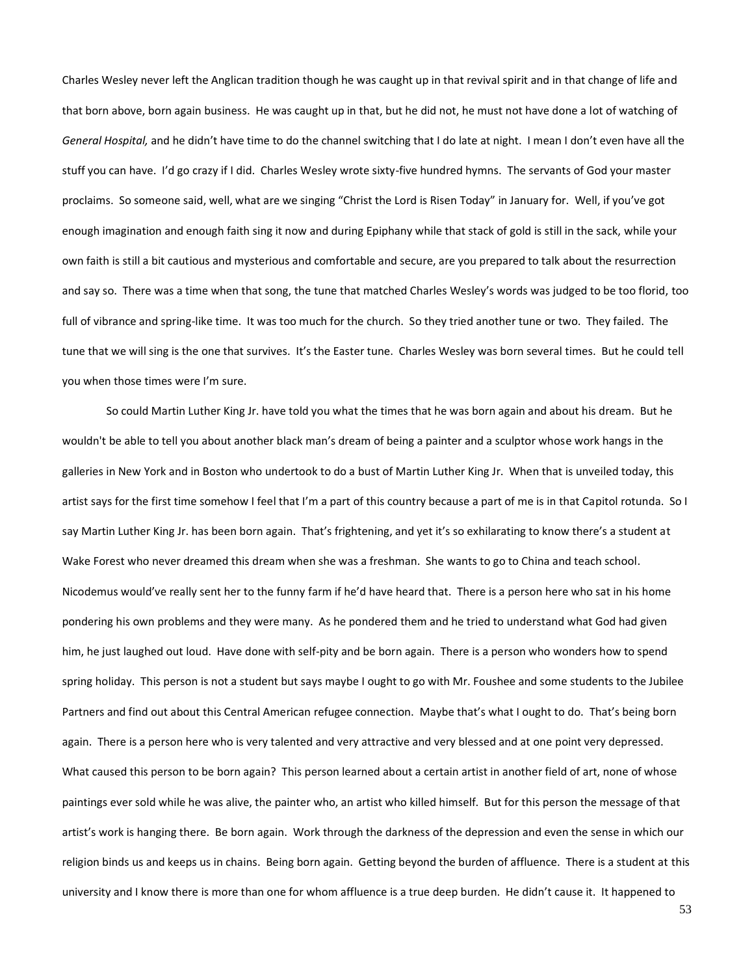Charles Wesley never left the Anglican tradition though he was caught up in that revival spirit and in that change of life and that born above, born again business. He was caught up in that, but he did not, he must not have done a lot of watching of *General Hospital,* and he didn't have time to do the channel switching that I do late at night. I mean I don't even have all the stuff you can have. I'd go crazy if I did. Charles Wesley wrote sixty-five hundred hymns. The servants of God your master proclaims. So someone said, well, what are we singing "Christ the Lord is Risen Today" in January for. Well, if you've got enough imagination and enough faith sing it now and during Epiphany while that stack of gold is still in the sack, while your own faith is still a bit cautious and mysterious and comfortable and secure, are you prepared to talk about the resurrection and say so. There was a time when that song, the tune that matched Charles Wesley's words was judged to be too florid, too full of vibrance and spring-like time. It was too much for the church. So they tried another tune or two. They failed. The tune that we will sing is the one that survives. It's the Easter tune. Charles Wesley was born several times. But he could tell you when those times were I'm sure.

So could Martin Luther King Jr. have told you what the times that he was born again and about his dream. But he wouldn't be able to tell you about another black man's dream of being a painter and a sculptor whose work hangs in the galleries in New York and in Boston who undertook to do a bust of Martin Luther King Jr. When that is unveiled today, this artist says for the first time somehow I feel that I'm a part of this country because a part of me is in that Capitol rotunda. So I say Martin Luther King Jr. has been born again. That's frightening, and yet it's so exhilarating to know there's a student at Wake Forest who never dreamed this dream when she was a freshman. She wants to go to China and teach school. Nicodemus would've really sent her to the funny farm if he'd have heard that. There is a person here who sat in his home pondering his own problems and they were many. As he pondered them and he tried to understand what God had given him, he just laughed out loud. Have done with self-pity and be born again. There is a person who wonders how to spend spring holiday. This person is not a student but says maybe I ought to go with Mr. Foushee and some students to the Jubilee Partners and find out about this Central American refugee connection. Maybe that's what I ought to do. That's being born again. There is a person here who is very talented and very attractive and very blessed and at one point very depressed. What caused this person to be born again? This person learned about a certain artist in another field of art, none of whose paintings ever sold while he was alive, the painter who, an artist who killed himself. But for this person the message of that artist's work is hanging there. Be born again. Work through the darkness of the depression and even the sense in which our religion binds us and keeps us in chains. Being born again. Getting beyond the burden of affluence. There is a student at this university and I know there is more than one for whom affluence is a true deep burden. He didn't cause it. It happened to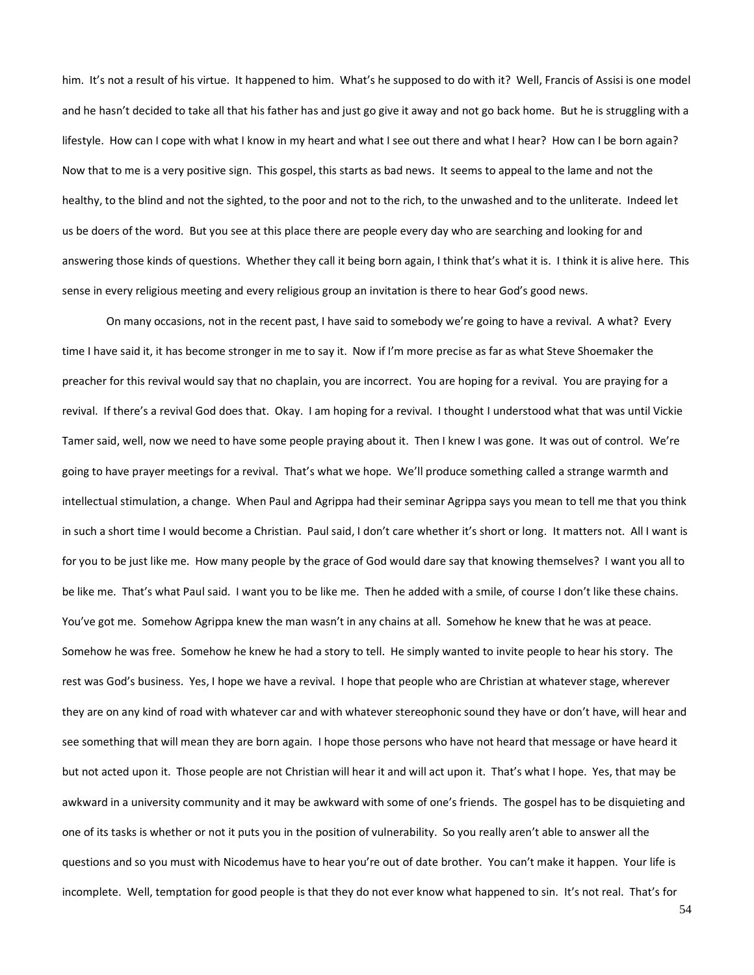him. It's not a result of his virtue. It happened to him. What's he supposed to do with it? Well, Francis of Assisi is one model and he hasn't decided to take all that his father has and just go give it away and not go back home. But he is struggling with a lifestyle. How can I cope with what I know in my heart and what I see out there and what I hear? How can I be born again? Now that to me is a very positive sign. This gospel, this starts as bad news. It seems to appeal to the lame and not the healthy, to the blind and not the sighted, to the poor and not to the rich, to the unwashed and to the unliterate. Indeed let us be doers of the word. But you see at this place there are people every day who are searching and looking for and answering those kinds of questions. Whether they call it being born again, I think that's what it is. I think it is alive here. This sense in every religious meeting and every religious group an invitation is there to hear God's good news.

On many occasions, not in the recent past, I have said to somebody we're going to have a revival. A what? Every time I have said it, it has become stronger in me to say it. Now if I'm more precise as far as what Steve Shoemaker the preacher for this revival would say that no chaplain, you are incorrect. You are hoping for a revival. You are praying for a revival. If there's a revival God does that. Okay. I am hoping for a revival. I thought I understood what that was until Vickie Tamer said, well, now we need to have some people praying about it. Then I knew I was gone. It was out of control. We're going to have prayer meetings for a revival. That's what we hope. We'll produce something called a strange warmth and intellectual stimulation, a change. When Paul and Agrippa had their seminar Agrippa says you mean to tell me that you think in such a short time I would become a Christian. Paul said, I don't care whether it's short or long. It matters not. All I want is for you to be just like me. How many people by the grace of God would dare say that knowing themselves? I want you all to be like me. That's what Paul said. I want you to be like me. Then he added with a smile, of course I don't like these chains. You've got me. Somehow Agrippa knew the man wasn't in any chains at all. Somehow he knew that he was at peace. Somehow he was free. Somehow he knew he had a story to tell. He simply wanted to invite people to hear his story. The rest was God's business. Yes, I hope we have a revival. I hope that people who are Christian at whatever stage, wherever they are on any kind of road with whatever car and with whatever stereophonic sound they have or don't have, will hear and see something that will mean they are born again. I hope those persons who have not heard that message or have heard it but not acted upon it. Those people are not Christian will hear it and will act upon it. That's what I hope. Yes, that may be awkward in a university community and it may be awkward with some of one's friends. The gospel has to be disquieting and one of its tasks is whether or not it puts you in the position of vulnerability. So you really aren't able to answer all the questions and so you must with Nicodemus have to hear you're out of date brother. You can't make it happen. Your life is incomplete. Well, temptation for good people is that they do not ever know what happened to sin. It's not real. That's for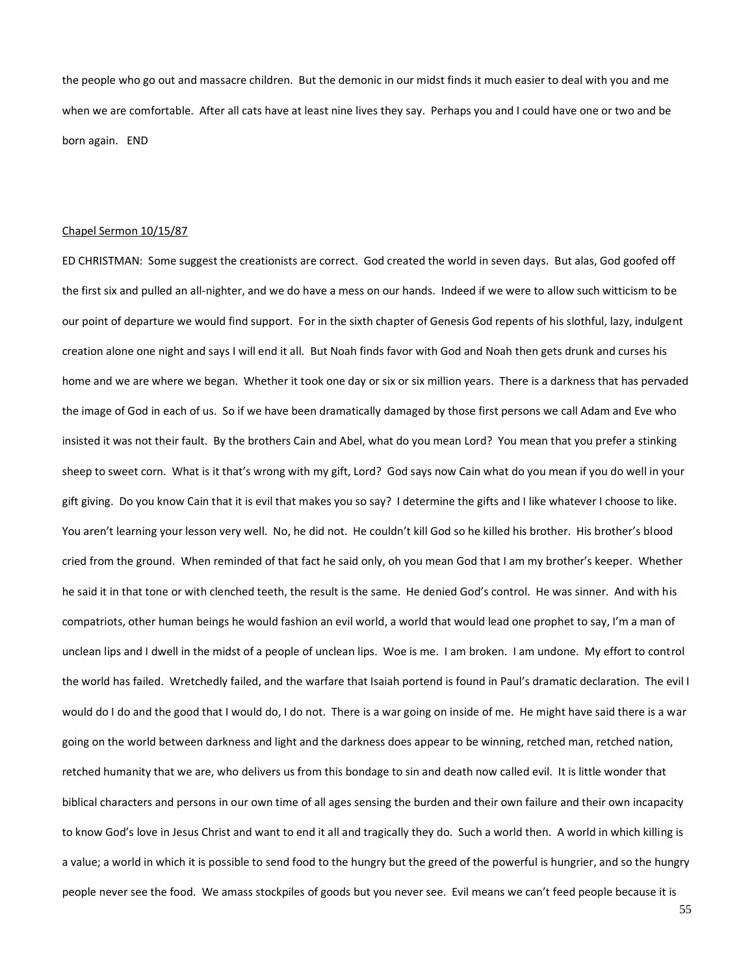the people who go out and massacre children. But the demonic in our midst finds it much easier to deal with you and me when we are comfortable. After all cats have at least nine lives they say. Perhaps you and I could have one or two and be born again. END

### Chapel Sermon 10/15/87

ED CHRISTMAN: Some suggest the creationists are correct. God created the world in seven days. But alas, God goofed off the first six and pulled an all-nighter, and we do have a mess on our hands. Indeed if we were to allow such witticism to be our point of departure we would find support. For in the sixth chapter of Genesis God repents of his slothful, lazy, indulgent creation alone one night and says I will end it all. But Noah finds favor with God and Noah then gets drunk and curses his home and we are where we began. Whether it took one day or six or six million years. There is a darkness that has pervaded the image of God in each of us. So if we have been dramatically damaged by those first persons we call Adam and Eve who insisted it was not their fault. By the brothers Cain and Abel, what do you mean Lord? You mean that you prefer a stinking sheep to sweet corn. What is it that's wrong with my gift, Lord? God says now Cain what do you mean if you do well in your gift giving. Do you know Cain that it is evil that makes you so say? I determine the gifts and I like whatever I choose to like. You aren't learning your lesson very well. No, he did not. He couldn't kill God so he killed his brother. His brother's blood cried from the ground. When reminded of that fact he said only, oh you mean God that I am my brother's keeper. Whether he said it in that tone or with clenched teeth, the result is the same. He denied God's control. He was sinner. And with his compatriots, other human beings he would fashion an evil world, a world that would lead one prophet to say, I'm a man of unclean lips and I dwell in the midst of a people of unclean lips. Woe is me. I am broken. I am undone. My effort to control the world has failed. Wretchedly failed, and the warfare that Isaiah portend is found in Paul's dramatic declaration. The evil I would do I do and the good that I would do, I do not. There is a war going on inside of me. He might have said there is a war going on the world between darkness and light and the darkness does appear to be winning, retched man, retched nation, retched humanity that we are, who delivers us from this bondage to sin and death now called evil. It is little wonder that biblical characters and persons in our own time of all ages sensing the burden and their own failure and their own incapacity to know God's love in Jesus Christ and want to end it all and tragically they do. Such a world then. A world in which killing is a value; a world in which it is possible to send food to the hungry but the greed of the powerful is hungrier, and so the hungry people never see the food. We amass stockpiles of goods but you never see. Evil means we can't feed people because it is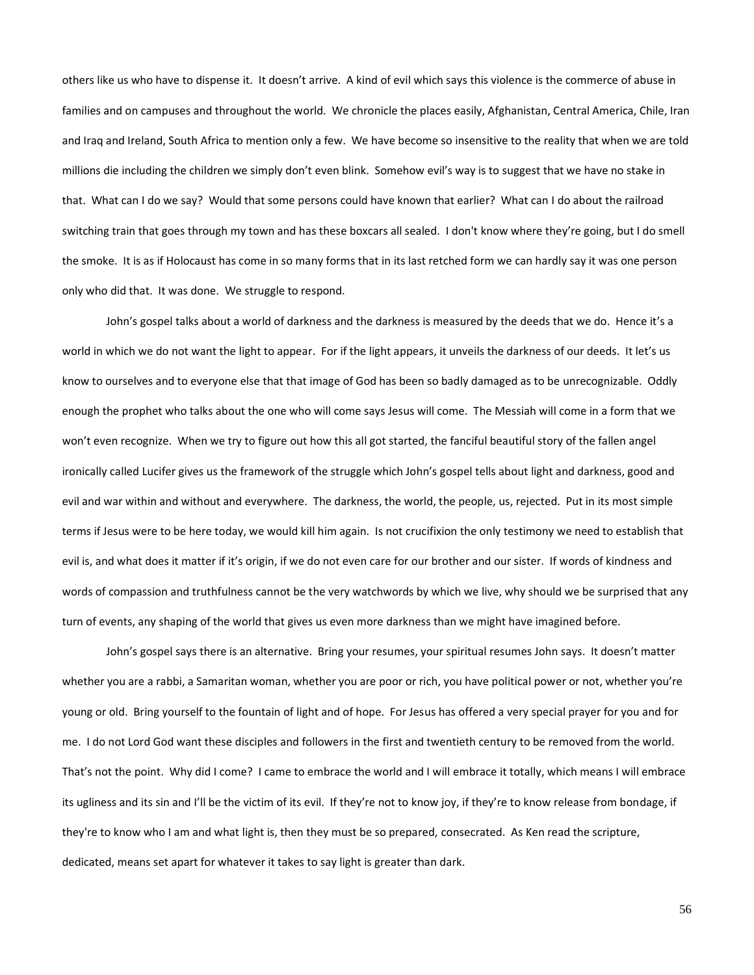others like us who have to dispense it. It doesn't arrive. A kind of evil which says this violence is the commerce of abuse in families and on campuses and throughout the world. We chronicle the places easily, Afghanistan, Central America, Chile, Iran and Iraq and Ireland, South Africa to mention only a few. We have become so insensitive to the reality that when we are told millions die including the children we simply don't even blink. Somehow evil's way is to suggest that we have no stake in that. What can I do we say? Would that some persons could have known that earlier? What can I do about the railroad switching train that goes through my town and has these boxcars all sealed. I don't know where they're going, but I do smell the smoke. It is as if Holocaust has come in so many forms that in its last retched form we can hardly say it was one person only who did that. It was done. We struggle to respond.

John's gospel talks about a world of darkness and the darkness is measured by the deeds that we do. Hence it's a world in which we do not want the light to appear. For if the light appears, it unveils the darkness of our deeds. It let's us know to ourselves and to everyone else that that image of God has been so badly damaged as to be unrecognizable. Oddly enough the prophet who talks about the one who will come says Jesus will come. The Messiah will come in a form that we won't even recognize. When we try to figure out how this all got started, the fanciful beautiful story of the fallen angel ironically called Lucifer gives us the framework of the struggle which John's gospel tells about light and darkness, good and evil and war within and without and everywhere. The darkness, the world, the people, us, rejected. Put in its most simple terms if Jesus were to be here today, we would kill him again. Is not crucifixion the only testimony we need to establish that evil is, and what does it matter if it's origin, if we do not even care for our brother and our sister. If words of kindness and words of compassion and truthfulness cannot be the very watchwords by which we live, why should we be surprised that any turn of events, any shaping of the world that gives us even more darkness than we might have imagined before.

John's gospel says there is an alternative. Bring your resumes, your spiritual resumes John says. It doesn't matter whether you are a rabbi, a Samaritan woman, whether you are poor or rich, you have political power or not, whether you're young or old. Bring yourself to the fountain of light and of hope. For Jesus has offered a very special prayer for you and for me. I do not Lord God want these disciples and followers in the first and twentieth century to be removed from the world. That's not the point. Why did I come? I came to embrace the world and I will embrace it totally, which means I will embrace its ugliness and its sin and I'll be the victim of its evil. If they're not to know joy, if they're to know release from bondage, if they're to know who I am and what light is, then they must be so prepared, consecrated. As Ken read the scripture, dedicated, means set apart for whatever it takes to say light is greater than dark.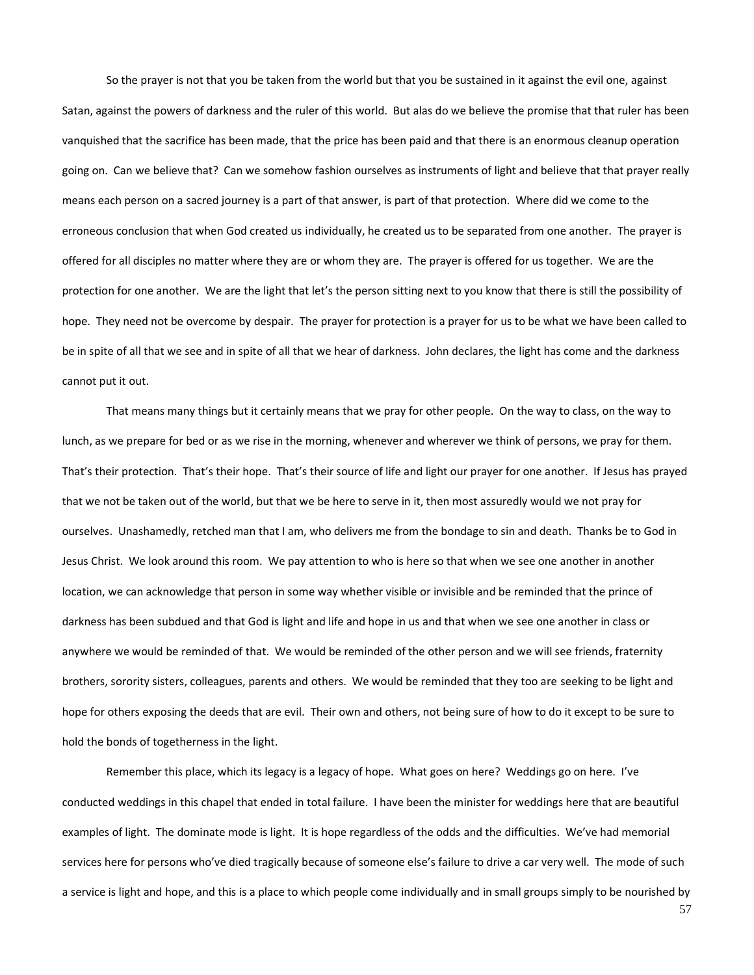So the prayer is not that you be taken from the world but that you be sustained in it against the evil one, against Satan, against the powers of darkness and the ruler of this world. But alas do we believe the promise that that ruler has been vanquished that the sacrifice has been made, that the price has been paid and that there is an enormous cleanup operation going on. Can we believe that? Can we somehow fashion ourselves as instruments of light and believe that that prayer really means each person on a sacred journey is a part of that answer, is part of that protection. Where did we come to the erroneous conclusion that when God created us individually, he created us to be separated from one another. The prayer is offered for all disciples no matter where they are or whom they are. The prayer is offered for us together. We are the protection for one another. We are the light that let's the person sitting next to you know that there is still the possibility of hope. They need not be overcome by despair. The prayer for protection is a prayer for us to be what we have been called to be in spite of all that we see and in spite of all that we hear of darkness. John declares, the light has come and the darkness cannot put it out.

That means many things but it certainly means that we pray for other people. On the way to class, on the way to lunch, as we prepare for bed or as we rise in the morning, whenever and wherever we think of persons, we pray for them. That's their protection. That's their hope. That's their source of life and light our prayer for one another. If Jesus has prayed that we not be taken out of the world, but that we be here to serve in it, then most assuredly would we not pray for ourselves. Unashamedly, retched man that I am, who delivers me from the bondage to sin and death. Thanks be to God in Jesus Christ. We look around this room. We pay attention to who is here so that when we see one another in another location, we can acknowledge that person in some way whether visible or invisible and be reminded that the prince of darkness has been subdued and that God is light and life and hope in us and that when we see one another in class or anywhere we would be reminded of that. We would be reminded of the other person and we will see friends, fraternity brothers, sorority sisters, colleagues, parents and others. We would be reminded that they too are seeking to be light and hope for others exposing the deeds that are evil. Their own and others, not being sure of how to do it except to be sure to hold the bonds of togetherness in the light.

Remember this place, which its legacy is a legacy of hope. What goes on here? Weddings go on here. I've conducted weddings in this chapel that ended in total failure. I have been the minister for weddings here that are beautiful examples of light. The dominate mode is light. It is hope regardless of the odds and the difficulties. We've had memorial services here for persons who've died tragically because of someone else's failure to drive a car very well. The mode of such a service is light and hope, and this is a place to which people come individually and in small groups simply to be nourished by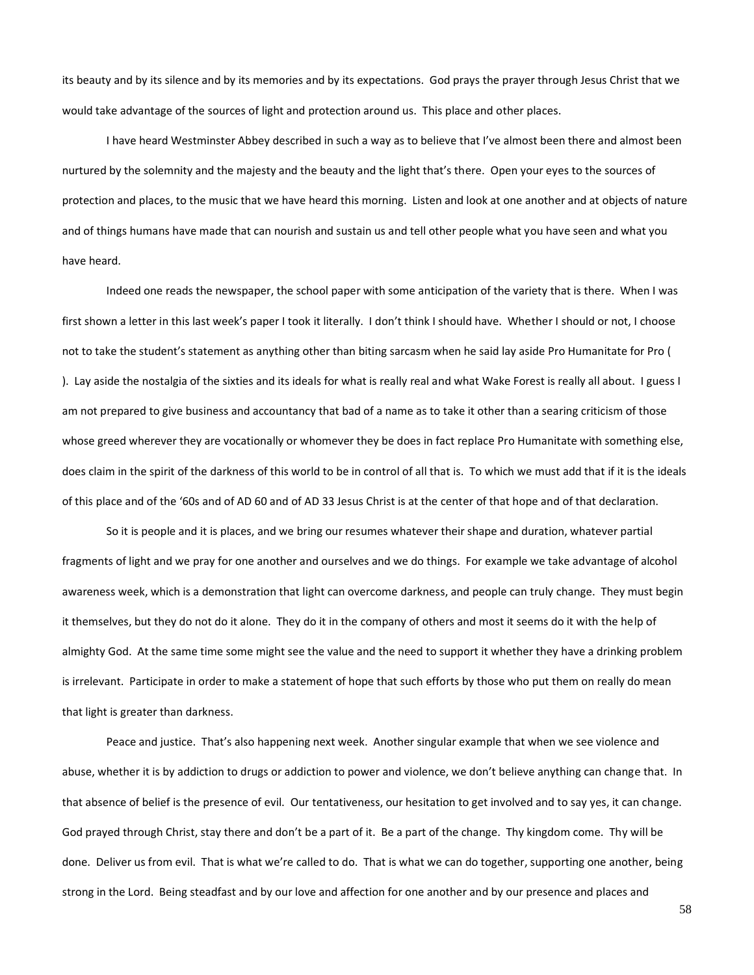its beauty and by its silence and by its memories and by its expectations. God prays the prayer through Jesus Christ that we would take advantage of the sources of light and protection around us. This place and other places.

I have heard Westminster Abbey described in such a way as to believe that I've almost been there and almost been nurtured by the solemnity and the majesty and the beauty and the light that's there. Open your eyes to the sources of protection and places, to the music that we have heard this morning. Listen and look at one another and at objects of nature and of things humans have made that can nourish and sustain us and tell other people what you have seen and what you have heard.

Indeed one reads the newspaper, the school paper with some anticipation of the variety that is there. When I was first shown a letter in this last week's paper I took it literally. I don't think I should have. Whether I should or not, I choose not to take the student's statement as anything other than biting sarcasm when he said lay aside Pro Humanitate for Pro ( ). Lay aside the nostalgia of the sixties and its ideals for what is really real and what Wake Forest is really all about. I guess I am not prepared to give business and accountancy that bad of a name as to take it other than a searing criticism of those whose greed wherever they are vocationally or whomever they be does in fact replace Pro Humanitate with something else, does claim in the spirit of the darkness of this world to be in control of all that is. To which we must add that if it is the ideals of this place and of the '60s and of AD 60 and of AD 33 Jesus Christ is at the center of that hope and of that declaration.

So it is people and it is places, and we bring our resumes whatever their shape and duration, whatever partial fragments of light and we pray for one another and ourselves and we do things. For example we take advantage of alcohol awareness week, which is a demonstration that light can overcome darkness, and people can truly change. They must begin it themselves, but they do not do it alone. They do it in the company of others and most it seems do it with the help of almighty God. At the same time some might see the value and the need to support it whether they have a drinking problem is irrelevant. Participate in order to make a statement of hope that such efforts by those who put them on really do mean that light is greater than darkness.

Peace and justice. That's also happening next week. Another singular example that when we see violence and abuse, whether it is by addiction to drugs or addiction to power and violence, we don't believe anything can change that. In that absence of belief is the presence of evil. Our tentativeness, our hesitation to get involved and to say yes, it can change. God prayed through Christ, stay there and don't be a part of it. Be a part of the change. Thy kingdom come. Thy will be done. Deliver us from evil. That is what we're called to do. That is what we can do together, supporting one another, being strong in the Lord. Being steadfast and by our love and affection for one another and by our presence and places and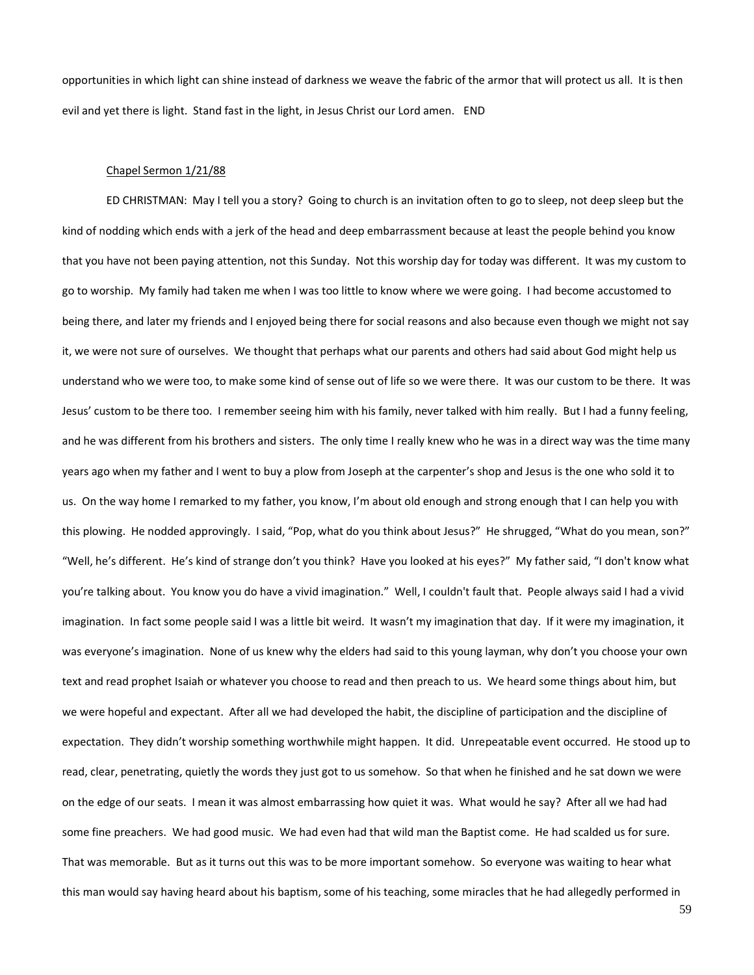opportunities in which light can shine instead of darkness we weave the fabric of the armor that will protect us all. It is then evil and yet there is light. Stand fast in the light, in Jesus Christ our Lord amen. END

#### Chapel Sermon 1/21/88

ED CHRISTMAN: May I tell you a story? Going to church is an invitation often to go to sleep, not deep sleep but the kind of nodding which ends with a jerk of the head and deep embarrassment because at least the people behind you know that you have not been paying attention, not this Sunday. Not this worship day for today was different. It was my custom to go to worship. My family had taken me when I was too little to know where we were going. I had become accustomed to being there, and later my friends and I enjoyed being there for social reasons and also because even though we might not say it, we were not sure of ourselves. We thought that perhaps what our parents and others had said about God might help us understand who we were too, to make some kind of sense out of life so we were there. It was our custom to be there. It was Jesus' custom to be there too. I remember seeing him with his family, never talked with him really. But I had a funny feeling, and he was different from his brothers and sisters. The only time I really knew who he was in a direct way was the time many years ago when my father and I went to buy a plow from Joseph at the carpenter's shop and Jesus is the one who sold it to us. On the way home I remarked to my father, you know, I'm about old enough and strong enough that I can help you with this plowing. He nodded approvingly. I said, "Pop, what do you think about Jesus?" He shrugged, "What do you mean, son?" "Well, he's different. He's kind of strange don't you think? Have you looked at his eyes?" My father said, "I don't know what you're talking about. You know you do have a vivid imagination." Well, I couldn't fault that. People always said I had a vivid imagination. In fact some people said I was a little bit weird. It wasn't my imagination that day. If it were my imagination, it was everyone's imagination. None of us knew why the elders had said to this young layman, why don't you choose your own text and read prophet Isaiah or whatever you choose to read and then preach to us. We heard some things about him, but we were hopeful and expectant. After all we had developed the habit, the discipline of participation and the discipline of expectation. They didn't worship something worthwhile might happen. It did. Unrepeatable event occurred. He stood up to read, clear, penetrating, quietly the words they just got to us somehow. So that when he finished and he sat down we were on the edge of our seats. I mean it was almost embarrassing how quiet it was. What would he say? After all we had had some fine preachers. We had good music. We had even had that wild man the Baptist come. He had scalded us for sure. That was memorable. But as it turns out this was to be more important somehow. So everyone was waiting to hear what this man would say having heard about his baptism, some of his teaching, some miracles that he had allegedly performed in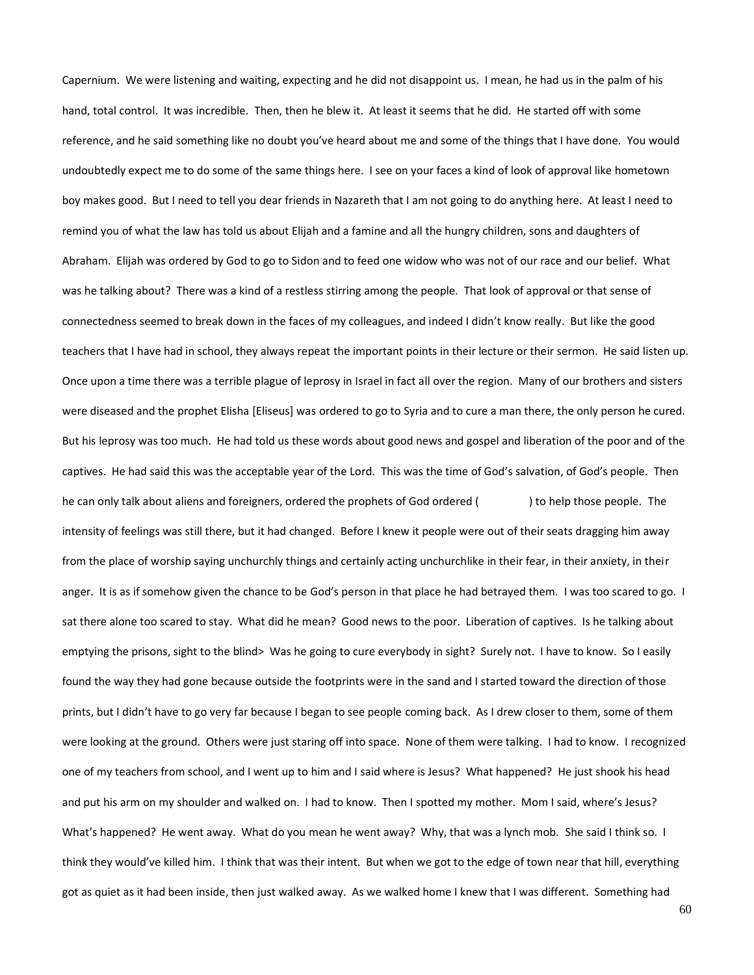Capernium. We were listening and waiting, expecting and he did not disappoint us. I mean, he had us in the palm of his hand, total control. It was incredible. Then, then he blew it. At least it seems that he did. He started off with some reference, and he said something like no doubt you've heard about me and some of the things that I have done. You would undoubtedly expect me to do some of the same things here. I see on your faces a kind of look of approval like hometown boy makes good. But I need to tell you dear friends in Nazareth that I am not going to do anything here. At least I need to remind you of what the law has told us about Elijah and a famine and all the hungry children, sons and daughters of Abraham. Elijah was ordered by God to go to Sidon and to feed one widow who was not of our race and our belief. What was he talking about? There was a kind of a restless stirring among the people. That look of approval or that sense of connectedness seemed to break down in the faces of my colleagues, and indeed I didn't know really. But like the good teachers that I have had in school, they always repeat the important points in their lecture or their sermon. He said listen up. Once upon a time there was a terrible plague of leprosy in Israel in fact all over the region. Many of our brothers and sisters were diseased and the prophet Elisha [Eliseus] was ordered to go to Syria and to cure a man there, the only person he cured. But his leprosy was too much. He had told us these words about good news and gospel and liberation of the poor and of the captives. He had said this was the acceptable year of the Lord. This was the time of God's salvation, of God's people. Then he can only talk about aliens and foreigners, ordered the prophets of God ordered () bo help those people. The intensity of feelings was still there, but it had changed. Before I knew it people were out of their seats dragging him away from the place of worship saying unchurchly things and certainly acting unchurchlike in their fear, in their anxiety, in their anger. It is as if somehow given the chance to be God's person in that place he had betrayed them. I was too scared to go. I sat there alone too scared to stay. What did he mean? Good news to the poor. Liberation of captives. Is he talking about emptying the prisons, sight to the blind> Was he going to cure everybody in sight? Surely not. I have to know. So I easily found the way they had gone because outside the footprints were in the sand and I started toward the direction of those prints, but I didn't have to go very far because I began to see people coming back. As I drew closer to them, some of them were looking at the ground. Others were just staring off into space. None of them were talking. I had to know. I recognized one of my teachers from school, and I went up to him and I said where is Jesus? What happened? He just shook his head and put his arm on my shoulder and walked on. I had to know. Then I spotted my mother. Mom I said, where's Jesus? What's happened? He went away. What do you mean he went away? Why, that was a lynch mob. She said I think so. I think they would've killed him. I think that was their intent. But when we got to the edge of town near that hill, everything got as quiet as it had been inside, then just walked away. As we walked home I knew that I was different. Something had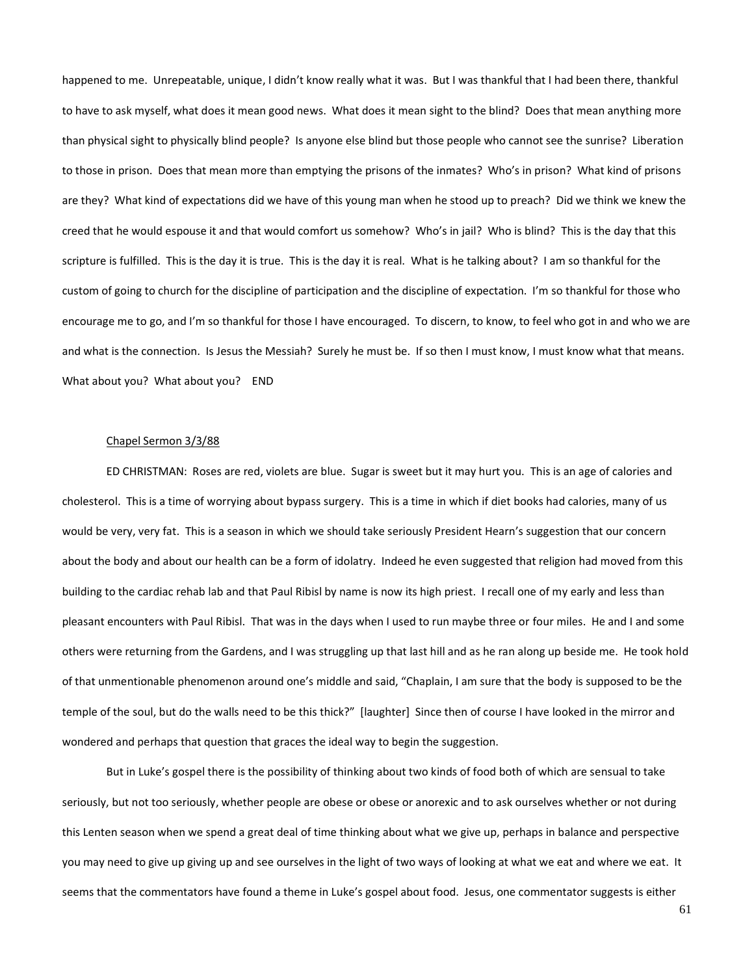happened to me. Unrepeatable, unique, I didn't know really what it was. But I was thankful that I had been there, thankful to have to ask myself, what does it mean good news. What does it mean sight to the blind? Does that mean anything more than physical sight to physically blind people? Is anyone else blind but those people who cannot see the sunrise? Liberation to those in prison. Does that mean more than emptying the prisons of the inmates? Who's in prison? What kind of prisons are they? What kind of expectations did we have of this young man when he stood up to preach? Did we think we knew the creed that he would espouse it and that would comfort us somehow? Who's in jail? Who is blind? This is the day that this scripture is fulfilled. This is the day it is true. This is the day it is real. What is he talking about? I am so thankful for the custom of going to church for the discipline of participation and the discipline of expectation. I'm so thankful for those who encourage me to go, and I'm so thankful for those I have encouraged. To discern, to know, to feel who got in and who we are and what is the connection. Is Jesus the Messiah? Surely he must be. If so then I must know, I must know what that means. What about you? What about you? END

## Chapel Sermon 3/3/88

ED CHRISTMAN: Roses are red, violets are blue. Sugar is sweet but it may hurt you. This is an age of calories and cholesterol. This is a time of worrying about bypass surgery. This is a time in which if diet books had calories, many of us would be very, very fat. This is a season in which we should take seriously President Hearn's suggestion that our concern about the body and about our health can be a form of idolatry. Indeed he even suggested that religion had moved from this building to the cardiac rehab lab and that Paul Ribisl by name is now its high priest. I recall one of my early and less than pleasant encounters with Paul Ribisl. That was in the days when I used to run maybe three or four miles. He and I and some others were returning from the Gardens, and I was struggling up that last hill and as he ran along up beside me. He took hold of that unmentionable phenomenon around one's middle and said, "Chaplain, I am sure that the body is supposed to be the temple of the soul, but do the walls need to be this thick?" [laughter] Since then of course I have looked in the mirror and wondered and perhaps that question that graces the ideal way to begin the suggestion.

But in Luke's gospel there is the possibility of thinking about two kinds of food both of which are sensual to take seriously, but not too seriously, whether people are obese or obese or anorexic and to ask ourselves whether or not during this Lenten season when we spend a great deal of time thinking about what we give up, perhaps in balance and perspective you may need to give up giving up and see ourselves in the light of two ways of looking at what we eat and where we eat. It seems that the commentators have found a theme in Luke's gospel about food. Jesus, one commentator suggests is either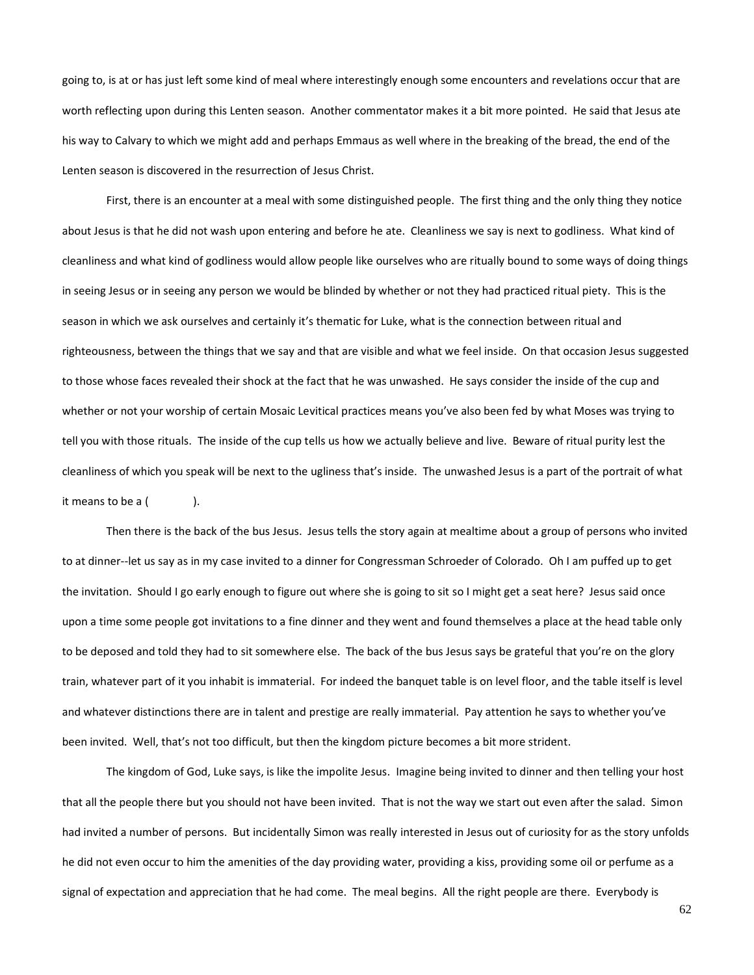going to, is at or has just left some kind of meal where interestingly enough some encounters and revelations occur that are worth reflecting upon during this Lenten season. Another commentator makes it a bit more pointed. He said that Jesus ate his way to Calvary to which we might add and perhaps Emmaus as well where in the breaking of the bread, the end of the Lenten season is discovered in the resurrection of Jesus Christ.

First, there is an encounter at a meal with some distinguished people. The first thing and the only thing they notice about Jesus is that he did not wash upon entering and before he ate. Cleanliness we say is next to godliness. What kind of cleanliness and what kind of godliness would allow people like ourselves who are ritually bound to some ways of doing things in seeing Jesus or in seeing any person we would be blinded by whether or not they had practiced ritual piety. This is the season in which we ask ourselves and certainly it's thematic for Luke, what is the connection between ritual and righteousness, between the things that we say and that are visible and what we feel inside. On that occasion Jesus suggested to those whose faces revealed their shock at the fact that he was unwashed. He says consider the inside of the cup and whether or not your worship of certain Mosaic Levitical practices means you've also been fed by what Moses was trying to tell you with those rituals. The inside of the cup tells us how we actually believe and live. Beware of ritual purity lest the cleanliness of which you speak will be next to the ugliness that's inside. The unwashed Jesus is a part of the portrait of what it means to be a (
).

Then there is the back of the bus Jesus. Jesus tells the story again at mealtime about a group of persons who invited to at dinner--let us say as in my case invited to a dinner for Congressman Schroeder of Colorado. Oh I am puffed up to get the invitation. Should I go early enough to figure out where she is going to sit so I might get a seat here? Jesus said once upon a time some people got invitations to a fine dinner and they went and found themselves a place at the head table only to be deposed and told they had to sit somewhere else. The back of the bus Jesus says be grateful that you're on the glory train, whatever part of it you inhabit is immaterial. For indeed the banquet table is on level floor, and the table itself is level and whatever distinctions there are in talent and prestige are really immaterial. Pay attention he says to whether you've been invited. Well, that's not too difficult, but then the kingdom picture becomes a bit more strident.

The kingdom of God, Luke says, is like the impolite Jesus. Imagine being invited to dinner and then telling your host that all the people there but you should not have been invited. That is not the way we start out even after the salad. Simon had invited a number of persons. But incidentally Simon was really interested in Jesus out of curiosity for as the story unfolds he did not even occur to him the amenities of the day providing water, providing a kiss, providing some oil or perfume as a signal of expectation and appreciation that he had come. The meal begins. All the right people are there. Everybody is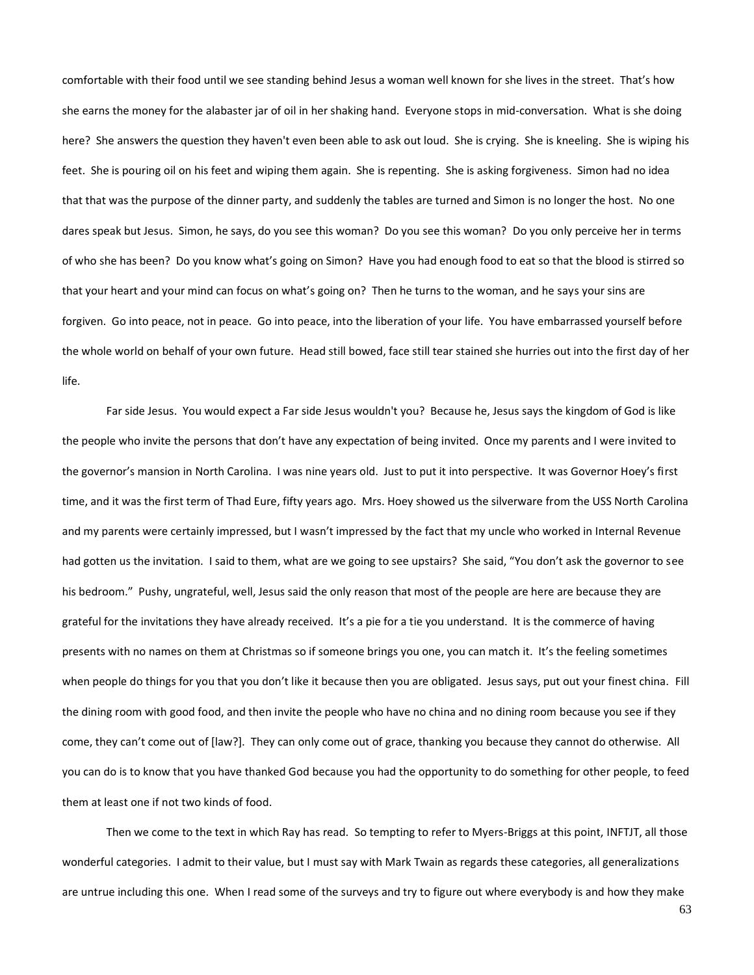comfortable with their food until we see standing behind Jesus a woman well known for she lives in the street. That's how she earns the money for the alabaster jar of oil in her shaking hand. Everyone stops in mid-conversation. What is she doing here? She answers the question they haven't even been able to ask out loud. She is crying. She is kneeling. She is wiping his feet. She is pouring oil on his feet and wiping them again. She is repenting. She is asking forgiveness. Simon had no idea that that was the purpose of the dinner party, and suddenly the tables are turned and Simon is no longer the host. No one dares speak but Jesus. Simon, he says, do you see this woman? Do you see this woman? Do you only perceive her in terms of who she has been? Do you know what's going on Simon? Have you had enough food to eat so that the blood is stirred so that your heart and your mind can focus on what's going on? Then he turns to the woman, and he says your sins are forgiven. Go into peace, not in peace. Go into peace, into the liberation of your life. You have embarrassed yourself before the whole world on behalf of your own future. Head still bowed, face still tear stained she hurries out into the first day of her life.

Far side Jesus. You would expect a Far side Jesus wouldn't you? Because he, Jesus says the kingdom of God is like the people who invite the persons that don't have any expectation of being invited. Once my parents and I were invited to the governor's mansion in North Carolina. I was nine years old. Just to put it into perspective. It was Governor Hoey's first time, and it was the first term of Thad Eure, fifty years ago. Mrs. Hoey showed us the silverware from the USS North Carolina and my parents were certainly impressed, but I wasn't impressed by the fact that my uncle who worked in Internal Revenue had gotten us the invitation. I said to them, what are we going to see upstairs? She said, "You don't ask the governor to see his bedroom." Pushy, ungrateful, well, Jesus said the only reason that most of the people are here are because they are grateful for the invitations they have already received. It's a pie for a tie you understand. It is the commerce of having presents with no names on them at Christmas so if someone brings you one, you can match it. It's the feeling sometimes when people do things for you that you don't like it because then you are obligated. Jesus says, put out your finest china. Fill the dining room with good food, and then invite the people who have no china and no dining room because you see if they come, they can't come out of [law?]. They can only come out of grace, thanking you because they cannot do otherwise. All you can do is to know that you have thanked God because you had the opportunity to do something for other people, to feed them at least one if not two kinds of food.

Then we come to the text in which Ray has read. So tempting to refer to Myers-Briggs at this point, INFTJT, all those wonderful categories. I admit to their value, but I must say with Mark Twain as regards these categories, all generalizations are untrue including this one. When I read some of the surveys and try to figure out where everybody is and how they make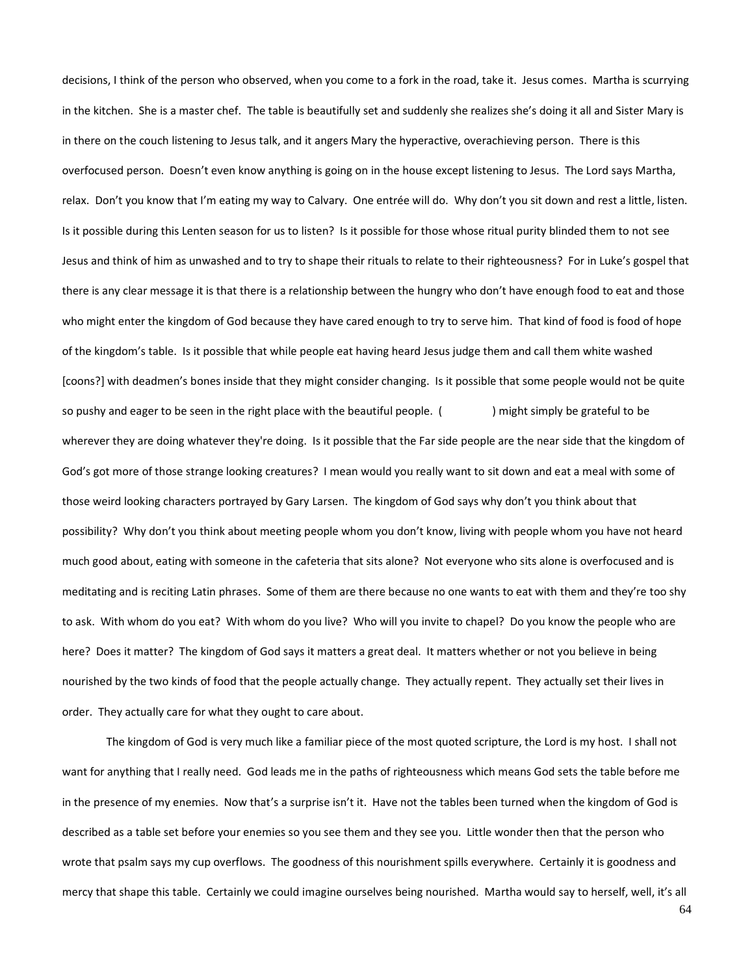decisions, I think of the person who observed, when you come to a fork in the road, take it. Jesus comes. Martha is scurrying in the kitchen. She is a master chef. The table is beautifully set and suddenly she realizes she's doing it all and Sister Mary is in there on the couch listening to Jesus talk, and it angers Mary the hyperactive, overachieving person. There is this overfocused person. Doesn't even know anything is going on in the house except listening to Jesus. The Lord says Martha, relax. Don't you know that I'm eating my way to Calvary. One entrée will do. Why don't you sit down and rest a little, listen. Is it possible during this Lenten season for us to listen? Is it possible for those whose ritual purity blinded them to not see Jesus and think of him as unwashed and to try to shape their rituals to relate to their righteousness? For in Luke's gospel that there is any clear message it is that there is a relationship between the hungry who don't have enough food to eat and those who might enter the kingdom of God because they have cared enough to try to serve him. That kind of food is food of hope of the kingdom's table. Is it possible that while people eat having heard Jesus judge them and call them white washed [coons?] with deadmen's bones inside that they might consider changing. Is it possible that some people would not be quite so pushy and eager to be seen in the right place with the beautiful people. () might simply be grateful to be wherever they are doing whatever they're doing. Is it possible that the Far side people are the near side that the kingdom of God's got more of those strange looking creatures? I mean would you really want to sit down and eat a meal with some of those weird looking characters portrayed by Gary Larsen. The kingdom of God says why don't you think about that possibility? Why don't you think about meeting people whom you don't know, living with people whom you have not heard much good about, eating with someone in the cafeteria that sits alone? Not everyone who sits alone is overfocused and is meditating and is reciting Latin phrases. Some of them are there because no one wants to eat with them and they're too shy to ask. With whom do you eat? With whom do you live? Who will you invite to chapel? Do you know the people who are here? Does it matter? The kingdom of God says it matters a great deal. It matters whether or not you believe in being nourished by the two kinds of food that the people actually change. They actually repent. They actually set their lives in order. They actually care for what they ought to care about.

The kingdom of God is very much like a familiar piece of the most quoted scripture, the Lord is my host. I shall not want for anything that I really need. God leads me in the paths of righteousness which means God sets the table before me in the presence of my enemies. Now that's a surprise isn't it. Have not the tables been turned when the kingdom of God is described as a table set before your enemies so you see them and they see you. Little wonder then that the person who wrote that psalm says my cup overflows. The goodness of this nourishment spills everywhere. Certainly it is goodness and mercy that shape this table. Certainly we could imagine ourselves being nourished. Martha would say to herself, well, it's all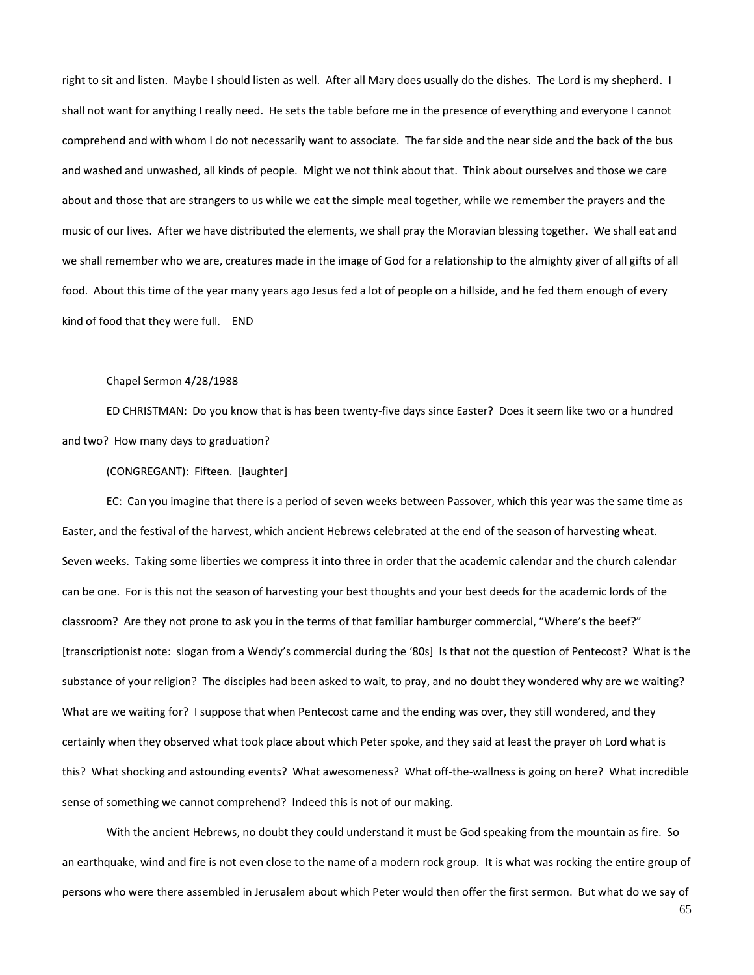right to sit and listen. Maybe I should listen as well. After all Mary does usually do the dishes. The Lord is my shepherd. I shall not want for anything I really need. He sets the table before me in the presence of everything and everyone I cannot comprehend and with whom I do not necessarily want to associate. The far side and the near side and the back of the bus and washed and unwashed, all kinds of people. Might we not think about that. Think about ourselves and those we care about and those that are strangers to us while we eat the simple meal together, while we remember the prayers and the music of our lives. After we have distributed the elements, we shall pray the Moravian blessing together. We shall eat and we shall remember who we are, creatures made in the image of God for a relationship to the almighty giver of all gifts of all food. About this time of the year many years ago Jesus fed a lot of people on a hillside, and he fed them enough of every kind of food that they were full. END

### Chapel Sermon 4/28/1988

ED CHRISTMAN: Do you know that is has been twenty-five days since Easter? Does it seem like two or a hundred and two? How many days to graduation?

## (CONGREGANT): Fifteen. [laughter]

EC: Can you imagine that there is a period of seven weeks between Passover, which this year was the same time as Easter, and the festival of the harvest, which ancient Hebrews celebrated at the end of the season of harvesting wheat. Seven weeks. Taking some liberties we compress it into three in order that the academic calendar and the church calendar can be one. For is this not the season of harvesting your best thoughts and your best deeds for the academic lords of the classroom? Are they not prone to ask you in the terms of that familiar hamburger commercial, "Where's the beef?" [transcriptionist note: slogan from a Wendy's commercial during the '80s] Is that not the question of Pentecost? What is the substance of your religion? The disciples had been asked to wait, to pray, and no doubt they wondered why are we waiting? What are we waiting for? I suppose that when Pentecost came and the ending was over, they still wondered, and they certainly when they observed what took place about which Peter spoke, and they said at least the prayer oh Lord what is this? What shocking and astounding events? What awesomeness? What off-the-wallness is going on here? What incredible sense of something we cannot comprehend? Indeed this is not of our making.

With the ancient Hebrews, no doubt they could understand it must be God speaking from the mountain as fire. So an earthquake, wind and fire is not even close to the name of a modern rock group. It is what was rocking the entire group of persons who were there assembled in Jerusalem about which Peter would then offer the first sermon. But what do we say of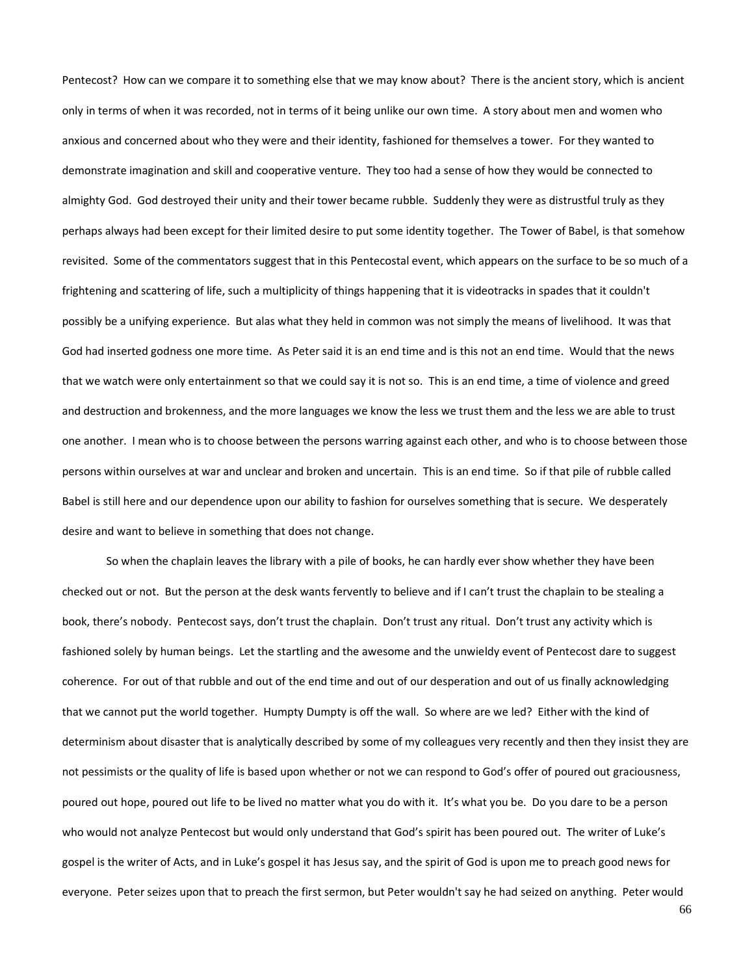Pentecost? How can we compare it to something else that we may know about? There is the ancient story, which is ancient only in terms of when it was recorded, not in terms of it being unlike our own time. A story about men and women who anxious and concerned about who they were and their identity, fashioned for themselves a tower. For they wanted to demonstrate imagination and skill and cooperative venture. They too had a sense of how they would be connected to almighty God. God destroyed their unity and their tower became rubble. Suddenly they were as distrustful truly as they perhaps always had been except for their limited desire to put some identity together. The Tower of Babel, is that somehow revisited. Some of the commentators suggest that in this Pentecostal event, which appears on the surface to be so much of a frightening and scattering of life, such a multiplicity of things happening that it is videotracks in spades that it couldn't possibly be a unifying experience. But alas what they held in common was not simply the means of livelihood. It was that God had inserted godness one more time. As Peter said it is an end time and is this not an end time. Would that the news that we watch were only entertainment so that we could say it is not so. This is an end time, a time of violence and greed and destruction and brokenness, and the more languages we know the less we trust them and the less we are able to trust one another. I mean who is to choose between the persons warring against each other, and who is to choose between those persons within ourselves at war and unclear and broken and uncertain. This is an end time. So if that pile of rubble called Babel is still here and our dependence upon our ability to fashion for ourselves something that is secure. We desperately desire and want to believe in something that does not change.

So when the chaplain leaves the library with a pile of books, he can hardly ever show whether they have been checked out or not. But the person at the desk wants fervently to believe and if I can't trust the chaplain to be stealing a book, there's nobody. Pentecost says, don't trust the chaplain. Don't trust any ritual. Don't trust any activity which is fashioned solely by human beings. Let the startling and the awesome and the unwieldy event of Pentecost dare to suggest coherence. For out of that rubble and out of the end time and out of our desperation and out of us finally acknowledging that we cannot put the world together. Humpty Dumpty is off the wall. So where are we led? Either with the kind of determinism about disaster that is analytically described by some of my colleagues very recently and then they insist they are not pessimists or the quality of life is based upon whether or not we can respond to God's offer of poured out graciousness, poured out hope, poured out life to be lived no matter what you do with it. It's what you be. Do you dare to be a person who would not analyze Pentecost but would only understand that God's spirit has been poured out. The writer of Luke's gospel is the writer of Acts, and in Luke's gospel it has Jesus say, and the spirit of God is upon me to preach good news for everyone. Peter seizes upon that to preach the first sermon, but Peter wouldn't say he had seized on anything. Peter would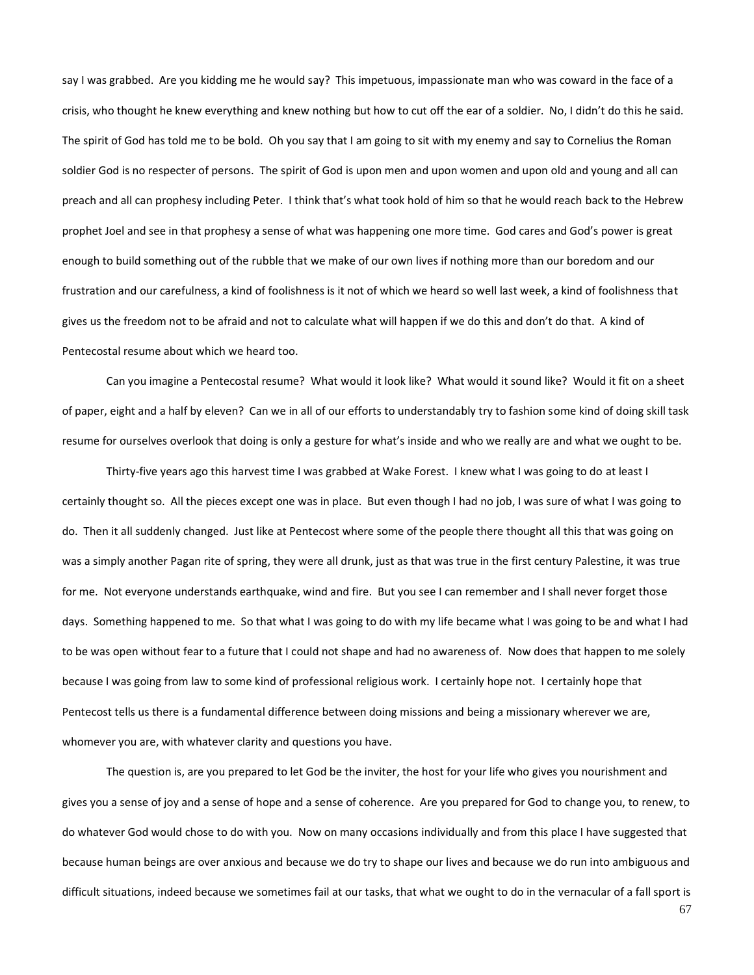say I was grabbed. Are you kidding me he would say? This impetuous, impassionate man who was coward in the face of a crisis, who thought he knew everything and knew nothing but how to cut off the ear of a soldier. No, I didn't do this he said. The spirit of God has told me to be bold. Oh you say that I am going to sit with my enemy and say to Cornelius the Roman soldier God is no respecter of persons. The spirit of God is upon men and upon women and upon old and young and all can preach and all can prophesy including Peter. I think that's what took hold of him so that he would reach back to the Hebrew prophet Joel and see in that prophesy a sense of what was happening one more time. God cares and God's power is great enough to build something out of the rubble that we make of our own lives if nothing more than our boredom and our frustration and our carefulness, a kind of foolishness is it not of which we heard so well last week, a kind of foolishness that gives us the freedom not to be afraid and not to calculate what will happen if we do this and don't do that. A kind of Pentecostal resume about which we heard too.

Can you imagine a Pentecostal resume? What would it look like? What would it sound like? Would it fit on a sheet of paper, eight and a half by eleven? Can we in all of our efforts to understandably try to fashion some kind of doing skill task resume for ourselves overlook that doing is only a gesture for what's inside and who we really are and what we ought to be.

Thirty-five years ago this harvest time I was grabbed at Wake Forest. I knew what I was going to do at least I certainly thought so. All the pieces except one was in place. But even though I had no job, I was sure of what I was going to do. Then it all suddenly changed. Just like at Pentecost where some of the people there thought all this that was going on was a simply another Pagan rite of spring, they were all drunk, just as that was true in the first century Palestine, it was true for me. Not everyone understands earthquake, wind and fire. But you see I can remember and I shall never forget those days. Something happened to me. So that what I was going to do with my life became what I was going to be and what I had to be was open without fear to a future that I could not shape and had no awareness of. Now does that happen to me solely because I was going from law to some kind of professional religious work. I certainly hope not. I certainly hope that Pentecost tells us there is a fundamental difference between doing missions and being a missionary wherever we are, whomever you are, with whatever clarity and questions you have.

The question is, are you prepared to let God be the inviter, the host for your life who gives you nourishment and gives you a sense of joy and a sense of hope and a sense of coherence. Are you prepared for God to change you, to renew, to do whatever God would chose to do with you. Now on many occasions individually and from this place I have suggested that because human beings are over anxious and because we do try to shape our lives and because we do run into ambiguous and difficult situations, indeed because we sometimes fail at our tasks, that what we ought to do in the vernacular of a fall sport is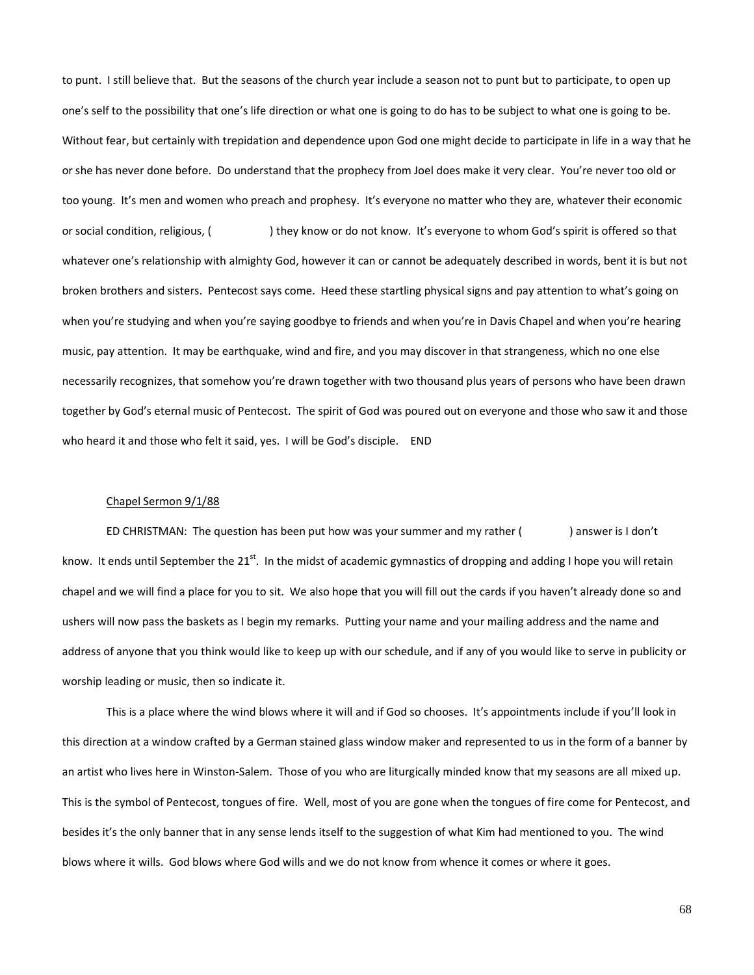to punt. I still believe that. But the seasons of the church year include a season not to punt but to participate, to open up one's self to the possibility that one's life direction or what one is going to do has to be subject to what one is going to be. Without fear, but certainly with trepidation and dependence upon God one might decide to participate in life in a way that he or she has never done before. Do understand that the prophecy from Joel does make it very clear. You're never too old or too young. It's men and women who preach and prophesy. It's everyone no matter who they are, whatever their economic or social condition, religious, ( ) they know or do not know. It's everyone to whom God's spirit is offered so that whatever one's relationship with almighty God, however it can or cannot be adequately described in words, bent it is but not broken brothers and sisters. Pentecost says come. Heed these startling physical signs and pay attention to what's going on when you're studying and when you're saying goodbye to friends and when you're in Davis Chapel and when you're hearing music, pay attention. It may be earthquake, wind and fire, and you may discover in that strangeness, which no one else necessarily recognizes, that somehow you're drawn together with two thousand plus years of persons who have been drawn together by God's eternal music of Pentecost. The spirit of God was poured out on everyone and those who saw it and those who heard it and those who felt it said, yes. I will be God's disciple. END

# Chapel Sermon 9/1/88

ED CHRISTMAN: The question has been put how was your summer and my rather () answer is I don't know. It ends until September the 21<sup>st</sup>. In the midst of academic gymnastics of dropping and adding I hope you will retain chapel and we will find a place for you to sit. We also hope that you will fill out the cards if you haven't already done so and ushers will now pass the baskets as I begin my remarks. Putting your name and your mailing address and the name and address of anyone that you think would like to keep up with our schedule, and if any of you would like to serve in publicity or worship leading or music, then so indicate it.

This is a place where the wind blows where it will and if God so chooses. It's appointments include if you'll look in this direction at a window crafted by a German stained glass window maker and represented to us in the form of a banner by an artist who lives here in Winston-Salem. Those of you who are liturgically minded know that my seasons are all mixed up. This is the symbol of Pentecost, tongues of fire. Well, most of you are gone when the tongues of fire come for Pentecost, and besides it's the only banner that in any sense lends itself to the suggestion of what Kim had mentioned to you. The wind blows where it wills. God blows where God wills and we do not know from whence it comes or where it goes.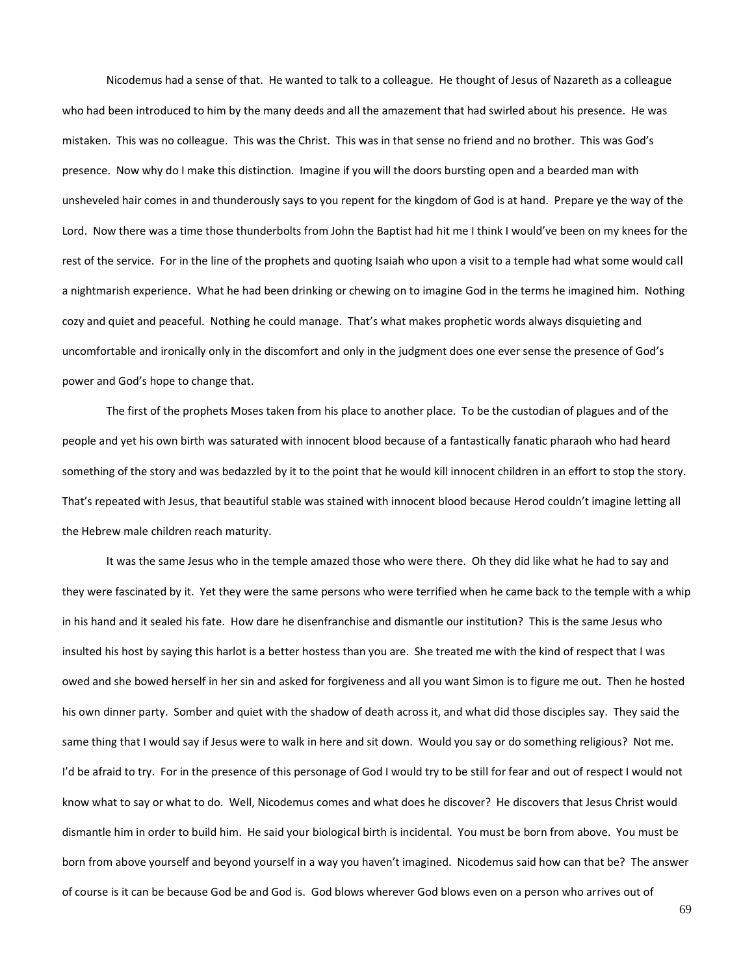Nicodemus had a sense of that. He wanted to talk to a colleague. He thought of Jesus of Nazareth as a colleague who had been introduced to him by the many deeds and all the amazement that had swirled about his presence. He was mistaken. This was no colleague. This was the Christ. This was in that sense no friend and no brother. This was God's presence. Now why do I make this distinction. Imagine if you will the doors bursting open and a bearded man with unsheveled hair comes in and thunderously says to you repent for the kingdom of God is at hand. Prepare ye the way of the Lord. Now there was a time those thunderbolts from John the Baptist had hit me I think I would've been on my knees for the rest of the service. For in the line of the prophets and quoting Isaiah who upon a visit to a temple had what some would call a nightmarish experience. What he had been drinking or chewing on to imagine God in the terms he imagined him. Nothing cozy and quiet and peaceful. Nothing he could manage. That's what makes prophetic words always disquieting and uncomfortable and ironically only in the discomfort and only in the judgment does one ever sense the presence of God's power and God's hope to change that.

The first of the prophets Moses taken from his place to another place. To be the custodian of plagues and of the people and yet his own birth was saturated with innocent blood because of a fantastically fanatic pharaoh who had heard something of the story and was bedazzled by it to the point that he would kill innocent children in an effort to stop the story. That's repeated with Jesus, that beautiful stable was stained with innocent blood because Herod couldn't imagine letting all the Hebrew male children reach maturity.

It was the same Jesus who in the temple amazed those who were there. Oh they did like what he had to say and they were fascinated by it. Yet they were the same persons who were terrified when he came back to the temple with a whip in his hand and it sealed his fate. How dare he disenfranchise and dismantle our institution? This is the same Jesus who insulted his host by saying this harlot is a better hostess than you are. She treated me with the kind of respect that I was owed and she bowed herself in her sin and asked for forgiveness and all you want Simon is to figure me out. Then he hosted his own dinner party. Somber and quiet with the shadow of death across it, and what did those disciples say. They said the same thing that I would say if Jesus were to walk in here and sit down. Would you say or do something religious? Not me. I'd be afraid to try. For in the presence of this personage of God I would try to be still for fear and out of respect I would not know what to say or what to do. Well, Nicodemus comes and what does he discover? He discovers that Jesus Christ would dismantle him in order to build him. He said your biological birth is incidental. You must be born from above. You must be born from above yourself and beyond yourself in a way you haven't imagined. Nicodemus said how can that be? The answer of course is it can be because God be and God is. God blows wherever God blows even on a person who arrives out of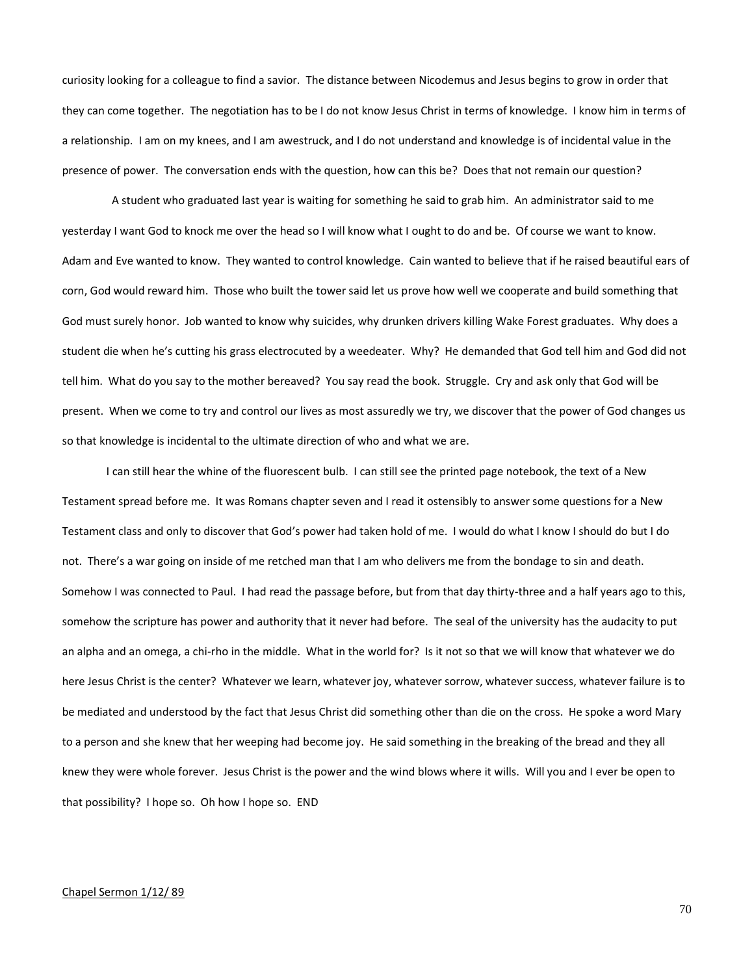curiosity looking for a colleague to find a savior. The distance between Nicodemus and Jesus begins to grow in order that they can come together. The negotiation has to be I do not know Jesus Christ in terms of knowledge. I know him in terms of a relationship. I am on my knees, and I am awestruck, and I do not understand and knowledge is of incidental value in the presence of power. The conversation ends with the question, how can this be? Does that not remain our question?

 A student who graduated last year is waiting for something he said to grab him. An administrator said to me yesterday I want God to knock me over the head so I will know what I ought to do and be. Of course we want to know. Adam and Eve wanted to know. They wanted to control knowledge. Cain wanted to believe that if he raised beautiful ears of corn, God would reward him. Those who built the tower said let us prove how well we cooperate and build something that God must surely honor. Job wanted to know why suicides, why drunken drivers killing Wake Forest graduates. Why does a student die when he's cutting his grass electrocuted by a weedeater. Why? He demanded that God tell him and God did not tell him. What do you say to the mother bereaved? You say read the book. Struggle. Cry and ask only that God will be present. When we come to try and control our lives as most assuredly we try, we discover that the power of God changes us so that knowledge is incidental to the ultimate direction of who and what we are.

I can still hear the whine of the fluorescent bulb. I can still see the printed page notebook, the text of a New Testament spread before me. It was Romans chapter seven and I read it ostensibly to answer some questions for a New Testament class and only to discover that God's power had taken hold of me. I would do what I know I should do but I do not. There's a war going on inside of me retched man that I am who delivers me from the bondage to sin and death. Somehow I was connected to Paul. I had read the passage before, but from that day thirty-three and a half years ago to this, somehow the scripture has power and authority that it never had before. The seal of the university has the audacity to put an alpha and an omega, a chi-rho in the middle. What in the world for? Is it not so that we will know that whatever we do here Jesus Christ is the center? Whatever we learn, whatever joy, whatever sorrow, whatever success, whatever failure is to be mediated and understood by the fact that Jesus Christ did something other than die on the cross. He spoke a word Mary to a person and she knew that her weeping had become joy. He said something in the breaking of the bread and they all knew they were whole forever. Jesus Christ is the power and the wind blows where it wills. Will you and I ever be open to that possibility? I hope so. Oh how I hope so. END

## Chapel Sermon 1/12/ 89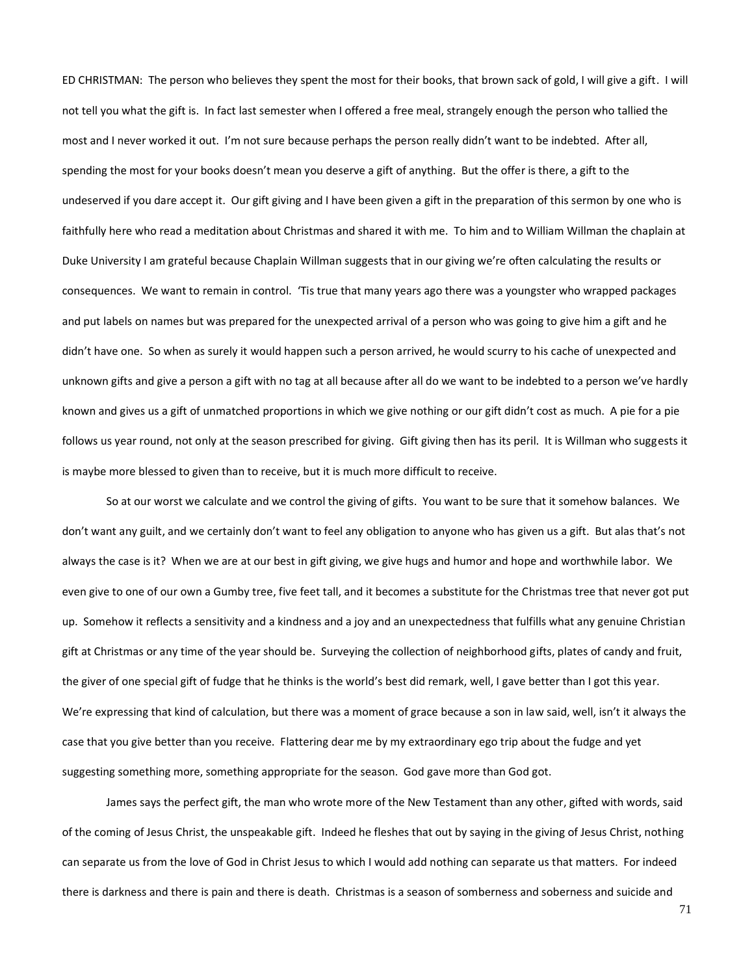ED CHRISTMAN: The person who believes they spent the most for their books, that brown sack of gold, I will give a gift. I will not tell you what the gift is. In fact last semester when I offered a free meal, strangely enough the person who tallied the most and I never worked it out. I'm not sure because perhaps the person really didn't want to be indebted. After all, spending the most for your books doesn't mean you deserve a gift of anything. But the offer is there, a gift to the undeserved if you dare accept it. Our gift giving and I have been given a gift in the preparation of this sermon by one who is faithfully here who read a meditation about Christmas and shared it with me. To him and to William Willman the chaplain at Duke University I am grateful because Chaplain Willman suggests that in our giving we're often calculating the results or consequences. We want to remain in control. 'Tis true that many years ago there was a youngster who wrapped packages and put labels on names but was prepared for the unexpected arrival of a person who was going to give him a gift and he didn't have one. So when as surely it would happen such a person arrived, he would scurry to his cache of unexpected and unknown gifts and give a person a gift with no tag at all because after all do we want to be indebted to a person we've hardly known and gives us a gift of unmatched proportions in which we give nothing or our gift didn't cost as much. A pie for a pie follows us year round, not only at the season prescribed for giving. Gift giving then has its peril. It is Willman who suggests it is maybe more blessed to given than to receive, but it is much more difficult to receive.

So at our worst we calculate and we control the giving of gifts. You want to be sure that it somehow balances. We don't want any guilt, and we certainly don't want to feel any obligation to anyone who has given us a gift. But alas that's not always the case is it? When we are at our best in gift giving, we give hugs and humor and hope and worthwhile labor. We even give to one of our own a Gumby tree, five feet tall, and it becomes a substitute for the Christmas tree that never got put up. Somehow it reflects a sensitivity and a kindness and a joy and an unexpectedness that fulfills what any genuine Christian gift at Christmas or any time of the year should be. Surveying the collection of neighborhood gifts, plates of candy and fruit, the giver of one special gift of fudge that he thinks is the world's best did remark, well, I gave better than I got this year. We're expressing that kind of calculation, but there was a moment of grace because a son in law said, well, isn't it always the case that you give better than you receive. Flattering dear me by my extraordinary ego trip about the fudge and yet suggesting something more, something appropriate for the season. God gave more than God got.

James says the perfect gift, the man who wrote more of the New Testament than any other, gifted with words, said of the coming of Jesus Christ, the unspeakable gift. Indeed he fleshes that out by saying in the giving of Jesus Christ, nothing can separate us from the love of God in Christ Jesus to which I would add nothing can separate us that matters. For indeed there is darkness and there is pain and there is death. Christmas is a season of somberness and soberness and suicide and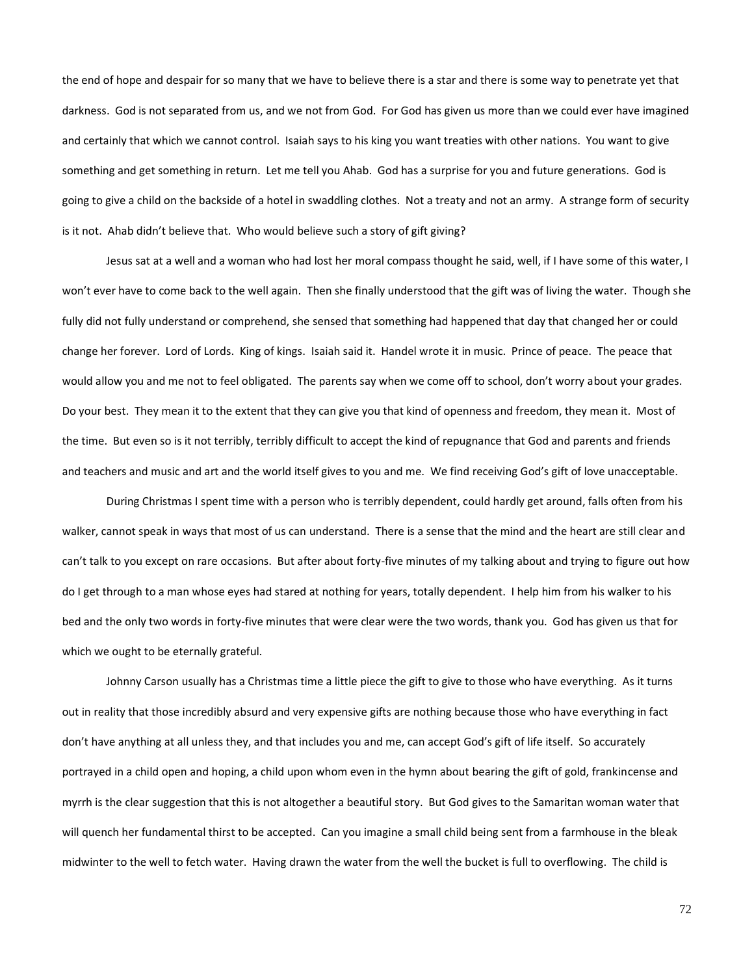the end of hope and despair for so many that we have to believe there is a star and there is some way to penetrate yet that darkness. God is not separated from us, and we not from God. For God has given us more than we could ever have imagined and certainly that which we cannot control. Isaiah says to his king you want treaties with other nations. You want to give something and get something in return. Let me tell you Ahab. God has a surprise for you and future generations. God is going to give a child on the backside of a hotel in swaddling clothes. Not a treaty and not an army. A strange form of security is it not. Ahab didn't believe that. Who would believe such a story of gift giving?

Jesus sat at a well and a woman who had lost her moral compass thought he said, well, if I have some of this water, I won't ever have to come back to the well again. Then she finally understood that the gift was of living the water. Though she fully did not fully understand or comprehend, she sensed that something had happened that day that changed her or could change her forever. Lord of Lords. King of kings. Isaiah said it. Handel wrote it in music. Prince of peace. The peace that would allow you and me not to feel obligated. The parents say when we come off to school, don't worry about your grades. Do your best. They mean it to the extent that they can give you that kind of openness and freedom, they mean it. Most of the time. But even so is it not terribly, terribly difficult to accept the kind of repugnance that God and parents and friends and teachers and music and art and the world itself gives to you and me. We find receiving God's gift of love unacceptable.

During Christmas I spent time with a person who is terribly dependent, could hardly get around, falls often from his walker, cannot speak in ways that most of us can understand. There is a sense that the mind and the heart are still clear and can't talk to you except on rare occasions. But after about forty-five minutes of my talking about and trying to figure out how do I get through to a man whose eyes had stared at nothing for years, totally dependent. I help him from his walker to his bed and the only two words in forty-five minutes that were clear were the two words, thank you. God has given us that for which we ought to be eternally grateful.

Johnny Carson usually has a Christmas time a little piece the gift to give to those who have everything. As it turns out in reality that those incredibly absurd and very expensive gifts are nothing because those who have everything in fact don't have anything at all unless they, and that includes you and me, can accept God's gift of life itself. So accurately portrayed in a child open and hoping, a child upon whom even in the hymn about bearing the gift of gold, frankincense and myrrh is the clear suggestion that this is not altogether a beautiful story. But God gives to the Samaritan woman water that will quench her fundamental thirst to be accepted. Can you imagine a small child being sent from a farmhouse in the bleak midwinter to the well to fetch water. Having drawn the water from the well the bucket is full to overflowing. The child is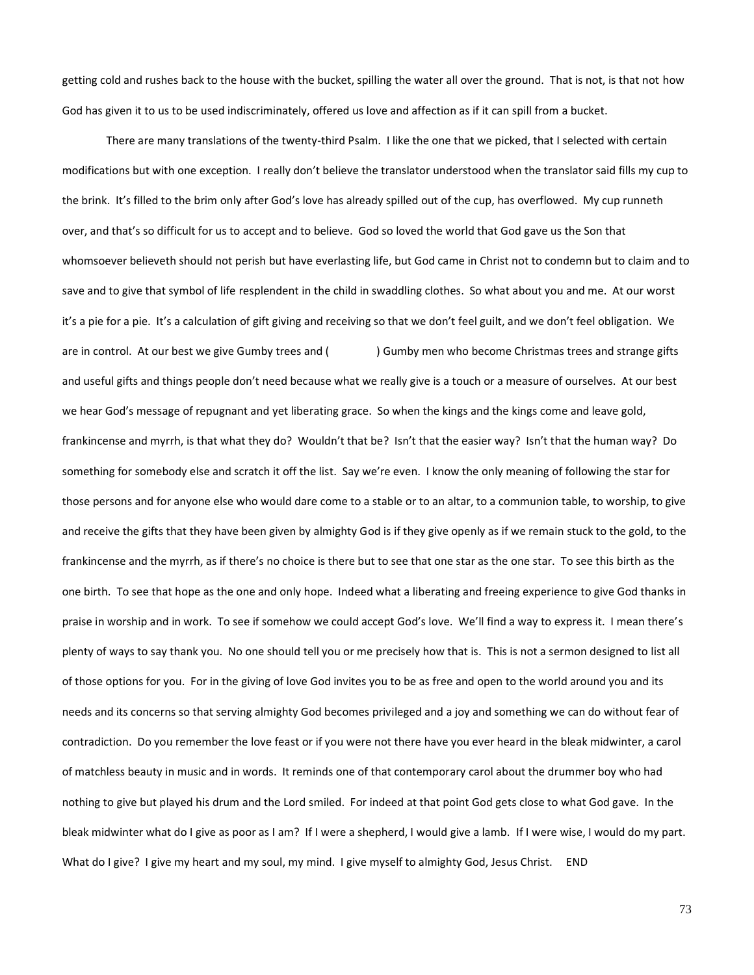getting cold and rushes back to the house with the bucket, spilling the water all over the ground. That is not, is that not how God has given it to us to be used indiscriminately, offered us love and affection as if it can spill from a bucket.

There are many translations of the twenty-third Psalm. I like the one that we picked, that I selected with certain modifications but with one exception. I really don't believe the translator understood when the translator said fills my cup to the brink. It's filled to the brim only after God's love has already spilled out of the cup, has overflowed. My cup runneth over, and that's so difficult for us to accept and to believe. God so loved the world that God gave us the Son that whomsoever believeth should not perish but have everlasting life, but God came in Christ not to condemn but to claim and to save and to give that symbol of life resplendent in the child in swaddling clothes. So what about you and me. At our worst it's a pie for a pie. It's a calculation of gift giving and receiving so that we don't feel guilt, and we don't feel obligation. We are in control. At our best we give Gumby trees and () Gumby men who become Christmas trees and strange gifts and useful gifts and things people don't need because what we really give is a touch or a measure of ourselves. At our best we hear God's message of repugnant and yet liberating grace. So when the kings and the kings come and leave gold, frankincense and myrrh, is that what they do? Wouldn't that be? Isn't that the easier way? Isn't that the human way? Do something for somebody else and scratch it off the list. Say we're even. I know the only meaning of following the star for those persons and for anyone else who would dare come to a stable or to an altar, to a communion table, to worship, to give and receive the gifts that they have been given by almighty God is if they give openly as if we remain stuck to the gold, to the frankincense and the myrrh, as if there's no choice is there but to see that one star as the one star. To see this birth as the one birth. To see that hope as the one and only hope. Indeed what a liberating and freeing experience to give God thanks in praise in worship and in work. To see if somehow we could accept God's love. We'll find a way to express it. I mean there's plenty of ways to say thank you. No one should tell you or me precisely how that is. This is not a sermon designed to list all of those options for you. For in the giving of love God invites you to be as free and open to the world around you and its needs and its concerns so that serving almighty God becomes privileged and a joy and something we can do without fear of contradiction. Do you remember the love feast or if you were not there have you ever heard in the bleak midwinter, a carol of matchless beauty in music and in words. It reminds one of that contemporary carol about the drummer boy who had nothing to give but played his drum and the Lord smiled. For indeed at that point God gets close to what God gave. In the bleak midwinter what do I give as poor as I am? If I were a shepherd, I would give a lamb. If I were wise, I would do my part. What do I give? I give my heart and my soul, my mind. I give myself to almighty God, Jesus Christ. END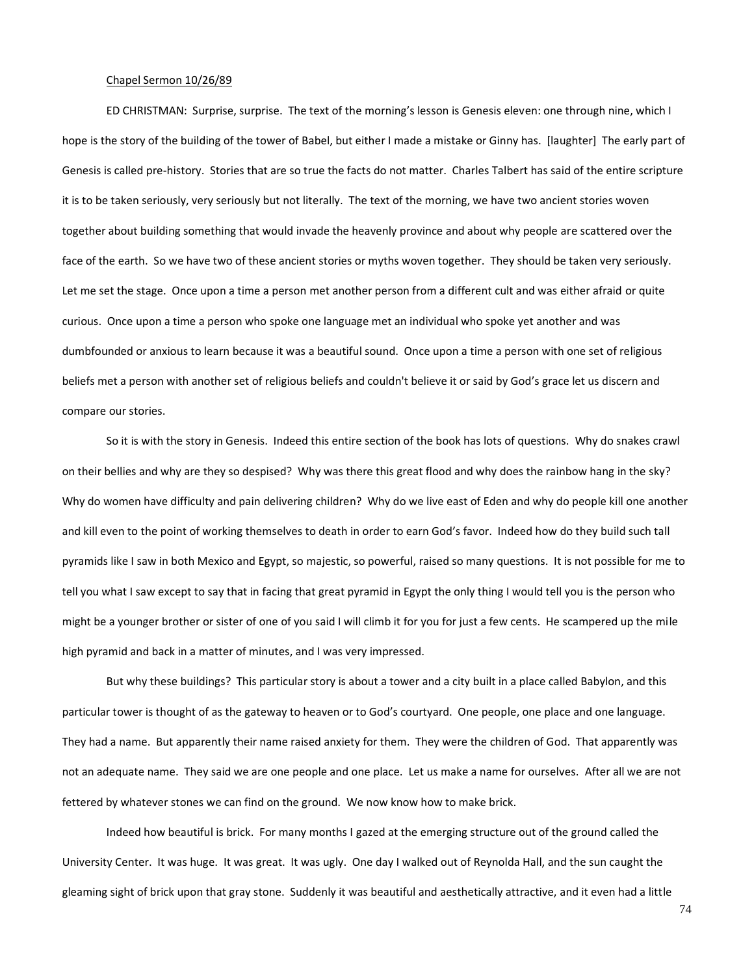# Chapel Sermon 10/26/89

ED CHRISTMAN: Surprise, surprise. The text of the morning's lesson is Genesis eleven: one through nine, which I hope is the story of the building of the tower of Babel, but either I made a mistake or Ginny has. [laughter] The early part of Genesis is called pre-history. Stories that are so true the facts do not matter. Charles Talbert has said of the entire scripture it is to be taken seriously, very seriously but not literally. The text of the morning, we have two ancient stories woven together about building something that would invade the heavenly province and about why people are scattered over the face of the earth. So we have two of these ancient stories or myths woven together. They should be taken very seriously. Let me set the stage. Once upon a time a person met another person from a different cult and was either afraid or quite curious. Once upon a time a person who spoke one language met an individual who spoke yet another and was dumbfounded or anxious to learn because it was a beautiful sound. Once upon a time a person with one set of religious beliefs met a person with another set of religious beliefs and couldn't believe it or said by God's grace let us discern and compare our stories.

So it is with the story in Genesis. Indeed this entire section of the book has lots of questions. Why do snakes crawl on their bellies and why are they so despised? Why was there this great flood and why does the rainbow hang in the sky? Why do women have difficulty and pain delivering children? Why do we live east of Eden and why do people kill one another and kill even to the point of working themselves to death in order to earn God's favor. Indeed how do they build such tall pyramids like I saw in both Mexico and Egypt, so majestic, so powerful, raised so many questions. It is not possible for me to tell you what I saw except to say that in facing that great pyramid in Egypt the only thing I would tell you is the person who might be a younger brother or sister of one of you said I will climb it for you for just a few cents. He scampered up the mile high pyramid and back in a matter of minutes, and I was very impressed.

But why these buildings? This particular story is about a tower and a city built in a place called Babylon, and this particular tower is thought of as the gateway to heaven or to God's courtyard. One people, one place and one language. They had a name. But apparently their name raised anxiety for them. They were the children of God. That apparently was not an adequate name. They said we are one people and one place. Let us make a name for ourselves. After all we are not fettered by whatever stones we can find on the ground. We now know how to make brick.

Indeed how beautiful is brick. For many months I gazed at the emerging structure out of the ground called the University Center. It was huge. It was great. It was ugly. One day I walked out of Reynolda Hall, and the sun caught the gleaming sight of brick upon that gray stone. Suddenly it was beautiful and aesthetically attractive, and it even had a little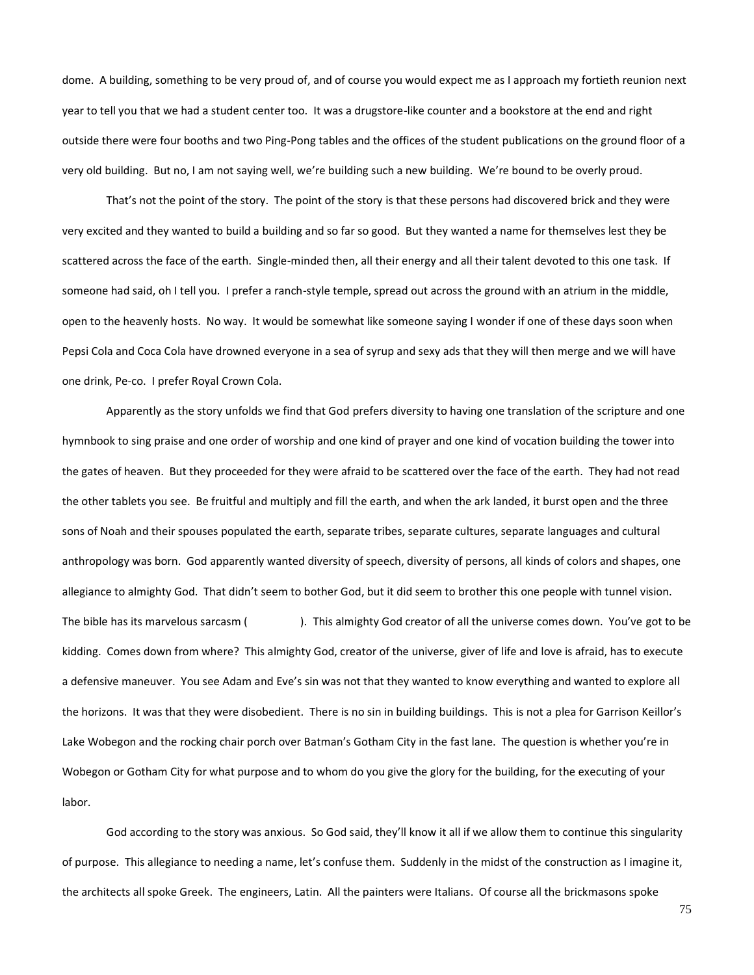dome. A building, something to be very proud of, and of course you would expect me as I approach my fortieth reunion next year to tell you that we had a student center too. It was a drugstore-like counter and a bookstore at the end and right outside there were four booths and two Ping-Pong tables and the offices of the student publications on the ground floor of a very old building. But no, I am not saying well, we're building such a new building. We're bound to be overly proud.

That's not the point of the story. The point of the story is that these persons had discovered brick and they were very excited and they wanted to build a building and so far so good. But they wanted a name for themselves lest they be scattered across the face of the earth. Single-minded then, all their energy and all their talent devoted to this one task. If someone had said, oh I tell you. I prefer a ranch-style temple, spread out across the ground with an atrium in the middle, open to the heavenly hosts. No way. It would be somewhat like someone saying I wonder if one of these days soon when Pepsi Cola and Coca Cola have drowned everyone in a sea of syrup and sexy ads that they will then merge and we will have one drink, Pe-co. I prefer Royal Crown Cola.

Apparently as the story unfolds we find that God prefers diversity to having one translation of the scripture and one hymnbook to sing praise and one order of worship and one kind of prayer and one kind of vocation building the tower into the gates of heaven. But they proceeded for they were afraid to be scattered over the face of the earth. They had not read the other tablets you see. Be fruitful and multiply and fill the earth, and when the ark landed, it burst open and the three sons of Noah and their spouses populated the earth, separate tribes, separate cultures, separate languages and cultural anthropology was born. God apparently wanted diversity of speech, diversity of persons, all kinds of colors and shapes, one allegiance to almighty God. That didn't seem to bother God, but it did seem to brother this one people with tunnel vision. The bible has its marvelous sarcasm ( ). This almighty God creator of all the universe comes down. You've got to be kidding. Comes down from where? This almighty God, creator of the universe, giver of life and love is afraid, has to execute a defensive maneuver. You see Adam and Eve's sin was not that they wanted to know everything and wanted to explore all the horizons. It was that they were disobedient. There is no sin in building buildings. This is not a plea for Garrison Keillor's Lake Wobegon and the rocking chair porch over Batman's Gotham City in the fast lane. The question is whether you're in Wobegon or Gotham City for what purpose and to whom do you give the glory for the building, for the executing of your labor.

God according to the story was anxious. So God said, they'll know it all if we allow them to continue this singularity of purpose. This allegiance to needing a name, let's confuse them. Suddenly in the midst of the construction as I imagine it, the architects all spoke Greek. The engineers, Latin. All the painters were Italians. Of course all the brickmasons spoke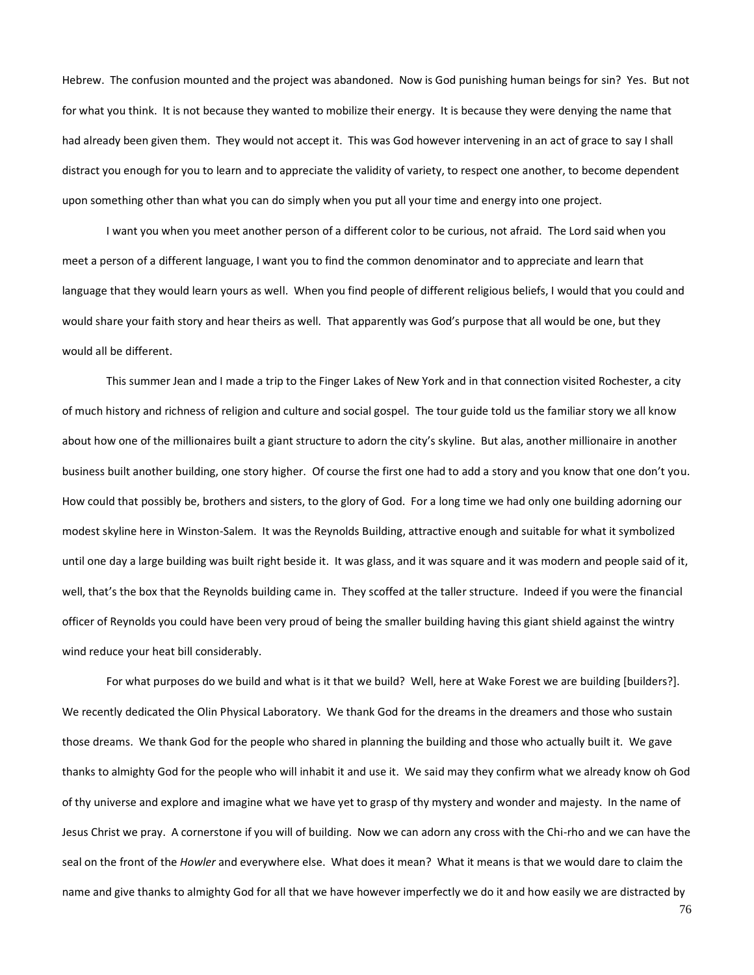Hebrew. The confusion mounted and the project was abandoned. Now is God punishing human beings for sin? Yes. But not for what you think. It is not because they wanted to mobilize their energy. It is because they were denying the name that had already been given them. They would not accept it. This was God however intervening in an act of grace to say I shall distract you enough for you to learn and to appreciate the validity of variety, to respect one another, to become dependent upon something other than what you can do simply when you put all your time and energy into one project.

I want you when you meet another person of a different color to be curious, not afraid. The Lord said when you meet a person of a different language, I want you to find the common denominator and to appreciate and learn that language that they would learn yours as well. When you find people of different religious beliefs, I would that you could and would share your faith story and hear theirs as well. That apparently was God's purpose that all would be one, but they would all be different.

This summer Jean and I made a trip to the Finger Lakes of New York and in that connection visited Rochester, a city of much history and richness of religion and culture and social gospel. The tour guide told us the familiar story we all know about how one of the millionaires built a giant structure to adorn the city's skyline. But alas, another millionaire in another business built another building, one story higher. Of course the first one had to add a story and you know that one don't you. How could that possibly be, brothers and sisters, to the glory of God. For a long time we had only one building adorning our modest skyline here in Winston-Salem. It was the Reynolds Building, attractive enough and suitable for what it symbolized until one day a large building was built right beside it. It was glass, and it was square and it was modern and people said of it, well, that's the box that the Reynolds building came in. They scoffed at the taller structure. Indeed if you were the financial officer of Reynolds you could have been very proud of being the smaller building having this giant shield against the wintry wind reduce your heat bill considerably.

For what purposes do we build and what is it that we build? Well, here at Wake Forest we are building [builders?]. We recently dedicated the Olin Physical Laboratory. We thank God for the dreams in the dreamers and those who sustain those dreams. We thank God for the people who shared in planning the building and those who actually built it. We gave thanks to almighty God for the people who will inhabit it and use it. We said may they confirm what we already know oh God of thy universe and explore and imagine what we have yet to grasp of thy mystery and wonder and majesty. In the name of Jesus Christ we pray. A cornerstone if you will of building. Now we can adorn any cross with the Chi-rho and we can have the seal on the front of the *Howler* and everywhere else. What does it mean? What it means is that we would dare to claim the name and give thanks to almighty God for all that we have however imperfectly we do it and how easily we are distracted by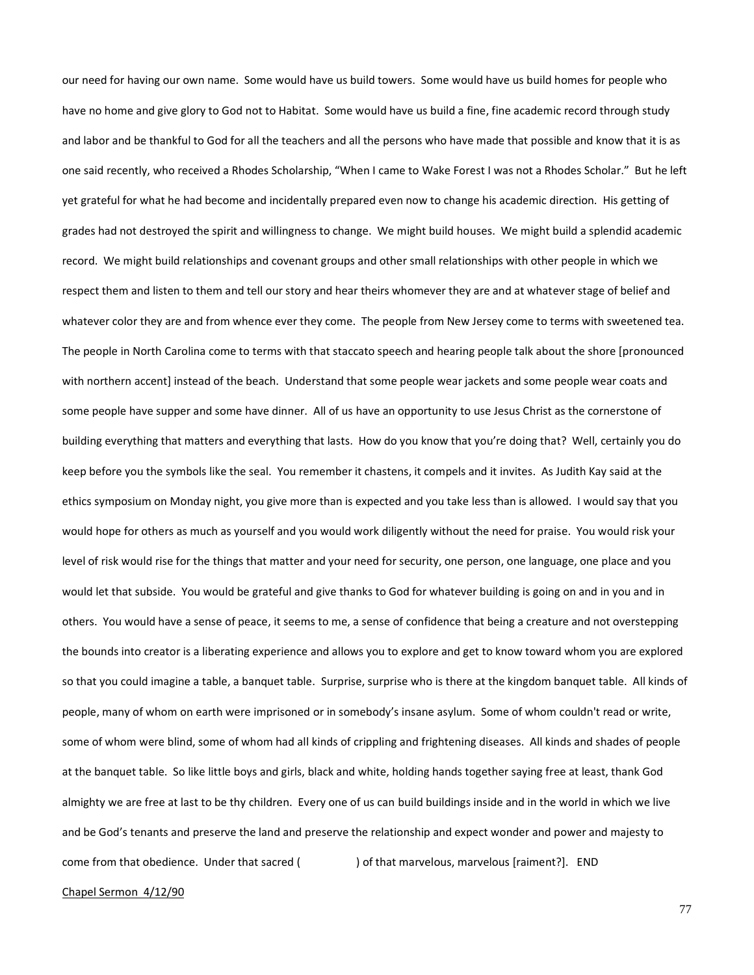our need for having our own name. Some would have us build towers. Some would have us build homes for people who have no home and give glory to God not to Habitat. Some would have us build a fine, fine academic record through study and labor and be thankful to God for all the teachers and all the persons who have made that possible and know that it is as one said recently, who received a Rhodes Scholarship, "When I came to Wake Forest I was not a Rhodes Scholar." But he left yet grateful for what he had become and incidentally prepared even now to change his academic direction. His getting of grades had not destroyed the spirit and willingness to change. We might build houses. We might build a splendid academic record. We might build relationships and covenant groups and other small relationships with other people in which we respect them and listen to them and tell our story and hear theirs whomever they are and at whatever stage of belief and whatever color they are and from whence ever they come. The people from New Jersey come to terms with sweetened tea. The people in North Carolina come to terms with that staccato speech and hearing people talk about the shore [pronounced with northern accent] instead of the beach. Understand that some people wear jackets and some people wear coats and some people have supper and some have dinner. All of us have an opportunity to use Jesus Christ as the cornerstone of building everything that matters and everything that lasts. How do you know that you're doing that? Well, certainly you do keep before you the symbols like the seal. You remember it chastens, it compels and it invites. As Judith Kay said at the ethics symposium on Monday night, you give more than is expected and you take less than is allowed. I would say that you would hope for others as much as yourself and you would work diligently without the need for praise. You would risk your level of risk would rise for the things that matter and your need for security, one person, one language, one place and you would let that subside. You would be grateful and give thanks to God for whatever building is going on and in you and in others. You would have a sense of peace, it seems to me, a sense of confidence that being a creature and not overstepping the bounds into creator is a liberating experience and allows you to explore and get to know toward whom you are explored so that you could imagine a table, a banquet table. Surprise, surprise who is there at the kingdom banquet table. All kinds of people, many of whom on earth were imprisoned or in somebody's insane asylum. Some of whom couldn't read or write, some of whom were blind, some of whom had all kinds of crippling and frightening diseases. All kinds and shades of people at the banquet table. So like little boys and girls, black and white, holding hands together saying free at least, thank God almighty we are free at last to be thy children. Every one of us can build buildings inside and in the world in which we live and be God's tenants and preserve the land and preserve the relationship and expect wonder and power and majesty to come from that obedience. Under that sacred ( ) of that marvelous, marvelous [raiment?]. END

# Chapel Sermon 4/12/90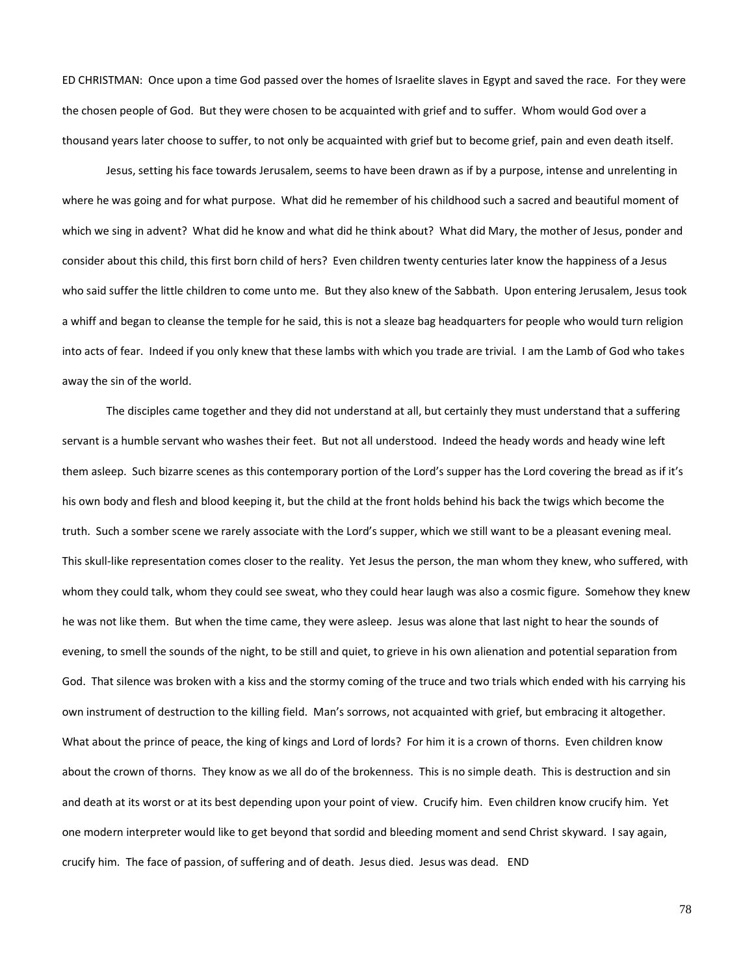ED CHRISTMAN: Once upon a time God passed over the homes of Israelite slaves in Egypt and saved the race. For they were the chosen people of God. But they were chosen to be acquainted with grief and to suffer. Whom would God over a thousand years later choose to suffer, to not only be acquainted with grief but to become grief, pain and even death itself.

Jesus, setting his face towards Jerusalem, seems to have been drawn as if by a purpose, intense and unrelenting in where he was going and for what purpose. What did he remember of his childhood such a sacred and beautiful moment of which we sing in advent? What did he know and what did he think about? What did Mary, the mother of Jesus, ponder and consider about this child, this first born child of hers? Even children twenty centuries later know the happiness of a Jesus who said suffer the little children to come unto me. But they also knew of the Sabbath. Upon entering Jerusalem, Jesus took a whiff and began to cleanse the temple for he said, this is not a sleaze bag headquarters for people who would turn religion into acts of fear. Indeed if you only knew that these lambs with which you trade are trivial. I am the Lamb of God who takes away the sin of the world.

The disciples came together and they did not understand at all, but certainly they must understand that a suffering servant is a humble servant who washes their feet. But not all understood. Indeed the heady words and heady wine left them asleep. Such bizarre scenes as this contemporary portion of the Lord's supper has the Lord covering the bread as if it's his own body and flesh and blood keeping it, but the child at the front holds behind his back the twigs which become the truth. Such a somber scene we rarely associate with the Lord's supper, which we still want to be a pleasant evening meal. This skull-like representation comes closer to the reality. Yet Jesus the person, the man whom they knew, who suffered, with whom they could talk, whom they could see sweat, who they could hear laugh was also a cosmic figure. Somehow they knew he was not like them. But when the time came, they were asleep. Jesus was alone that last night to hear the sounds of evening, to smell the sounds of the night, to be still and quiet, to grieve in his own alienation and potential separation from God. That silence was broken with a kiss and the stormy coming of the truce and two trials which ended with his carrying his own instrument of destruction to the killing field. Man's sorrows, not acquainted with grief, but embracing it altogether. What about the prince of peace, the king of kings and Lord of lords? For him it is a crown of thorns. Even children know about the crown of thorns. They know as we all do of the brokenness. This is no simple death. This is destruction and sin and death at its worst or at its best depending upon your point of view. Crucify him. Even children know crucify him. Yet one modern interpreter would like to get beyond that sordid and bleeding moment and send Christ skyward. I say again, crucify him. The face of passion, of suffering and of death. Jesus died. Jesus was dead. END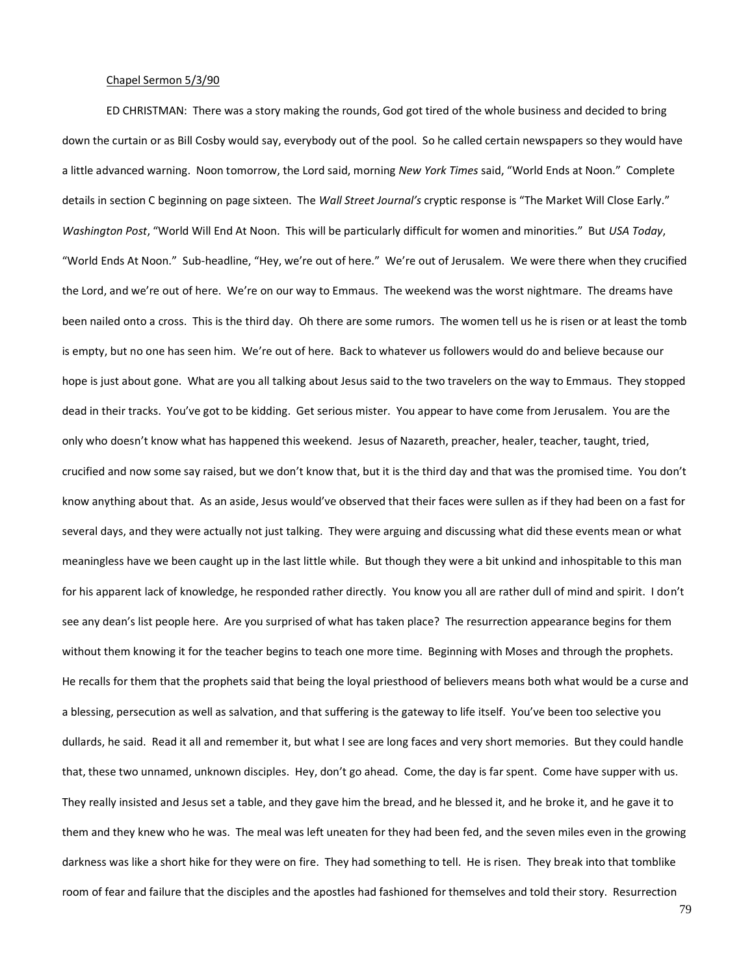# Chapel Sermon 5/3/90

ED CHRISTMAN: There was a story making the rounds, God got tired of the whole business and decided to bring down the curtain or as Bill Cosby would say, everybody out of the pool. So he called certain newspapers so they would have a little advanced warning. Noon tomorrow, the Lord said, morning *New York Times* said, "World Ends at Noon." Complete details in section C beginning on page sixteen. The *Wall Street Journal's* cryptic response is "The Market Will Close Early." *Washington Post*, "World Will End At Noon. This will be particularly difficult for women and minorities." But *USA Today*, "World Ends At Noon." Sub-headline, "Hey, we're out of here." We're out of Jerusalem. We were there when they crucified the Lord, and we're out of here. We're on our way to Emmaus. The weekend was the worst nightmare. The dreams have been nailed onto a cross. This is the third day. Oh there are some rumors. The women tell us he is risen or at least the tomb is empty, but no one has seen him. We're out of here. Back to whatever us followers would do and believe because our hope is just about gone. What are you all talking about Jesus said to the two travelers on the way to Emmaus. They stopped dead in their tracks. You've got to be kidding. Get serious mister. You appear to have come from Jerusalem. You are the only who doesn't know what has happened this weekend. Jesus of Nazareth, preacher, healer, teacher, taught, tried, crucified and now some say raised, but we don't know that, but it is the third day and that was the promised time. You don't know anything about that. As an aside, Jesus would've observed that their faces were sullen as if they had been on a fast for several days, and they were actually not just talking. They were arguing and discussing what did these events mean or what meaningless have we been caught up in the last little while. But though they were a bit unkind and inhospitable to this man for his apparent lack of knowledge, he responded rather directly. You know you all are rather dull of mind and spirit. I don't see any dean's list people here. Are you surprised of what has taken place? The resurrection appearance begins for them without them knowing it for the teacher begins to teach one more time. Beginning with Moses and through the prophets. He recalls for them that the prophets said that being the loyal priesthood of believers means both what would be a curse and a blessing, persecution as well as salvation, and that suffering is the gateway to life itself. You've been too selective you dullards, he said. Read it all and remember it, but what I see are long faces and very short memories. But they could handle that, these two unnamed, unknown disciples. Hey, don't go ahead. Come, the day is far spent. Come have supper with us. They really insisted and Jesus set a table, and they gave him the bread, and he blessed it, and he broke it, and he gave it to them and they knew who he was. The meal was left uneaten for they had been fed, and the seven miles even in the growing darkness was like a short hike for they were on fire. They had something to tell. He is risen. They break into that tomblike room of fear and failure that the disciples and the apostles had fashioned for themselves and told their story. Resurrection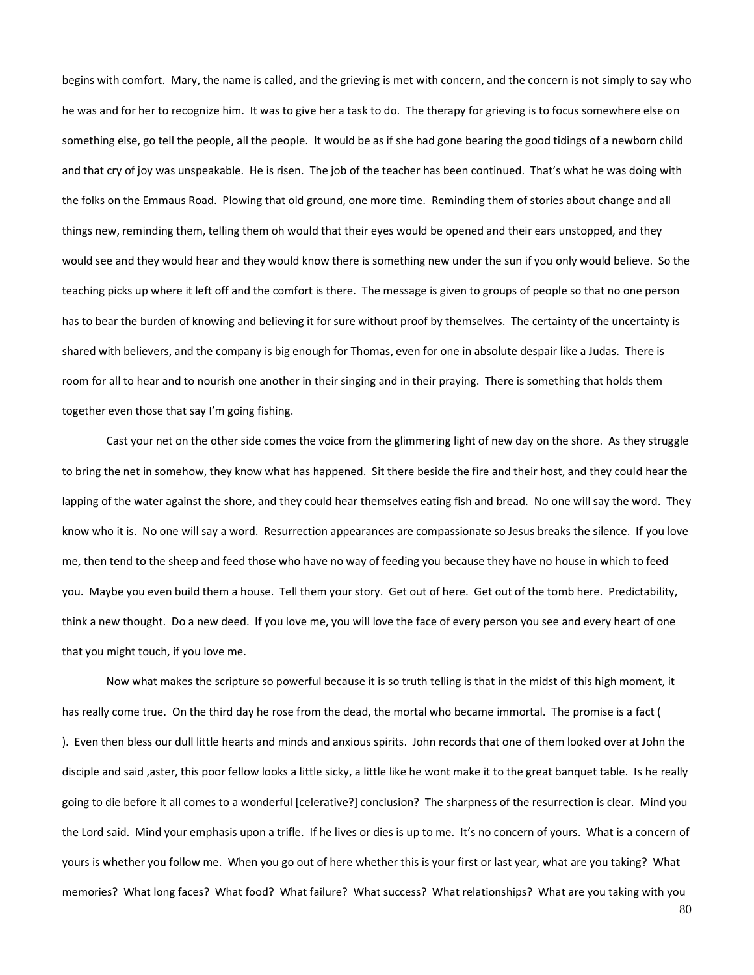begins with comfort. Mary, the name is called, and the grieving is met with concern, and the concern is not simply to say who he was and for her to recognize him. It was to give her a task to do. The therapy for grieving is to focus somewhere else on something else, go tell the people, all the people. It would be as if she had gone bearing the good tidings of a newborn child and that cry of joy was unspeakable. He is risen. The job of the teacher has been continued. That's what he was doing with the folks on the Emmaus Road. Plowing that old ground, one more time. Reminding them of stories about change and all things new, reminding them, telling them oh would that their eyes would be opened and their ears unstopped, and they would see and they would hear and they would know there is something new under the sun if you only would believe. So the teaching picks up where it left off and the comfort is there. The message is given to groups of people so that no one person has to bear the burden of knowing and believing it for sure without proof by themselves. The certainty of the uncertainty is shared with believers, and the company is big enough for Thomas, even for one in absolute despair like a Judas. There is room for all to hear and to nourish one another in their singing and in their praying. There is something that holds them together even those that say I'm going fishing.

Cast your net on the other side comes the voice from the glimmering light of new day on the shore. As they struggle to bring the net in somehow, they know what has happened. Sit there beside the fire and their host, and they could hear the lapping of the water against the shore, and they could hear themselves eating fish and bread. No one will say the word. They know who it is. No one will say a word. Resurrection appearances are compassionate so Jesus breaks the silence. If you love me, then tend to the sheep and feed those who have no way of feeding you because they have no house in which to feed you. Maybe you even build them a house. Tell them your story. Get out of here. Get out of the tomb here. Predictability, think a new thought. Do a new deed. If you love me, you will love the face of every person you see and every heart of one that you might touch, if you love me.

Now what makes the scripture so powerful because it is so truth telling is that in the midst of this high moment, it has really come true. On the third day he rose from the dead, the mortal who became immortal. The promise is a fact ( ). Even then bless our dull little hearts and minds and anxious spirits. John records that one of them looked over at John the disciple and said ,aster, this poor fellow looks a little sicky, a little like he wont make it to the great banquet table. Is he really going to die before it all comes to a wonderful [celerative?] conclusion? The sharpness of the resurrection is clear. Mind you the Lord said. Mind your emphasis upon a trifle. If he lives or dies is up to me. It's no concern of yours. What is a concern of yours is whether you follow me. When you go out of here whether this is your first or last year, what are you taking? What memories? What long faces? What food? What failure? What success? What relationships? What are you taking with you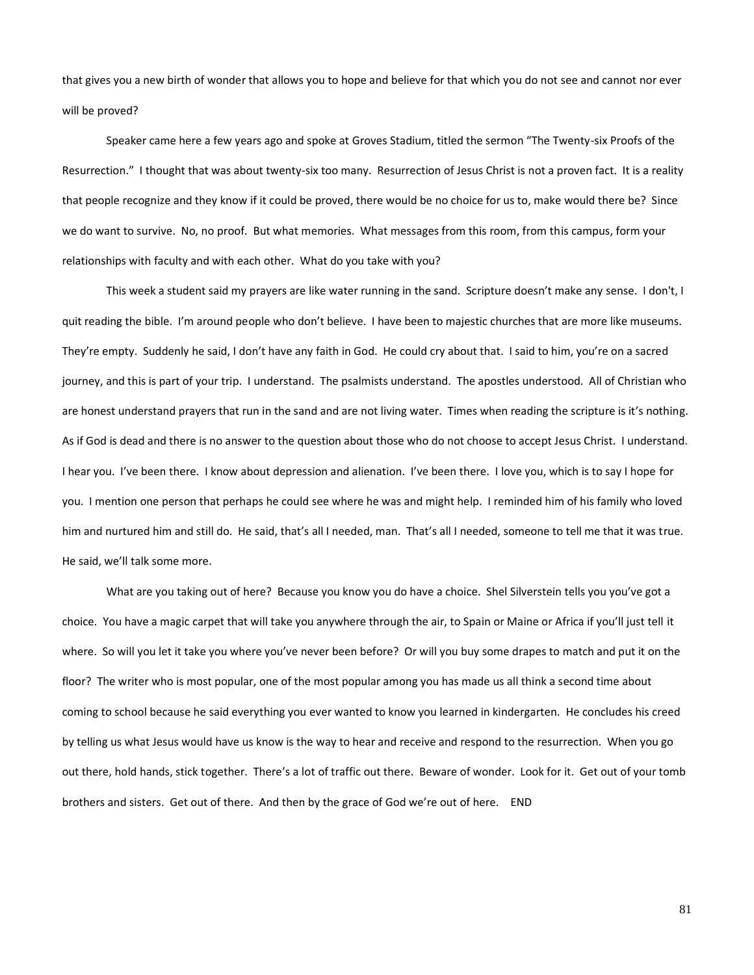that gives you a new birth of wonder that allows you to hope and believe for that which you do not see and cannot nor ever will be proved?

Speaker came here a few years ago and spoke at Groves Stadium, titled the sermon "The Twenty-six Proofs of the Resurrection." I thought that was about twenty-six too many. Resurrection of Jesus Christ is not a proven fact. It is a reality that people recognize and they know if it could be proved, there would be no choice for us to, make would there be? Since we do want to survive. No, no proof. But what memories. What messages from this room, from this campus, form your relationships with faculty and with each other. What do you take with you?

This week a student said my prayers are like water running in the sand. Scripture doesn't make any sense. I don't, I quit reading the bible. I'm around people who don't believe. I have been to majestic churches that are more like museums. They're empty. Suddenly he said, I don't have any faith in God. He could cry about that. I said to him, you're on a sacred journey, and this is part of your trip. I understand. The psalmists understand. The apostles understood. All of Christian who are honest understand prayers that run in the sand and are not living water. Times when reading the scripture is it's nothing. As if God is dead and there is no answer to the question about those who do not choose to accept Jesus Christ. I understand. I hear you. I've been there. I know about depression and alienation. I've been there. I love you, which is to say I hope for you. I mention one person that perhaps he could see where he was and might help. I reminded him of his family who loved him and nurtured him and still do. He said, that's all I needed, man. That's all I needed, someone to tell me that it was true. He said, we'll talk some more.

What are you taking out of here? Because you know you do have a choice. Shel Silverstein tells you you've got a choice. You have a magic carpet that will take you anywhere through the air, to Spain or Maine or Africa if you'll just tell it where. So will you let it take you where you've never been before? Or will you buy some drapes to match and put it on the floor? The writer who is most popular, one of the most popular among you has made us all think a second time about coming to school because he said everything you ever wanted to know you learned in kindergarten. He concludes his creed by telling us what Jesus would have us know is the way to hear and receive and respond to the resurrection. When you go out there, hold hands, stick together. There's a lot of traffic out there. Beware of wonder. Look for it. Get out of your tomb brothers and sisters. Get out of there. And then by the grace of God we're out of here. END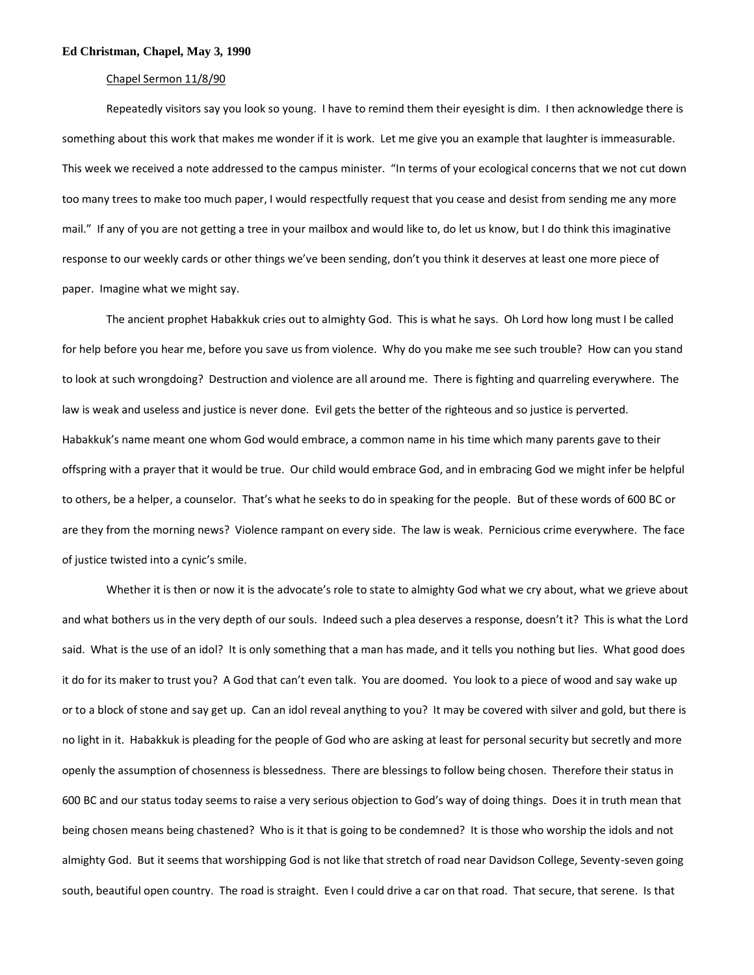#### **Ed Christman, Chapel, May 3, 1990**

### Chapel Sermon 11/8/90

Repeatedly visitors say you look so young. I have to remind them their eyesight is dim. I then acknowledge there is something about this work that makes me wonder if it is work. Let me give you an example that laughter is immeasurable. This week we received a note addressed to the campus minister. "In terms of your ecological concerns that we not cut down too many trees to make too much paper, I would respectfully request that you cease and desist from sending me any more mail." If any of you are not getting a tree in your mailbox and would like to, do let us know, but I do think this imaginative response to our weekly cards or other things we've been sending, don't you think it deserves at least one more piece of paper. Imagine what we might say.

The ancient prophet Habakkuk cries out to almighty God. This is what he says. Oh Lord how long must I be called for help before you hear me, before you save us from violence. Why do you make me see such trouble? How can you stand to look at such wrongdoing? Destruction and violence are all around me. There is fighting and quarreling everywhere. The law is weak and useless and justice is never done. Evil gets the better of the righteous and so justice is perverted. Habakkuk's name meant one whom God would embrace, a common name in his time which many parents gave to their offspring with a prayer that it would be true. Our child would embrace God, and in embracing God we might infer be helpful to others, be a helper, a counselor. That's what he seeks to do in speaking for the people. But of these words of 600 BC or are they from the morning news? Violence rampant on every side. The law is weak. Pernicious crime everywhere. The face of justice twisted into a cynic's smile.

Whether it is then or now it is the advocate's role to state to almighty God what we cry about, what we grieve about and what bothers us in the very depth of our souls. Indeed such a plea deserves a response, doesn't it? This is what the Lord said. What is the use of an idol? It is only something that a man has made, and it tells you nothing but lies. What good does it do for its maker to trust you? A God that can't even talk. You are doomed. You look to a piece of wood and say wake up or to a block of stone and say get up. Can an idol reveal anything to you? It may be covered with silver and gold, but there is no light in it. Habakkuk is pleading for the people of God who are asking at least for personal security but secretly and more openly the assumption of chosenness is blessedness. There are blessings to follow being chosen. Therefore their status in 600 BC and our status today seems to raise a very serious objection to God's way of doing things. Does it in truth mean that being chosen means being chastened? Who is it that is going to be condemned? It is those who worship the idols and not almighty God. But it seems that worshipping God is not like that stretch of road near Davidson College, Seventy-seven going south, beautiful open country. The road is straight. Even I could drive a car on that road. That secure, that serene. Is that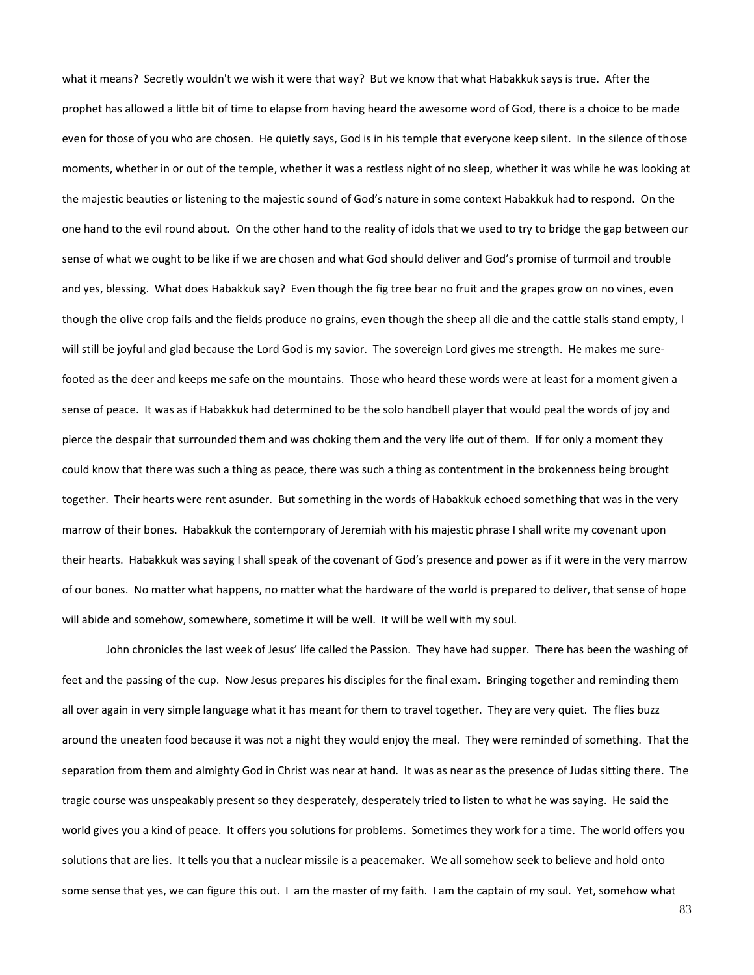what it means? Secretly wouldn't we wish it were that way? But we know that what Habakkuk says is true. After the prophet has allowed a little bit of time to elapse from having heard the awesome word of God, there is a choice to be made even for those of you who are chosen. He quietly says, God is in his temple that everyone keep silent. In the silence of those moments, whether in or out of the temple, whether it was a restless night of no sleep, whether it was while he was looking at the majestic beauties or listening to the majestic sound of God's nature in some context Habakkuk had to respond. On the one hand to the evil round about. On the other hand to the reality of idols that we used to try to bridge the gap between our sense of what we ought to be like if we are chosen and what God should deliver and God's promise of turmoil and trouble and yes, blessing. What does Habakkuk say? Even though the fig tree bear no fruit and the grapes grow on no vines, even though the olive crop fails and the fields produce no grains, even though the sheep all die and the cattle stalls stand empty, I will still be joyful and glad because the Lord God is my savior. The sovereign Lord gives me strength. He makes me surefooted as the deer and keeps me safe on the mountains. Those who heard these words were at least for a moment given a sense of peace. It was as if Habakkuk had determined to be the solo handbell player that would peal the words of joy and pierce the despair that surrounded them and was choking them and the very life out of them. If for only a moment they could know that there was such a thing as peace, there was such a thing as contentment in the brokenness being brought together. Their hearts were rent asunder. But something in the words of Habakkuk echoed something that was in the very marrow of their bones. Habakkuk the contemporary of Jeremiah with his majestic phrase I shall write my covenant upon their hearts. Habakkuk was saying I shall speak of the covenant of God's presence and power as if it were in the very marrow of our bones. No matter what happens, no matter what the hardware of the world is prepared to deliver, that sense of hope will abide and somehow, somewhere, sometime it will be well. It will be well with my soul.

John chronicles the last week of Jesus' life called the Passion. They have had supper. There has been the washing of feet and the passing of the cup. Now Jesus prepares his disciples for the final exam. Bringing together and reminding them all over again in very simple language what it has meant for them to travel together. They are very quiet. The flies buzz around the uneaten food because it was not a night they would enjoy the meal. They were reminded of something. That the separation from them and almighty God in Christ was near at hand. It was as near as the presence of Judas sitting there. The tragic course was unspeakably present so they desperately, desperately tried to listen to what he was saying. He said the world gives you a kind of peace. It offers you solutions for problems. Sometimes they work for a time. The world offers you solutions that are lies. It tells you that a nuclear missile is a peacemaker. We all somehow seek to believe and hold onto some sense that yes, we can figure this out. I am the master of my faith. I am the captain of my soul. Yet, somehow what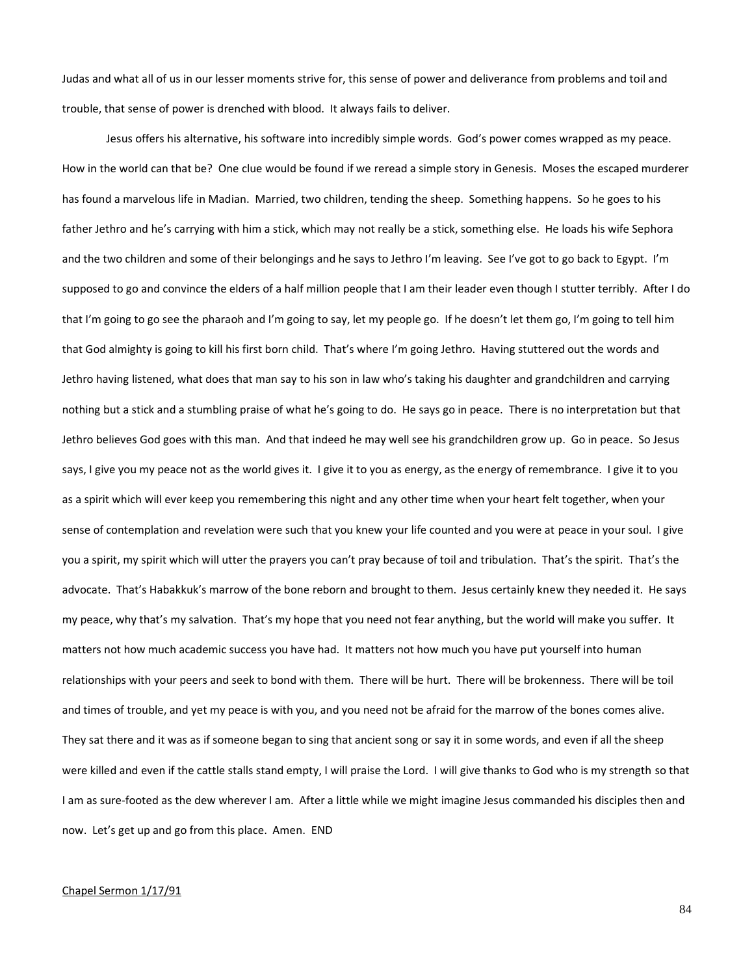Judas and what all of us in our lesser moments strive for, this sense of power and deliverance from problems and toil and trouble, that sense of power is drenched with blood. It always fails to deliver.

Jesus offers his alternative, his software into incredibly simple words. God's power comes wrapped as my peace. How in the world can that be? One clue would be found if we reread a simple story in Genesis. Moses the escaped murderer has found a marvelous life in Madian. Married, two children, tending the sheep. Something happens. So he goes to his father Jethro and he's carrying with him a stick, which may not really be a stick, something else. He loads his wife Sephora and the two children and some of their belongings and he says to Jethro I'm leaving. See I've got to go back to Egypt. I'm supposed to go and convince the elders of a half million people that I am their leader even though I stutter terribly. After I do that I'm going to go see the pharaoh and I'm going to say, let my people go. If he doesn't let them go, I'm going to tell him that God almighty is going to kill his first born child. That's where I'm going Jethro. Having stuttered out the words and Jethro having listened, what does that man say to his son in law who's taking his daughter and grandchildren and carrying nothing but a stick and a stumbling praise of what he's going to do. He says go in peace. There is no interpretation but that Jethro believes God goes with this man. And that indeed he may well see his grandchildren grow up. Go in peace. So Jesus says, I give you my peace not as the world gives it. I give it to you as energy, as the energy of remembrance. I give it to you as a spirit which will ever keep you remembering this night and any other time when your heart felt together, when your sense of contemplation and revelation were such that you knew your life counted and you were at peace in your soul. I give you a spirit, my spirit which will utter the prayers you can't pray because of toil and tribulation. That's the spirit. That's the advocate. That's Habakkuk's marrow of the bone reborn and brought to them. Jesus certainly knew they needed it. He says my peace, why that's my salvation. That's my hope that you need not fear anything, but the world will make you suffer. It matters not how much academic success you have had. It matters not how much you have put yourself into human relationships with your peers and seek to bond with them. There will be hurt. There will be brokenness. There will be toil and times of trouble, and yet my peace is with you, and you need not be afraid for the marrow of the bones comes alive. They sat there and it was as if someone began to sing that ancient song or say it in some words, and even if all the sheep were killed and even if the cattle stalls stand empty, I will praise the Lord. I will give thanks to God who is my strength so that I am as sure-footed as the dew wherever I am. After a little while we might imagine Jesus commanded his disciples then and now. Let's get up and go from this place. Amen. END

## Chapel Sermon 1/17/91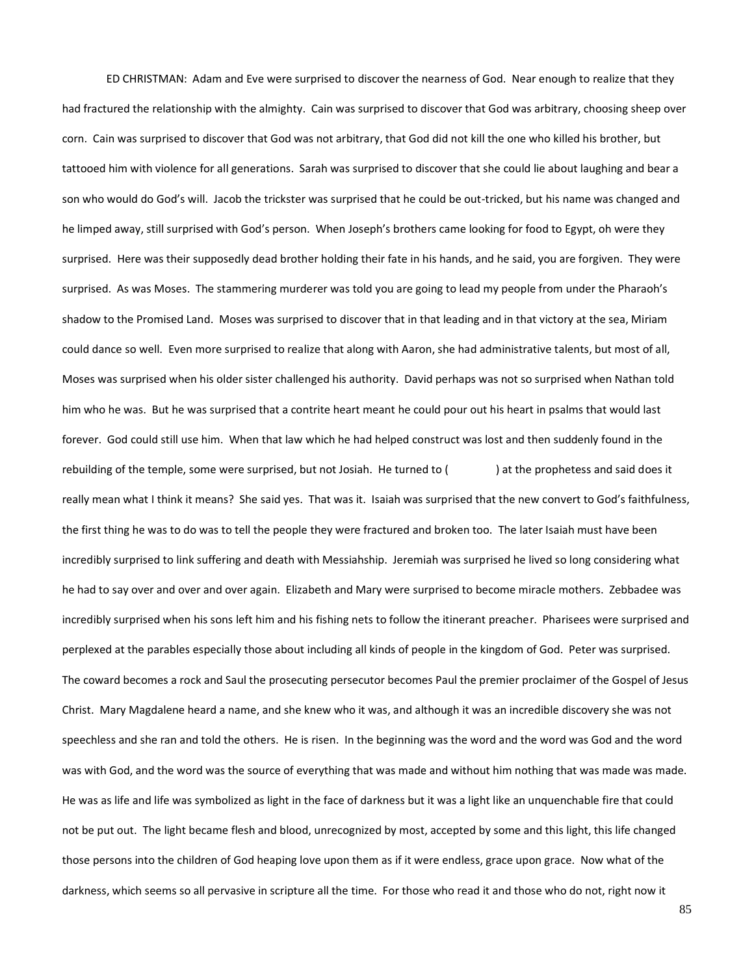ED CHRISTMAN: Adam and Eve were surprised to discover the nearness of God. Near enough to realize that they had fractured the relationship with the almighty. Cain was surprised to discover that God was arbitrary, choosing sheep over corn. Cain was surprised to discover that God was not arbitrary, that God did not kill the one who killed his brother, but tattooed him with violence for all generations. Sarah was surprised to discover that she could lie about laughing and bear a son who would do God's will. Jacob the trickster was surprised that he could be out-tricked, but his name was changed and he limped away, still surprised with God's person. When Joseph's brothers came looking for food to Egypt, oh were they surprised. Here was their supposedly dead brother holding their fate in his hands, and he said, you are forgiven. They were surprised. As was Moses. The stammering murderer was told you are going to lead my people from under the Pharaoh's shadow to the Promised Land. Moses was surprised to discover that in that leading and in that victory at the sea, Miriam could dance so well. Even more surprised to realize that along with Aaron, she had administrative talents, but most of all, Moses was surprised when his older sister challenged his authority. David perhaps was not so surprised when Nathan told him who he was. But he was surprised that a contrite heart meant he could pour out his heart in psalms that would last forever. God could still use him. When that law which he had helped construct was lost and then suddenly found in the rebuilding of the temple, some were surprised, but not Josiah. He turned to () at the prophetess and said does it really mean what I think it means? She said yes. That was it. Isaiah was surprised that the new convert to God's faithfulness, the first thing he was to do was to tell the people they were fractured and broken too. The later Isaiah must have been incredibly surprised to link suffering and death with Messiahship. Jeremiah was surprised he lived so long considering what he had to say over and over and over again. Elizabeth and Mary were surprised to become miracle mothers. Zebbadee was incredibly surprised when his sons left him and his fishing nets to follow the itinerant preacher. Pharisees were surprised and perplexed at the parables especially those about including all kinds of people in the kingdom of God. Peter was surprised. The coward becomes a rock and Saul the prosecuting persecutor becomes Paul the premier proclaimer of the Gospel of Jesus Christ. Mary Magdalene heard a name, and she knew who it was, and although it was an incredible discovery she was not speechless and she ran and told the others. He is risen. In the beginning was the word and the word was God and the word was with God, and the word was the source of everything that was made and without him nothing that was made was made. He was as life and life was symbolized as light in the face of darkness but it was a light like an unquenchable fire that could not be put out. The light became flesh and blood, unrecognized by most, accepted by some and this light, this life changed those persons into the children of God heaping love upon them as if it were endless, grace upon grace. Now what of the darkness, which seems so all pervasive in scripture all the time. For those who read it and those who do not, right now it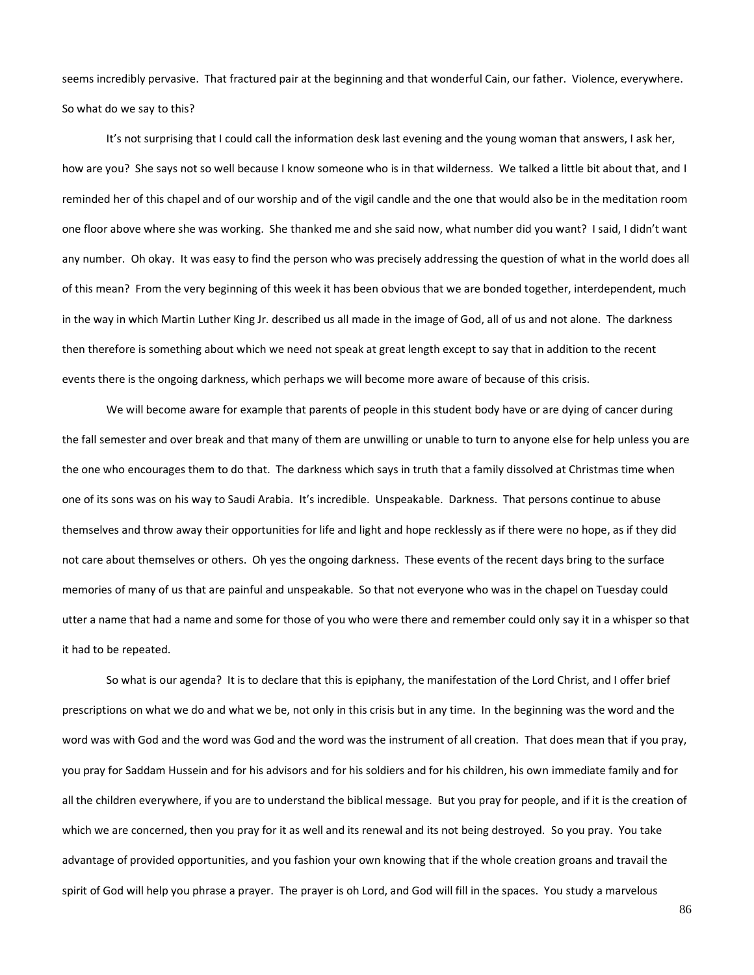seems incredibly pervasive. That fractured pair at the beginning and that wonderful Cain, our father. Violence, everywhere. So what do we say to this?

It's not surprising that I could call the information desk last evening and the young woman that answers, I ask her, how are you? She says not so well because I know someone who is in that wilderness. We talked a little bit about that, and I reminded her of this chapel and of our worship and of the vigil candle and the one that would also be in the meditation room one floor above where she was working. She thanked me and she said now, what number did you want? I said, I didn't want any number. Oh okay. It was easy to find the person who was precisely addressing the question of what in the world does all of this mean? From the very beginning of this week it has been obvious that we are bonded together, interdependent, much in the way in which Martin Luther King Jr. described us all made in the image of God, all of us and not alone. The darkness then therefore is something about which we need not speak at great length except to say that in addition to the recent events there is the ongoing darkness, which perhaps we will become more aware of because of this crisis.

We will become aware for example that parents of people in this student body have or are dying of cancer during the fall semester and over break and that many of them are unwilling or unable to turn to anyone else for help unless you are the one who encourages them to do that. The darkness which says in truth that a family dissolved at Christmas time when one of its sons was on his way to Saudi Arabia. It's incredible. Unspeakable. Darkness. That persons continue to abuse themselves and throw away their opportunities for life and light and hope recklessly as if there were no hope, as if they did not care about themselves or others. Oh yes the ongoing darkness. These events of the recent days bring to the surface memories of many of us that are painful and unspeakable. So that not everyone who was in the chapel on Tuesday could utter a name that had a name and some for those of you who were there and remember could only say it in a whisper so that it had to be repeated.

So what is our agenda? It is to declare that this is epiphany, the manifestation of the Lord Christ, and I offer brief prescriptions on what we do and what we be, not only in this crisis but in any time. In the beginning was the word and the word was with God and the word was God and the word was the instrument of all creation. That does mean that if you pray, you pray for Saddam Hussein and for his advisors and for his soldiers and for his children, his own immediate family and for all the children everywhere, if you are to understand the biblical message. But you pray for people, and if it is the creation of which we are concerned, then you pray for it as well and its renewal and its not being destroyed. So you pray. You take advantage of provided opportunities, and you fashion your own knowing that if the whole creation groans and travail the spirit of God will help you phrase a prayer. The prayer is oh Lord, and God will fill in the spaces. You study a marvelous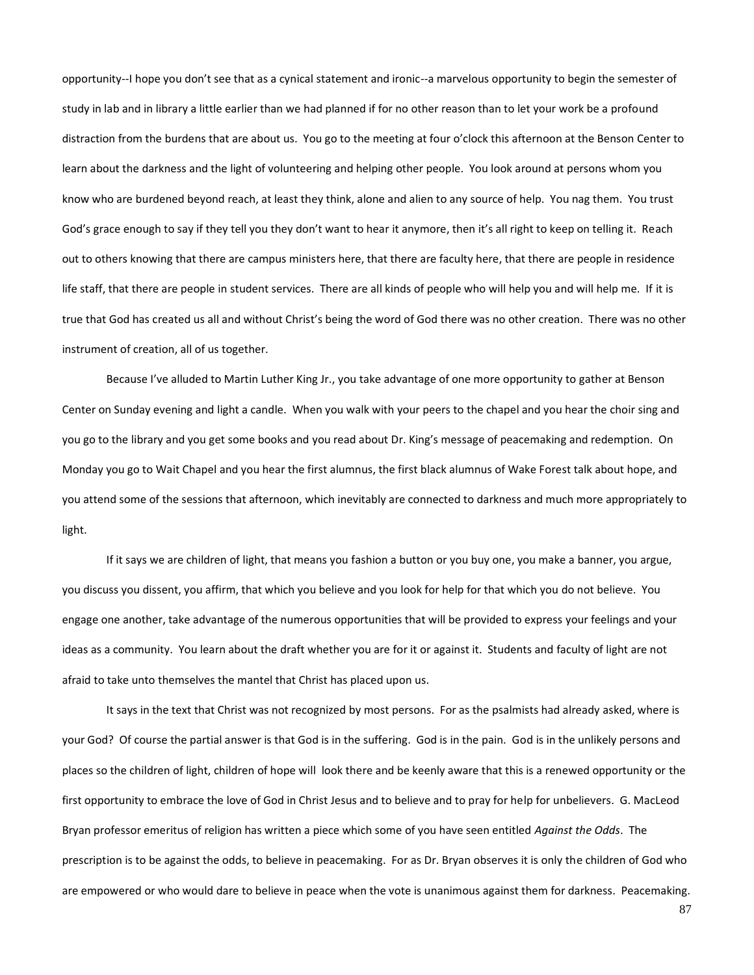opportunity--I hope you don't see that as a cynical statement and ironic--a marvelous opportunity to begin the semester of study in lab and in library a little earlier than we had planned if for no other reason than to let your work be a profound distraction from the burdens that are about us. You go to the meeting at four o'clock this afternoon at the Benson Center to learn about the darkness and the light of volunteering and helping other people. You look around at persons whom you know who are burdened beyond reach, at least they think, alone and alien to any source of help. You nag them. You trust God's grace enough to say if they tell you they don't want to hear it anymore, then it's all right to keep on telling it. Reach out to others knowing that there are campus ministers here, that there are faculty here, that there are people in residence life staff, that there are people in student services. There are all kinds of people who will help you and will help me. If it is true that God has created us all and without Christ's being the word of God there was no other creation. There was no other instrument of creation, all of us together.

Because I've alluded to Martin Luther King Jr., you take advantage of one more opportunity to gather at Benson Center on Sunday evening and light a candle. When you walk with your peers to the chapel and you hear the choir sing and you go to the library and you get some books and you read about Dr. King's message of peacemaking and redemption. On Monday you go to Wait Chapel and you hear the first alumnus, the first black alumnus of Wake Forest talk about hope, and you attend some of the sessions that afternoon, which inevitably are connected to darkness and much more appropriately to light.

If it says we are children of light, that means you fashion a button or you buy one, you make a banner, you argue, you discuss you dissent, you affirm, that which you believe and you look for help for that which you do not believe. You engage one another, take advantage of the numerous opportunities that will be provided to express your feelings and your ideas as a community. You learn about the draft whether you are for it or against it. Students and faculty of light are not afraid to take unto themselves the mantel that Christ has placed upon us.

It says in the text that Christ was not recognized by most persons. For as the psalmists had already asked, where is your God? Of course the partial answer is that God is in the suffering. God is in the pain. God is in the unlikely persons and places so the children of light, children of hope will look there and be keenly aware that this is a renewed opportunity or the first opportunity to embrace the love of God in Christ Jesus and to believe and to pray for help for unbelievers. G. MacLeod Bryan professor emeritus of religion has written a piece which some of you have seen entitled *Against the Odds*. The prescription is to be against the odds, to believe in peacemaking. For as Dr. Bryan observes it is only the children of God who are empowered or who would dare to believe in peace when the vote is unanimous against them for darkness. Peacemaking.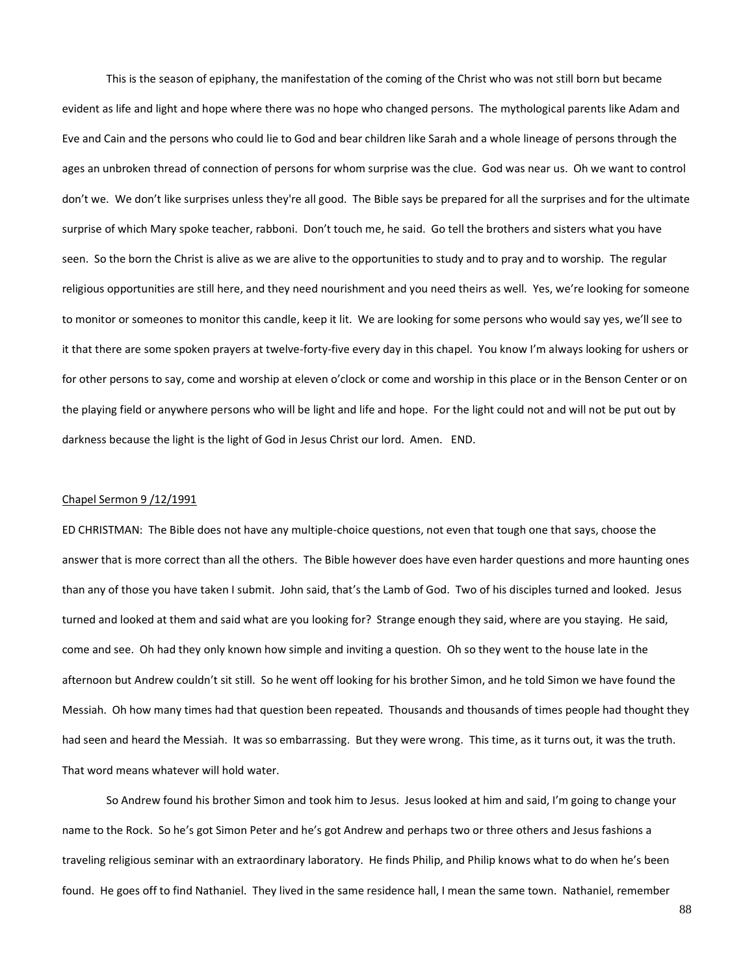This is the season of epiphany, the manifestation of the coming of the Christ who was not still born but became evident as life and light and hope where there was no hope who changed persons. The mythological parents like Adam and Eve and Cain and the persons who could lie to God and bear children like Sarah and a whole lineage of persons through the ages an unbroken thread of connection of persons for whom surprise was the clue. God was near us. Oh we want to control don't we. We don't like surprises unless they're all good. The Bible says be prepared for all the surprises and for the ultimate surprise of which Mary spoke teacher, rabboni. Don't touch me, he said. Go tell the brothers and sisters what you have seen. So the born the Christ is alive as we are alive to the opportunities to study and to pray and to worship. The regular religious opportunities are still here, and they need nourishment and you need theirs as well. Yes, we're looking for someone to monitor or someones to monitor this candle, keep it lit. We are looking for some persons who would say yes, we'll see to it that there are some spoken prayers at twelve-forty-five every day in this chapel. You know I'm always looking for ushers or for other persons to say, come and worship at eleven o'clock or come and worship in this place or in the Benson Center or on the playing field or anywhere persons who will be light and life and hope. For the light could not and will not be put out by darkness because the light is the light of God in Jesus Christ our lord. Amen. END.

## Chapel Sermon 9 /12/1991

ED CHRISTMAN: The Bible does not have any multiple-choice questions, not even that tough one that says, choose the answer that is more correct than all the others. The Bible however does have even harder questions and more haunting ones than any of those you have taken I submit. John said, that's the Lamb of God. Two of his disciples turned and looked. Jesus turned and looked at them and said what are you looking for? Strange enough they said, where are you staying. He said, come and see. Oh had they only known how simple and inviting a question. Oh so they went to the house late in the afternoon but Andrew couldn't sit still. So he went off looking for his brother Simon, and he told Simon we have found the Messiah. Oh how many times had that question been repeated. Thousands and thousands of times people had thought they had seen and heard the Messiah. It was so embarrassing. But they were wrong. This time, as it turns out, it was the truth. That word means whatever will hold water.

So Andrew found his brother Simon and took him to Jesus. Jesus looked at him and said, I'm going to change your name to the Rock. So he's got Simon Peter and he's got Andrew and perhaps two or three others and Jesus fashions a traveling religious seminar with an extraordinary laboratory. He finds Philip, and Philip knows what to do when he's been found. He goes off to find Nathaniel. They lived in the same residence hall, I mean the same town. Nathaniel, remember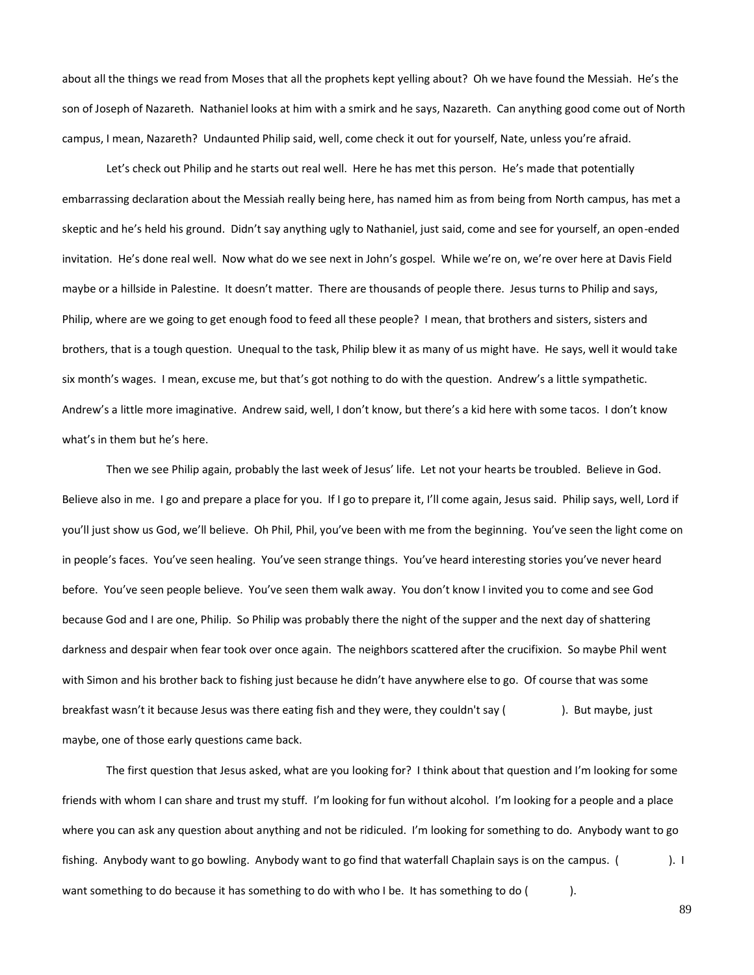about all the things we read from Moses that all the prophets kept yelling about? Oh we have found the Messiah. He's the son of Joseph of Nazareth. Nathaniel looks at him with a smirk and he says, Nazareth. Can anything good come out of North campus, I mean, Nazareth? Undaunted Philip said, well, come check it out for yourself, Nate, unless you're afraid.

Let's check out Philip and he starts out real well. Here he has met this person. He's made that potentially embarrassing declaration about the Messiah really being here, has named him as from being from North campus, has met a skeptic and he's held his ground. Didn't say anything ugly to Nathaniel, just said, come and see for yourself, an open-ended invitation. He's done real well. Now what do we see next in John's gospel. While we're on, we're over here at Davis Field maybe or a hillside in Palestine. It doesn't matter. There are thousands of people there. Jesus turns to Philip and says, Philip, where are we going to get enough food to feed all these people? I mean, that brothers and sisters, sisters and brothers, that is a tough question. Unequal to the task, Philip blew it as many of us might have. He says, well it would take six month's wages. I mean, excuse me, but that's got nothing to do with the question. Andrew's a little sympathetic. Andrew's a little more imaginative. Andrew said, well, I don't know, but there's a kid here with some tacos. I don't know what's in them but he's here.

Then we see Philip again, probably the last week of Jesus' life. Let not your hearts be troubled. Believe in God. Believe also in me. I go and prepare a place for you. If I go to prepare it, I'll come again, Jesus said. Philip says, well, Lord if you'll just show us God, we'll believe. Oh Phil, Phil, you've been with me from the beginning. You've seen the light come on in people's faces. You've seen healing. You've seen strange things. You've heard interesting stories you've never heard before. You've seen people believe. You've seen them walk away. You don't know I invited you to come and see God because God and I are one, Philip. So Philip was probably there the night of the supper and the next day of shattering darkness and despair when fear took over once again. The neighbors scattered after the crucifixion. So maybe Phil went with Simon and his brother back to fishing just because he didn't have anywhere else to go. Of course that was some breakfast wasn't it because Jesus was there eating fish and they were, they couldn't say (
). But maybe, just maybe, one of those early questions came back.

The first question that Jesus asked, what are you looking for? I think about that question and I'm looking for some friends with whom I can share and trust my stuff. I'm looking for fun without alcohol. I'm looking for a people and a place where you can ask any question about anything and not be ridiculed. I'm looking for something to do. Anybody want to go fishing. Anybody want to go bowling. Anybody want to go find that waterfall Chaplain says is on the campus. (). I want something to do because it has something to do with who I be. It has something to do ().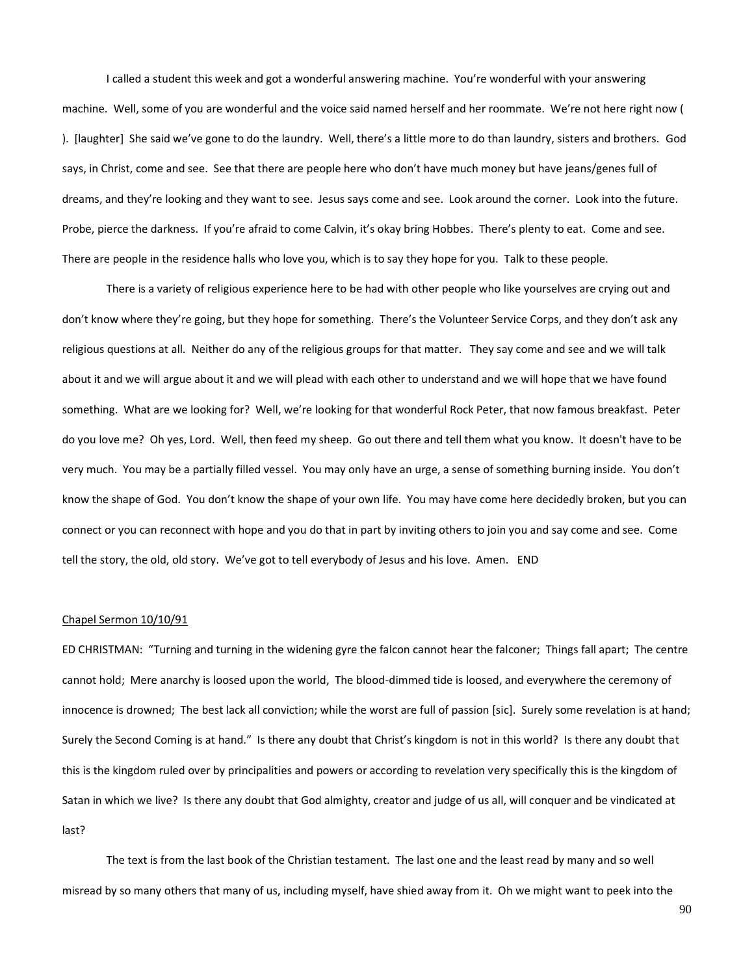I called a student this week and got a wonderful answering machine. You're wonderful with your answering machine. Well, some of you are wonderful and the voice said named herself and her roommate. We're not here right now ( ). [laughter] She said we've gone to do the laundry. Well, there's a little more to do than laundry, sisters and brothers. God says, in Christ, come and see. See that there are people here who don't have much money but have jeans/genes full of dreams, and they're looking and they want to see. Jesus says come and see. Look around the corner. Look into the future. Probe, pierce the darkness. If you're afraid to come Calvin, it's okay bring Hobbes. There's plenty to eat. Come and see. There are people in the residence halls who love you, which is to say they hope for you. Talk to these people.

There is a variety of religious experience here to be had with other people who like yourselves are crying out and don't know where they're going, but they hope for something. There's the Volunteer Service Corps, and they don't ask any religious questions at all. Neither do any of the religious groups for that matter. They say come and see and we will talk about it and we will argue about it and we will plead with each other to understand and we will hope that we have found something. What are we looking for? Well, we're looking for that wonderful Rock Peter, that now famous breakfast. Peter do you love me? Oh yes, Lord. Well, then feed my sheep. Go out there and tell them what you know. It doesn't have to be very much. You may be a partially filled vessel. You may only have an urge, a sense of something burning inside. You don't know the shape of God. You don't know the shape of your own life. You may have come here decidedly broken, but you can connect or you can reconnect with hope and you do that in part by inviting others to join you and say come and see. Come tell the story, the old, old story. We've got to tell everybody of Jesus and his love. Amen. END

### Chapel Sermon 10/10/91

ED CHRISTMAN: "Turning and turning in the widening gyre the falcon cannot hear the falconer; Things fall apart; The centre cannot hold; Mere anarchy is loosed upon the world, The blood-dimmed tide is loosed, and everywhere the ceremony of innocence is drowned; The best lack all conviction; while the worst are full of passion [sic]. Surely some revelation is at hand; Surely the Second Coming is at hand." Is there any doubt that Christ's kingdom is not in this world? Is there any doubt that this is the kingdom ruled over by principalities and powers or according to revelation very specifically this is the kingdom of Satan in which we live? Is there any doubt that God almighty, creator and judge of us all, will conquer and be vindicated at last?

The text is from the last book of the Christian testament. The last one and the least read by many and so well misread by so many others that many of us, including myself, have shied away from it. Oh we might want to peek into the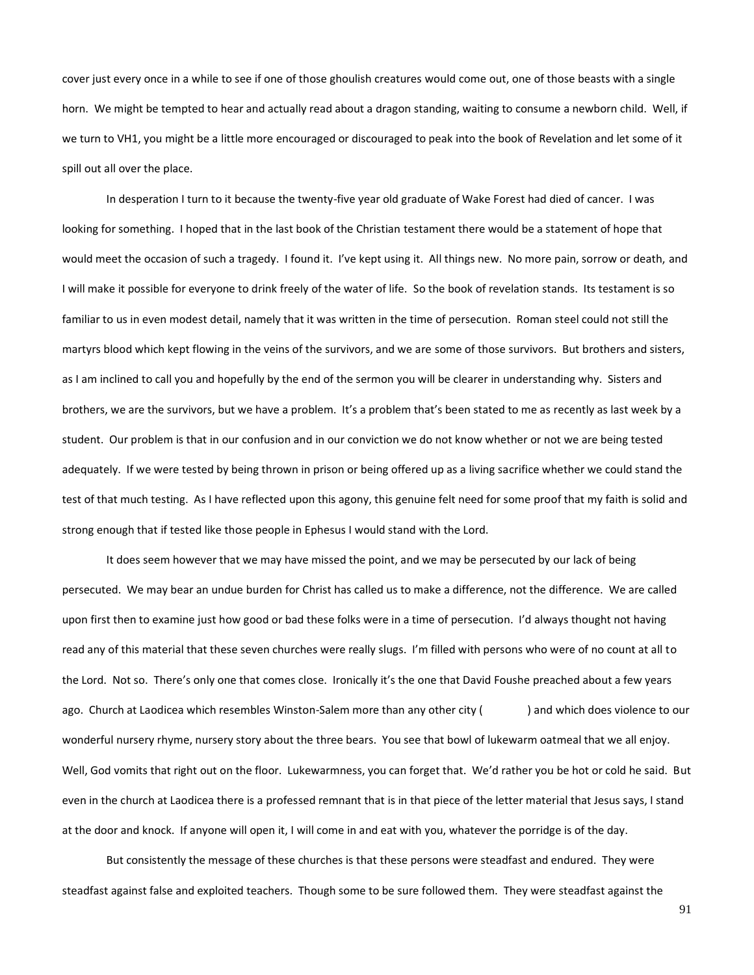cover just every once in a while to see if one of those ghoulish creatures would come out, one of those beasts with a single horn. We might be tempted to hear and actually read about a dragon standing, waiting to consume a newborn child. Well, if we turn to VH1, you might be a little more encouraged or discouraged to peak into the book of Revelation and let some of it spill out all over the place.

In desperation I turn to it because the twenty-five year old graduate of Wake Forest had died of cancer. I was looking for something. I hoped that in the last book of the Christian testament there would be a statement of hope that would meet the occasion of such a tragedy. I found it. I've kept using it. All things new. No more pain, sorrow or death, and I will make it possible for everyone to drink freely of the water of life. So the book of revelation stands. Its testament is so familiar to us in even modest detail, namely that it was written in the time of persecution. Roman steel could not still the martyrs blood which kept flowing in the veins of the survivors, and we are some of those survivors. But brothers and sisters, as I am inclined to call you and hopefully by the end of the sermon you will be clearer in understanding why. Sisters and brothers, we are the survivors, but we have a problem. It's a problem that's been stated to me as recently as last week by a student. Our problem is that in our confusion and in our conviction we do not know whether or not we are being tested adequately. If we were tested by being thrown in prison or being offered up as a living sacrifice whether we could stand the test of that much testing. As I have reflected upon this agony, this genuine felt need for some proof that my faith is solid and strong enough that if tested like those people in Ephesus I would stand with the Lord.

It does seem however that we may have missed the point, and we may be persecuted by our lack of being persecuted. We may bear an undue burden for Christ has called us to make a difference, not the difference. We are called upon first then to examine just how good or bad these folks were in a time of persecution. I'd always thought not having read any of this material that these seven churches were really slugs. I'm filled with persons who were of no count at all to the Lord. Not so. There's only one that comes close. Ironically it's the one that David Foushe preached about a few years ago. Church at Laodicea which resembles Winston-Salem more than any other city () and which does violence to our wonderful nursery rhyme, nursery story about the three bears. You see that bowl of lukewarm oatmeal that we all enjoy. Well, God vomits that right out on the floor. Lukewarmness, you can forget that. We'd rather you be hot or cold he said. But even in the church at Laodicea there is a professed remnant that is in that piece of the letter material that Jesus says, I stand at the door and knock. If anyone will open it, I will come in and eat with you, whatever the porridge is of the day.

But consistently the message of these churches is that these persons were steadfast and endured. They were steadfast against false and exploited teachers. Though some to be sure followed them. They were steadfast against the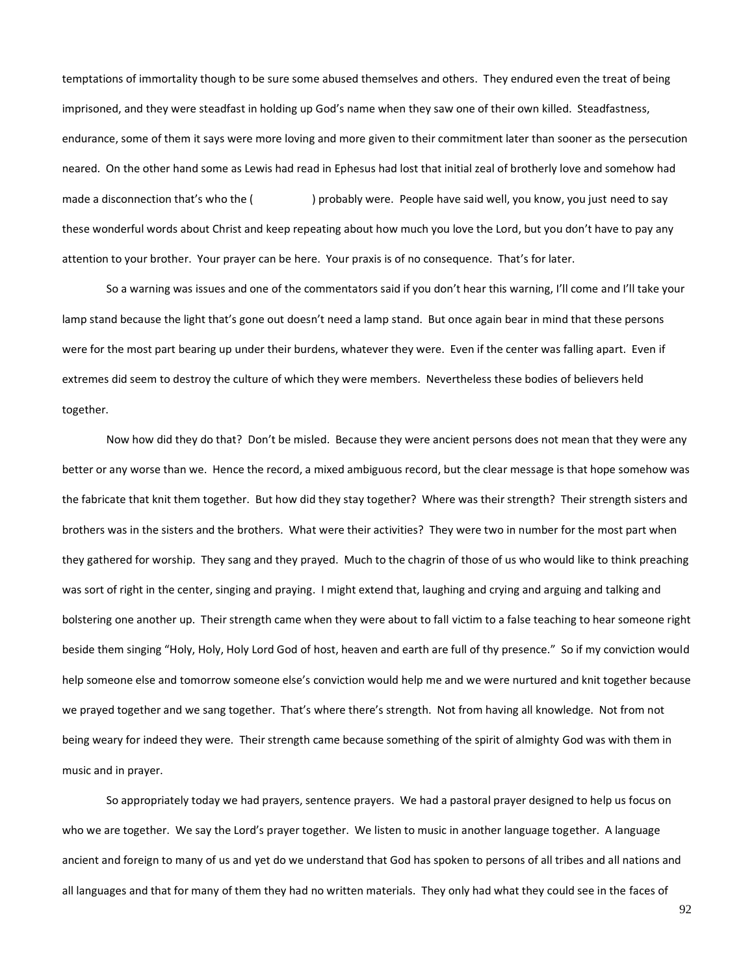temptations of immortality though to be sure some abused themselves and others. They endured even the treat of being imprisoned, and they were steadfast in holding up God's name when they saw one of their own killed. Steadfastness, endurance, some of them it says were more loving and more given to their commitment later than sooner as the persecution neared. On the other hand some as Lewis had read in Ephesus had lost that initial zeal of brotherly love and somehow had made a disconnection that's who the () probably were. People have said well, you know, you just need to say these wonderful words about Christ and keep repeating about how much you love the Lord, but you don't have to pay any attention to your brother. Your prayer can be here. Your praxis is of no consequence. That's for later.

So a warning was issues and one of the commentators said if you don't hear this warning, I'll come and I'll take your lamp stand because the light that's gone out doesn't need a lamp stand. But once again bear in mind that these persons were for the most part bearing up under their burdens, whatever they were. Even if the center was falling apart. Even if extremes did seem to destroy the culture of which they were members. Nevertheless these bodies of believers held together.

Now how did they do that? Don't be misled. Because they were ancient persons does not mean that they were any better or any worse than we. Hence the record, a mixed ambiguous record, but the clear message is that hope somehow was the fabricate that knit them together. But how did they stay together? Where was their strength? Their strength sisters and brothers was in the sisters and the brothers. What were their activities? They were two in number for the most part when they gathered for worship. They sang and they prayed. Much to the chagrin of those of us who would like to think preaching was sort of right in the center, singing and praying. I might extend that, laughing and crying and arguing and talking and bolstering one another up. Their strength came when they were about to fall victim to a false teaching to hear someone right beside them singing "Holy, Holy, Holy Lord God of host, heaven and earth are full of thy presence." So if my conviction would help someone else and tomorrow someone else's conviction would help me and we were nurtured and knit together because we prayed together and we sang together. That's where there's strength. Not from having all knowledge. Not from not being weary for indeed they were. Their strength came because something of the spirit of almighty God was with them in music and in prayer.

So appropriately today we had prayers, sentence prayers. We had a pastoral prayer designed to help us focus on who we are together. We say the Lord's prayer together. We listen to music in another language together. A language ancient and foreign to many of us and yet do we understand that God has spoken to persons of all tribes and all nations and all languages and that for many of them they had no written materials. They only had what they could see in the faces of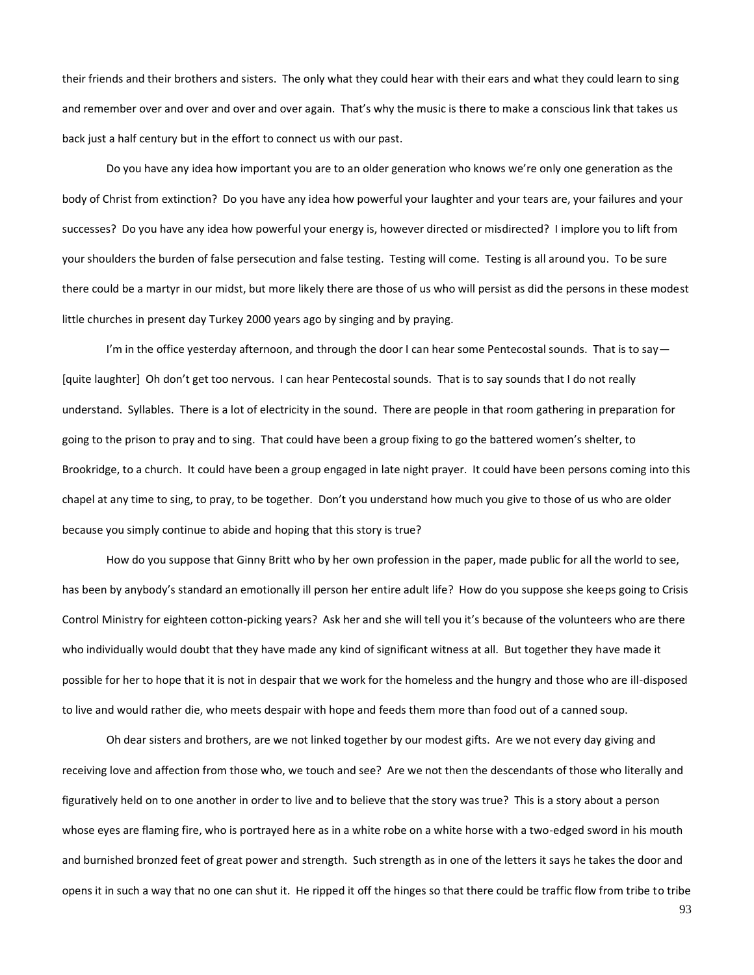their friends and their brothers and sisters. The only what they could hear with their ears and what they could learn to sing and remember over and over and over and over again. That's why the music is there to make a conscious link that takes us back just a half century but in the effort to connect us with our past.

Do you have any idea how important you are to an older generation who knows we're only one generation as the body of Christ from extinction? Do you have any idea how powerful your laughter and your tears are, your failures and your successes? Do you have any idea how powerful your energy is, however directed or misdirected? I implore you to lift from your shoulders the burden of false persecution and false testing. Testing will come. Testing is all around you. To be sure there could be a martyr in our midst, but more likely there are those of us who will persist as did the persons in these modest little churches in present day Turkey 2000 years ago by singing and by praying.

I'm in the office yesterday afternoon, and through the door I can hear some Pentecostal sounds. That is to say  $-$ [quite laughter] Oh don't get too nervous. I can hear Pentecostal sounds. That is to say sounds that I do not really understand. Syllables. There is a lot of electricity in the sound. There are people in that room gathering in preparation for going to the prison to pray and to sing. That could have been a group fixing to go the battered women's shelter, to Brookridge, to a church. It could have been a group engaged in late night prayer. It could have been persons coming into this chapel at any time to sing, to pray, to be together. Don't you understand how much you give to those of us who are older because you simply continue to abide and hoping that this story is true?

How do you suppose that Ginny Britt who by her own profession in the paper, made public for all the world to see, has been by anybody's standard an emotionally ill person her entire adult life? How do you suppose she keeps going to Crisis Control Ministry for eighteen cotton-picking years? Ask her and she will tell you it's because of the volunteers who are there who individually would doubt that they have made any kind of significant witness at all. But together they have made it possible for her to hope that it is not in despair that we work for the homeless and the hungry and those who are ill-disposed to live and would rather die, who meets despair with hope and feeds them more than food out of a canned soup.

Oh dear sisters and brothers, are we not linked together by our modest gifts. Are we not every day giving and receiving love and affection from those who, we touch and see? Are we not then the descendants of those who literally and figuratively held on to one another in order to live and to believe that the story was true? This is a story about a person whose eyes are flaming fire, who is portrayed here as in a white robe on a white horse with a two-edged sword in his mouth and burnished bronzed feet of great power and strength. Such strength as in one of the letters it says he takes the door and opens it in such a way that no one can shut it. He ripped it off the hinges so that there could be traffic flow from tribe to tribe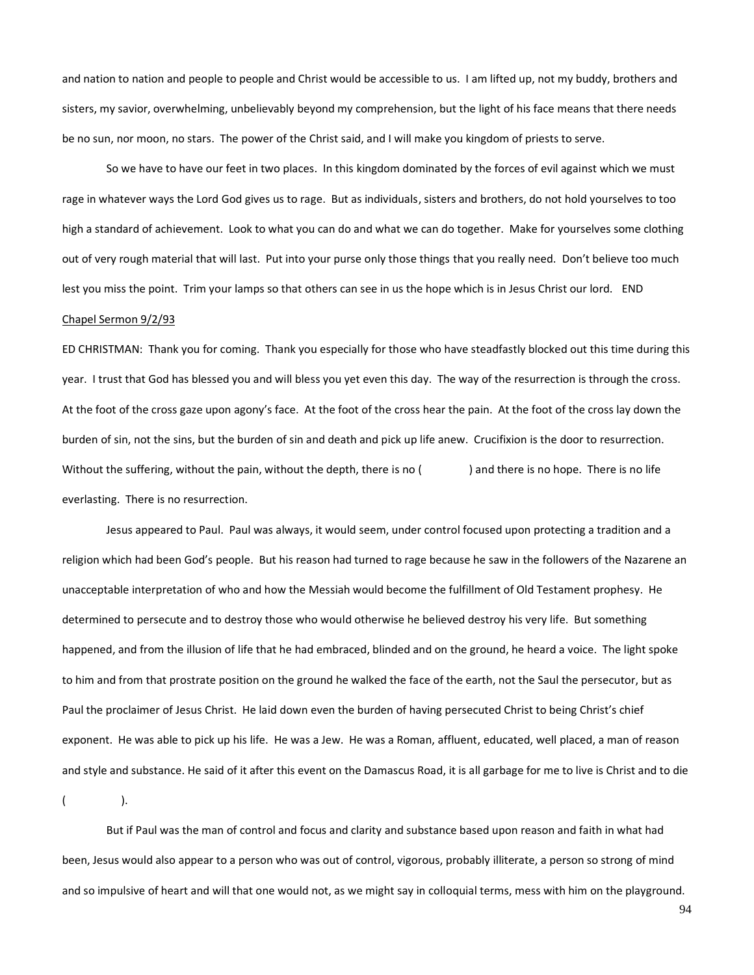and nation to nation and people to people and Christ would be accessible to us. I am lifted up, not my buddy, brothers and sisters, my savior, overwhelming, unbelievably beyond my comprehension, but the light of his face means that there needs be no sun, nor moon, no stars. The power of the Christ said, and I will make you kingdom of priests to serve.

So we have to have our feet in two places. In this kingdom dominated by the forces of evil against which we must rage in whatever ways the Lord God gives us to rage. But as individuals, sisters and brothers, do not hold yourselves to too high a standard of achievement. Look to what you can do and what we can do together. Make for yourselves some clothing out of very rough material that will last. Put into your purse only those things that you really need. Don't believe too much lest you miss the point. Trim your lamps so that others can see in us the hope which is in Jesus Christ our lord. END Chapel Sermon 9/2/93

ED CHRISTMAN: Thank you for coming. Thank you especially for those who have steadfastly blocked out this time during this year. I trust that God has blessed you and will bless you yet even this day. The way of the resurrection is through the cross. At the foot of the cross gaze upon agony's face. At the foot of the cross hear the pain. At the foot of the cross lay down the burden of sin, not the sins, but the burden of sin and death and pick up life anew. Crucifixion is the door to resurrection. Without the suffering, without the pain, without the depth, there is no () and there is no hope. There is no life everlasting. There is no resurrection.

Jesus appeared to Paul. Paul was always, it would seem, under control focused upon protecting a tradition and a religion which had been God's people. But his reason had turned to rage because he saw in the followers of the Nazarene an unacceptable interpretation of who and how the Messiah would become the fulfillment of Old Testament prophesy. He determined to persecute and to destroy those who would otherwise he believed destroy his very life. But something happened, and from the illusion of life that he had embraced, blinded and on the ground, he heard a voice. The light spoke to him and from that prostrate position on the ground he walked the face of the earth, not the Saul the persecutor, but as Paul the proclaimer of Jesus Christ. He laid down even the burden of having persecuted Christ to being Christ's chief exponent. He was able to pick up his life. He was a Jew. He was a Roman, affluent, educated, well placed, a man of reason and style and substance. He said of it after this event on the Damascus Road, it is all garbage for me to live is Christ and to die

 $($  ).

But if Paul was the man of control and focus and clarity and substance based upon reason and faith in what had been, Jesus would also appear to a person who was out of control, vigorous, probably illiterate, a person so strong of mind and so impulsive of heart and will that one would not, as we might say in colloquial terms, mess with him on the playground.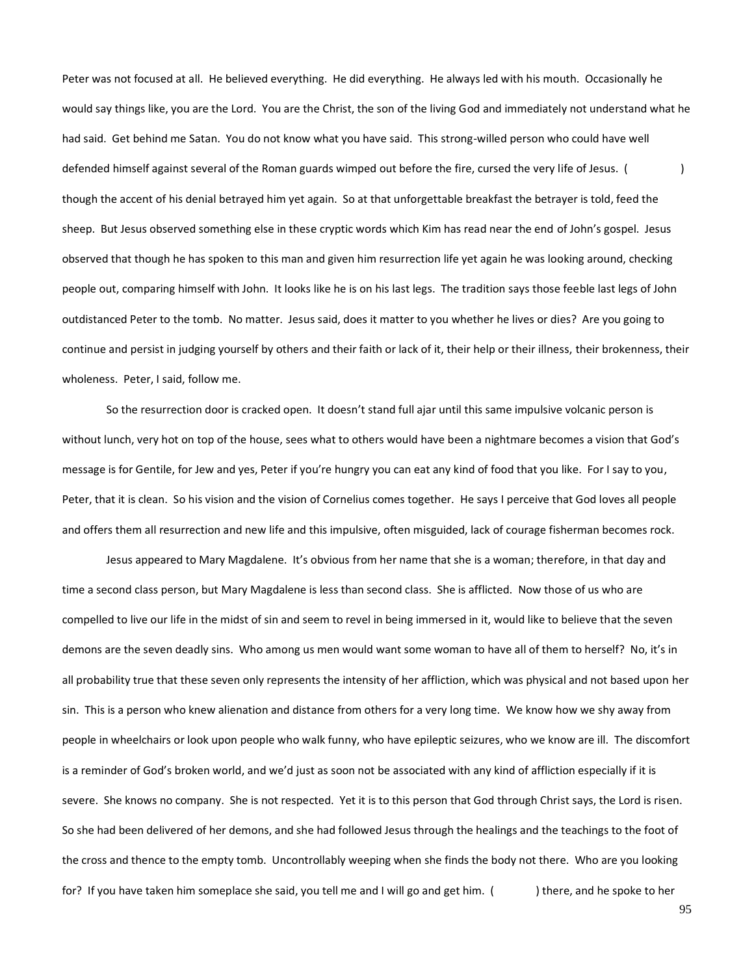Peter was not focused at all. He believed everything. He did everything. He always led with his mouth. Occasionally he would say things like, you are the Lord. You are the Christ, the son of the living God and immediately not understand what he had said. Get behind me Satan. You do not know what you have said. This strong-willed person who could have well defended himself against several of the Roman guards wimped out before the fire, cursed the very life of Jesus. () though the accent of his denial betrayed him yet again. So at that unforgettable breakfast the betrayer is told, feed the sheep. But Jesus observed something else in these cryptic words which Kim has read near the end of John's gospel. Jesus observed that though he has spoken to this man and given him resurrection life yet again he was looking around, checking people out, comparing himself with John. It looks like he is on his last legs. The tradition says those feeble last legs of John outdistanced Peter to the tomb. No matter. Jesus said, does it matter to you whether he lives or dies? Are you going to continue and persist in judging yourself by others and their faith or lack of it, their help or their illness, their brokenness, their wholeness. Peter, I said, follow me.

So the resurrection door is cracked open. It doesn't stand full ajar until this same impulsive volcanic person is without lunch, very hot on top of the house, sees what to others would have been a nightmare becomes a vision that God's message is for Gentile, for Jew and yes, Peter if you're hungry you can eat any kind of food that you like. For I say to you, Peter, that it is clean. So his vision and the vision of Cornelius comes together. He says I perceive that God loves all people and offers them all resurrection and new life and this impulsive, often misguided, lack of courage fisherman becomes rock.

Jesus appeared to Mary Magdalene. It's obvious from her name that she is a woman; therefore, in that day and time a second class person, but Mary Magdalene is less than second class. She is afflicted. Now those of us who are compelled to live our life in the midst of sin and seem to revel in being immersed in it, would like to believe that the seven demons are the seven deadly sins. Who among us men would want some woman to have all of them to herself? No, it's in all probability true that these seven only represents the intensity of her affliction, which was physical and not based upon her sin. This is a person who knew alienation and distance from others for a very long time. We know how we shy away from people in wheelchairs or look upon people who walk funny, who have epileptic seizures, who we know are ill. The discomfort is a reminder of God's broken world, and we'd just as soon not be associated with any kind of affliction especially if it is severe. She knows no company. She is not respected. Yet it is to this person that God through Christ says, the Lord is risen. So she had been delivered of her demons, and she had followed Jesus through the healings and the teachings to the foot of the cross and thence to the empty tomb. Uncontrollably weeping when she finds the body not there. Who are you looking for? If you have taken him someplace she said, you tell me and I will go and get him. () there, and he spoke to her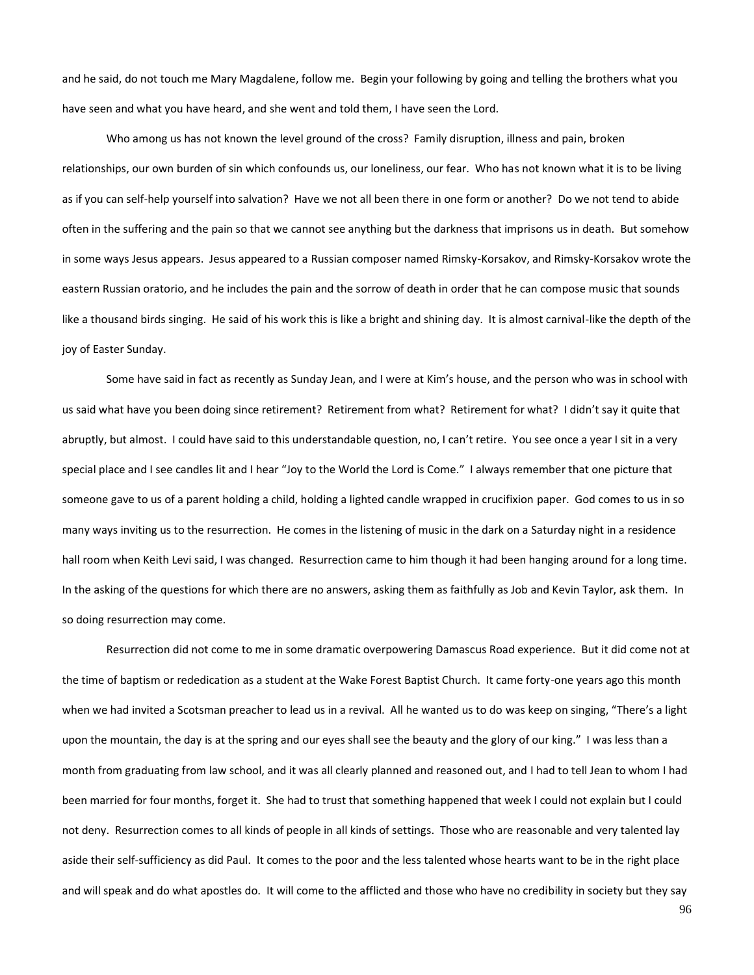and he said, do not touch me Mary Magdalene, follow me. Begin your following by going and telling the brothers what you have seen and what you have heard, and she went and told them, I have seen the Lord.

Who among us has not known the level ground of the cross? Family disruption, illness and pain, broken relationships, our own burden of sin which confounds us, our loneliness, our fear. Who has not known what it is to be living as if you can self-help yourself into salvation? Have we not all been there in one form or another? Do we not tend to abide often in the suffering and the pain so that we cannot see anything but the darkness that imprisons us in death. But somehow in some ways Jesus appears. Jesus appeared to a Russian composer named Rimsky-Korsakov, and Rimsky-Korsakov wrote the eastern Russian oratorio, and he includes the pain and the sorrow of death in order that he can compose music that sounds like a thousand birds singing. He said of his work this is like a bright and shining day. It is almost carnival-like the depth of the joy of Easter Sunday.

Some have said in fact as recently as Sunday Jean, and I were at Kim's house, and the person who was in school with us said what have you been doing since retirement? Retirement from what? Retirement for what? I didn't say it quite that abruptly, but almost. I could have said to this understandable question, no, I can't retire. You see once a year I sit in a very special place and I see candles lit and I hear "Joy to the World the Lord is Come." I always remember that one picture that someone gave to us of a parent holding a child, holding a lighted candle wrapped in crucifixion paper. God comes to us in so many ways inviting us to the resurrection. He comes in the listening of music in the dark on a Saturday night in a residence hall room when Keith Levi said, I was changed. Resurrection came to him though it had been hanging around for a long time. In the asking of the questions for which there are no answers, asking them as faithfully as Job and Kevin Taylor, ask them. In so doing resurrection may come.

Resurrection did not come to me in some dramatic overpowering Damascus Road experience. But it did come not at the time of baptism or rededication as a student at the Wake Forest Baptist Church. It came forty-one years ago this month when we had invited a Scotsman preacher to lead us in a revival. All he wanted us to do was keep on singing, "There's a light upon the mountain, the day is at the spring and our eyes shall see the beauty and the glory of our king." I was less than a month from graduating from law school, and it was all clearly planned and reasoned out, and I had to tell Jean to whom I had been married for four months, forget it. She had to trust that something happened that week I could not explain but I could not deny. Resurrection comes to all kinds of people in all kinds of settings. Those who are reasonable and very talented lay aside their self-sufficiency as did Paul. It comes to the poor and the less talented whose hearts want to be in the right place and will speak and do what apostles do. It will come to the afflicted and those who have no credibility in society but they say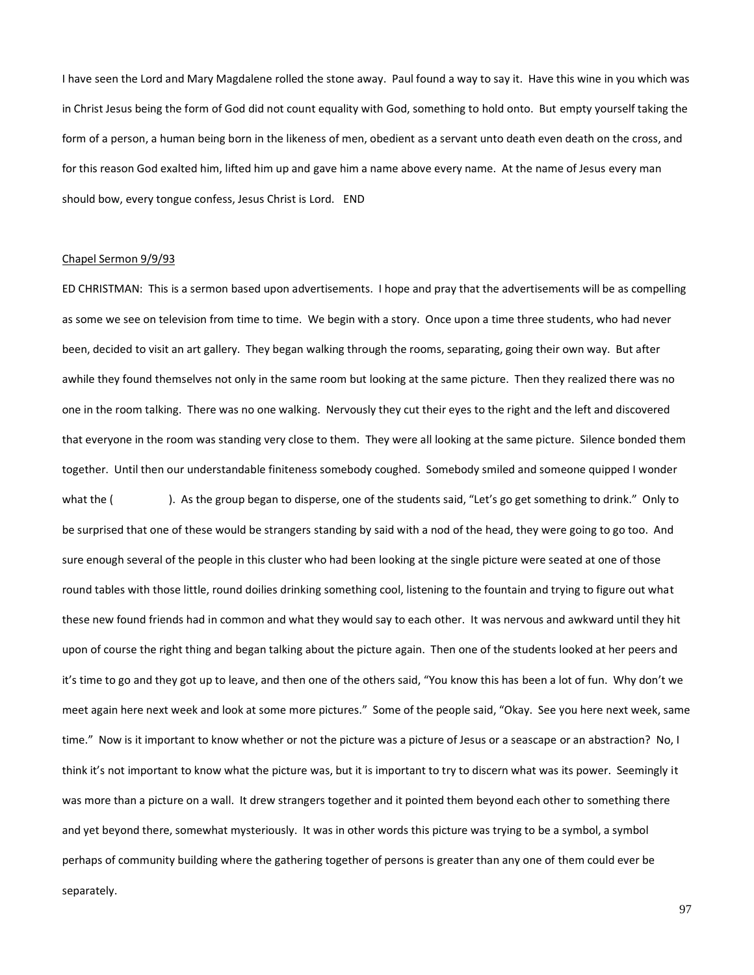I have seen the Lord and Mary Magdalene rolled the stone away. Paul found a way to say it. Have this wine in you which was in Christ Jesus being the form of God did not count equality with God, something to hold onto. But empty yourself taking the form of a person, a human being born in the likeness of men, obedient as a servant unto death even death on the cross, and for this reason God exalted him, lifted him up and gave him a name above every name. At the name of Jesus every man should bow, every tongue confess, Jesus Christ is Lord. END

# Chapel Sermon 9/9/93

ED CHRISTMAN: This is a sermon based upon advertisements. I hope and pray that the advertisements will be as compelling as some we see on television from time to time. We begin with a story. Once upon a time three students, who had never been, decided to visit an art gallery. They began walking through the rooms, separating, going their own way. But after awhile they found themselves not only in the same room but looking at the same picture. Then they realized there was no one in the room talking. There was no one walking. Nervously they cut their eyes to the right and the left and discovered that everyone in the room was standing very close to them. They were all looking at the same picture. Silence bonded them together. Until then our understandable finiteness somebody coughed. Somebody smiled and someone quipped I wonder what the (
). As the group began to disperse, one of the students said, "Let's go get something to drink." Only to be surprised that one of these would be strangers standing by said with a nod of the head, they were going to go too. And sure enough several of the people in this cluster who had been looking at the single picture were seated at one of those round tables with those little, round doilies drinking something cool, listening to the fountain and trying to figure out what these new found friends had in common and what they would say to each other. It was nervous and awkward until they hit upon of course the right thing and began talking about the picture again. Then one of the students looked at her peers and it's time to go and they got up to leave, and then one of the others said, "You know this has been a lot of fun. Why don't we meet again here next week and look at some more pictures." Some of the people said, "Okay. See you here next week, same time." Now is it important to know whether or not the picture was a picture of Jesus or a seascape or an abstraction? No, I think it's not important to know what the picture was, but it is important to try to discern what was its power. Seemingly it was more than a picture on a wall. It drew strangers together and it pointed them beyond each other to something there and yet beyond there, somewhat mysteriously. It was in other words this picture was trying to be a symbol, a symbol perhaps of community building where the gathering together of persons is greater than any one of them could ever be separately.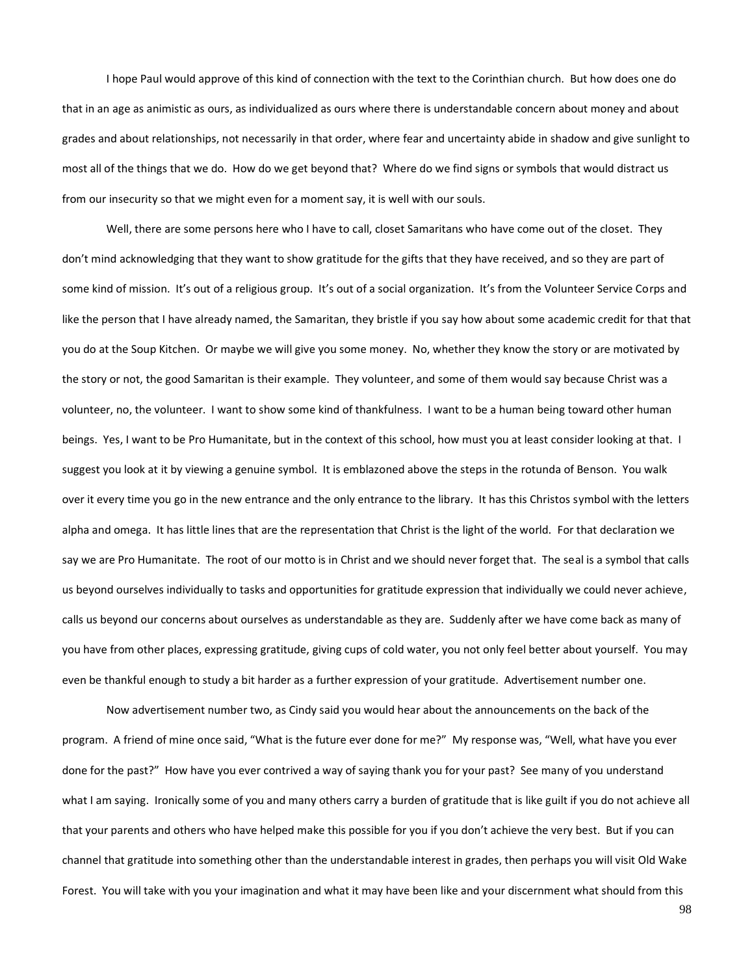I hope Paul would approve of this kind of connection with the text to the Corinthian church. But how does one do that in an age as animistic as ours, as individualized as ours where there is understandable concern about money and about grades and about relationships, not necessarily in that order, where fear and uncertainty abide in shadow and give sunlight to most all of the things that we do. How do we get beyond that? Where do we find signs or symbols that would distract us from our insecurity so that we might even for a moment say, it is well with our souls.

Well, there are some persons here who I have to call, closet Samaritans who have come out of the closet. They don't mind acknowledging that they want to show gratitude for the gifts that they have received, and so they are part of some kind of mission. It's out of a religious group. It's out of a social organization. It's from the Volunteer Service Corps and like the person that I have already named, the Samaritan, they bristle if you say how about some academic credit for that that you do at the Soup Kitchen. Or maybe we will give you some money. No, whether they know the story or are motivated by the story or not, the good Samaritan is their example. They volunteer, and some of them would say because Christ was a volunteer, no, the volunteer. I want to show some kind of thankfulness. I want to be a human being toward other human beings. Yes, I want to be Pro Humanitate, but in the context of this school, how must you at least consider looking at that. I suggest you look at it by viewing a genuine symbol. It is emblazoned above the steps in the rotunda of Benson. You walk over it every time you go in the new entrance and the only entrance to the library. It has this Christos symbol with the letters alpha and omega. It has little lines that are the representation that Christ is the light of the world. For that declaration we say we are Pro Humanitate. The root of our motto is in Christ and we should never forget that. The seal is a symbol that calls us beyond ourselves individually to tasks and opportunities for gratitude expression that individually we could never achieve, calls us beyond our concerns about ourselves as understandable as they are. Suddenly after we have come back as many of you have from other places, expressing gratitude, giving cups of cold water, you not only feel better about yourself. You may even be thankful enough to study a bit harder as a further expression of your gratitude. Advertisement number one.

Now advertisement number two, as Cindy said you would hear about the announcements on the back of the program. A friend of mine once said, "What is the future ever done for me?" My response was, "Well, what have you ever done for the past?" How have you ever contrived a way of saying thank you for your past? See many of you understand what I am saying. Ironically some of you and many others carry a burden of gratitude that is like guilt if you do not achieve all that your parents and others who have helped make this possible for you if you don't achieve the very best. But if you can channel that gratitude into something other than the understandable interest in grades, then perhaps you will visit Old Wake Forest. You will take with you your imagination and what it may have been like and your discernment what should from this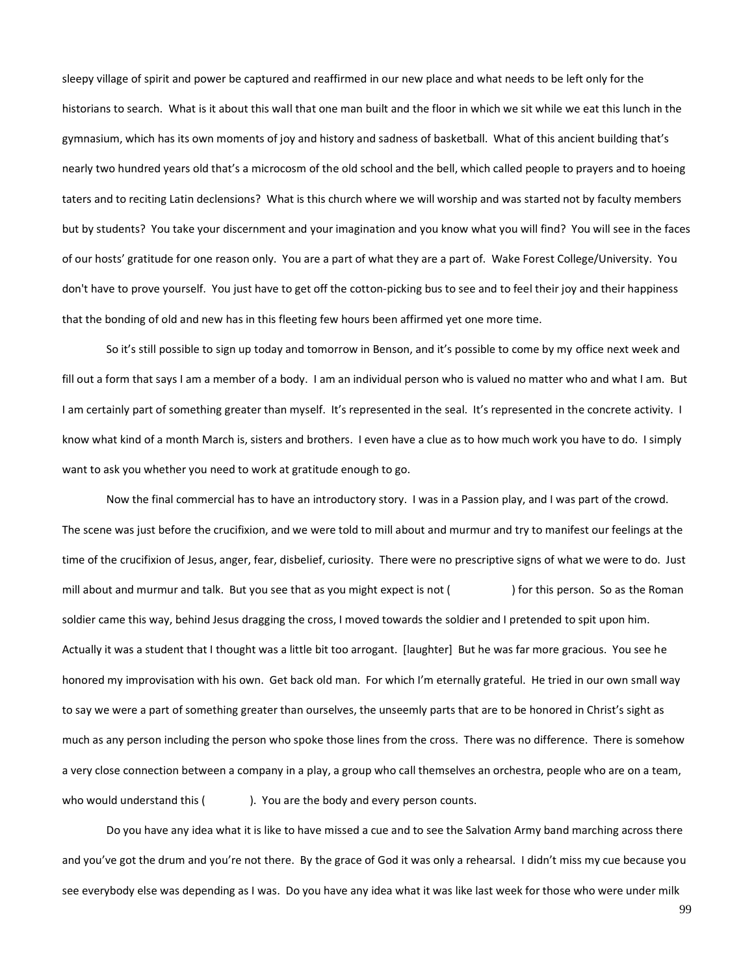sleepy village of spirit and power be captured and reaffirmed in our new place and what needs to be left only for the historians to search. What is it about this wall that one man built and the floor in which we sit while we eat this lunch in the gymnasium, which has its own moments of joy and history and sadness of basketball. What of this ancient building that's nearly two hundred years old that's a microcosm of the old school and the bell, which called people to prayers and to hoeing taters and to reciting Latin declensions? What is this church where we will worship and was started not by faculty members but by students? You take your discernment and your imagination and you know what you will find? You will see in the faces of our hosts' gratitude for one reason only. You are a part of what they are a part of. Wake Forest College/University. You don't have to prove yourself. You just have to get off the cotton-picking bus to see and to feel their joy and their happiness that the bonding of old and new has in this fleeting few hours been affirmed yet one more time.

So it's still possible to sign up today and tomorrow in Benson, and it's possible to come by my office next week and fill out a form that says I am a member of a body. I am an individual person who is valued no matter who and what I am. But I am certainly part of something greater than myself. It's represented in the seal. It's represented in the concrete activity. I know what kind of a month March is, sisters and brothers. I even have a clue as to how much work you have to do. I simply want to ask you whether you need to work at gratitude enough to go.

Now the final commercial has to have an introductory story. I was in a Passion play, and I was part of the crowd. The scene was just before the crucifixion, and we were told to mill about and murmur and try to manifest our feelings at the time of the crucifixion of Jesus, anger, fear, disbelief, curiosity. There were no prescriptive signs of what we were to do. Just mill about and murmur and talk. But you see that as you might expect is not () for this person. So as the Roman soldier came this way, behind Jesus dragging the cross, I moved towards the soldier and I pretended to spit upon him. Actually it was a student that I thought was a little bit too arrogant. [laughter] But he was far more gracious. You see he honored my improvisation with his own. Get back old man. For which I'm eternally grateful. He tried in our own small way to say we were a part of something greater than ourselves, the unseemly parts that are to be honored in Christ's sight as much as any person including the person who spoke those lines from the cross. There was no difference. There is somehow a very close connection between a company in a play, a group who call themselves an orchestra, people who are on a team, who would understand this (). You are the body and every person counts.

Do you have any idea what it is like to have missed a cue and to see the Salvation Army band marching across there and you've got the drum and you're not there. By the grace of God it was only a rehearsal. I didn't miss my cue because you see everybody else was depending as I was. Do you have any idea what it was like last week for those who were under milk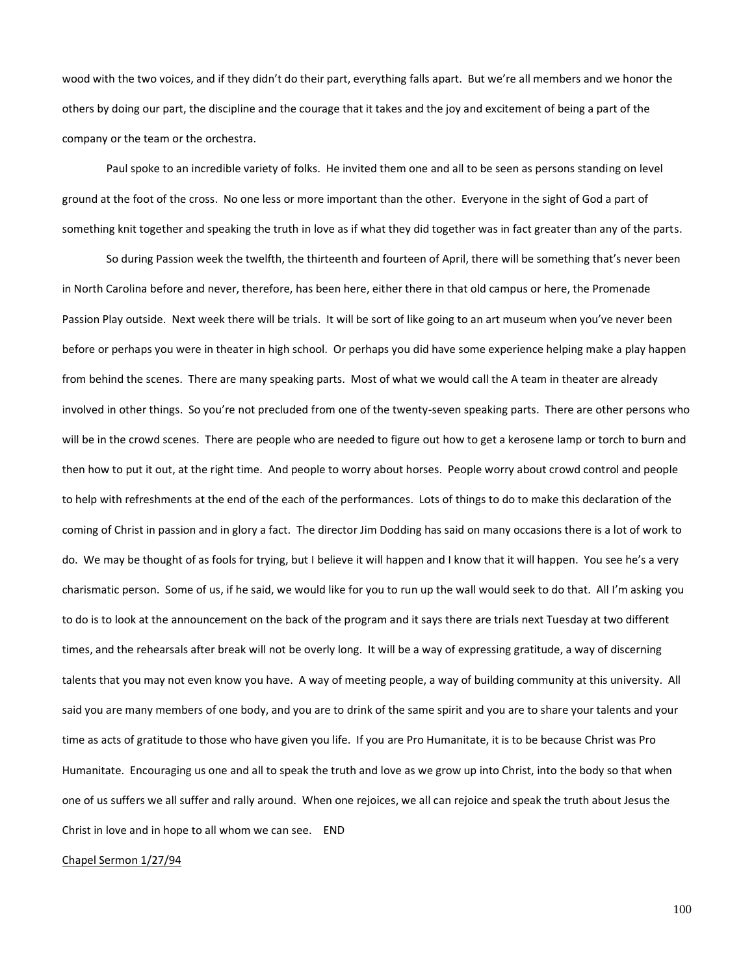wood with the two voices, and if they didn't do their part, everything falls apart. But we're all members and we honor the others by doing our part, the discipline and the courage that it takes and the joy and excitement of being a part of the company or the team or the orchestra.

Paul spoke to an incredible variety of folks. He invited them one and all to be seen as persons standing on level ground at the foot of the cross. No one less or more important than the other. Everyone in the sight of God a part of something knit together and speaking the truth in love as if what they did together was in fact greater than any of the parts.

So during Passion week the twelfth, the thirteenth and fourteen of April, there will be something that's never been in North Carolina before and never, therefore, has been here, either there in that old campus or here, the Promenade Passion Play outside. Next week there will be trials. It will be sort of like going to an art museum when you've never been before or perhaps you were in theater in high school. Or perhaps you did have some experience helping make a play happen from behind the scenes. There are many speaking parts. Most of what we would call the A team in theater are already involved in other things. So you're not precluded from one of the twenty-seven speaking parts. There are other persons who will be in the crowd scenes. There are people who are needed to figure out how to get a kerosene lamp or torch to burn and then how to put it out, at the right time. And people to worry about horses. People worry about crowd control and people to help with refreshments at the end of the each of the performances. Lots of things to do to make this declaration of the coming of Christ in passion and in glory a fact. The director Jim Dodding has said on many occasions there is a lot of work to do. We may be thought of as fools for trying, but I believe it will happen and I know that it will happen. You see he's a very charismatic person. Some of us, if he said, we would like for you to run up the wall would seek to do that. All I'm asking you to do is to look at the announcement on the back of the program and it says there are trials next Tuesday at two different times, and the rehearsals after break will not be overly long. It will be a way of expressing gratitude, a way of discerning talents that you may not even know you have. A way of meeting people, a way of building community at this university. All said you are many members of one body, and you are to drink of the same spirit and you are to share your talents and your time as acts of gratitude to those who have given you life. If you are Pro Humanitate, it is to be because Christ was Pro Humanitate. Encouraging us one and all to speak the truth and love as we grow up into Christ, into the body so that when one of us suffers we all suffer and rally around. When one rejoices, we all can rejoice and speak the truth about Jesus the Christ in love and in hope to all whom we can see. END

### Chapel Sermon 1/27/94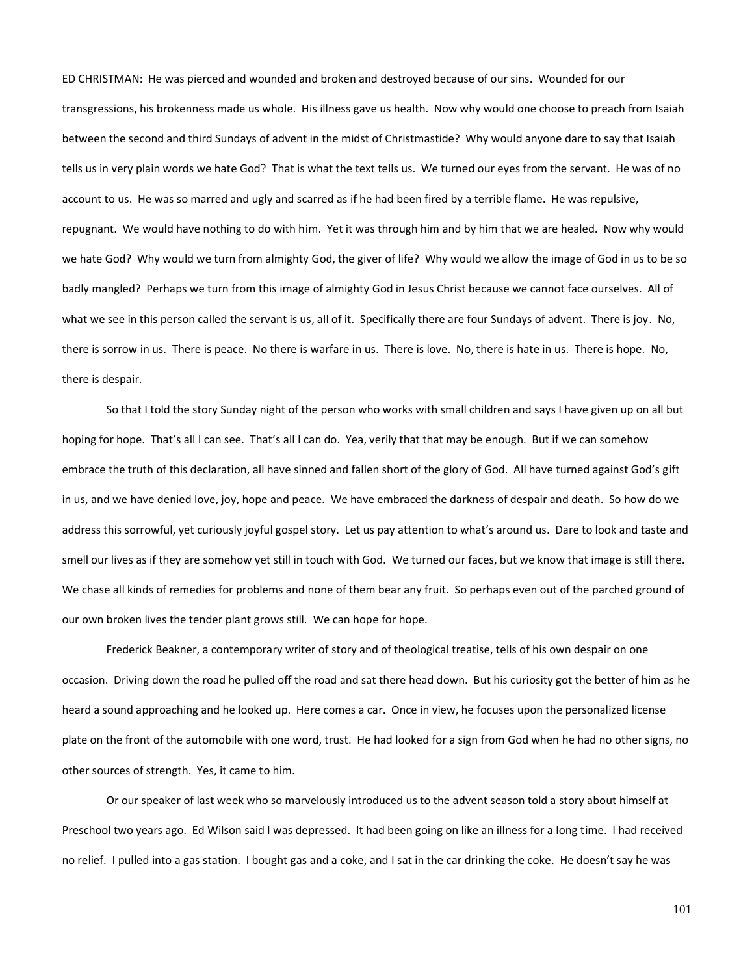ED CHRISTMAN: He was pierced and wounded and broken and destroyed because of our sins. Wounded for our transgressions, his brokenness made us whole. His illness gave us health. Now why would one choose to preach from Isaiah between the second and third Sundays of advent in the midst of Christmastide? Why would anyone dare to say that Isaiah tells us in very plain words we hate God? That is what the text tells us. We turned our eyes from the servant. He was of no account to us. He was so marred and ugly and scarred as if he had been fired by a terrible flame. He was repulsive, repugnant. We would have nothing to do with him. Yet it was through him and by him that we are healed. Now why would we hate God? Why would we turn from almighty God, the giver of life? Why would we allow the image of God in us to be so badly mangled? Perhaps we turn from this image of almighty God in Jesus Christ because we cannot face ourselves. All of what we see in this person called the servant is us, all of it. Specifically there are four Sundays of advent. There is joy. No, there is sorrow in us. There is peace. No there is warfare in us. There is love. No, there is hate in us. There is hope. No, there is despair.

So that I told the story Sunday night of the person who works with small children and says I have given up on all but hoping for hope. That's all I can see. That's all I can do. Yea, verily that that may be enough. But if we can somehow embrace the truth of this declaration, all have sinned and fallen short of the glory of God. All have turned against God's gift in us, and we have denied love, joy, hope and peace. We have embraced the darkness of despair and death. So how do we address this sorrowful, yet curiously joyful gospel story. Let us pay attention to what's around us. Dare to look and taste and smell our lives as if they are somehow yet still in touch with God. We turned our faces, but we know that image is still there. We chase all kinds of remedies for problems and none of them bear any fruit. So perhaps even out of the parched ground of our own broken lives the tender plant grows still. We can hope for hope.

Frederick Beakner, a contemporary writer of story and of theological treatise, tells of his own despair on one occasion. Driving down the road he pulled off the road and sat there head down. But his curiosity got the better of him as he heard a sound approaching and he looked up. Here comes a car. Once in view, he focuses upon the personalized license plate on the front of the automobile with one word, trust. He had looked for a sign from God when he had no other signs, no other sources of strength. Yes, it came to him.

Or our speaker of last week who so marvelously introduced us to the advent season told a story about himself at Preschool two years ago. Ed Wilson said I was depressed. It had been going on like an illness for a long time. I had received no relief. I pulled into a gas station. I bought gas and a coke, and I sat in the car drinking the coke. He doesn't say he was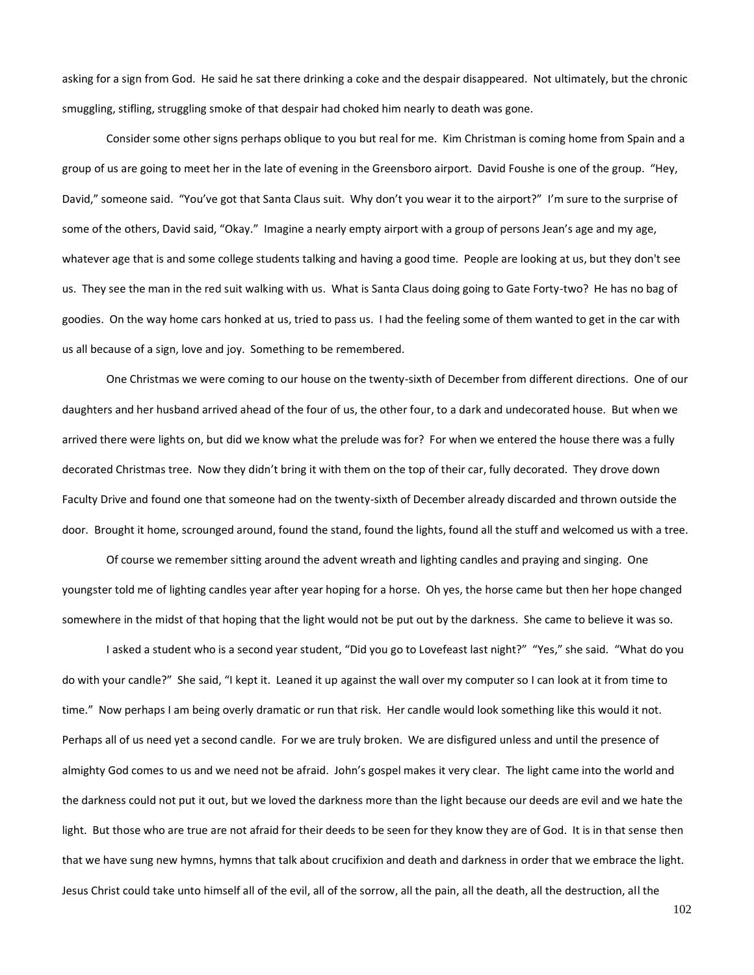asking for a sign from God. He said he sat there drinking a coke and the despair disappeared. Not ultimately, but the chronic smuggling, stifling, struggling smoke of that despair had choked him nearly to death was gone.

Consider some other signs perhaps oblique to you but real for me. Kim Christman is coming home from Spain and a group of us are going to meet her in the late of evening in the Greensboro airport. David Foushe is one of the group. "Hey, David," someone said. "You've got that Santa Claus suit. Why don't you wear it to the airport?" I'm sure to the surprise of some of the others, David said, "Okay." Imagine a nearly empty airport with a group of persons Jean's age and my age, whatever age that is and some college students talking and having a good time. People are looking at us, but they don't see us. They see the man in the red suit walking with us. What is Santa Claus doing going to Gate Forty-two? He has no bag of goodies. On the way home cars honked at us, tried to pass us. I had the feeling some of them wanted to get in the car with us all because of a sign, love and joy. Something to be remembered.

One Christmas we were coming to our house on the twenty-sixth of December from different directions. One of our daughters and her husband arrived ahead of the four of us, the other four, to a dark and undecorated house. But when we arrived there were lights on, but did we know what the prelude was for? For when we entered the house there was a fully decorated Christmas tree. Now they didn't bring it with them on the top of their car, fully decorated. They drove down Faculty Drive and found one that someone had on the twenty-sixth of December already discarded and thrown outside the door. Brought it home, scrounged around, found the stand, found the lights, found all the stuff and welcomed us with a tree.

Of course we remember sitting around the advent wreath and lighting candles and praying and singing. One youngster told me of lighting candles year after year hoping for a horse. Oh yes, the horse came but then her hope changed somewhere in the midst of that hoping that the light would not be put out by the darkness. She came to believe it was so.

I asked a student who is a second year student, "Did you go to Lovefeast last night?" "Yes," she said. "What do you do with your candle?" She said, "I kept it. Leaned it up against the wall over my computer so I can look at it from time to time." Now perhaps I am being overly dramatic or run that risk. Her candle would look something like this would it not. Perhaps all of us need yet a second candle. For we are truly broken. We are disfigured unless and until the presence of almighty God comes to us and we need not be afraid. John's gospel makes it very clear. The light came into the world and the darkness could not put it out, but we loved the darkness more than the light because our deeds are evil and we hate the light. But those who are true are not afraid for their deeds to be seen for they know they are of God. It is in that sense then that we have sung new hymns, hymns that talk about crucifixion and death and darkness in order that we embrace the light. Jesus Christ could take unto himself all of the evil, all of the sorrow, all the pain, all the death, all the destruction, all the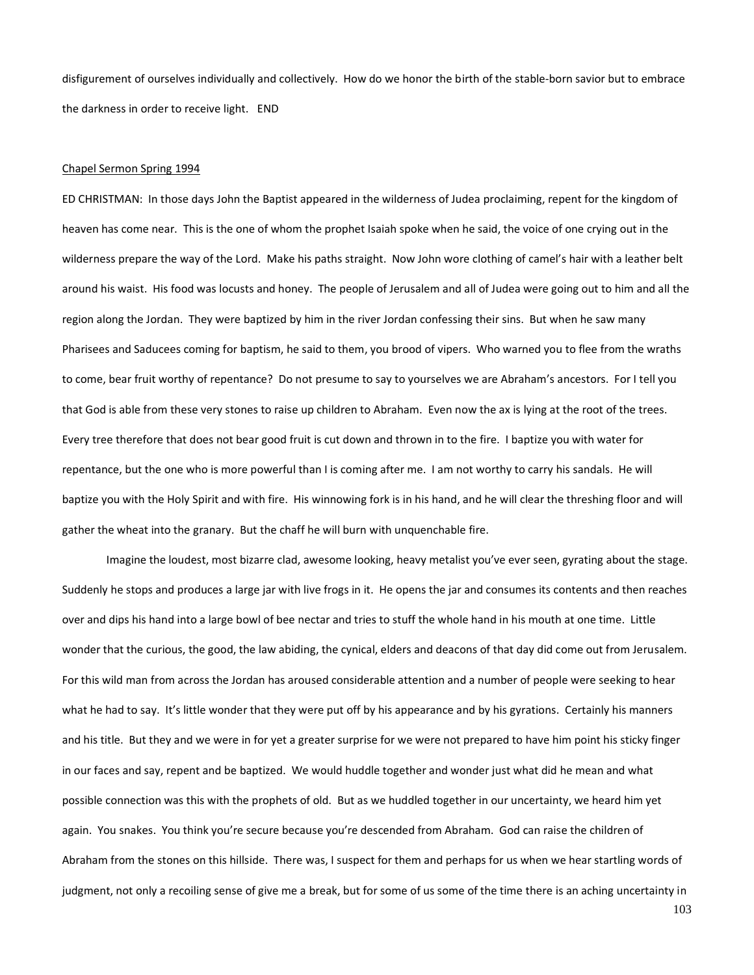disfigurement of ourselves individually and collectively. How do we honor the birth of the stable-born savior but to embrace the darkness in order to receive light. END

#### Chapel Sermon Spring 1994

ED CHRISTMAN: In those days John the Baptist appeared in the wilderness of Judea proclaiming, repent for the kingdom of heaven has come near. This is the one of whom the prophet Isaiah spoke when he said, the voice of one crying out in the wilderness prepare the way of the Lord. Make his paths straight. Now John wore clothing of camel's hair with a leather belt around his waist. His food was locusts and honey. The people of Jerusalem and all of Judea were going out to him and all the region along the Jordan. They were baptized by him in the river Jordan confessing their sins. But when he saw many Pharisees and Saducees coming for baptism, he said to them, you brood of vipers. Who warned you to flee from the wraths to come, bear fruit worthy of repentance? Do not presume to say to yourselves we are Abraham's ancestors. For I tell you that God is able from these very stones to raise up children to Abraham. Even now the ax is lying at the root of the trees. Every tree therefore that does not bear good fruit is cut down and thrown in to the fire. I baptize you with water for repentance, but the one who is more powerful than I is coming after me. I am not worthy to carry his sandals. He will baptize you with the Holy Spirit and with fire. His winnowing fork is in his hand, and he will clear the threshing floor and will gather the wheat into the granary. But the chaff he will burn with unquenchable fire.

Imagine the loudest, most bizarre clad, awesome looking, heavy metalist you've ever seen, gyrating about the stage. Suddenly he stops and produces a large jar with live frogs in it. He opens the jar and consumes its contents and then reaches over and dips his hand into a large bowl of bee nectar and tries to stuff the whole hand in his mouth at one time. Little wonder that the curious, the good, the law abiding, the cynical, elders and deacons of that day did come out from Jerusalem. For this wild man from across the Jordan has aroused considerable attention and a number of people were seeking to hear what he had to say. It's little wonder that they were put off by his appearance and by his gyrations. Certainly his manners and his title. But they and we were in for yet a greater surprise for we were not prepared to have him point his sticky finger in our faces and say, repent and be baptized. We would huddle together and wonder just what did he mean and what possible connection was this with the prophets of old. But as we huddled together in our uncertainty, we heard him yet again. You snakes. You think you're secure because you're descended from Abraham. God can raise the children of Abraham from the stones on this hillside. There was, I suspect for them and perhaps for us when we hear startling words of judgment, not only a recoiling sense of give me a break, but for some of us some of the time there is an aching uncertainty in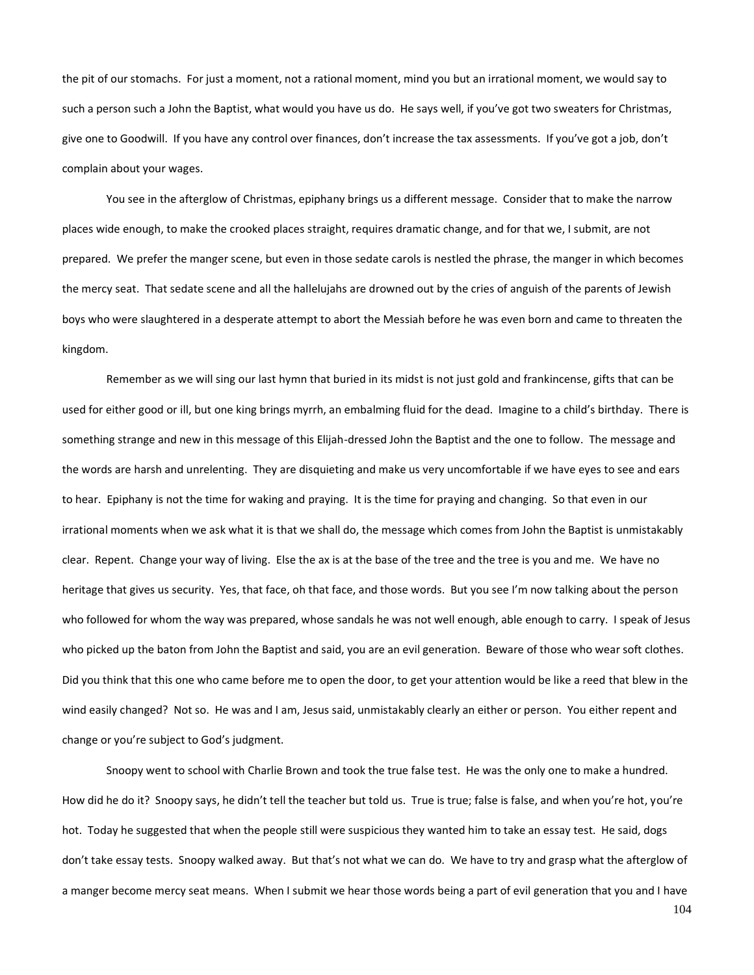the pit of our stomachs. For just a moment, not a rational moment, mind you but an irrational moment, we would say to such a person such a John the Baptist, what would you have us do. He says well, if you've got two sweaters for Christmas, give one to Goodwill. If you have any control over finances, don't increase the tax assessments. If you've got a job, don't complain about your wages.

You see in the afterglow of Christmas, epiphany brings us a different message. Consider that to make the narrow places wide enough, to make the crooked places straight, requires dramatic change, and for that we, I submit, are not prepared. We prefer the manger scene, but even in those sedate carols is nestled the phrase, the manger in which becomes the mercy seat. That sedate scene and all the hallelujahs are drowned out by the cries of anguish of the parents of Jewish boys who were slaughtered in a desperate attempt to abort the Messiah before he was even born and came to threaten the kingdom.

Remember as we will sing our last hymn that buried in its midst is not just gold and frankincense, gifts that can be used for either good or ill, but one king brings myrrh, an embalming fluid for the dead. Imagine to a child's birthday. There is something strange and new in this message of this Elijah-dressed John the Baptist and the one to follow. The message and the words are harsh and unrelenting. They are disquieting and make us very uncomfortable if we have eyes to see and ears to hear. Epiphany is not the time for waking and praying. It is the time for praying and changing. So that even in our irrational moments when we ask what it is that we shall do, the message which comes from John the Baptist is unmistakably clear. Repent. Change your way of living. Else the ax is at the base of the tree and the tree is you and me. We have no heritage that gives us security. Yes, that face, oh that face, and those words. But you see I'm now talking about the person who followed for whom the way was prepared, whose sandals he was not well enough, able enough to carry. I speak of Jesus who picked up the baton from John the Baptist and said, you are an evil generation. Beware of those who wear soft clothes. Did you think that this one who came before me to open the door, to get your attention would be like a reed that blew in the wind easily changed? Not so. He was and I am, Jesus said, unmistakably clearly an either or person. You either repent and change or you're subject to God's judgment.

Snoopy went to school with Charlie Brown and took the true false test. He was the only one to make a hundred. How did he do it? Snoopy says, he didn't tell the teacher but told us. True is true; false is false, and when you're hot, you're hot. Today he suggested that when the people still were suspicious they wanted him to take an essay test. He said, dogs don't take essay tests. Snoopy walked away. But that's not what we can do. We have to try and grasp what the afterglow of a manger become mercy seat means. When I submit we hear those words being a part of evil generation that you and I have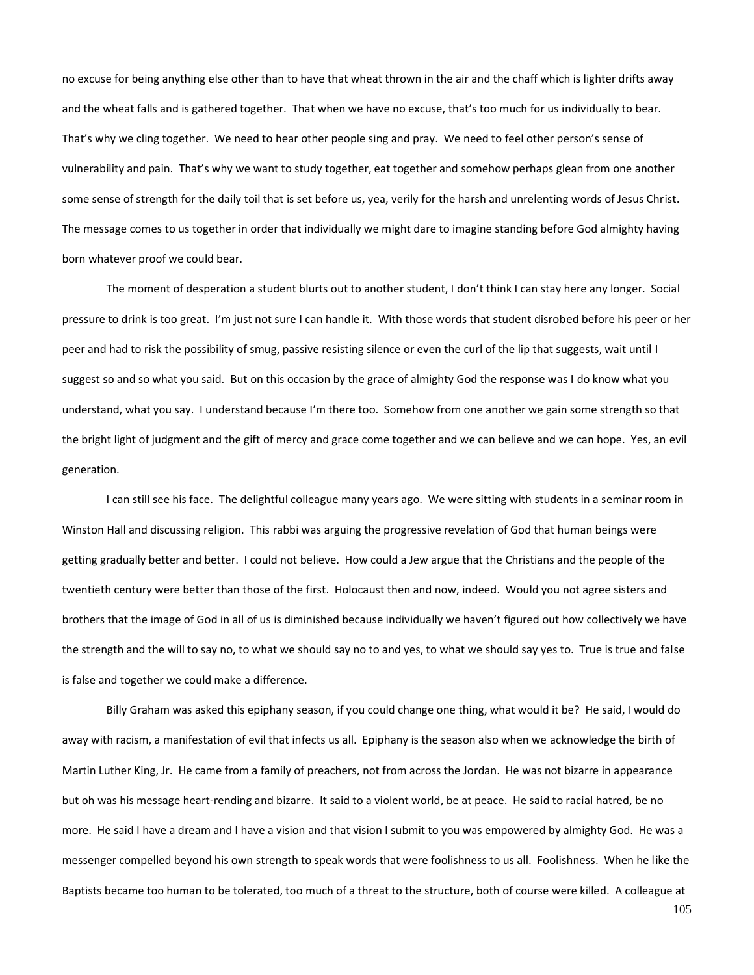no excuse for being anything else other than to have that wheat thrown in the air and the chaff which is lighter drifts away and the wheat falls and is gathered together. That when we have no excuse, that's too much for us individually to bear. That's why we cling together. We need to hear other people sing and pray. We need to feel other person's sense of vulnerability and pain. That's why we want to study together, eat together and somehow perhaps glean from one another some sense of strength for the daily toil that is set before us, yea, verily for the harsh and unrelenting words of Jesus Christ. The message comes to us together in order that individually we might dare to imagine standing before God almighty having born whatever proof we could bear.

The moment of desperation a student blurts out to another student, I don't think I can stay here any longer. Social pressure to drink is too great. I'm just not sure I can handle it. With those words that student disrobed before his peer or her peer and had to risk the possibility of smug, passive resisting silence or even the curl of the lip that suggests, wait until I suggest so and so what you said. But on this occasion by the grace of almighty God the response was I do know what you understand, what you say. I understand because I'm there too. Somehow from one another we gain some strength so that the bright light of judgment and the gift of mercy and grace come together and we can believe and we can hope. Yes, an evil generation.

I can still see his face. The delightful colleague many years ago. We were sitting with students in a seminar room in Winston Hall and discussing religion. This rabbi was arguing the progressive revelation of God that human beings were getting gradually better and better. I could not believe. How could a Jew argue that the Christians and the people of the twentieth century were better than those of the first. Holocaust then and now, indeed. Would you not agree sisters and brothers that the image of God in all of us is diminished because individually we haven't figured out how collectively we have the strength and the will to say no, to what we should say no to and yes, to what we should say yes to. True is true and false is false and together we could make a difference.

Billy Graham was asked this epiphany season, if you could change one thing, what would it be? He said, I would do away with racism, a manifestation of evil that infects us all. Epiphany is the season also when we acknowledge the birth of Martin Luther King, Jr. He came from a family of preachers, not from across the Jordan. He was not bizarre in appearance but oh was his message heart-rending and bizarre. It said to a violent world, be at peace. He said to racial hatred, be no more. He said I have a dream and I have a vision and that vision I submit to you was empowered by almighty God. He was a messenger compelled beyond his own strength to speak words that were foolishness to us all. Foolishness. When he like the Baptists became too human to be tolerated, too much of a threat to the structure, both of course were killed. A colleague at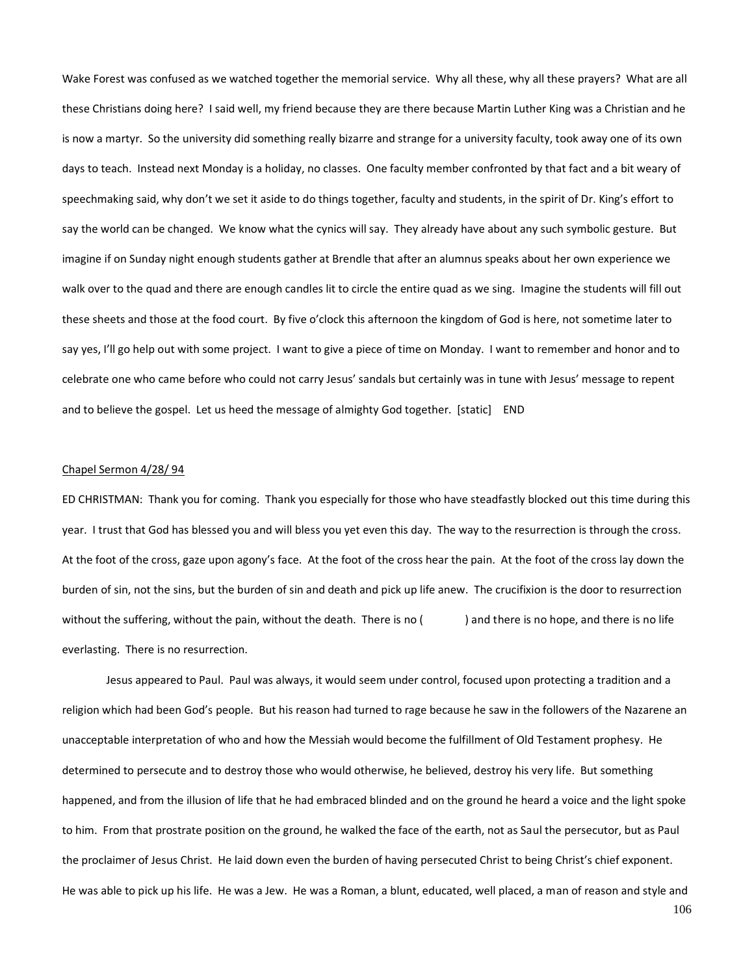Wake Forest was confused as we watched together the memorial service. Why all these, why all these prayers? What are all these Christians doing here? I said well, my friend because they are there because Martin Luther King was a Christian and he is now a martyr. So the university did something really bizarre and strange for a university faculty, took away one of its own days to teach. Instead next Monday is a holiday, no classes. One faculty member confronted by that fact and a bit weary of speechmaking said, why don't we set it aside to do things together, faculty and students, in the spirit of Dr. King's effort to say the world can be changed. We know what the cynics will say. They already have about any such symbolic gesture. But imagine if on Sunday night enough students gather at Brendle that after an alumnus speaks about her own experience we walk over to the quad and there are enough candles lit to circle the entire quad as we sing. Imagine the students will fill out these sheets and those at the food court. By five o'clock this afternoon the kingdom of God is here, not sometime later to say yes, I'll go help out with some project. I want to give a piece of time on Monday. I want to remember and honor and to celebrate one who came before who could not carry Jesus' sandals but certainly was in tune with Jesus' message to repent and to believe the gospel. Let us heed the message of almighty God together. [static] END

### Chapel Sermon 4/28/ 94

ED CHRISTMAN: Thank you for coming. Thank you especially for those who have steadfastly blocked out this time during this year. I trust that God has blessed you and will bless you yet even this day. The way to the resurrection is through the cross. At the foot of the cross, gaze upon agony's face. At the foot of the cross hear the pain. At the foot of the cross lay down the burden of sin, not the sins, but the burden of sin and death and pick up life anew. The crucifixion is the door to resurrection without the suffering, without the pain, without the death. There is no () and there is no hope, and there is no life everlasting. There is no resurrection.

Jesus appeared to Paul. Paul was always, it would seem under control, focused upon protecting a tradition and a religion which had been God's people. But his reason had turned to rage because he saw in the followers of the Nazarene an unacceptable interpretation of who and how the Messiah would become the fulfillment of Old Testament prophesy. He determined to persecute and to destroy those who would otherwise, he believed, destroy his very life. But something happened, and from the illusion of life that he had embraced blinded and on the ground he heard a voice and the light spoke to him. From that prostrate position on the ground, he walked the face of the earth, not as Saul the persecutor, but as Paul the proclaimer of Jesus Christ. He laid down even the burden of having persecuted Christ to being Christ's chief exponent. He was able to pick up his life. He was a Jew. He was a Roman, a blunt, educated, well placed, a man of reason and style and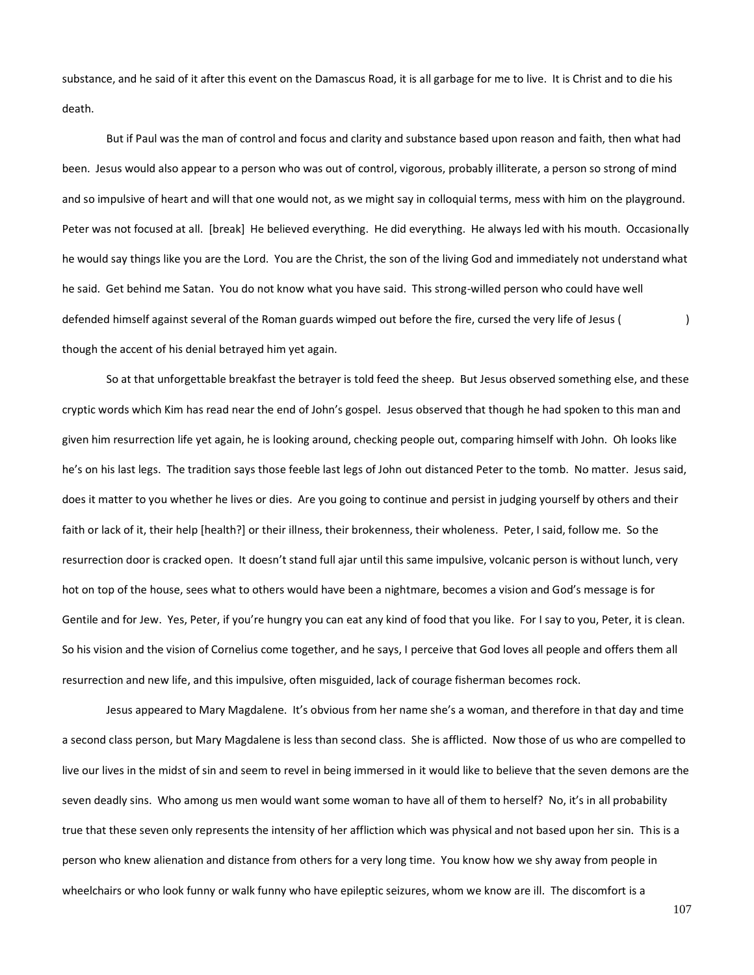substance, and he said of it after this event on the Damascus Road, it is all garbage for me to live. It is Christ and to die his death.

But if Paul was the man of control and focus and clarity and substance based upon reason and faith, then what had been. Jesus would also appear to a person who was out of control, vigorous, probably illiterate, a person so strong of mind and so impulsive of heart and will that one would not, as we might say in colloquial terms, mess with him on the playground. Peter was not focused at all. [break] He believed everything. He did everything. He always led with his mouth. Occasionally he would say things like you are the Lord. You are the Christ, the son of the living God and immediately not understand what he said. Get behind me Satan. You do not know what you have said. This strong-willed person who could have well defended himself against several of the Roman guards wimped out before the fire, cursed the very life of Jesus ( though the accent of his denial betrayed him yet again.

So at that unforgettable breakfast the betrayer is told feed the sheep. But Jesus observed something else, and these cryptic words which Kim has read near the end of John's gospel. Jesus observed that though he had spoken to this man and given him resurrection life yet again, he is looking around, checking people out, comparing himself with John. Oh looks like he's on his last legs. The tradition says those feeble last legs of John out distanced Peter to the tomb. No matter. Jesus said, does it matter to you whether he lives or dies. Are you going to continue and persist in judging yourself by others and their faith or lack of it, their help [health?] or their illness, their brokenness, their wholeness. Peter, I said, follow me. So the resurrection door is cracked open. It doesn't stand full ajar until this same impulsive, volcanic person is without lunch, very hot on top of the house, sees what to others would have been a nightmare, becomes a vision and God's message is for Gentile and for Jew. Yes, Peter, if you're hungry you can eat any kind of food that you like. For I say to you, Peter, it is clean. So his vision and the vision of Cornelius come together, and he says, I perceive that God loves all people and offers them all resurrection and new life, and this impulsive, often misguided, lack of courage fisherman becomes rock.

Jesus appeared to Mary Magdalene. It's obvious from her name she's a woman, and therefore in that day and time a second class person, but Mary Magdalene is less than second class. She is afflicted. Now those of us who are compelled to live our lives in the midst of sin and seem to revel in being immersed in it would like to believe that the seven demons are the seven deadly sins. Who among us men would want some woman to have all of them to herself? No, it's in all probability true that these seven only represents the intensity of her affliction which was physical and not based upon her sin. This is a person who knew alienation and distance from others for a very long time. You know how we shy away from people in wheelchairs or who look funny or walk funny who have epileptic seizures, whom we know are ill. The discomfort is a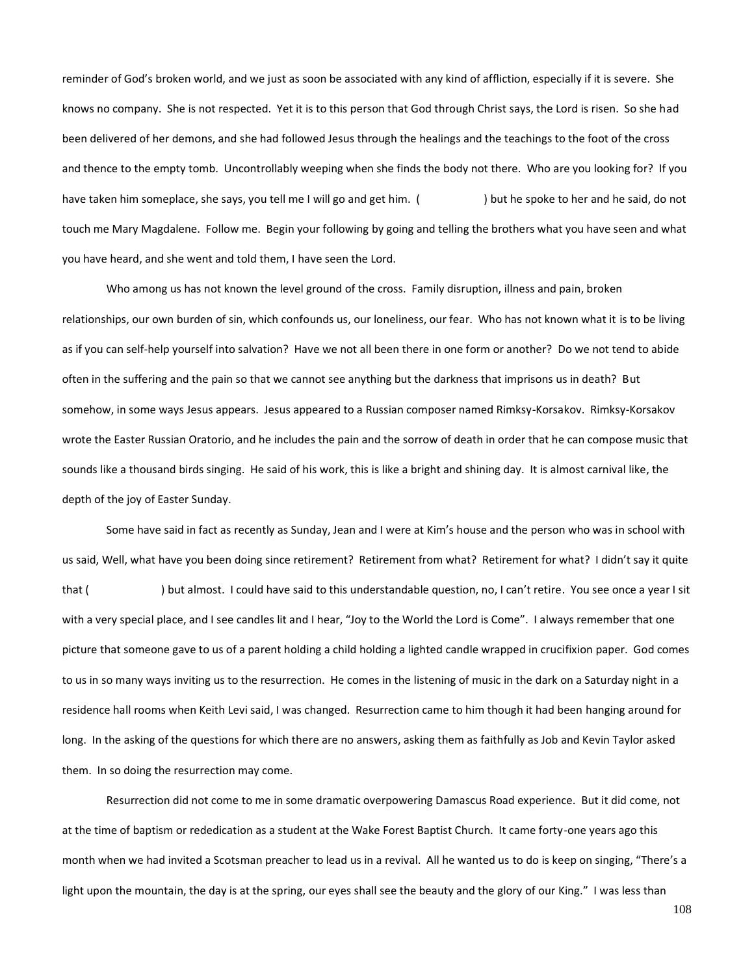reminder of God's broken world, and we just as soon be associated with any kind of affliction, especially if it is severe. She knows no company. She is not respected. Yet it is to this person that God through Christ says, the Lord is risen. So she had been delivered of her demons, and she had followed Jesus through the healings and the teachings to the foot of the cross and thence to the empty tomb. Uncontrollably weeping when she finds the body not there. Who are you looking for? If you have taken him someplace, she says, you tell me I will go and get him. () but he spoke to her and he said, do not touch me Mary Magdalene. Follow me. Begin your following by going and telling the brothers what you have seen and what you have heard, and she went and told them, I have seen the Lord.

Who among us has not known the level ground of the cross. Family disruption, illness and pain, broken relationships, our own burden of sin, which confounds us, our loneliness, our fear. Who has not known what it is to be living as if you can self-help yourself into salvation? Have we not all been there in one form or another? Do we not tend to abide often in the suffering and the pain so that we cannot see anything but the darkness that imprisons us in death? But somehow, in some ways Jesus appears. Jesus appeared to a Russian composer named Rimksy-Korsakov. Rimksy-Korsakov wrote the Easter Russian Oratorio, and he includes the pain and the sorrow of death in order that he can compose music that sounds like a thousand birds singing. He said of his work, this is like a bright and shining day. It is almost carnival like, the depth of the joy of Easter Sunday.

Some have said in fact as recently as Sunday, Jean and I were at Kim's house and the person who was in school with us said, Well, what have you been doing since retirement? Retirement from what? Retirement for what? I didn't say it quite that () but almost. I could have said to this understandable question, no, I can't retire. You see once a year I sit with a very special place, and I see candles lit and I hear, "Joy to the World the Lord is Come". I always remember that one picture that someone gave to us of a parent holding a child holding a lighted candle wrapped in crucifixion paper. God comes to us in so many ways inviting us to the resurrection. He comes in the listening of music in the dark on a Saturday night in a residence hall rooms when Keith Levi said, I was changed. Resurrection came to him though it had been hanging around for long. In the asking of the questions for which there are no answers, asking them as faithfully as Job and Kevin Taylor asked them. In so doing the resurrection may come.

Resurrection did not come to me in some dramatic overpowering Damascus Road experience. But it did come, not at the time of baptism or rededication as a student at the Wake Forest Baptist Church. It came forty-one years ago this month when we had invited a Scotsman preacher to lead us in a revival. All he wanted us to do is keep on singing, "There's a light upon the mountain, the day is at the spring, our eyes shall see the beauty and the glory of our King." I was less than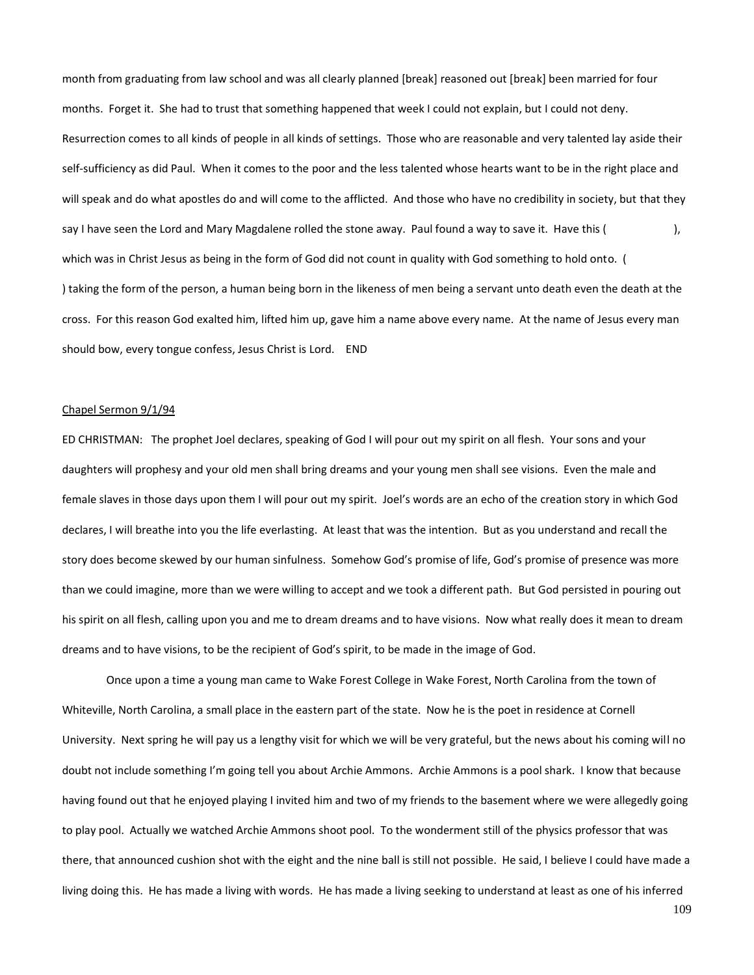month from graduating from law school and was all clearly planned [break] reasoned out [break] been married for four months. Forget it. She had to trust that something happened that week I could not explain, but I could not deny. Resurrection comes to all kinds of people in all kinds of settings. Those who are reasonable and very talented lay aside their self-sufficiency as did Paul. When it comes to the poor and the less talented whose hearts want to be in the right place and will speak and do what apostles do and will come to the afflicted. And those who have no credibility in society, but that they say I have seen the Lord and Mary Magdalene rolled the stone away. Paul found a way to save it. Have this (  $\qquad \qquad$ ), which was in Christ Jesus as being in the form of God did not count in quality with God something to hold onto. ( ) taking the form of the person, a human being born in the likeness of men being a servant unto death even the death at the cross. For this reason God exalted him, lifted him up, gave him a name above every name. At the name of Jesus every man should bow, every tongue confess, Jesus Christ is Lord. END

#### Chapel Sermon 9/1/94

ED CHRISTMAN: The prophet Joel declares, speaking of God I will pour out my spirit on all flesh. Your sons and your daughters will prophesy and your old men shall bring dreams and your young men shall see visions. Even the male and female slaves in those days upon them I will pour out my spirit. Joel's words are an echo of the creation story in which God declares, I will breathe into you the life everlasting. At least that was the intention. But as you understand and recall the story does become skewed by our human sinfulness. Somehow God's promise of life, God's promise of presence was more than we could imagine, more than we were willing to accept and we took a different path. But God persisted in pouring out his spirit on all flesh, calling upon you and me to dream dreams and to have visions. Now what really does it mean to dream dreams and to have visions, to be the recipient of God's spirit, to be made in the image of God.

Once upon a time a young man came to Wake Forest College in Wake Forest, North Carolina from the town of Whiteville, North Carolina, a small place in the eastern part of the state. Now he is the poet in residence at Cornell University. Next spring he will pay us a lengthy visit for which we will be very grateful, but the news about his coming will no doubt not include something I'm going tell you about Archie Ammons. Archie Ammons is a pool shark. I know that because having found out that he enjoyed playing I invited him and two of my friends to the basement where we were allegedly going to play pool. Actually we watched Archie Ammons shoot pool. To the wonderment still of the physics professor that was there, that announced cushion shot with the eight and the nine ball is still not possible. He said, I believe I could have made a living doing this. He has made a living with words. He has made a living seeking to understand at least as one of his inferred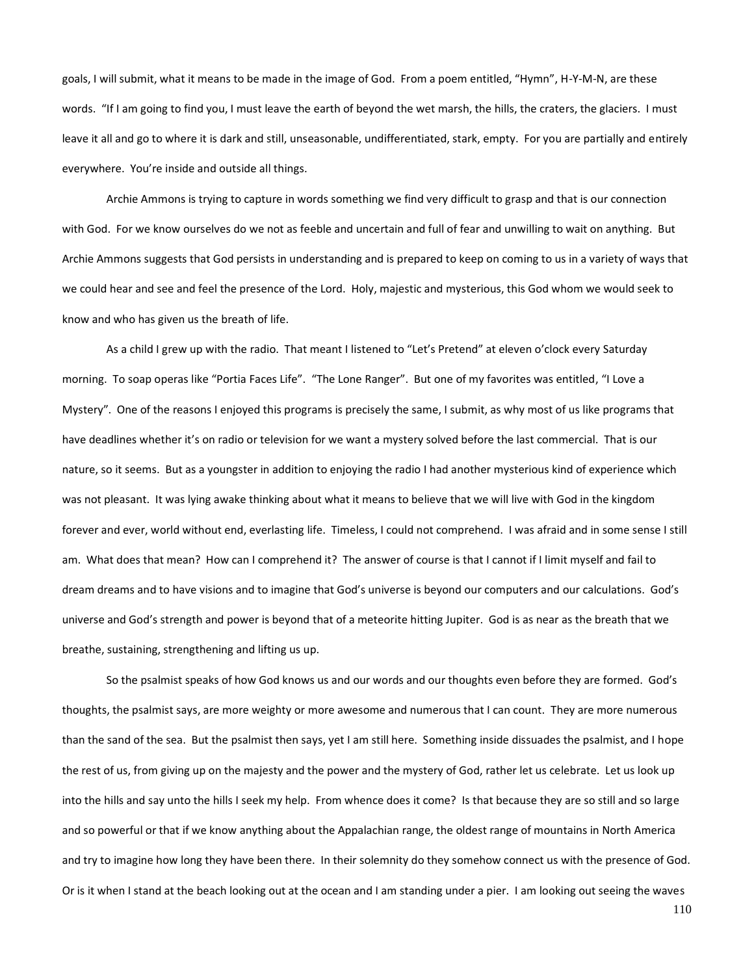goals, I will submit, what it means to be made in the image of God. From a poem entitled, "Hymn", H-Y-M-N, are these words. "If I am going to find you, I must leave the earth of beyond the wet marsh, the hills, the craters, the glaciers. I must leave it all and go to where it is dark and still, unseasonable, undifferentiated, stark, empty. For you are partially and entirely everywhere. You're inside and outside all things.

Archie Ammons is trying to capture in words something we find very difficult to grasp and that is our connection with God. For we know ourselves do we not as feeble and uncertain and full of fear and unwilling to wait on anything. But Archie Ammons suggests that God persists in understanding and is prepared to keep on coming to us in a variety of ways that we could hear and see and feel the presence of the Lord. Holy, majestic and mysterious, this God whom we would seek to know and who has given us the breath of life.

As a child I grew up with the radio. That meant I listened to "Let's Pretend" at eleven o'clock every Saturday morning. To soap operas like "Portia Faces Life". "The Lone Ranger". But one of my favorites was entitled, "I Love a Mystery". One of the reasons I enjoyed this programs is precisely the same, I submit, as why most of us like programs that have deadlines whether it's on radio or television for we want a mystery solved before the last commercial. That is our nature, so it seems. But as a youngster in addition to enjoying the radio I had another mysterious kind of experience which was not pleasant. It was lying awake thinking about what it means to believe that we will live with God in the kingdom forever and ever, world without end, everlasting life. Timeless, I could not comprehend. I was afraid and in some sense I still am. What does that mean? How can I comprehend it? The answer of course is that I cannot if I limit myself and fail to dream dreams and to have visions and to imagine that God's universe is beyond our computers and our calculations. God's universe and God's strength and power is beyond that of a meteorite hitting Jupiter. God is as near as the breath that we breathe, sustaining, strengthening and lifting us up.

So the psalmist speaks of how God knows us and our words and our thoughts even before they are formed. God's thoughts, the psalmist says, are more weighty or more awesome and numerous that I can count. They are more numerous than the sand of the sea. But the psalmist then says, yet I am still here. Something inside dissuades the psalmist, and I hope the rest of us, from giving up on the majesty and the power and the mystery of God, rather let us celebrate. Let us look up into the hills and say unto the hills I seek my help. From whence does it come? Is that because they are so still and so large and so powerful or that if we know anything about the Appalachian range, the oldest range of mountains in North America and try to imagine how long they have been there. In their solemnity do they somehow connect us with the presence of God. Or is it when I stand at the beach looking out at the ocean and I am standing under a pier. I am looking out seeing the waves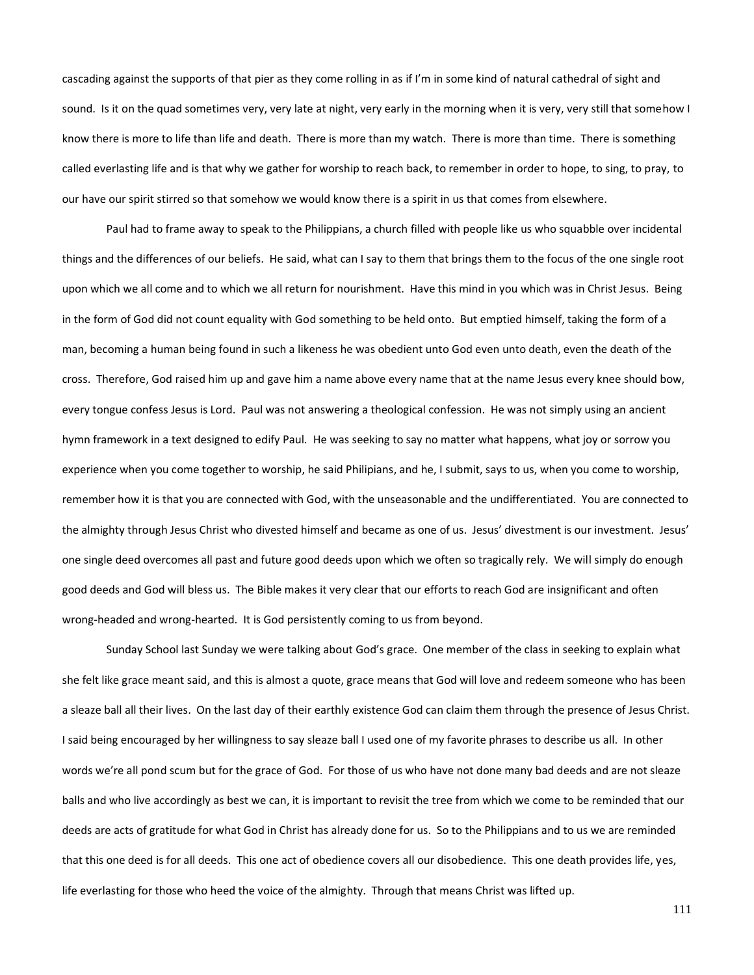cascading against the supports of that pier as they come rolling in as if I'm in some kind of natural cathedral of sight and sound. Is it on the quad sometimes very, very late at night, very early in the morning when it is very, very still that somehow I know there is more to life than life and death. There is more than my watch. There is more than time. There is something called everlasting life and is that why we gather for worship to reach back, to remember in order to hope, to sing, to pray, to our have our spirit stirred so that somehow we would know there is a spirit in us that comes from elsewhere.

Paul had to frame away to speak to the Philippians, a church filled with people like us who squabble over incidental things and the differences of our beliefs. He said, what can I say to them that brings them to the focus of the one single root upon which we all come and to which we all return for nourishment. Have this mind in you which was in Christ Jesus. Being in the form of God did not count equality with God something to be held onto. But emptied himself, taking the form of a man, becoming a human being found in such a likeness he was obedient unto God even unto death, even the death of the cross. Therefore, God raised him up and gave him a name above every name that at the name Jesus every knee should bow, every tongue confess Jesus is Lord. Paul was not answering a theological confession. He was not simply using an ancient hymn framework in a text designed to edify Paul. He was seeking to say no matter what happens, what joy or sorrow you experience when you come together to worship, he said Philipians, and he, I submit, says to us, when you come to worship, remember how it is that you are connected with God, with the unseasonable and the undifferentiated. You are connected to the almighty through Jesus Christ who divested himself and became as one of us. Jesus' divestment is our investment. Jesus' one single deed overcomes all past and future good deeds upon which we often so tragically rely. We will simply do enough good deeds and God will bless us. The Bible makes it very clear that our efforts to reach God are insignificant and often wrong-headed and wrong-hearted. It is God persistently coming to us from beyond.

Sunday School last Sunday we were talking about God's grace. One member of the class in seeking to explain what she felt like grace meant said, and this is almost a quote, grace means that God will love and redeem someone who has been a sleaze ball all their lives. On the last day of their earthly existence God can claim them through the presence of Jesus Christ. I said being encouraged by her willingness to say sleaze ball I used one of my favorite phrases to describe us all. In other words we're all pond scum but for the grace of God. For those of us who have not done many bad deeds and are not sleaze balls and who live accordingly as best we can, it is important to revisit the tree from which we come to be reminded that our deeds are acts of gratitude for what God in Christ has already done for us. So to the Philippians and to us we are reminded that this one deed is for all deeds. This one act of obedience covers all our disobedience. This one death provides life, yes, life everlasting for those who heed the voice of the almighty. Through that means Christ was lifted up.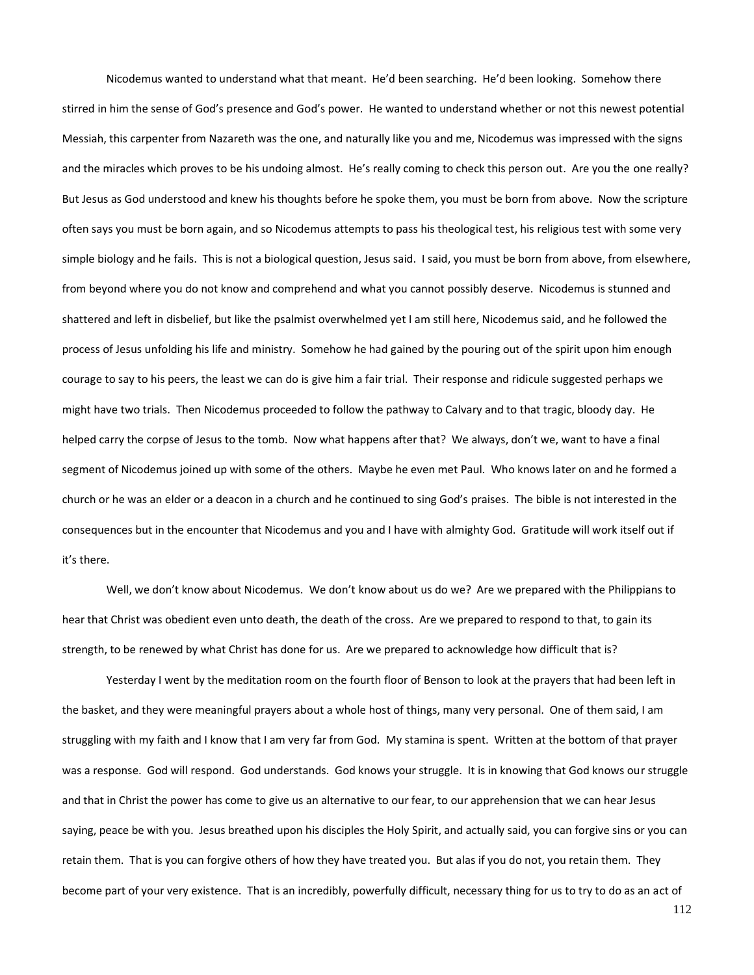Nicodemus wanted to understand what that meant. He'd been searching. He'd been looking. Somehow there stirred in him the sense of God's presence and God's power. He wanted to understand whether or not this newest potential Messiah, this carpenter from Nazareth was the one, and naturally like you and me, Nicodemus was impressed with the signs and the miracles which proves to be his undoing almost. He's really coming to check this person out. Are you the one really? But Jesus as God understood and knew his thoughts before he spoke them, you must be born from above. Now the scripture often says you must be born again, and so Nicodemus attempts to pass his theological test, his religious test with some very simple biology and he fails. This is not a biological question, Jesus said. I said, you must be born from above, from elsewhere, from beyond where you do not know and comprehend and what you cannot possibly deserve. Nicodemus is stunned and shattered and left in disbelief, but like the psalmist overwhelmed yet I am still here, Nicodemus said, and he followed the process of Jesus unfolding his life and ministry. Somehow he had gained by the pouring out of the spirit upon him enough courage to say to his peers, the least we can do is give him a fair trial. Their response and ridicule suggested perhaps we might have two trials. Then Nicodemus proceeded to follow the pathway to Calvary and to that tragic, bloody day. He helped carry the corpse of Jesus to the tomb. Now what happens after that? We always, don't we, want to have a final segment of Nicodemus joined up with some of the others. Maybe he even met Paul. Who knows later on and he formed a church or he was an elder or a deacon in a church and he continued to sing God's praises. The bible is not interested in the consequences but in the encounter that Nicodemus and you and I have with almighty God. Gratitude will work itself out if it's there.

Well, we don't know about Nicodemus. We don't know about us do we? Are we prepared with the Philippians to hear that Christ was obedient even unto death, the death of the cross. Are we prepared to respond to that, to gain its strength, to be renewed by what Christ has done for us. Are we prepared to acknowledge how difficult that is?

Yesterday I went by the meditation room on the fourth floor of Benson to look at the prayers that had been left in the basket, and they were meaningful prayers about a whole host of things, many very personal. One of them said, I am struggling with my faith and I know that I am very far from God. My stamina is spent. Written at the bottom of that prayer was a response. God will respond. God understands. God knows your struggle. It is in knowing that God knows our struggle and that in Christ the power has come to give us an alternative to our fear, to our apprehension that we can hear Jesus saying, peace be with you. Jesus breathed upon his disciples the Holy Spirit, and actually said, you can forgive sins or you can retain them. That is you can forgive others of how they have treated you. But alas if you do not, you retain them. They become part of your very existence. That is an incredibly, powerfully difficult, necessary thing for us to try to do as an act of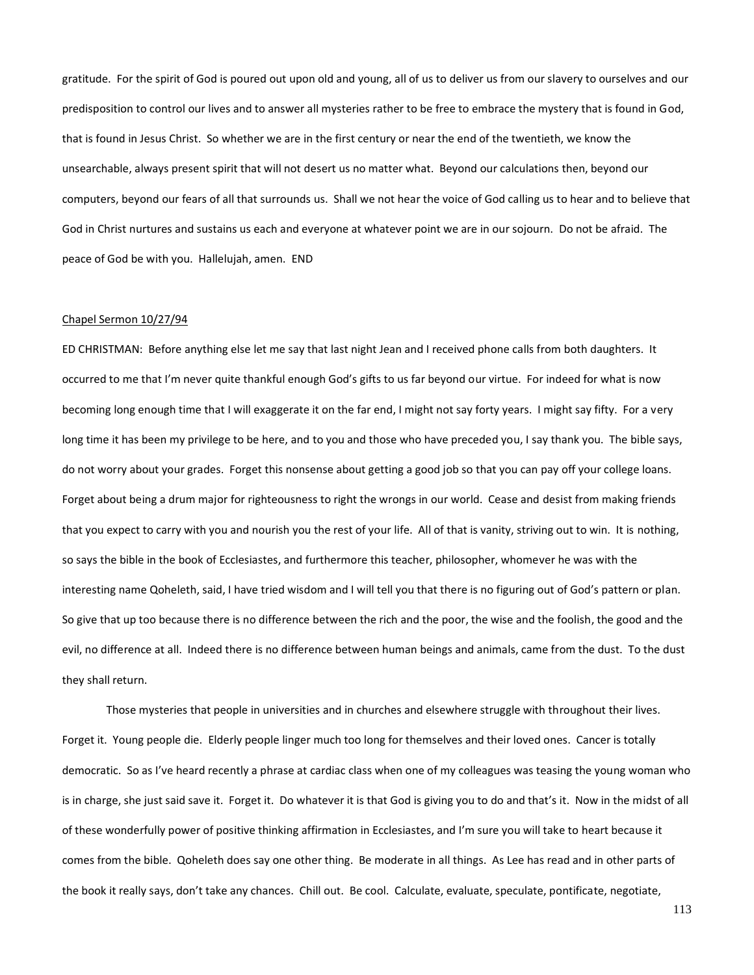gratitude. For the spirit of God is poured out upon old and young, all of us to deliver us from our slavery to ourselves and our predisposition to control our lives and to answer all mysteries rather to be free to embrace the mystery that is found in God, that is found in Jesus Christ. So whether we are in the first century or near the end of the twentieth, we know the unsearchable, always present spirit that will not desert us no matter what. Beyond our calculations then, beyond our computers, beyond our fears of all that surrounds us. Shall we not hear the voice of God calling us to hear and to believe that God in Christ nurtures and sustains us each and everyone at whatever point we are in our sojourn. Do not be afraid. The peace of God be with you. Hallelujah, amen. END

# Chapel Sermon 10/27/94

ED CHRISTMAN: Before anything else let me say that last night Jean and I received phone calls from both daughters. It occurred to me that I'm never quite thankful enough God's gifts to us far beyond our virtue. For indeed for what is now becoming long enough time that I will exaggerate it on the far end, I might not say forty years. I might say fifty. For a very long time it has been my privilege to be here, and to you and those who have preceded you, I say thank you. The bible says, do not worry about your grades. Forget this nonsense about getting a good job so that you can pay off your college loans. Forget about being a drum major for righteousness to right the wrongs in our world. Cease and desist from making friends that you expect to carry with you and nourish you the rest of your life. All of that is vanity, striving out to win. It is nothing, so says the bible in the book of Ecclesiastes, and furthermore this teacher, philosopher, whomever he was with the interesting name Qoheleth, said, I have tried wisdom and I will tell you that there is no figuring out of God's pattern or plan. So give that up too because there is no difference between the rich and the poor, the wise and the foolish, the good and the evil, no difference at all. Indeed there is no difference between human beings and animals, came from the dust. To the dust they shall return.

Those mysteries that people in universities and in churches and elsewhere struggle with throughout their lives. Forget it. Young people die. Elderly people linger much too long for themselves and their loved ones. Cancer is totally democratic. So as I've heard recently a phrase at cardiac class when one of my colleagues was teasing the young woman who is in charge, she just said save it. Forget it. Do whatever it is that God is giving you to do and that's it. Now in the midst of all of these wonderfully power of positive thinking affirmation in Ecclesiastes, and I'm sure you will take to heart because it comes from the bible. Qoheleth does say one other thing. Be moderate in all things. As Lee has read and in other parts of the book it really says, don't take any chances. Chill out. Be cool. Calculate, evaluate, speculate, pontificate, negotiate,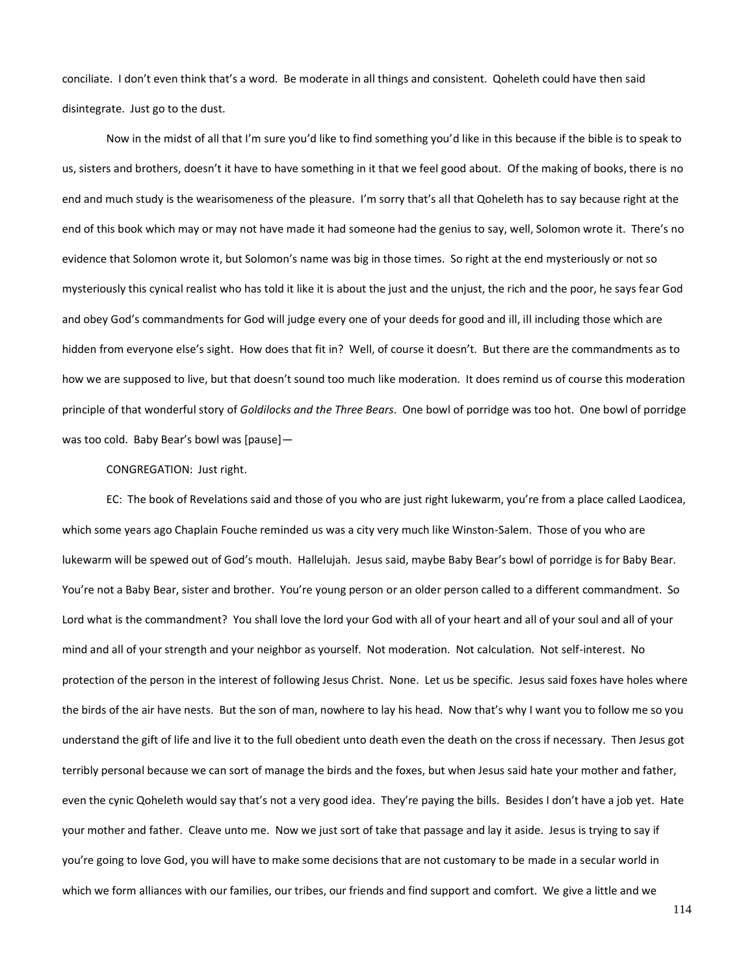conciliate. I don't even think that's a word. Be moderate in all things and consistent. Qoheleth could have then said disintegrate. Just go to the dust.

Now in the midst of all that I'm sure you'd like to find something you'd like in this because if the bible is to speak to us, sisters and brothers, doesn't it have to have something in it that we feel good about. Of the making of books, there is no end and much study is the wearisomeness of the pleasure. I'm sorry that's all that Qoheleth has to say because right at the end of this book which may or may not have made it had someone had the genius to say, well, Solomon wrote it. There's no evidence that Solomon wrote it, but Solomon's name was big in those times. So right at the end mysteriously or not so mysteriously this cynical realist who has told it like it is about the just and the unjust, the rich and the poor, he says fear God and obey God's commandments for God will judge every one of your deeds for good and ill, ill including those which are hidden from everyone else's sight. How does that fit in? Well, of course it doesn't. But there are the commandments as to how we are supposed to live, but that doesn't sound too much like moderation. It does remind us of course this moderation principle of that wonderful story of *Goldilocks and the Three Bears*. One bowl of porridge was too hot. One bowl of porridge was too cold. Baby Bear's bowl was [pause]—

## CONGREGATION: Just right.

EC: The book of Revelations said and those of you who are just right lukewarm, you're from a place called Laodicea, which some years ago Chaplain Fouche reminded us was a city very much like Winston-Salem. Those of you who are lukewarm will be spewed out of God's mouth. Hallelujah. Jesus said, maybe Baby Bear's bowl of porridge is for Baby Bear. You're not a Baby Bear, sister and brother. You're young person or an older person called to a different commandment. So Lord what is the commandment? You shall love the lord your God with all of your heart and all of your soul and all of your mind and all of your strength and your neighbor as yourself. Not moderation. Not calculation. Not self-interest. No protection of the person in the interest of following Jesus Christ. None. Let us be specific. Jesus said foxes have holes where the birds of the air have nests. But the son of man, nowhere to lay his head. Now that's why I want you to follow me so you understand the gift of life and live it to the full obedient unto death even the death on the cross if necessary. Then Jesus got terribly personal because we can sort of manage the birds and the foxes, but when Jesus said hate your mother and father, even the cynic Qoheleth would say that's not a very good idea. They're paying the bills. Besides I don't have a job yet. Hate your mother and father. Cleave unto me. Now we just sort of take that passage and lay it aside. Jesus is trying to say if you're going to love God, you will have to make some decisions that are not customary to be made in a secular world in which we form alliances with our families, our tribes, our friends and find support and comfort. We give a little and we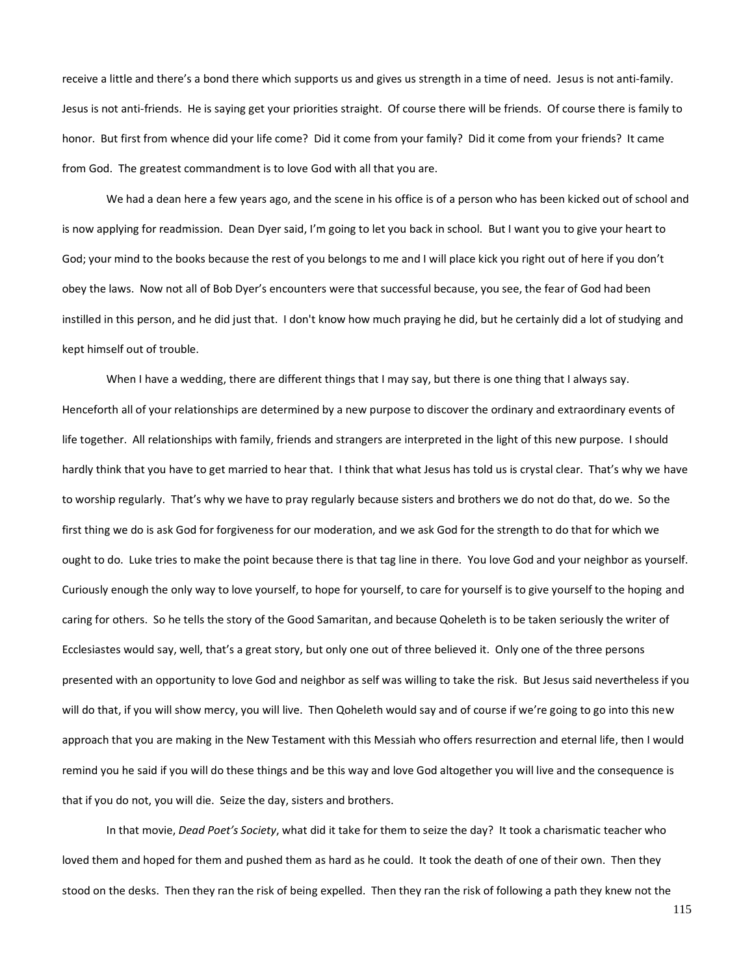receive a little and there's a bond there which supports us and gives us strength in a time of need. Jesus is not anti-family. Jesus is not anti-friends. He is saying get your priorities straight. Of course there will be friends. Of course there is family to honor. But first from whence did your life come? Did it come from your family? Did it come from your friends? It came from God. The greatest commandment is to love God with all that you are.

We had a dean here a few years ago, and the scene in his office is of a person who has been kicked out of school and is now applying for readmission. Dean Dyer said, I'm going to let you back in school. But I want you to give your heart to God; your mind to the books because the rest of you belongs to me and I will place kick you right out of here if you don't obey the laws. Now not all of Bob Dyer's encounters were that successful because, you see, the fear of God had been instilled in this person, and he did just that. I don't know how much praying he did, but he certainly did a lot of studying and kept himself out of trouble.

When I have a wedding, there are different things that I may say, but there is one thing that I always say. Henceforth all of your relationships are determined by a new purpose to discover the ordinary and extraordinary events of life together. All relationships with family, friends and strangers are interpreted in the light of this new purpose. I should hardly think that you have to get married to hear that. I think that what Jesus has told us is crystal clear. That's why we have to worship regularly. That's why we have to pray regularly because sisters and brothers we do not do that, do we. So the first thing we do is ask God for forgiveness for our moderation, and we ask God for the strength to do that for which we ought to do. Luke tries to make the point because there is that tag line in there. You love God and your neighbor as yourself. Curiously enough the only way to love yourself, to hope for yourself, to care for yourself is to give yourself to the hoping and caring for others. So he tells the story of the Good Samaritan, and because Qoheleth is to be taken seriously the writer of Ecclesiastes would say, well, that's a great story, but only one out of three believed it. Only one of the three persons presented with an opportunity to love God and neighbor as self was willing to take the risk. But Jesus said nevertheless if you will do that, if you will show mercy, you will live. Then Qoheleth would say and of course if we're going to go into this new approach that you are making in the New Testament with this Messiah who offers resurrection and eternal life, then I would remind you he said if you will do these things and be this way and love God altogether you will live and the consequence is that if you do not, you will die. Seize the day, sisters and brothers.

In that movie, *Dead Poet's Society*, what did it take for them to seize the day? It took a charismatic teacher who loved them and hoped for them and pushed them as hard as he could. It took the death of one of their own. Then they stood on the desks. Then they ran the risk of being expelled. Then they ran the risk of following a path they knew not the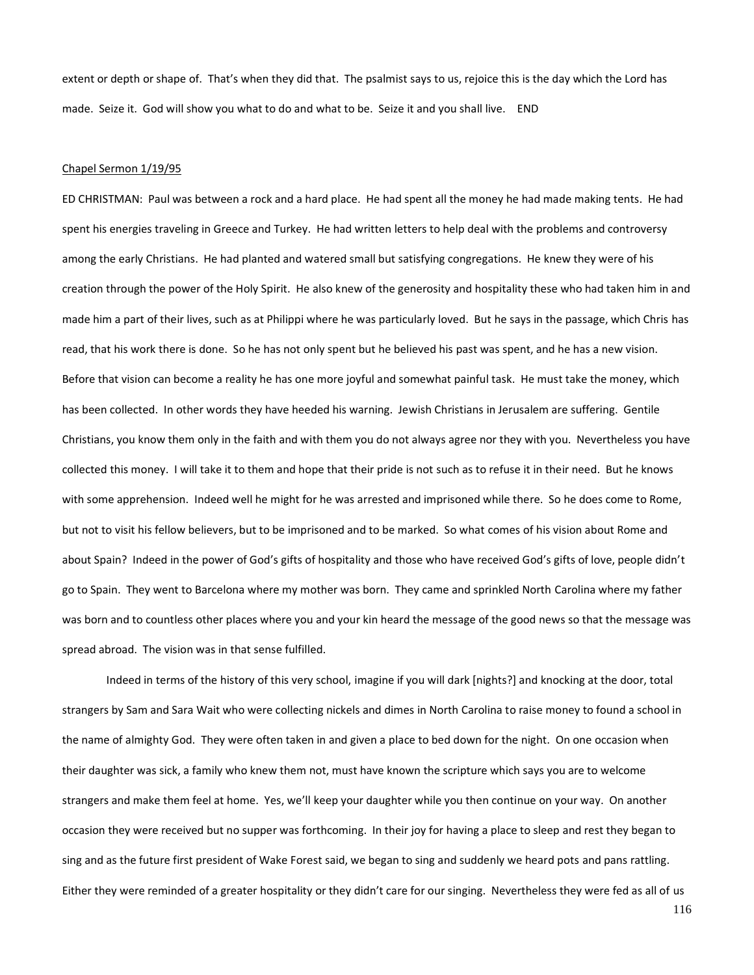extent or depth or shape of. That's when they did that. The psalmist says to us, rejoice this is the day which the Lord has made. Seize it. God will show you what to do and what to be. Seize it and you shall live. END

#### Chapel Sermon 1/19/95

ED CHRISTMAN: Paul was between a rock and a hard place. He had spent all the money he had made making tents. He had spent his energies traveling in Greece and Turkey. He had written letters to help deal with the problems and controversy among the early Christians. He had planted and watered small but satisfying congregations. He knew they were of his creation through the power of the Holy Spirit. He also knew of the generosity and hospitality these who had taken him in and made him a part of their lives, such as at Philippi where he was particularly loved. But he says in the passage, which Chris has read, that his work there is done. So he has not only spent but he believed his past was spent, and he has a new vision. Before that vision can become a reality he has one more joyful and somewhat painful task. He must take the money, which has been collected. In other words they have heeded his warning. Jewish Christians in Jerusalem are suffering. Gentile Christians, you know them only in the faith and with them you do not always agree nor they with you. Nevertheless you have collected this money. I will take it to them and hope that their pride is not such as to refuse it in their need. But he knows with some apprehension. Indeed well he might for he was arrested and imprisoned while there. So he does come to Rome, but not to visit his fellow believers, but to be imprisoned and to be marked. So what comes of his vision about Rome and about Spain? Indeed in the power of God's gifts of hospitality and those who have received God's gifts of love, people didn't go to Spain. They went to Barcelona where my mother was born. They came and sprinkled North Carolina where my father was born and to countless other places where you and your kin heard the message of the good news so that the message was spread abroad. The vision was in that sense fulfilled.

Indeed in terms of the history of this very school, imagine if you will dark [nights?] and knocking at the door, total strangers by Sam and Sara Wait who were collecting nickels and dimes in North Carolina to raise money to found a school in the name of almighty God. They were often taken in and given a place to bed down for the night. On one occasion when their daughter was sick, a family who knew them not, must have known the scripture which says you are to welcome strangers and make them feel at home. Yes, we'll keep your daughter while you then continue on your way. On another occasion they were received but no supper was forthcoming. In their joy for having a place to sleep and rest they began to sing and as the future first president of Wake Forest said, we began to sing and suddenly we heard pots and pans rattling. Either they were reminded of a greater hospitality or they didn't care for our singing. Nevertheless they were fed as all of us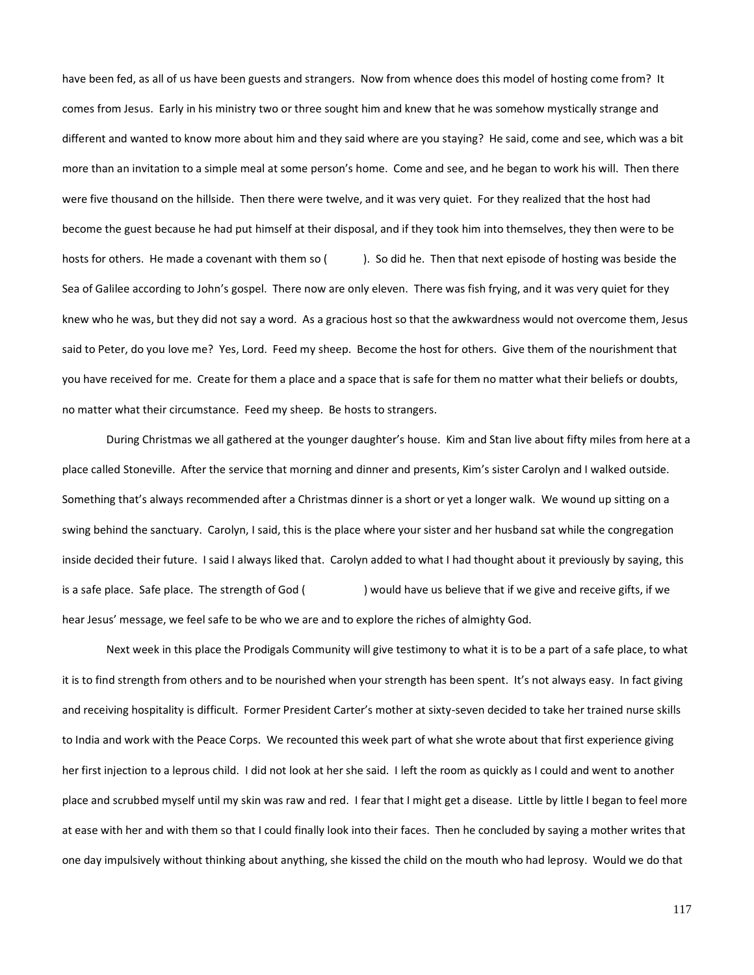have been fed, as all of us have been guests and strangers. Now from whence does this model of hosting come from? It comes from Jesus. Early in his ministry two or three sought him and knew that he was somehow mystically strange and different and wanted to know more about him and they said where are you staying? He said, come and see, which was a bit more than an invitation to a simple meal at some person's home. Come and see, and he began to work his will. Then there were five thousand on the hillside. Then there were twelve, and it was very quiet. For they realized that the host had become the guest because he had put himself at their disposal, and if they took him into themselves, they then were to be hosts for others. He made a covenant with them so (). So did he. Then that next episode of hosting was beside the Sea of Galilee according to John's gospel. There now are only eleven. There was fish frying, and it was very quiet for they knew who he was, but they did not say a word. As a gracious host so that the awkwardness would not overcome them, Jesus said to Peter, do you love me? Yes, Lord. Feed my sheep. Become the host for others. Give them of the nourishment that you have received for me. Create for them a place and a space that is safe for them no matter what their beliefs or doubts, no matter what their circumstance. Feed my sheep. Be hosts to strangers.

During Christmas we all gathered at the younger daughter's house. Kim and Stan live about fifty miles from here at a place called Stoneville. After the service that morning and dinner and presents, Kim's sister Carolyn and I walked outside. Something that's always recommended after a Christmas dinner is a short or yet a longer walk. We wound up sitting on a swing behind the sanctuary. Carolyn, I said, this is the place where your sister and her husband sat while the congregation inside decided their future. I said I always liked that. Carolyn added to what I had thought about it previously by saying, this is a safe place. Safe place. The strength of God () would have us believe that if we give and receive gifts, if we hear Jesus' message, we feel safe to be who we are and to explore the riches of almighty God.

Next week in this place the Prodigals Community will give testimony to what it is to be a part of a safe place, to what it is to find strength from others and to be nourished when your strength has been spent. It's not always easy. In fact giving and receiving hospitality is difficult. Former President Carter's mother at sixty-seven decided to take her trained nurse skills to India and work with the Peace Corps. We recounted this week part of what she wrote about that first experience giving her first injection to a leprous child. I did not look at her she said. I left the room as quickly as I could and went to another place and scrubbed myself until my skin was raw and red. I fear that I might get a disease. Little by little I began to feel more at ease with her and with them so that I could finally look into their faces. Then he concluded by saying a mother writes that one day impulsively without thinking about anything, she kissed the child on the mouth who had leprosy. Would we do that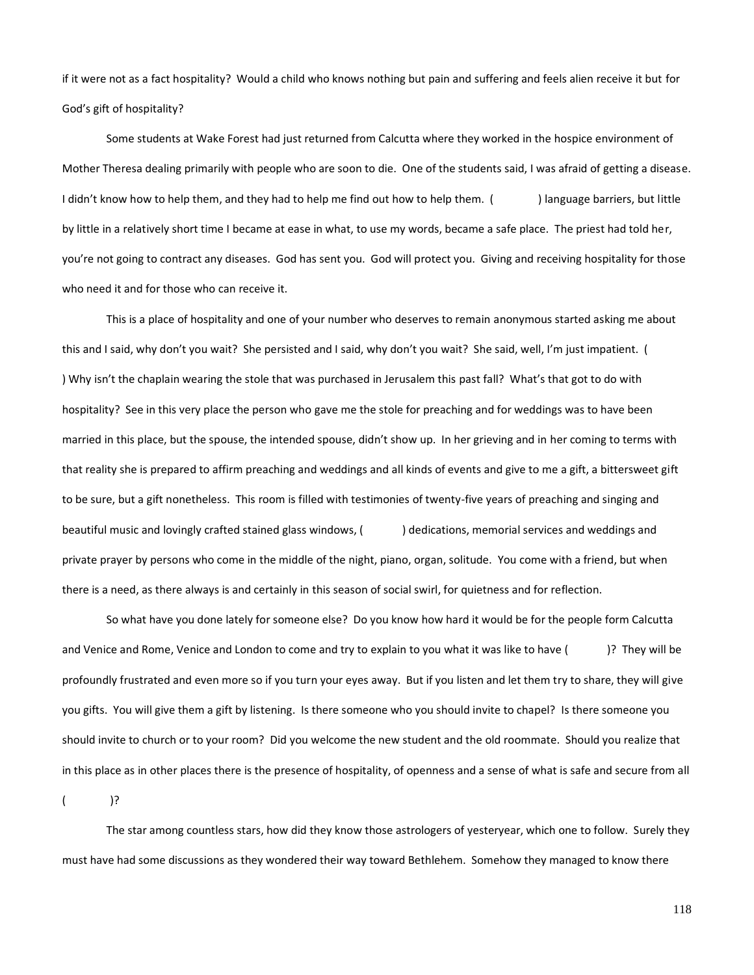if it were not as a fact hospitality? Would a child who knows nothing but pain and suffering and feels alien receive it but for God's gift of hospitality?

Some students at Wake Forest had just returned from Calcutta where they worked in the hospice environment of Mother Theresa dealing primarily with people who are soon to die. One of the students said, I was afraid of getting a disease. I didn't know how to help them, and they had to help me find out how to help them. () language barriers, but little by little in a relatively short time I became at ease in what, to use my words, became a safe place. The priest had told her, you're not going to contract any diseases. God has sent you. God will protect you. Giving and receiving hospitality for those who need it and for those who can receive it.

This is a place of hospitality and one of your number who deserves to remain anonymous started asking me about this and I said, why don't you wait? She persisted and I said, why don't you wait? She said, well, I'm just impatient. ( ) Why isn't the chaplain wearing the stole that was purchased in Jerusalem this past fall? What's that got to do with hospitality? See in this very place the person who gave me the stole for preaching and for weddings was to have been married in this place, but the spouse, the intended spouse, didn't show up. In her grieving and in her coming to terms with that reality she is prepared to affirm preaching and weddings and all kinds of events and give to me a gift, a bittersweet gift to be sure, but a gift nonetheless. This room is filled with testimonies of twenty-five years of preaching and singing and beautiful music and lovingly crafted stained glass windows, () dedications, memorial services and weddings and private prayer by persons who come in the middle of the night, piano, organ, solitude. You come with a friend, but when there is a need, as there always is and certainly in this season of social swirl, for quietness and for reflection.

So what have you done lately for someone else? Do you know how hard it would be for the people form Calcutta and Venice and Rome, Venice and London to come and try to explain to you what it was like to have ()? They will be profoundly frustrated and even more so if you turn your eyes away. But if you listen and let them try to share, they will give you gifts. You will give them a gift by listening. Is there someone who you should invite to chapel? Is there someone you should invite to church or to your room? Did you welcome the new student and the old roommate. Should you realize that in this place as in other places there is the presence of hospitality, of openness and a sense of what is safe and secure from all

 $($  )?

The star among countless stars, how did they know those astrologers of yesteryear, which one to follow. Surely they must have had some discussions as they wondered their way toward Bethlehem. Somehow they managed to know there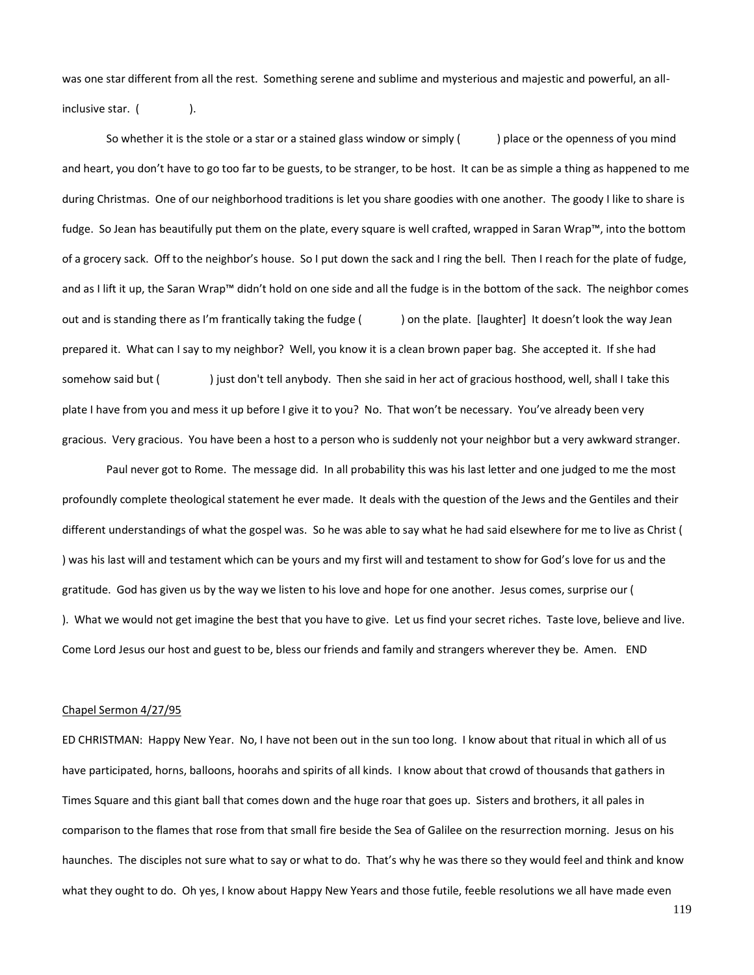was one star different from all the rest. Something serene and sublime and mysterious and majestic and powerful, an allinclusive star. (
).

So whether it is the stole or a star or a stained glass window or simply () and a place or the openness of you mind and heart, you don't have to go too far to be guests, to be stranger, to be host. It can be as simple a thing as happened to me during Christmas. One of our neighborhood traditions is let you share goodies with one another. The goody I like to share is fudge. So Jean has beautifully put them on the plate, every square is well crafted, wrapped in Saran Wrap™, into the bottom of a grocery sack. Off to the neighbor's house. So I put down the sack and I ring the bell. Then I reach for the plate of fudge, and as I lift it up, the Saran Wrap™ didn't hold on one side and all the fudge is in the bottom of the sack. The neighbor comes out and is standing there as I'm frantically taking the fudge () on the plate. [laughter] It doesn't look the way Jean prepared it. What can I say to my neighbor? Well, you know it is a clean brown paper bag. She accepted it. If she had somehow said but () just don't tell anybody. Then she said in her act of gracious hosthood, well, shall I take this plate I have from you and mess it up before I give it to you? No. That won't be necessary. You've already been very gracious. Very gracious. You have been a host to a person who is suddenly not your neighbor but a very awkward stranger.

Paul never got to Rome. The message did. In all probability this was his last letter and one judged to me the most profoundly complete theological statement he ever made. It deals with the question of the Jews and the Gentiles and their different understandings of what the gospel was. So he was able to say what he had said elsewhere for me to live as Christ ( ) was his last will and testament which can be yours and my first will and testament to show for God's love for us and the gratitude. God has given us by the way we listen to his love and hope for one another. Jesus comes, surprise our ( ). What we would not get imagine the best that you have to give. Let us find your secret riches. Taste love, believe and live. Come Lord Jesus our host and guest to be, bless our friends and family and strangers wherever they be. Amen. END

# Chapel Sermon 4/27/95

ED CHRISTMAN: Happy New Year. No, I have not been out in the sun too long. I know about that ritual in which all of us have participated, horns, balloons, hoorahs and spirits of all kinds. I know about that crowd of thousands that gathers in Times Square and this giant ball that comes down and the huge roar that goes up. Sisters and brothers, it all pales in comparison to the flames that rose from that small fire beside the Sea of Galilee on the resurrection morning. Jesus on his haunches. The disciples not sure what to say or what to do. That's why he was there so they would feel and think and know what they ought to do. Oh yes, I know about Happy New Years and those futile, feeble resolutions we all have made even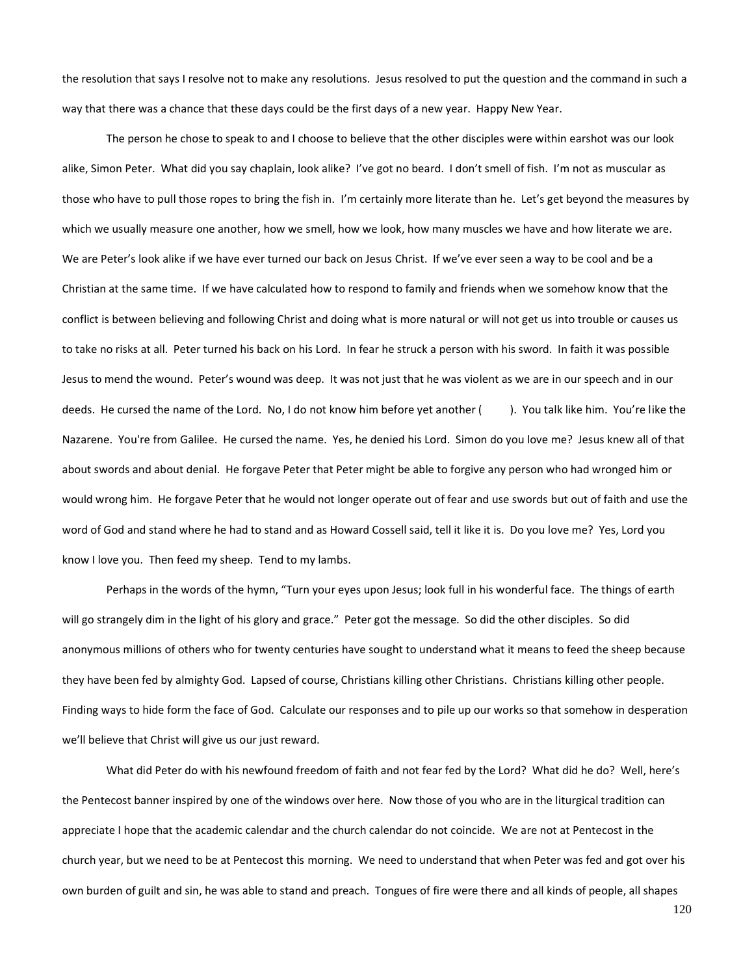the resolution that says I resolve not to make any resolutions. Jesus resolved to put the question and the command in such a way that there was a chance that these days could be the first days of a new year. Happy New Year.

The person he chose to speak to and I choose to believe that the other disciples were within earshot was our look alike, Simon Peter. What did you say chaplain, look alike? I've got no beard. I don't smell of fish. I'm not as muscular as those who have to pull those ropes to bring the fish in. I'm certainly more literate than he. Let's get beyond the measures by which we usually measure one another, how we smell, how we look, how many muscles we have and how literate we are. We are Peter's look alike if we have ever turned our back on Jesus Christ. If we've ever seen a way to be cool and be a Christian at the same time. If we have calculated how to respond to family and friends when we somehow know that the conflict is between believing and following Christ and doing what is more natural or will not get us into trouble or causes us to take no risks at all. Peter turned his back on his Lord. In fear he struck a person with his sword. In faith it was possible Jesus to mend the wound. Peter's wound was deep. It was not just that he was violent as we are in our speech and in our deeds. He cursed the name of the Lord. No, I do not know him before yet another (). You talk like him. You're like the Nazarene. You're from Galilee. He cursed the name. Yes, he denied his Lord. Simon do you love me? Jesus knew all of that about swords and about denial. He forgave Peter that Peter might be able to forgive any person who had wronged him or would wrong him. He forgave Peter that he would not longer operate out of fear and use swords but out of faith and use the word of God and stand where he had to stand and as Howard Cossell said, tell it like it is. Do you love me? Yes, Lord you know I love you. Then feed my sheep. Tend to my lambs.

Perhaps in the words of the hymn, "Turn your eyes upon Jesus; look full in his wonderful face. The things of earth will go strangely dim in the light of his glory and grace." Peter got the message. So did the other disciples. So did anonymous millions of others who for twenty centuries have sought to understand what it means to feed the sheep because they have been fed by almighty God. Lapsed of course, Christians killing other Christians. Christians killing other people. Finding ways to hide form the face of God. Calculate our responses and to pile up our works so that somehow in desperation we'll believe that Christ will give us our just reward.

What did Peter do with his newfound freedom of faith and not fear fed by the Lord? What did he do? Well, here's the Pentecost banner inspired by one of the windows over here. Now those of you who are in the liturgical tradition can appreciate I hope that the academic calendar and the church calendar do not coincide. We are not at Pentecost in the church year, but we need to be at Pentecost this morning. We need to understand that when Peter was fed and got over his own burden of guilt and sin, he was able to stand and preach. Tongues of fire were there and all kinds of people, all shapes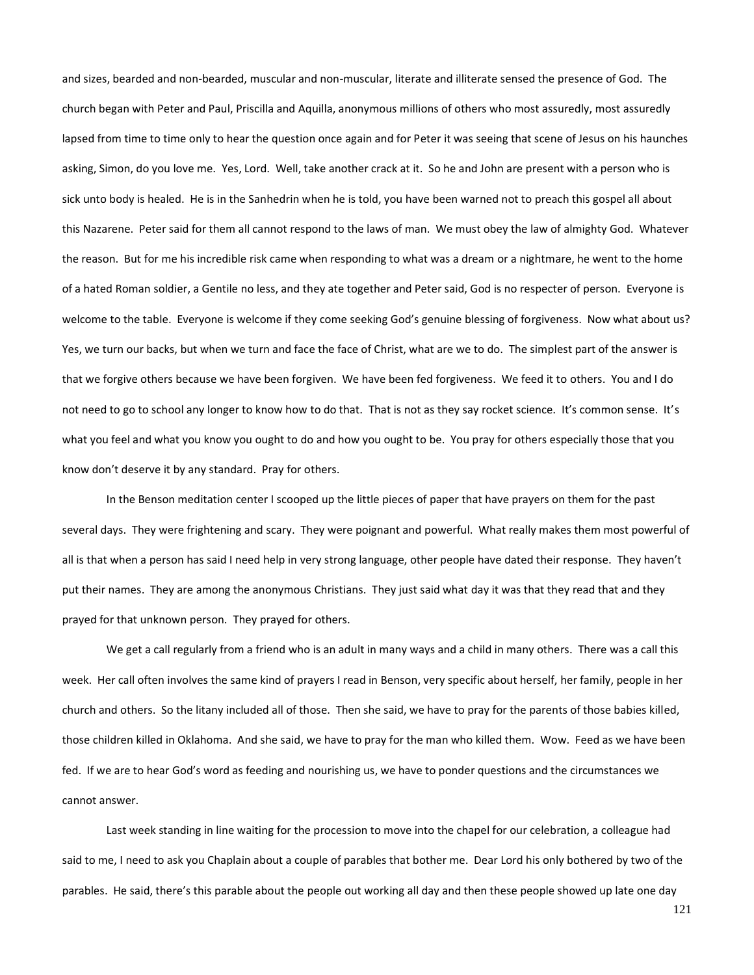and sizes, bearded and non-bearded, muscular and non-muscular, literate and illiterate sensed the presence of God. The church began with Peter and Paul, Priscilla and Aquilla, anonymous millions of others who most assuredly, most assuredly lapsed from time to time only to hear the question once again and for Peter it was seeing that scene of Jesus on his haunches asking, Simon, do you love me. Yes, Lord. Well, take another crack at it. So he and John are present with a person who is sick unto body is healed. He is in the Sanhedrin when he is told, you have been warned not to preach this gospel all about this Nazarene. Peter said for them all cannot respond to the laws of man. We must obey the law of almighty God. Whatever the reason. But for me his incredible risk came when responding to what was a dream or a nightmare, he went to the home of a hated Roman soldier, a Gentile no less, and they ate together and Peter said, God is no respecter of person. Everyone is welcome to the table. Everyone is welcome if they come seeking God's genuine blessing of forgiveness. Now what about us? Yes, we turn our backs, but when we turn and face the face of Christ, what are we to do. The simplest part of the answer is that we forgive others because we have been forgiven. We have been fed forgiveness. We feed it to others. You and I do not need to go to school any longer to know how to do that. That is not as they say rocket science. It's common sense. It's what you feel and what you know you ought to do and how you ought to be. You pray for others especially those that you know don't deserve it by any standard. Pray for others.

In the Benson meditation center I scooped up the little pieces of paper that have prayers on them for the past several days. They were frightening and scary. They were poignant and powerful. What really makes them most powerful of all is that when a person has said I need help in very strong language, other people have dated their response. They haven't put their names. They are among the anonymous Christians. They just said what day it was that they read that and they prayed for that unknown person. They prayed for others.

We get a call regularly from a friend who is an adult in many ways and a child in many others. There was a call this week. Her call often involves the same kind of prayers I read in Benson, very specific about herself, her family, people in her church and others. So the litany included all of those. Then she said, we have to pray for the parents of those babies killed, those children killed in Oklahoma. And she said, we have to pray for the man who killed them. Wow. Feed as we have been fed. If we are to hear God's word as feeding and nourishing us, we have to ponder questions and the circumstances we cannot answer.

Last week standing in line waiting for the procession to move into the chapel for our celebration, a colleague had said to me, I need to ask you Chaplain about a couple of parables that bother me. Dear Lord his only bothered by two of the parables. He said, there's this parable about the people out working all day and then these people showed up late one day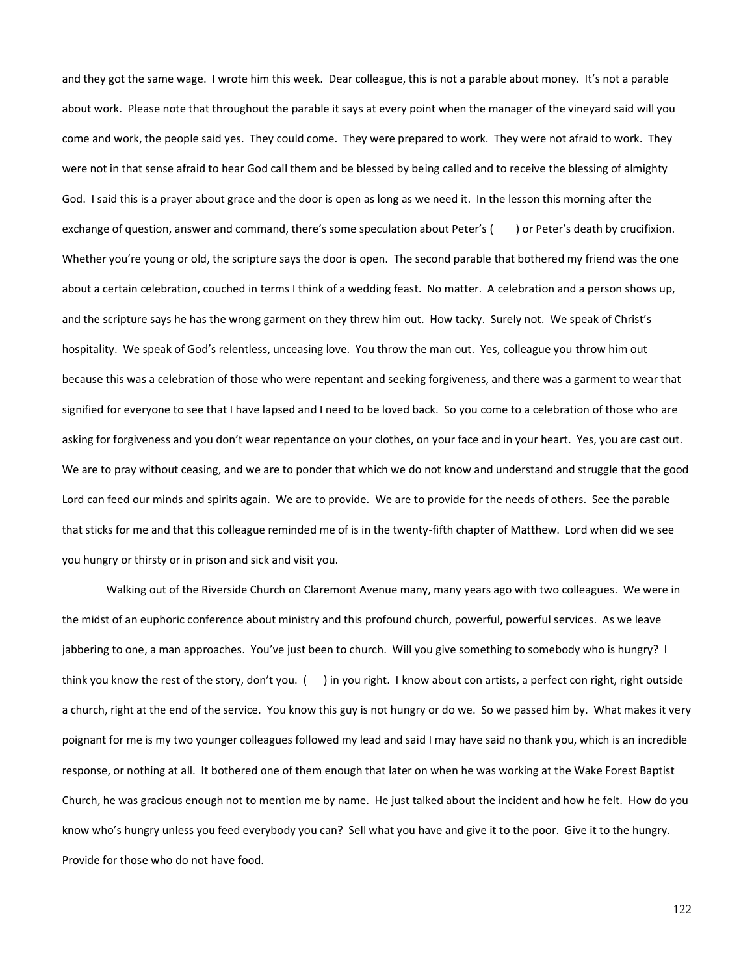and they got the same wage. I wrote him this week. Dear colleague, this is not a parable about money. It's not a parable about work. Please note that throughout the parable it says at every point when the manager of the vineyard said will you come and work, the people said yes. They could come. They were prepared to work. They were not afraid to work. They were not in that sense afraid to hear God call them and be blessed by being called and to receive the blessing of almighty God. I said this is a prayer about grace and the door is open as long as we need it. In the lesson this morning after the exchange of question, answer and command, there's some speculation about Peter's () or Peter's death by crucifixion. Whether you're young or old, the scripture says the door is open. The second parable that bothered my friend was the one about a certain celebration, couched in terms I think of a wedding feast. No matter. A celebration and a person shows up, and the scripture says he has the wrong garment on they threw him out. How tacky. Surely not. We speak of Christ's hospitality. We speak of God's relentless, unceasing love. You throw the man out. Yes, colleague you throw him out because this was a celebration of those who were repentant and seeking forgiveness, and there was a garment to wear that signified for everyone to see that I have lapsed and I need to be loved back. So you come to a celebration of those who are asking for forgiveness and you don't wear repentance on your clothes, on your face and in your heart. Yes, you are cast out. We are to pray without ceasing, and we are to ponder that which we do not know and understand and struggle that the good Lord can feed our minds and spirits again. We are to provide. We are to provide for the needs of others. See the parable that sticks for me and that this colleague reminded me of is in the twenty-fifth chapter of Matthew. Lord when did we see you hungry or thirsty or in prison and sick and visit you.

Walking out of the Riverside Church on Claremont Avenue many, many years ago with two colleagues. We were in the midst of an euphoric conference about ministry and this profound church, powerful, powerful services. As we leave jabbering to one, a man approaches. You've just been to church. Will you give something to somebody who is hungry? I think you know the rest of the story, don't you. ( ) in you right. I know about con artists, a perfect con right, right outside a church, right at the end of the service. You know this guy is not hungry or do we. So we passed him by. What makes it very poignant for me is my two younger colleagues followed my lead and said I may have said no thank you, which is an incredible response, or nothing at all. It bothered one of them enough that later on when he was working at the Wake Forest Baptist Church, he was gracious enough not to mention me by name. He just talked about the incident and how he felt. How do you know who's hungry unless you feed everybody you can? Sell what you have and give it to the poor. Give it to the hungry. Provide for those who do not have food.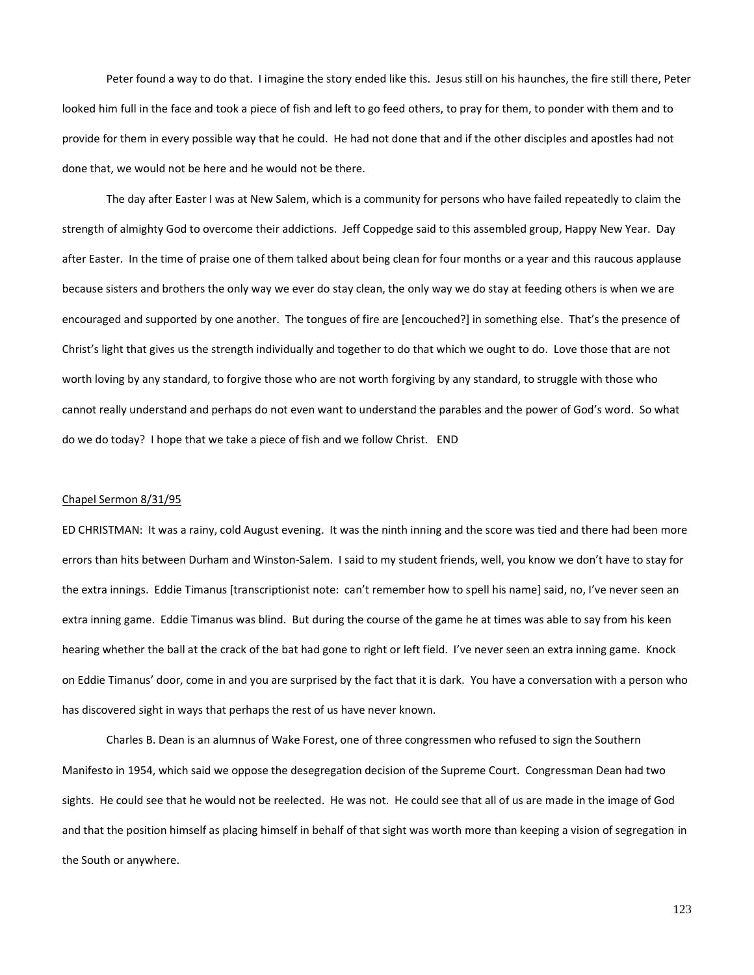Peter found a way to do that. I imagine the story ended like this. Jesus still on his haunches, the fire still there, Peter looked him full in the face and took a piece of fish and left to go feed others, to pray for them, to ponder with them and to provide for them in every possible way that he could. He had not done that and if the other disciples and apostles had not done that, we would not be here and he would not be there.

The day after Easter I was at New Salem, which is a community for persons who have failed repeatedly to claim the strength of almighty God to overcome their addictions. Jeff Coppedge said to this assembled group, Happy New Year. Day after Easter. In the time of praise one of them talked about being clean for four months or a year and this raucous applause because sisters and brothers the only way we ever do stay clean, the only way we do stay at feeding others is when we are encouraged and supported by one another. The tongues of fire are [encouched?] in something else. That's the presence of Christ's light that gives us the strength individually and together to do that which we ought to do. Love those that are not worth loving by any standard, to forgive those who are not worth forgiving by any standard, to struggle with those who cannot really understand and perhaps do not even want to understand the parables and the power of God's word. So what do we do today? I hope that we take a piece of fish and we follow Christ. END

## Chapel Sermon 8/31/95

ED CHRISTMAN: It was a rainy, cold August evening. It was the ninth inning and the score was tied and there had been more errors than hits between Durham and Winston-Salem. I said to my student friends, well, you know we don't have to stay for the extra innings. Eddie Timanus [transcriptionist note: can't remember how to spell his name] said, no, I've never seen an extra inning game. Eddie Timanus was blind. But during the course of the game he at times was able to say from his keen hearing whether the ball at the crack of the bat had gone to right or left field. I've never seen an extra inning game. Knock on Eddie Timanus' door, come in and you are surprised by the fact that it is dark. You have a conversation with a person who has discovered sight in ways that perhaps the rest of us have never known.

Charles B. Dean is an alumnus of Wake Forest, one of three congressmen who refused to sign the Southern Manifesto in 1954, which said we oppose the desegregation decision of the Supreme Court. Congressman Dean had two sights. He could see that he would not be reelected. He was not. He could see that all of us are made in the image of God and that the position himself as placing himself in behalf of that sight was worth more than keeping a vision of segregation in the South or anywhere.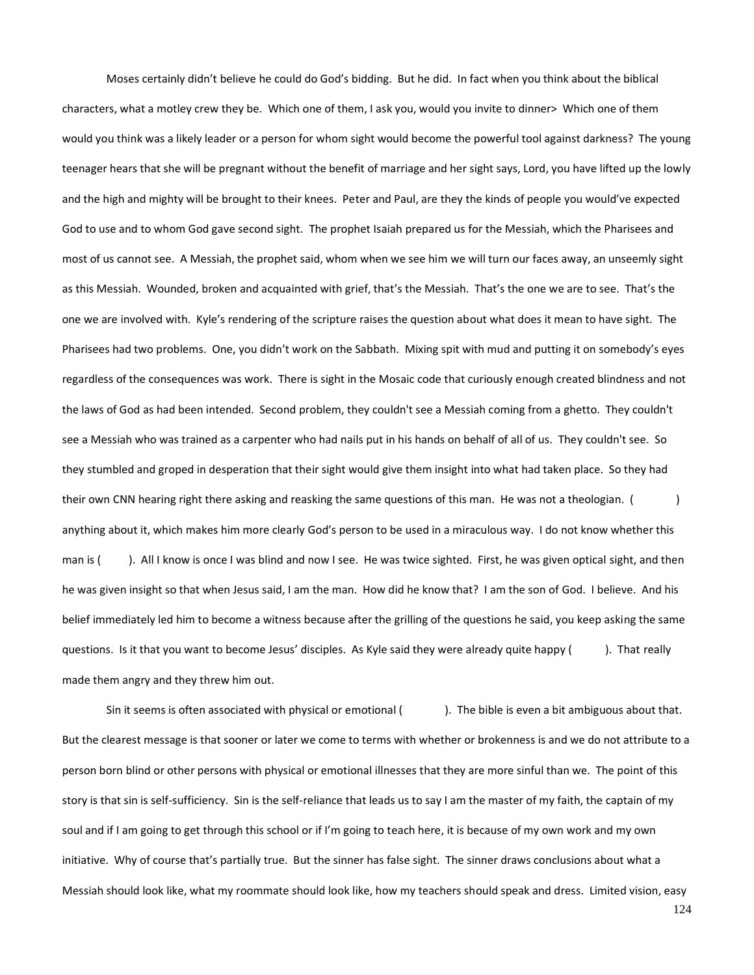Moses certainly didn't believe he could do God's bidding. But he did. In fact when you think about the biblical characters, what a motley crew they be. Which one of them, I ask you, would you invite to dinner> Which one of them would you think was a likely leader or a person for whom sight would become the powerful tool against darkness? The young teenager hears that she will be pregnant without the benefit of marriage and her sight says, Lord, you have lifted up the lowly and the high and mighty will be brought to their knees. Peter and Paul, are they the kinds of people you would've expected God to use and to whom God gave second sight. The prophet Isaiah prepared us for the Messiah, which the Pharisees and most of us cannot see. A Messiah, the prophet said, whom when we see him we will turn our faces away, an unseemly sight as this Messiah. Wounded, broken and acquainted with grief, that's the Messiah. That's the one we are to see. That's the one we are involved with. Kyle's rendering of the scripture raises the question about what does it mean to have sight. The Pharisees had two problems. One, you didn't work on the Sabbath. Mixing spit with mud and putting it on somebody's eyes regardless of the consequences was work. There is sight in the Mosaic code that curiously enough created blindness and not the laws of God as had been intended. Second problem, they couldn't see a Messiah coming from a ghetto. They couldn't see a Messiah who was trained as a carpenter who had nails put in his hands on behalf of all of us. They couldn't see. So they stumbled and groped in desperation that their sight would give them insight into what had taken place. So they had their own CNN hearing right there asking and reasking the same questions of this man. He was not a theologian. () anything about it, which makes him more clearly God's person to be used in a miraculous way. I do not know whether this man is (). All I know is once I was blind and now I see. He was twice sighted. First, he was given optical sight, and then he was given insight so that when Jesus said, I am the man. How did he know that? I am the son of God. I believe. And his belief immediately led him to become a witness because after the grilling of the questions he said, you keep asking the same questions. Is it that you want to become Jesus' disciples. As Kyle said they were already quite happy (). That really made them angry and they threw him out.

Sin it seems is often associated with physical or emotional (). The bible is even a bit ambiguous about that. But the clearest message is that sooner or later we come to terms with whether or brokenness is and we do not attribute to a person born blind or other persons with physical or emotional illnesses that they are more sinful than we. The point of this story is that sin is self-sufficiency. Sin is the self-reliance that leads us to say I am the master of my faith, the captain of my soul and if I am going to get through this school or if I'm going to teach here, it is because of my own work and my own initiative. Why of course that's partially true. But the sinner has false sight. The sinner draws conclusions about what a Messiah should look like, what my roommate should look like, how my teachers should speak and dress. Limited vision, easy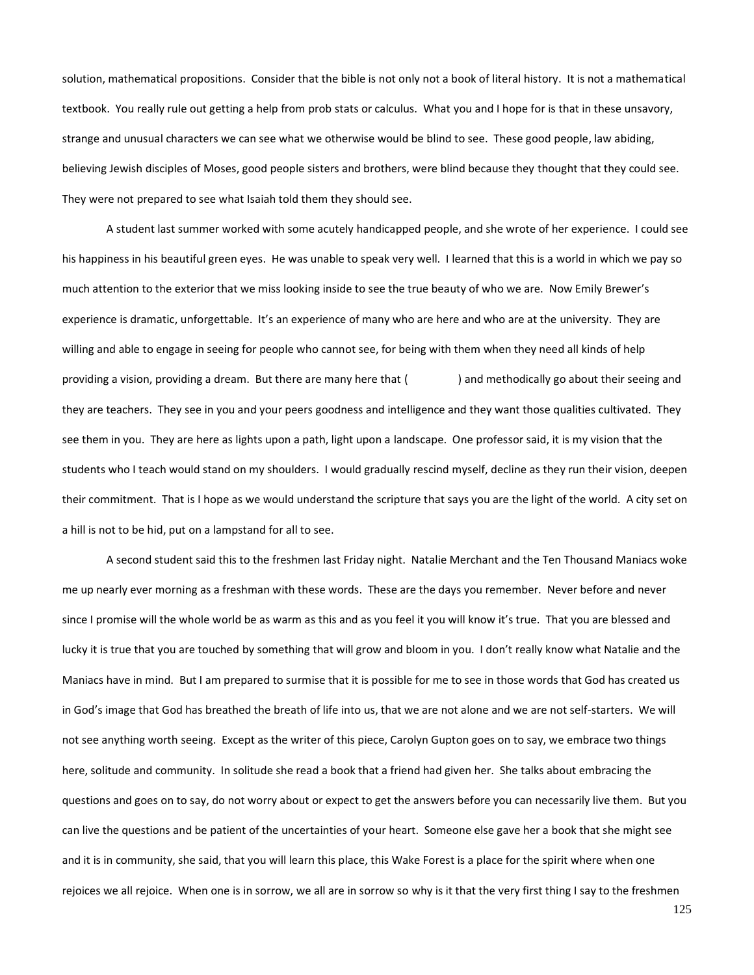solution, mathematical propositions. Consider that the bible is not only not a book of literal history. It is not a mathematical textbook. You really rule out getting a help from prob stats or calculus. What you and I hope for is that in these unsavory, strange and unusual characters we can see what we otherwise would be blind to see. These good people, law abiding, believing Jewish disciples of Moses, good people sisters and brothers, were blind because they thought that they could see. They were not prepared to see what Isaiah told them they should see.

A student last summer worked with some acutely handicapped people, and she wrote of her experience. I could see his happiness in his beautiful green eyes. He was unable to speak very well. I learned that this is a world in which we pay so much attention to the exterior that we miss looking inside to see the true beauty of who we are. Now Emily Brewer's experience is dramatic, unforgettable. It's an experience of many who are here and who are at the university. They are willing and able to engage in seeing for people who cannot see, for being with them when they need all kinds of help providing a vision, providing a dream. But there are many here that ( ) and methodically go about their seeing and they are teachers. They see in you and your peers goodness and intelligence and they want those qualities cultivated. They see them in you. They are here as lights upon a path, light upon a landscape. One professor said, it is my vision that the students who I teach would stand on my shoulders. I would gradually rescind myself, decline as they run their vision, deepen their commitment. That is I hope as we would understand the scripture that says you are the light of the world. A city set on a hill is not to be hid, put on a lampstand for all to see.

A second student said this to the freshmen last Friday night. Natalie Merchant and the Ten Thousand Maniacs woke me up nearly ever morning as a freshman with these words. These are the days you remember. Never before and never since I promise will the whole world be as warm as this and as you feel it you will know it's true. That you are blessed and lucky it is true that you are touched by something that will grow and bloom in you. I don't really know what Natalie and the Maniacs have in mind. But I am prepared to surmise that it is possible for me to see in those words that God has created us in God's image that God has breathed the breath of life into us, that we are not alone and we are not self-starters. We will not see anything worth seeing. Except as the writer of this piece, Carolyn Gupton goes on to say, we embrace two things here, solitude and community. In solitude she read a book that a friend had given her. She talks about embracing the questions and goes on to say, do not worry about or expect to get the answers before you can necessarily live them. But you can live the questions and be patient of the uncertainties of your heart. Someone else gave her a book that she might see and it is in community, she said, that you will learn this place, this Wake Forest is a place for the spirit where when one rejoices we all rejoice. When one is in sorrow, we all are in sorrow so why is it that the very first thing I say to the freshmen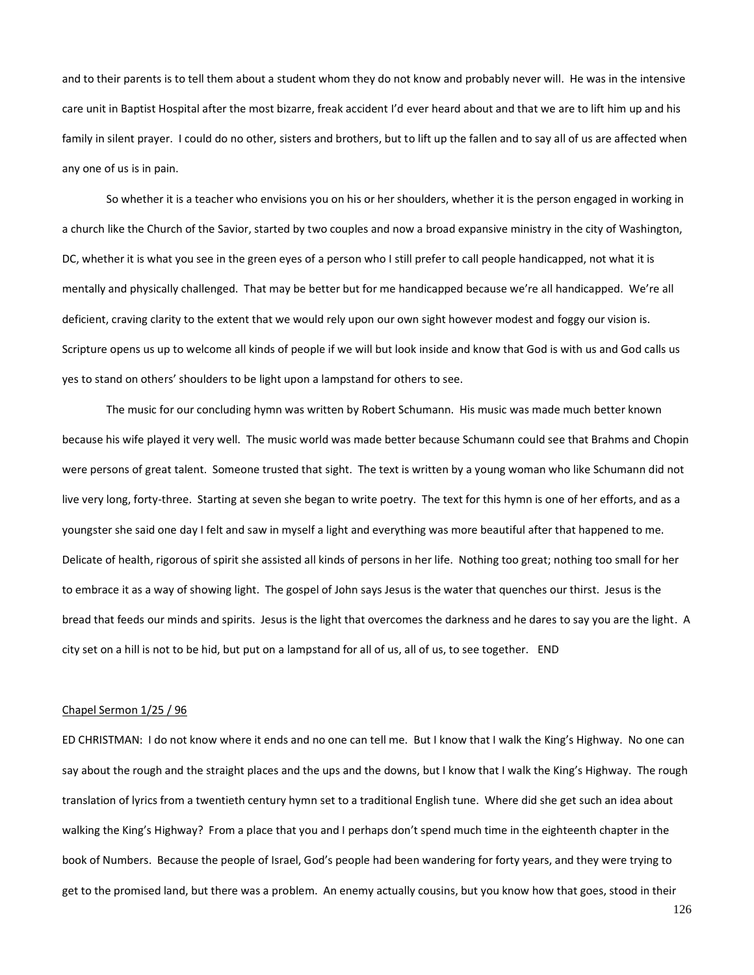and to their parents is to tell them about a student whom they do not know and probably never will. He was in the intensive care unit in Baptist Hospital after the most bizarre, freak accident I'd ever heard about and that we are to lift him up and his family in silent prayer. I could do no other, sisters and brothers, but to lift up the fallen and to say all of us are affected when any one of us is in pain.

So whether it is a teacher who envisions you on his or her shoulders, whether it is the person engaged in working in a church like the Church of the Savior, started by two couples and now a broad expansive ministry in the city of Washington, DC, whether it is what you see in the green eyes of a person who I still prefer to call people handicapped, not what it is mentally and physically challenged. That may be better but for me handicapped because we're all handicapped. We're all deficient, craving clarity to the extent that we would rely upon our own sight however modest and foggy our vision is. Scripture opens us up to welcome all kinds of people if we will but look inside and know that God is with us and God calls us yes to stand on others' shoulders to be light upon a lampstand for others to see.

The music for our concluding hymn was written by Robert Schumann. His music was made much better known because his wife played it very well. The music world was made better because Schumann could see that Brahms and Chopin were persons of great talent. Someone trusted that sight. The text is written by a young woman who like Schumann did not live very long, forty-three. Starting at seven she began to write poetry. The text for this hymn is one of her efforts, and as a youngster she said one day I felt and saw in myself a light and everything was more beautiful after that happened to me. Delicate of health, rigorous of spirit she assisted all kinds of persons in her life. Nothing too great; nothing too small for her to embrace it as a way of showing light. The gospel of John says Jesus is the water that quenches our thirst. Jesus is the bread that feeds our minds and spirits. Jesus is the light that overcomes the darkness and he dares to say you are the light. A city set on a hill is not to be hid, but put on a lampstand for all of us, all of us, to see together. END

# Chapel Sermon 1/25 / 96

ED CHRISTMAN: I do not know where it ends and no one can tell me. But I know that I walk the King's Highway. No one can say about the rough and the straight places and the ups and the downs, but I know that I walk the King's Highway. The rough translation of lyrics from a twentieth century hymn set to a traditional English tune. Where did she get such an idea about walking the King's Highway? From a place that you and I perhaps don't spend much time in the eighteenth chapter in the book of Numbers. Because the people of Israel, God's people had been wandering for forty years, and they were trying to get to the promised land, but there was a problem. An enemy actually cousins, but you know how that goes, stood in their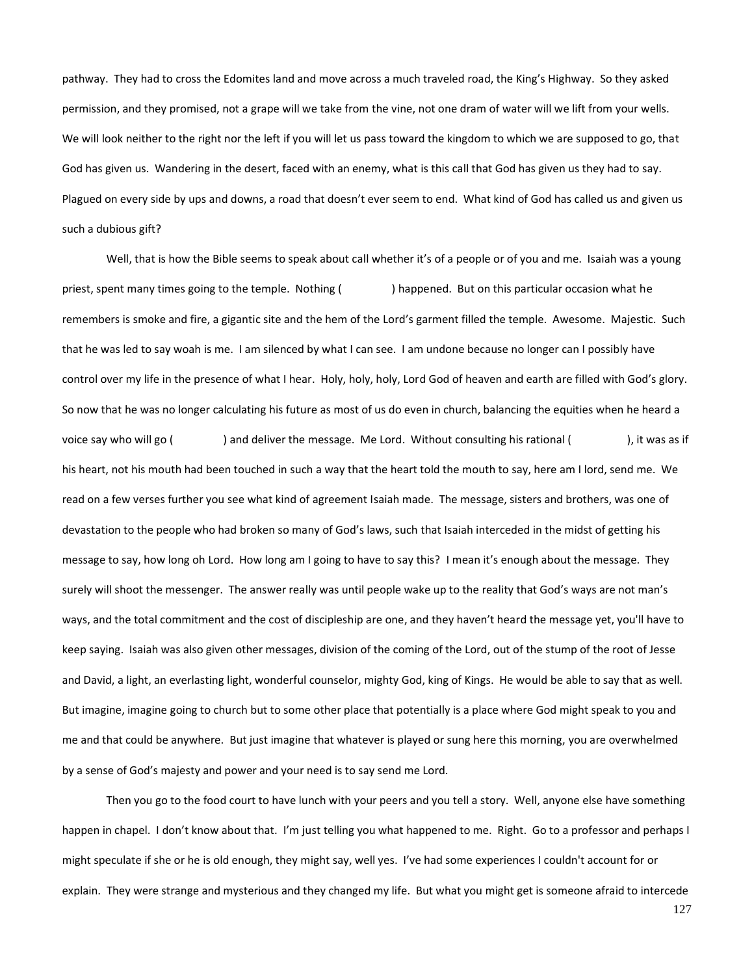pathway. They had to cross the Edomites land and move across a much traveled road, the King's Highway. So they asked permission, and they promised, not a grape will we take from the vine, not one dram of water will we lift from your wells. We will look neither to the right nor the left if you will let us pass toward the kingdom to which we are supposed to go, that God has given us. Wandering in the desert, faced with an enemy, what is this call that God has given us they had to say. Plagued on every side by ups and downs, a road that doesn't ever seem to end. What kind of God has called us and given us such a dubious gift?

Well, that is how the Bible seems to speak about call whether it's of a people or of you and me. Isaiah was a young priest, spent many times going to the temple. Nothing ( ) happened. But on this particular occasion what he remembers is smoke and fire, a gigantic site and the hem of the Lord's garment filled the temple. Awesome. Majestic. Such that he was led to say woah is me. I am silenced by what I can see. I am undone because no longer can I possibly have control over my life in the presence of what I hear. Holy, holy, holy, Lord God of heaven and earth are filled with God's glory. So now that he was no longer calculating his future as most of us do even in church, balancing the equities when he heard a voice say who will go () and deliver the message. Me Lord. Without consulting his rational (), it was as if his heart, not his mouth had been touched in such a way that the heart told the mouth to say, here am I lord, send me. We read on a few verses further you see what kind of agreement Isaiah made. The message, sisters and brothers, was one of devastation to the people who had broken so many of God's laws, such that Isaiah interceded in the midst of getting his message to say, how long oh Lord. How long am I going to have to say this? I mean it's enough about the message. They surely will shoot the messenger. The answer really was until people wake up to the reality that God's ways are not man's ways, and the total commitment and the cost of discipleship are one, and they haven't heard the message yet, you'll have to keep saying. Isaiah was also given other messages, division of the coming of the Lord, out of the stump of the root of Jesse and David, a light, an everlasting light, wonderful counselor, mighty God, king of Kings. He would be able to say that as well. But imagine, imagine going to church but to some other place that potentially is a place where God might speak to you and me and that could be anywhere. But just imagine that whatever is played or sung here this morning, you are overwhelmed by a sense of God's majesty and power and your need is to say send me Lord.

Then you go to the food court to have lunch with your peers and you tell a story. Well, anyone else have something happen in chapel. I don't know about that. I'm just telling you what happened to me. Right. Go to a professor and perhaps I might speculate if she or he is old enough, they might say, well yes. I've had some experiences I couldn't account for or explain. They were strange and mysterious and they changed my life. But what you might get is someone afraid to intercede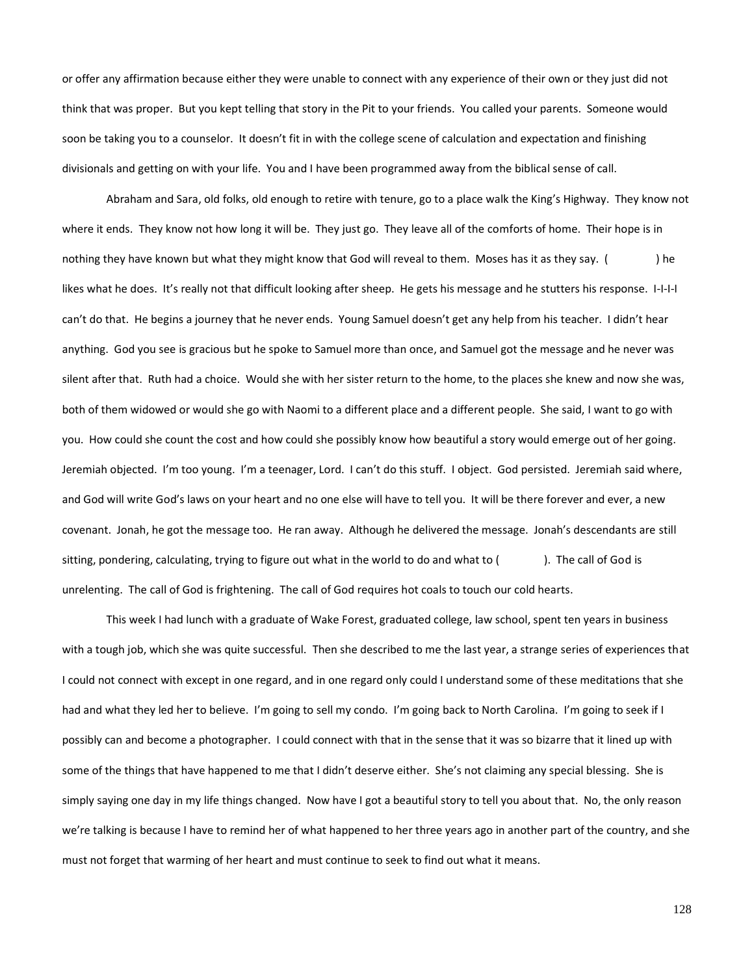or offer any affirmation because either they were unable to connect with any experience of their own or they just did not think that was proper. But you kept telling that story in the Pit to your friends. You called your parents. Someone would soon be taking you to a counselor. It doesn't fit in with the college scene of calculation and expectation and finishing divisionals and getting on with your life. You and I have been programmed away from the biblical sense of call.

Abraham and Sara, old folks, old enough to retire with tenure, go to a place walk the King's Highway. They know not where it ends. They know not how long it will be. They just go. They leave all of the comforts of home. Their hope is in nothing they have known but what they might know that God will reveal to them. Moses has it as they say. () he likes what he does. It's really not that difficult looking after sheep. He gets his message and he stutters his response. I-I-I-I can't do that. He begins a journey that he never ends. Young Samuel doesn't get any help from his teacher. I didn't hear anything. God you see is gracious but he spoke to Samuel more than once, and Samuel got the message and he never was silent after that. Ruth had a choice. Would she with her sister return to the home, to the places she knew and now she was, both of them widowed or would she go with Naomi to a different place and a different people. She said, I want to go with you. How could she count the cost and how could she possibly know how beautiful a story would emerge out of her going. Jeremiah objected. I'm too young. I'm a teenager, Lord. I can't do this stuff. I object. God persisted. Jeremiah said where, and God will write God's laws on your heart and no one else will have to tell you. It will be there forever and ever, a new covenant. Jonah, he got the message too. He ran away. Although he delivered the message. Jonah's descendants are still sitting, pondering, calculating, trying to figure out what in the world to do and what to (). The call of God is unrelenting. The call of God is frightening. The call of God requires hot coals to touch our cold hearts.

This week I had lunch with a graduate of Wake Forest, graduated college, law school, spent ten years in business with a tough job, which she was quite successful. Then she described to me the last year, a strange series of experiences that I could not connect with except in one regard, and in one regard only could I understand some of these meditations that she had and what they led her to believe. I'm going to sell my condo. I'm going back to North Carolina. I'm going to seek if I possibly can and become a photographer. I could connect with that in the sense that it was so bizarre that it lined up with some of the things that have happened to me that I didn't deserve either. She's not claiming any special blessing. She is simply saying one day in my life things changed. Now have I got a beautiful story to tell you about that. No, the only reason we're talking is because I have to remind her of what happened to her three years ago in another part of the country, and she must not forget that warming of her heart and must continue to seek to find out what it means.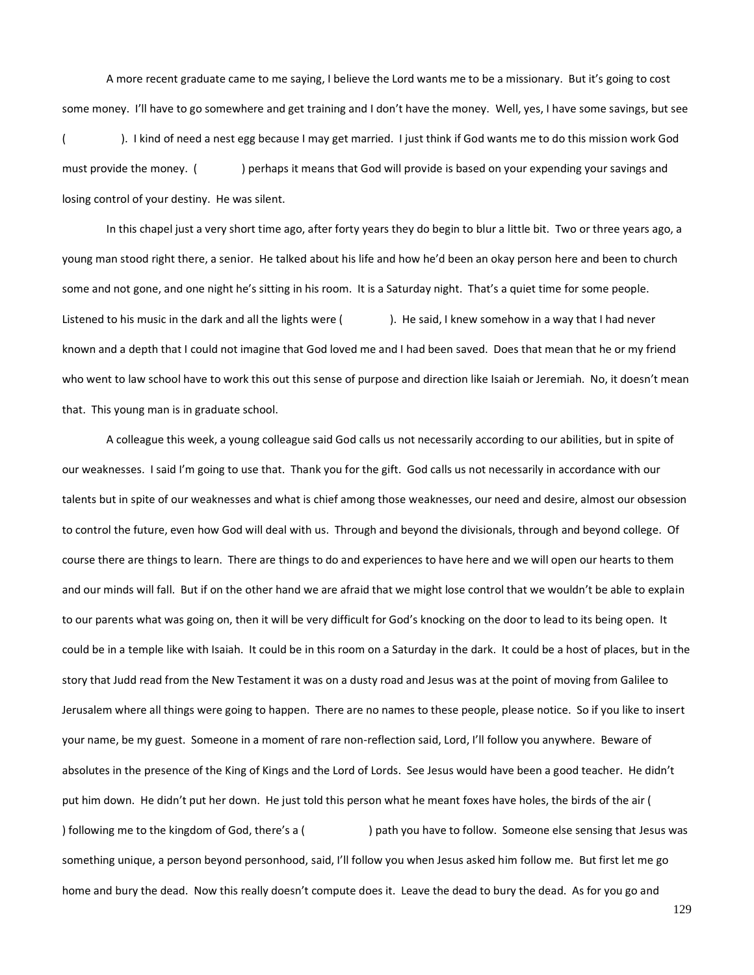A more recent graduate came to me saying, I believe the Lord wants me to be a missionary. But it's going to cost some money. I'll have to go somewhere and get training and I don't have the money. Well, yes, I have some savings, but see

( ). I kind of need a nest egg because I may get married. I just think if God wants me to do this mission work God must provide the money. () perhaps it means that God will provide is based on your expending your savings and losing control of your destiny. He was silent.

In this chapel just a very short time ago, after forty years they do begin to blur a little bit. Two or three years ago, a young man stood right there, a senior. He talked about his life and how he'd been an okay person here and been to church some and not gone, and one night he's sitting in his room. It is a Saturday night. That's a quiet time for some people. Listened to his music in the dark and all the lights were (). He said, I knew somehow in a way that I had never known and a depth that I could not imagine that God loved me and I had been saved. Does that mean that he or my friend who went to law school have to work this out this sense of purpose and direction like Isaiah or Jeremiah. No, it doesn't mean that. This young man is in graduate school.

A colleague this week, a young colleague said God calls us not necessarily according to our abilities, but in spite of our weaknesses. I said I'm going to use that. Thank you for the gift. God calls us not necessarily in accordance with our talents but in spite of our weaknesses and what is chief among those weaknesses, our need and desire, almost our obsession to control the future, even how God will deal with us. Through and beyond the divisionals, through and beyond college. Of course there are things to learn. There are things to do and experiences to have here and we will open our hearts to them and our minds will fall. But if on the other hand we are afraid that we might lose control that we wouldn't be able to explain to our parents what was going on, then it will be very difficult for God's knocking on the door to lead to its being open. It could be in a temple like with Isaiah. It could be in this room on a Saturday in the dark. It could be a host of places, but in the story that Judd read from the New Testament it was on a dusty road and Jesus was at the point of moving from Galilee to Jerusalem where all things were going to happen. There are no names to these people, please notice. So if you like to insert your name, be my guest. Someone in a moment of rare non-reflection said, Lord, I'll follow you anywhere. Beware of absolutes in the presence of the King of Kings and the Lord of Lords. See Jesus would have been a good teacher. He didn't put him down. He didn't put her down. He just told this person what he meant foxes have holes, the birds of the air ( ) following me to the kingdom of God, there's a ( ) path you have to follow. Someone else sensing that Jesus was something unique, a person beyond personhood, said, I'll follow you when Jesus asked him follow me. But first let me go home and bury the dead. Now this really doesn't compute does it. Leave the dead to bury the dead. As for you go and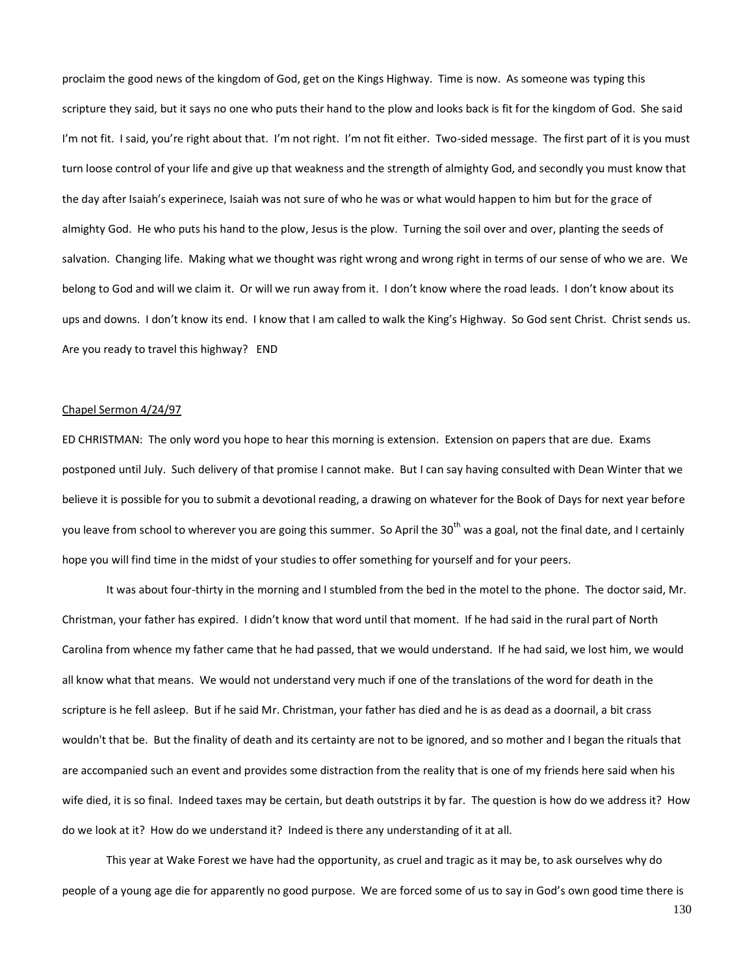proclaim the good news of the kingdom of God, get on the Kings Highway. Time is now. As someone was typing this scripture they said, but it says no one who puts their hand to the plow and looks back is fit for the kingdom of God. She said I'm not fit. I said, you're right about that. I'm not right. I'm not fit either. Two-sided message. The first part of it is you must turn loose control of your life and give up that weakness and the strength of almighty God, and secondly you must know that the day after Isaiah's experinece, Isaiah was not sure of who he was or what would happen to him but for the grace of almighty God. He who puts his hand to the plow, Jesus is the plow. Turning the soil over and over, planting the seeds of salvation. Changing life. Making what we thought was right wrong and wrong right in terms of our sense of who we are. We belong to God and will we claim it. Or will we run away from it. I don't know where the road leads. I don't know about its ups and downs. I don't know its end. I know that I am called to walk the King's Highway. So God sent Christ. Christ sends us. Are you ready to travel this highway? END

## Chapel Sermon 4/24/97

ED CHRISTMAN: The only word you hope to hear this morning is extension. Extension on papers that are due. Exams postponed until July. Such delivery of that promise I cannot make. But I can say having consulted with Dean Winter that we believe it is possible for you to submit a devotional reading, a drawing on whatever for the Book of Days for next year before you leave from school to wherever you are going this summer. So April the 30<sup>th</sup> was a goal, not the final date, and I certainly hope you will find time in the midst of your studies to offer something for yourself and for your peers.

It was about four-thirty in the morning and I stumbled from the bed in the motel to the phone. The doctor said, Mr. Christman, your father has expired. I didn't know that word until that moment. If he had said in the rural part of North Carolina from whence my father came that he had passed, that we would understand. If he had said, we lost him, we would all know what that means. We would not understand very much if one of the translations of the word for death in the scripture is he fell asleep. But if he said Mr. Christman, your father has died and he is as dead as a doornail, a bit crass wouldn't that be. But the finality of death and its certainty are not to be ignored, and so mother and I began the rituals that are accompanied such an event and provides some distraction from the reality that is one of my friends here said when his wife died, it is so final. Indeed taxes may be certain, but death outstrips it by far. The question is how do we address it? How do we look at it? How do we understand it? Indeed is there any understanding of it at all.

This year at Wake Forest we have had the opportunity, as cruel and tragic as it may be, to ask ourselves why do people of a young age die for apparently no good purpose. We are forced some of us to say in God's own good time there is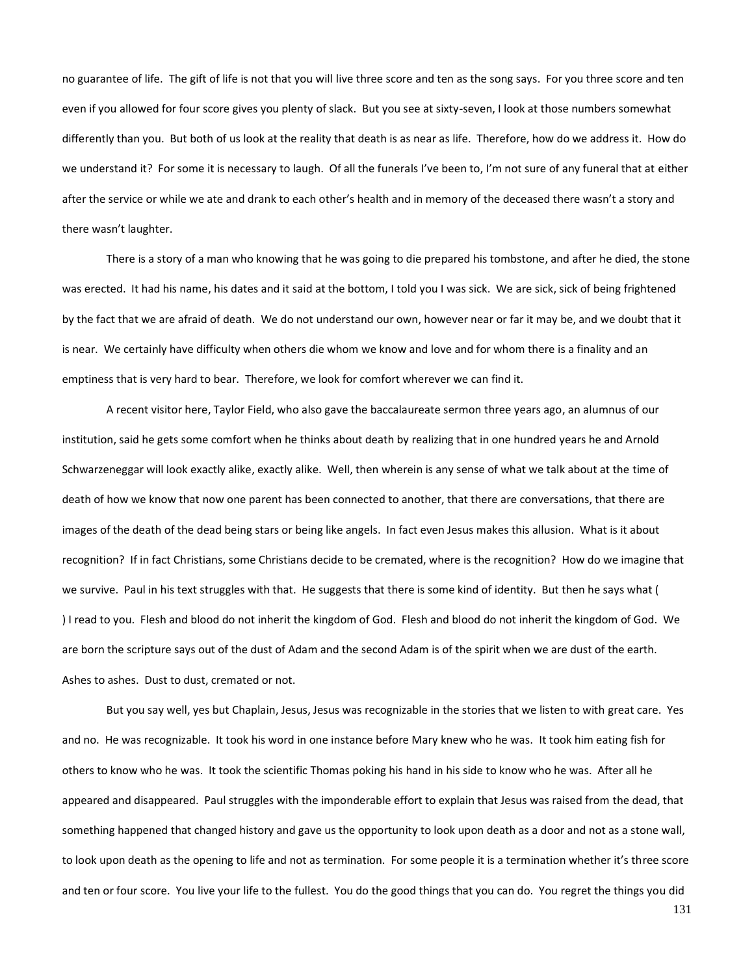no guarantee of life. The gift of life is not that you will live three score and ten as the song says. For you three score and ten even if you allowed for four score gives you plenty of slack. But you see at sixty-seven, I look at those numbers somewhat differently than you. But both of us look at the reality that death is as near as life. Therefore, how do we address it. How do we understand it? For some it is necessary to laugh. Of all the funerals I've been to, I'm not sure of any funeral that at either after the service or while we ate and drank to each other's health and in memory of the deceased there wasn't a story and there wasn't laughter.

There is a story of a man who knowing that he was going to die prepared his tombstone, and after he died, the stone was erected. It had his name, his dates and it said at the bottom, I told you I was sick. We are sick, sick of being frightened by the fact that we are afraid of death. We do not understand our own, however near or far it may be, and we doubt that it is near. We certainly have difficulty when others die whom we know and love and for whom there is a finality and an emptiness that is very hard to bear. Therefore, we look for comfort wherever we can find it.

A recent visitor here, Taylor Field, who also gave the baccalaureate sermon three years ago, an alumnus of our institution, said he gets some comfort when he thinks about death by realizing that in one hundred years he and Arnold Schwarzeneggar will look exactly alike, exactly alike. Well, then wherein is any sense of what we talk about at the time of death of how we know that now one parent has been connected to another, that there are conversations, that there are images of the death of the dead being stars or being like angels. In fact even Jesus makes this allusion. What is it about recognition? If in fact Christians, some Christians decide to be cremated, where is the recognition? How do we imagine that we survive. Paul in his text struggles with that. He suggests that there is some kind of identity. But then he says what ( ) I read to you. Flesh and blood do not inherit the kingdom of God. Flesh and blood do not inherit the kingdom of God. We are born the scripture says out of the dust of Adam and the second Adam is of the spirit when we are dust of the earth. Ashes to ashes. Dust to dust, cremated or not.

But you say well, yes but Chaplain, Jesus, Jesus was recognizable in the stories that we listen to with great care. Yes and no. He was recognizable. It took his word in one instance before Mary knew who he was. It took him eating fish for others to know who he was. It took the scientific Thomas poking his hand in his side to know who he was. After all he appeared and disappeared. Paul struggles with the imponderable effort to explain that Jesus was raised from the dead, that something happened that changed history and gave us the opportunity to look upon death as a door and not as a stone wall, to look upon death as the opening to life and not as termination. For some people it is a termination whether it's three score and ten or four score. You live your life to the fullest. You do the good things that you can do. You regret the things you did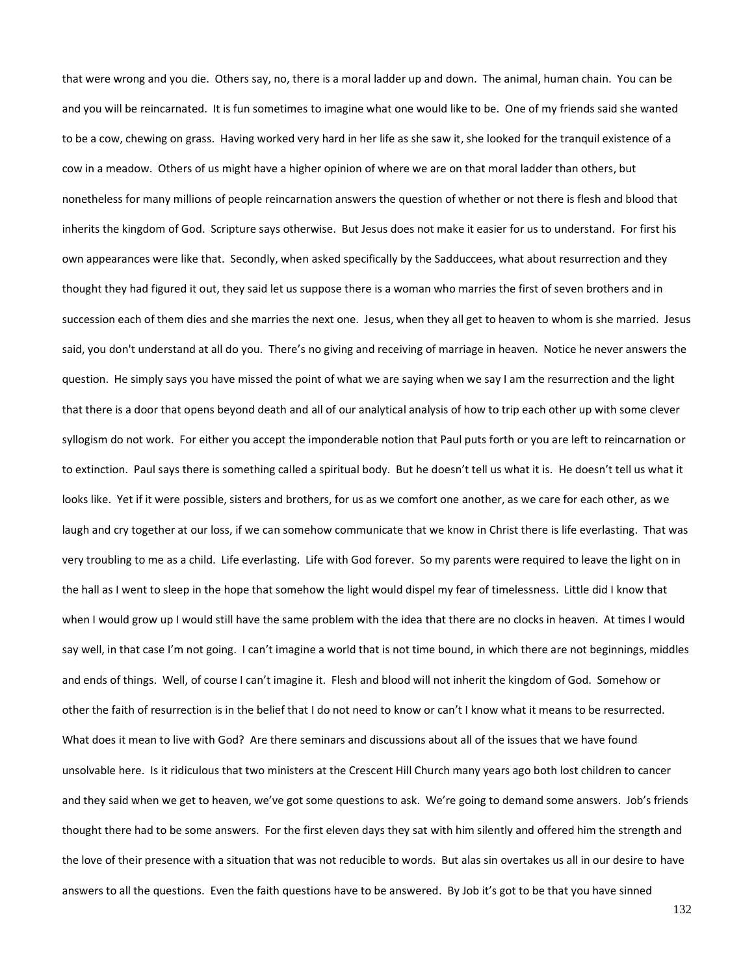that were wrong and you die. Others say, no, there is a moral ladder up and down. The animal, human chain. You can be and you will be reincarnated. It is fun sometimes to imagine what one would like to be. One of my friends said she wanted to be a cow, chewing on grass. Having worked very hard in her life as she saw it, she looked for the tranquil existence of a cow in a meadow. Others of us might have a higher opinion of where we are on that moral ladder than others, but nonetheless for many millions of people reincarnation answers the question of whether or not there is flesh and blood that inherits the kingdom of God. Scripture says otherwise. But Jesus does not make it easier for us to understand. For first his own appearances were like that. Secondly, when asked specifically by the Sadduccees, what about resurrection and they thought they had figured it out, they said let us suppose there is a woman who marries the first of seven brothers and in succession each of them dies and she marries the next one. Jesus, when they all get to heaven to whom is she married. Jesus said, you don't understand at all do you. There's no giving and receiving of marriage in heaven. Notice he never answers the question. He simply says you have missed the point of what we are saying when we say I am the resurrection and the light that there is a door that opens beyond death and all of our analytical analysis of how to trip each other up with some clever syllogism do not work. For either you accept the imponderable notion that Paul puts forth or you are left to reincarnation or to extinction. Paul says there is something called a spiritual body. But he doesn't tell us what it is. He doesn't tell us what it looks like. Yet if it were possible, sisters and brothers, for us as we comfort one another, as we care for each other, as we laugh and cry together at our loss, if we can somehow communicate that we know in Christ there is life everlasting. That was very troubling to me as a child. Life everlasting. Life with God forever. So my parents were required to leave the light on in the hall as I went to sleep in the hope that somehow the light would dispel my fear of timelessness. Little did I know that when I would grow up I would still have the same problem with the idea that there are no clocks in heaven. At times I would say well, in that case I'm not going. I can't imagine a world that is not time bound, in which there are not beginnings, middles and ends of things. Well, of course I can't imagine it. Flesh and blood will not inherit the kingdom of God. Somehow or other the faith of resurrection is in the belief that I do not need to know or can't I know what it means to be resurrected. What does it mean to live with God? Are there seminars and discussions about all of the issues that we have found unsolvable here. Is it ridiculous that two ministers at the Crescent Hill Church many years ago both lost children to cancer and they said when we get to heaven, we've got some questions to ask. We're going to demand some answers. Job's friends thought there had to be some answers. For the first eleven days they sat with him silently and offered him the strength and the love of their presence with a situation that was not reducible to words. But alas sin overtakes us all in our desire to have answers to all the questions. Even the faith questions have to be answered. By Job it's got to be that you have sinned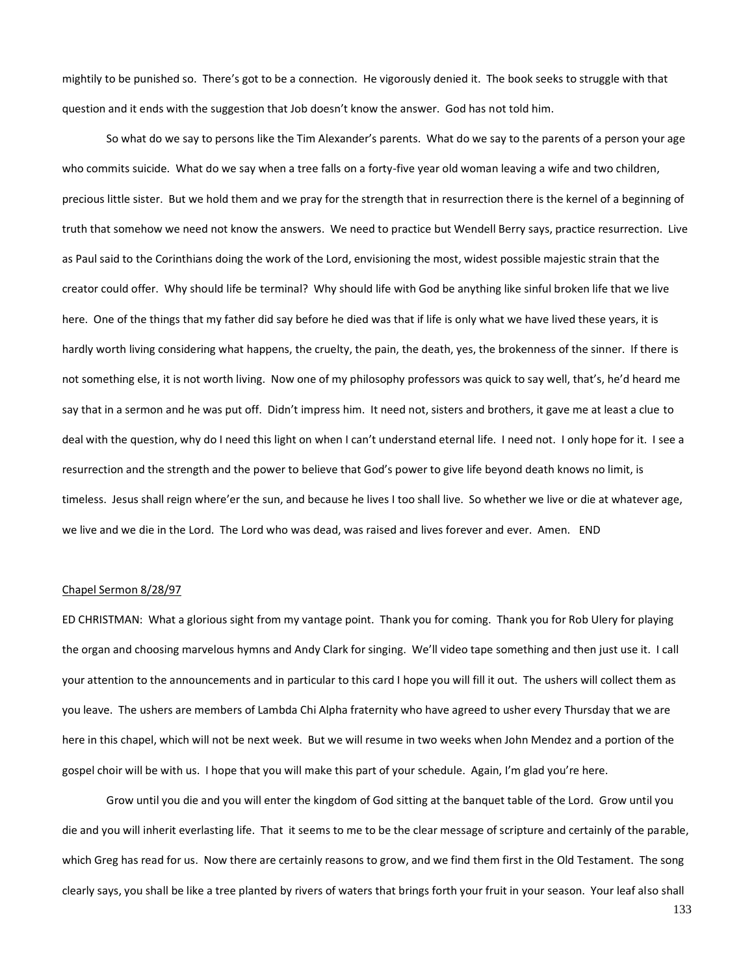mightily to be punished so. There's got to be a connection. He vigorously denied it. The book seeks to struggle with that question and it ends with the suggestion that Job doesn't know the answer. God has not told him.

So what do we say to persons like the Tim Alexander's parents. What do we say to the parents of a person your age who commits suicide. What do we say when a tree falls on a forty-five year old woman leaving a wife and two children, precious little sister. But we hold them and we pray for the strength that in resurrection there is the kernel of a beginning of truth that somehow we need not know the answers. We need to practice but Wendell Berry says, practice resurrection. Live as Paul said to the Corinthians doing the work of the Lord, envisioning the most, widest possible majestic strain that the creator could offer. Why should life be terminal? Why should life with God be anything like sinful broken life that we live here. One of the things that my father did say before he died was that if life is only what we have lived these years, it is hardly worth living considering what happens, the cruelty, the pain, the death, yes, the brokenness of the sinner. If there is not something else, it is not worth living. Now one of my philosophy professors was quick to say well, that's, he'd heard me say that in a sermon and he was put off. Didn't impress him. It need not, sisters and brothers, it gave me at least a clue to deal with the question, why do I need this light on when I can't understand eternal life. I need not. I only hope for it. I see a resurrection and the strength and the power to believe that God's power to give life beyond death knows no limit, is timeless. Jesus shall reign where'er the sun, and because he lives I too shall live. So whether we live or die at whatever age, we live and we die in the Lord. The Lord who was dead, was raised and lives forever and ever. Amen. END

# Chapel Sermon 8/28/97

ED CHRISTMAN: What a glorious sight from my vantage point. Thank you for coming. Thank you for Rob Ulery for playing the organ and choosing marvelous hymns and Andy Clark for singing. We'll video tape something and then just use it. I call your attention to the announcements and in particular to this card I hope you will fill it out. The ushers will collect them as you leave. The ushers are members of Lambda Chi Alpha fraternity who have agreed to usher every Thursday that we are here in this chapel, which will not be next week. But we will resume in two weeks when John Mendez and a portion of the gospel choir will be with us. I hope that you will make this part of your schedule. Again, I'm glad you're here.

Grow until you die and you will enter the kingdom of God sitting at the banquet table of the Lord. Grow until you die and you will inherit everlasting life. That it seems to me to be the clear message of scripture and certainly of the parable, which Greg has read for us. Now there are certainly reasons to grow, and we find them first in the Old Testament. The song clearly says, you shall be like a tree planted by rivers of waters that brings forth your fruit in your season. Your leaf also shall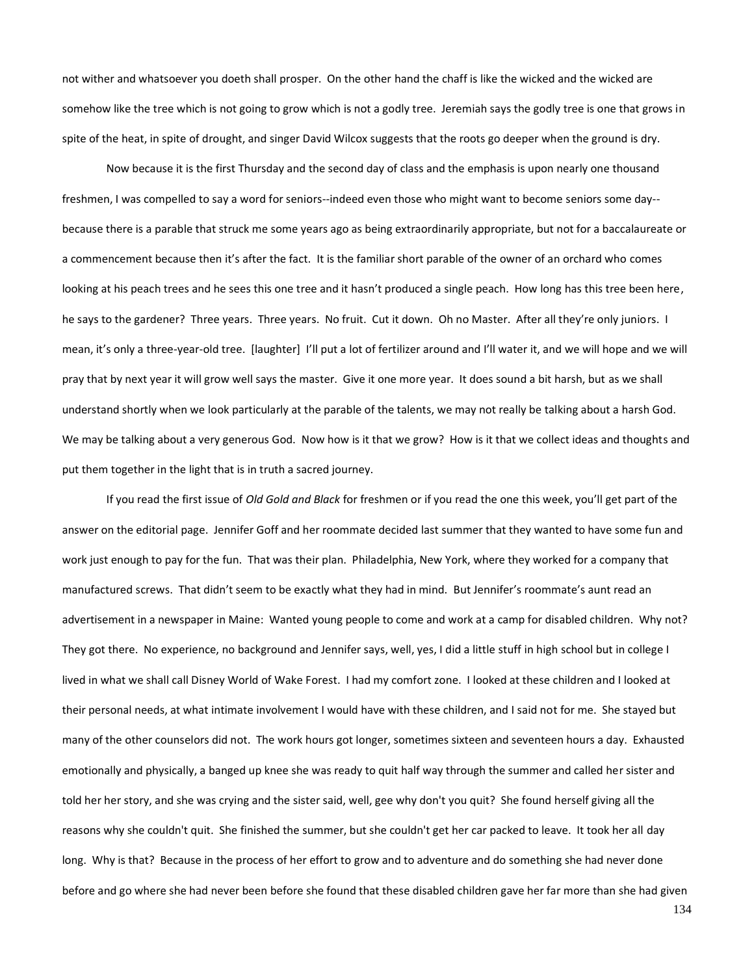not wither and whatsoever you doeth shall prosper. On the other hand the chaff is like the wicked and the wicked are somehow like the tree which is not going to grow which is not a godly tree. Jeremiah says the godly tree is one that grows in spite of the heat, in spite of drought, and singer David Wilcox suggests that the roots go deeper when the ground is dry.

Now because it is the first Thursday and the second day of class and the emphasis is upon nearly one thousand freshmen, I was compelled to say a word for seniors--indeed even those who might want to become seniors some day- because there is a parable that struck me some years ago as being extraordinarily appropriate, but not for a baccalaureate or a commencement because then it's after the fact. It is the familiar short parable of the owner of an orchard who comes looking at his peach trees and he sees this one tree and it hasn't produced a single peach. How long has this tree been here, he says to the gardener? Three years. Three years. No fruit. Cut it down. Oh no Master. After all they're only juniors. I mean, it's only a three-year-old tree. [laughter] I'll put a lot of fertilizer around and I'll water it, and we will hope and we will pray that by next year it will grow well says the master. Give it one more year. It does sound a bit harsh, but as we shall understand shortly when we look particularly at the parable of the talents, we may not really be talking about a harsh God. We may be talking about a very generous God. Now how is it that we grow? How is it that we collect ideas and thoughts and put them together in the light that is in truth a sacred journey.

If you read the first issue of *Old Gold and Black* for freshmen or if you read the one this week, you'll get part of the answer on the editorial page. Jennifer Goff and her roommate decided last summer that they wanted to have some fun and work just enough to pay for the fun. That was their plan. Philadelphia, New York, where they worked for a company that manufactured screws. That didn't seem to be exactly what they had in mind. But Jennifer's roommate's aunt read an advertisement in a newspaper in Maine: Wanted young people to come and work at a camp for disabled children. Why not? They got there. No experience, no background and Jennifer says, well, yes, I did a little stuff in high school but in college I lived in what we shall call Disney World of Wake Forest. I had my comfort zone. I looked at these children and I looked at their personal needs, at what intimate involvement I would have with these children, and I said not for me. She stayed but many of the other counselors did not. The work hours got longer, sometimes sixteen and seventeen hours a day. Exhausted emotionally and physically, a banged up knee she was ready to quit half way through the summer and called her sister and told her her story, and she was crying and the sister said, well, gee why don't you quit? She found herself giving all the reasons why she couldn't quit. She finished the summer, but she couldn't get her car packed to leave. It took her all day long. Why is that? Because in the process of her effort to grow and to adventure and do something she had never done before and go where she had never been before she found that these disabled children gave her far more than she had given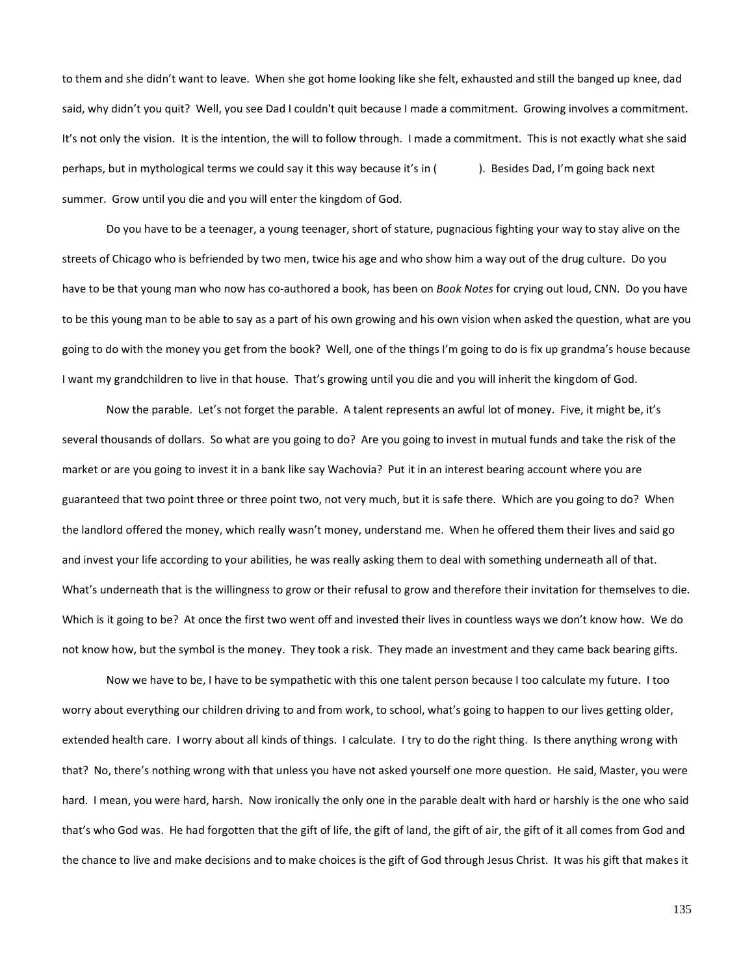to them and she didn't want to leave. When she got home looking like she felt, exhausted and still the banged up knee, dad said, why didn't you quit? Well, you see Dad I couldn't quit because I made a commitment. Growing involves a commitment. It's not only the vision. It is the intention, the will to follow through. I made a commitment. This is not exactly what she said perhaps, but in mythological terms we could say it this way because it's in (). Besides Dad, I'm going back next summer. Grow until you die and you will enter the kingdom of God.

Do you have to be a teenager, a young teenager, short of stature, pugnacious fighting your way to stay alive on the streets of Chicago who is befriended by two men, twice his age and who show him a way out of the drug culture. Do you have to be that young man who now has co-authored a book, has been on *Book Notes* for crying out loud, CNN. Do you have to be this young man to be able to say as a part of his own growing and his own vision when asked the question, what are you going to do with the money you get from the book? Well, one of the things I'm going to do is fix up grandma's house because I want my grandchildren to live in that house. That's growing until you die and you will inherit the kingdom of God.

Now the parable. Let's not forget the parable. A talent represents an awful lot of money. Five, it might be, it's several thousands of dollars. So what are you going to do? Are you going to invest in mutual funds and take the risk of the market or are you going to invest it in a bank like say Wachovia? Put it in an interest bearing account where you are guaranteed that two point three or three point two, not very much, but it is safe there. Which are you going to do? When the landlord offered the money, which really wasn't money, understand me. When he offered them their lives and said go and invest your life according to your abilities, he was really asking them to deal with something underneath all of that. What's underneath that is the willingness to grow or their refusal to grow and therefore their invitation for themselves to die. Which is it going to be? At once the first two went off and invested their lives in countless ways we don't know how. We do not know how, but the symbol is the money. They took a risk. They made an investment and they came back bearing gifts.

Now we have to be, I have to be sympathetic with this one talent person because I too calculate my future. I too worry about everything our children driving to and from work, to school, what's going to happen to our lives getting older, extended health care. I worry about all kinds of things. I calculate. I try to do the right thing. Is there anything wrong with that? No, there's nothing wrong with that unless you have not asked yourself one more question. He said, Master, you were hard. I mean, you were hard, harsh. Now ironically the only one in the parable dealt with hard or harshly is the one who said that's who God was. He had forgotten that the gift of life, the gift of land, the gift of air, the gift of it all comes from God and the chance to live and make decisions and to make choices is the gift of God through Jesus Christ. It was his gift that makes it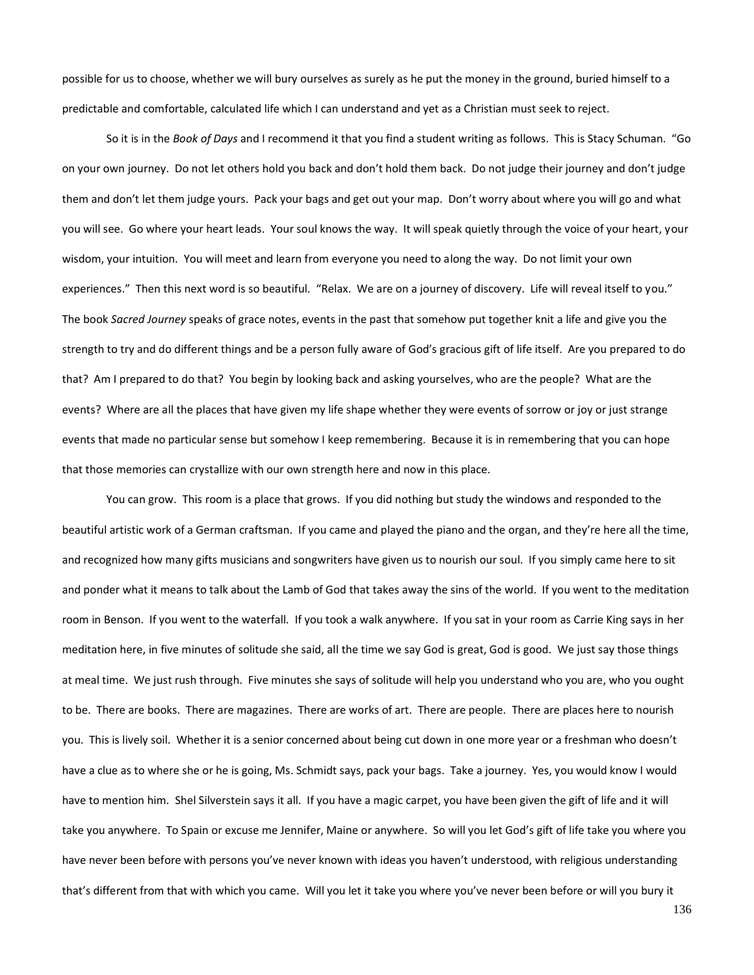possible for us to choose, whether we will bury ourselves as surely as he put the money in the ground, buried himself to a predictable and comfortable, calculated life which I can understand and yet as a Christian must seek to reject.

So it is in the *Book of Days* and I recommend it that you find a student writing as follows. This is Stacy Schuman. "Go on your own journey. Do not let others hold you back and don't hold them back. Do not judge their journey and don't judge them and don't let them judge yours. Pack your bags and get out your map. Don't worry about where you will go and what you will see. Go where your heart leads. Your soul knows the way. It will speak quietly through the voice of your heart, your wisdom, your intuition. You will meet and learn from everyone you need to along the way. Do not limit your own experiences." Then this next word is so beautiful. "Relax. We are on a journey of discovery. Life will reveal itself to you." The book *Sacred Journey* speaks of grace notes, events in the past that somehow put together knit a life and give you the strength to try and do different things and be a person fully aware of God's gracious gift of life itself. Are you prepared to do that? Am I prepared to do that? You begin by looking back and asking yourselves, who are the people? What are the events? Where are all the places that have given my life shape whether they were events of sorrow or joy or just strange events that made no particular sense but somehow I keep remembering. Because it is in remembering that you can hope that those memories can crystallize with our own strength here and now in this place.

You can grow. This room is a place that grows. If you did nothing but study the windows and responded to the beautiful artistic work of a German craftsman. If you came and played the piano and the organ, and they're here all the time, and recognized how many gifts musicians and songwriters have given us to nourish our soul. If you simply came here to sit and ponder what it means to talk about the Lamb of God that takes away the sins of the world. If you went to the meditation room in Benson. If you went to the waterfall. If you took a walk anywhere. If you sat in your room as Carrie King says in her meditation here, in five minutes of solitude she said, all the time we say God is great, God is good. We just say those things at meal time. We just rush through. Five minutes she says of solitude will help you understand who you are, who you ought to be. There are books. There are magazines. There are works of art. There are people. There are places here to nourish you. This is lively soil. Whether it is a senior concerned about being cut down in one more year or a freshman who doesn't have a clue as to where she or he is going, Ms. Schmidt says, pack your bags. Take a journey. Yes, you would know I would have to mention him. Shel Silverstein says it all. If you have a magic carpet, you have been given the gift of life and it will take you anywhere. To Spain or excuse me Jennifer, Maine or anywhere. So will you let God's gift of life take you where you have never been before with persons you've never known with ideas you haven't understood, with religious understanding that's different from that with which you came. Will you let it take you where you've never been before or will you bury it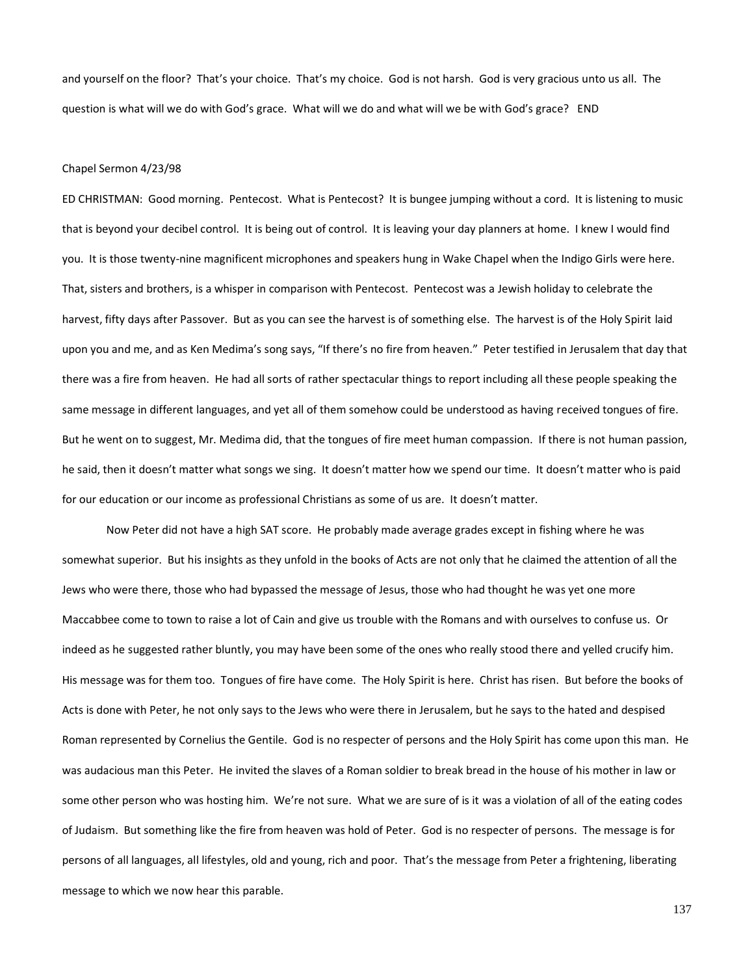and yourself on the floor? That's your choice. That's my choice. God is not harsh. God is very gracious unto us all. The question is what will we do with God's grace. What will we do and what will we be with God's grace? END

### Chapel Sermon 4/23/98

ED CHRISTMAN: Good morning. Pentecost. What is Pentecost? It is bungee jumping without a cord. It is listening to music that is beyond your decibel control. It is being out of control. It is leaving your day planners at home. I knew I would find you. It is those twenty-nine magnificent microphones and speakers hung in Wake Chapel when the Indigo Girls were here. That, sisters and brothers, is a whisper in comparison with Pentecost. Pentecost was a Jewish holiday to celebrate the harvest, fifty days after Passover. But as you can see the harvest is of something else. The harvest is of the Holy Spirit laid upon you and me, and as Ken Medima's song says, "If there's no fire from heaven." Peter testified in Jerusalem that day that there was a fire from heaven. He had all sorts of rather spectacular things to report including all these people speaking the same message in different languages, and yet all of them somehow could be understood as having received tongues of fire. But he went on to suggest, Mr. Medima did, that the tongues of fire meet human compassion. If there is not human passion, he said, then it doesn't matter what songs we sing. It doesn't matter how we spend our time. It doesn't matter who is paid for our education or our income as professional Christians as some of us are. It doesn't matter.

Now Peter did not have a high SAT score. He probably made average grades except in fishing where he was somewhat superior. But his insights as they unfold in the books of Acts are not only that he claimed the attention of all the Jews who were there, those who had bypassed the message of Jesus, those who had thought he was yet one more Maccabbee come to town to raise a lot of Cain and give us trouble with the Romans and with ourselves to confuse us. Or indeed as he suggested rather bluntly, you may have been some of the ones who really stood there and yelled crucify him. His message was for them too. Tongues of fire have come. The Holy Spirit is here. Christ has risen. But before the books of Acts is done with Peter, he not only says to the Jews who were there in Jerusalem, but he says to the hated and despised Roman represented by Cornelius the Gentile. God is no respecter of persons and the Holy Spirit has come upon this man. He was audacious man this Peter. He invited the slaves of a Roman soldier to break bread in the house of his mother in law or some other person who was hosting him. We're not sure. What we are sure of is it was a violation of all of the eating codes of Judaism. But something like the fire from heaven was hold of Peter. God is no respecter of persons. The message is for persons of all languages, all lifestyles, old and young, rich and poor. That's the message from Peter a frightening, liberating message to which we now hear this parable.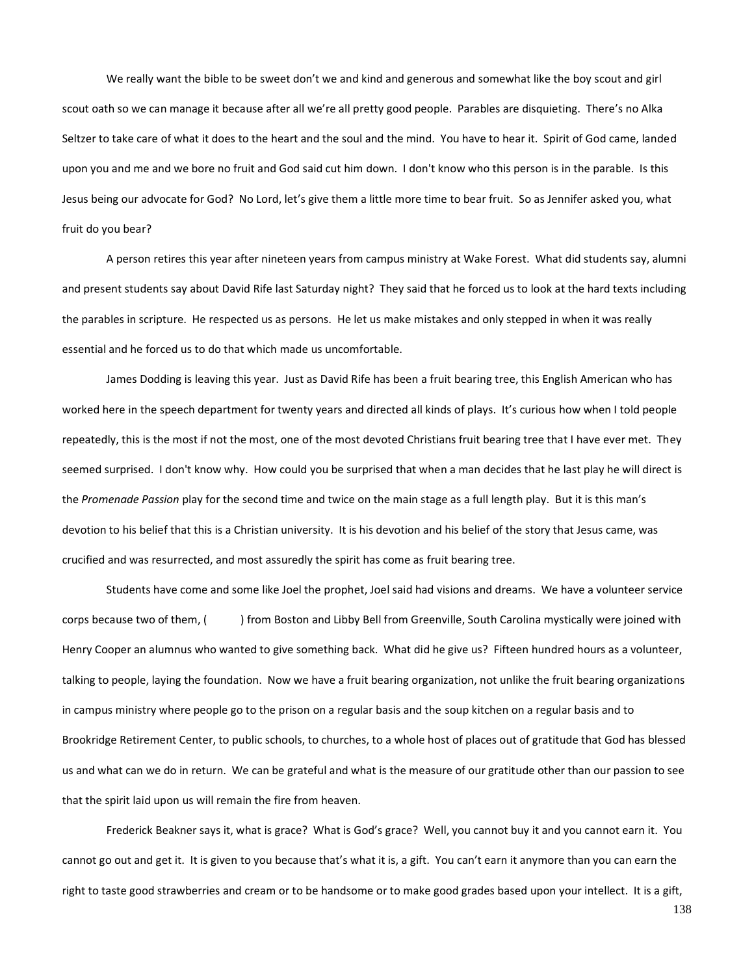We really want the bible to be sweet don't we and kind and generous and somewhat like the boy scout and girl scout oath so we can manage it because after all we're all pretty good people. Parables are disquieting. There's no Alka Seltzer to take care of what it does to the heart and the soul and the mind. You have to hear it. Spirit of God came, landed upon you and me and we bore no fruit and God said cut him down. I don't know who this person is in the parable. Is this Jesus being our advocate for God? No Lord, let's give them a little more time to bear fruit. So as Jennifer asked you, what fruit do you bear?

A person retires this year after nineteen years from campus ministry at Wake Forest. What did students say, alumni and present students say about David Rife last Saturday night? They said that he forced us to look at the hard texts including the parables in scripture. He respected us as persons. He let us make mistakes and only stepped in when it was really essential and he forced us to do that which made us uncomfortable.

James Dodding is leaving this year. Just as David Rife has been a fruit bearing tree, this English American who has worked here in the speech department for twenty years and directed all kinds of plays. It's curious how when I told people repeatedly, this is the most if not the most, one of the most devoted Christians fruit bearing tree that I have ever met. They seemed surprised. I don't know why. How could you be surprised that when a man decides that he last play he will direct is the *Promenade Passion* play for the second time and twice on the main stage as a full length play. But it is this man's devotion to his belief that this is a Christian university. It is his devotion and his belief of the story that Jesus came, was crucified and was resurrected, and most assuredly the spirit has come as fruit bearing tree.

Students have come and some like Joel the prophet, Joel said had visions and dreams. We have a volunteer service corps because two of them, ( ) from Boston and Libby Bell from Greenville, South Carolina mystically were joined with Henry Cooper an alumnus who wanted to give something back. What did he give us? Fifteen hundred hours as a volunteer, talking to people, laying the foundation. Now we have a fruit bearing organization, not unlike the fruit bearing organizations in campus ministry where people go to the prison on a regular basis and the soup kitchen on a regular basis and to Brookridge Retirement Center, to public schools, to churches, to a whole host of places out of gratitude that God has blessed us and what can we do in return. We can be grateful and what is the measure of our gratitude other than our passion to see that the spirit laid upon us will remain the fire from heaven.

Frederick Beakner says it, what is grace? What is God's grace? Well, you cannot buy it and you cannot earn it. You cannot go out and get it. It is given to you because that's what it is, a gift. You can't earn it anymore than you can earn the right to taste good strawberries and cream or to be handsome or to make good grades based upon your intellect. It is a gift,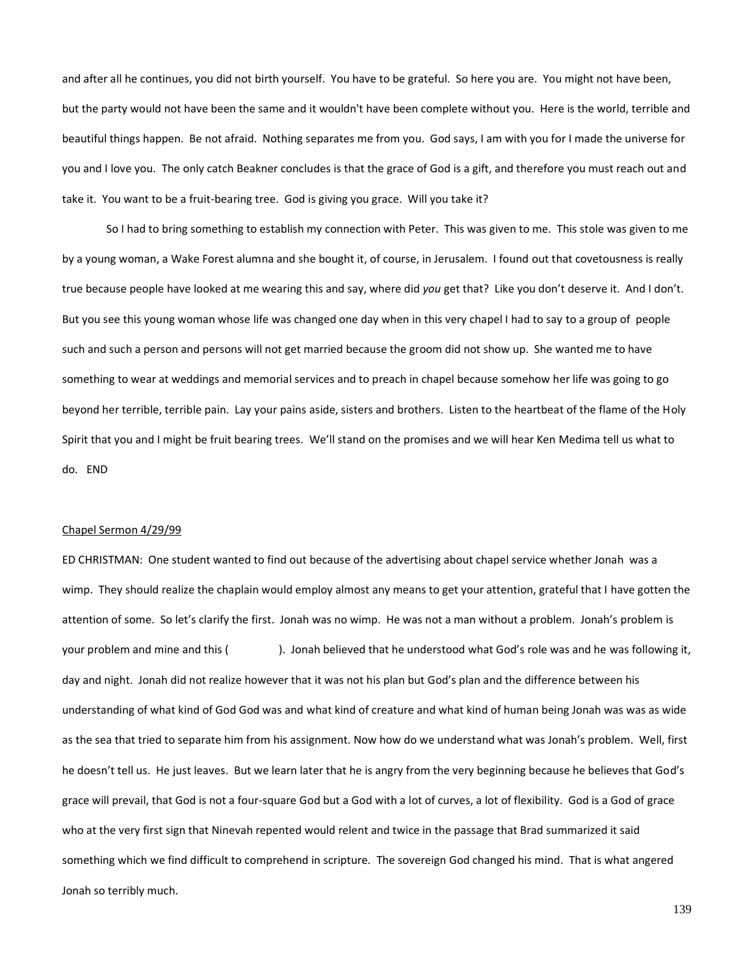and after all he continues, you did not birth yourself. You have to be grateful. So here you are. You might not have been, but the party would not have been the same and it wouldn't have been complete without you. Here is the world, terrible and beautiful things happen. Be not afraid. Nothing separates me from you. God says, I am with you for I made the universe for you and I love you. The only catch Beakner concludes is that the grace of God is a gift, and therefore you must reach out and take it. You want to be a fruit-bearing tree. God is giving you grace. Will you take it?

So I had to bring something to establish my connection with Peter. This was given to me. This stole was given to me by a young woman, a Wake Forest alumna and she bought it, of course, in Jerusalem. I found out that covetousness is really true because people have looked at me wearing this and say, where did *you* get that? Like you don't deserve it. And I don't. But you see this young woman whose life was changed one day when in this very chapel I had to say to a group of people such and such a person and persons will not get married because the groom did not show up. She wanted me to have something to wear at weddings and memorial services and to preach in chapel because somehow her life was going to go beyond her terrible, terrible pain. Lay your pains aside, sisters and brothers. Listen to the heartbeat of the flame of the Holy Spirit that you and I might be fruit bearing trees. We'll stand on the promises and we will hear Ken Medima tell us what to do. END

#### Chapel Sermon 4/29/99

ED CHRISTMAN: One student wanted to find out because of the advertising about chapel service whether Jonah was a wimp. They should realize the chaplain would employ almost any means to get your attention, grateful that I have gotten the attention of some. So let's clarify the first. Jonah was no wimp. He was not a man without a problem. Jonah's problem is your problem and mine and this (). Jonah believed that he understood what God's role was and he was following it, day and night. Jonah did not realize however that it was not his plan but God's plan and the difference between his understanding of what kind of God God was and what kind of creature and what kind of human being Jonah was was as wide as the sea that tried to separate him from his assignment. Now how do we understand what was Jonah's problem. Well, first he doesn't tell us. He just leaves. But we learn later that he is angry from the very beginning because he believes that God's grace will prevail, that God is not a four-square God but a God with a lot of curves, a lot of flexibility. God is a God of grace who at the very first sign that Ninevah repented would relent and twice in the passage that Brad summarized it said something which we find difficult to comprehend in scripture. The sovereign God changed his mind. That is what angered Jonah so terribly much.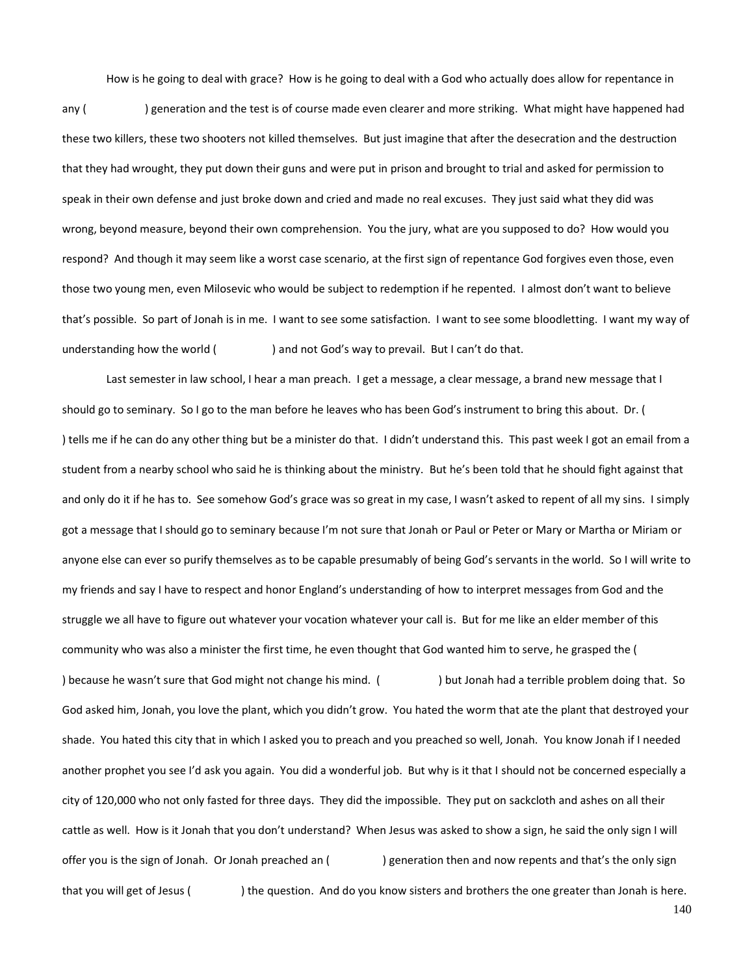How is he going to deal with grace? How is he going to deal with a God who actually does allow for repentance in

any () generation and the test is of course made even clearer and more striking. What might have happened had these two killers, these two shooters not killed themselves. But just imagine that after the desecration and the destruction that they had wrought, they put down their guns and were put in prison and brought to trial and asked for permission to speak in their own defense and just broke down and cried and made no real excuses. They just said what they did was wrong, beyond measure, beyond their own comprehension. You the jury, what are you supposed to do? How would you respond? And though it may seem like a worst case scenario, at the first sign of repentance God forgives even those, even those two young men, even Milosevic who would be subject to redemption if he repented. I almost don't want to believe that's possible. So part of Jonah is in me. I want to see some satisfaction. I want to see some bloodletting. I want my way of understanding how the world ( ) and not God's way to prevail. But I can't do that.

Last semester in law school, I hear a man preach. I get a message, a clear message, a brand new message that I should go to seminary. So I go to the man before he leaves who has been God's instrument to bring this about. Dr. ( ) tells me if he can do any other thing but be a minister do that. I didn't understand this. This past week I got an email from a student from a nearby school who said he is thinking about the ministry. But he's been told that he should fight against that and only do it if he has to. See somehow God's grace was so great in my case, I wasn't asked to repent of all my sins. I simply got a message that I should go to seminary because I'm not sure that Jonah or Paul or Peter or Mary or Martha or Miriam or anyone else can ever so purify themselves as to be capable presumably of being God's servants in the world. So I will write to my friends and say I have to respect and honor England's understanding of how to interpret messages from God and the struggle we all have to figure out whatever your vocation whatever your call is. But for me like an elder member of this community who was also a minister the first time, he even thought that God wanted him to serve, he grasped the ( ) because he wasn't sure that God might not change his mind. ( ) but Jonah had a terrible problem doing that. So God asked him, Jonah, you love the plant, which you didn't grow. You hated the worm that ate the plant that destroyed your shade. You hated this city that in which I asked you to preach and you preached so well, Jonah. You know Jonah if I needed another prophet you see I'd ask you again. You did a wonderful job. But why is it that I should not be concerned especially a city of 120,000 who not only fasted for three days. They did the impossible. They put on sackcloth and ashes on all their cattle as well. How is it Jonah that you don't understand? When Jesus was asked to show a sign, he said the only sign I will offer you is the sign of Jonah. Or Jonah preached an () generation then and now repents and that's the only sign that you will get of Jesus () the question. And do you know sisters and brothers the one greater than Jonah is here.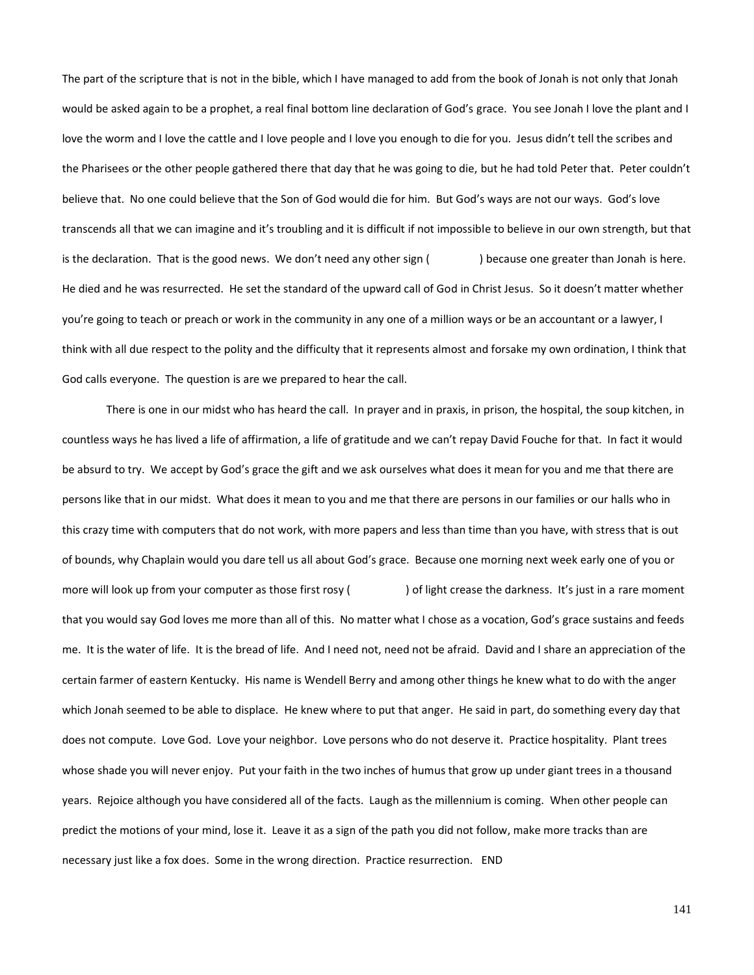The part of the scripture that is not in the bible, which I have managed to add from the book of Jonah is not only that Jonah would be asked again to be a prophet, a real final bottom line declaration of God's grace. You see Jonah I love the plant and I love the worm and I love the cattle and I love people and I love you enough to die for you. Jesus didn't tell the scribes and the Pharisees or the other people gathered there that day that he was going to die, but he had told Peter that. Peter couldn't believe that. No one could believe that the Son of God would die for him. But God's ways are not our ways. God's love transcends all that we can imagine and it's troubling and it is difficult if not impossible to believe in our own strength, but that is the declaration. That is the good news. We don't need any other sign  $($ ) because one greater than Jonah is here. He died and he was resurrected. He set the standard of the upward call of God in Christ Jesus. So it doesn't matter whether you're going to teach or preach or work in the community in any one of a million ways or be an accountant or a lawyer, I think with all due respect to the polity and the difficulty that it represents almost and forsake my own ordination, I think that God calls everyone. The question is are we prepared to hear the call.

There is one in our midst who has heard the call. In prayer and in praxis, in prison, the hospital, the soup kitchen, in countless ways he has lived a life of affirmation, a life of gratitude and we can't repay David Fouche for that. In fact it would be absurd to try. We accept by God's grace the gift and we ask ourselves what does it mean for you and me that there are persons like that in our midst. What does it mean to you and me that there are persons in our families or our halls who in this crazy time with computers that do not work, with more papers and less than time than you have, with stress that is out of bounds, why Chaplain would you dare tell us all about God's grace. Because one morning next week early one of you or more will look up from your computer as those first rosy () of light crease the darkness. It's just in a rare moment that you would say God loves me more than all of this. No matter what I chose as a vocation, God's grace sustains and feeds me. It is the water of life. It is the bread of life. And I need not, need not be afraid. David and I share an appreciation of the certain farmer of eastern Kentucky. His name is Wendell Berry and among other things he knew what to do with the anger which Jonah seemed to be able to displace. He knew where to put that anger. He said in part, do something every day that does not compute. Love God. Love your neighbor. Love persons who do not deserve it. Practice hospitality. Plant trees whose shade you will never enjoy. Put your faith in the two inches of humus that grow up under giant trees in a thousand years. Rejoice although you have considered all of the facts. Laugh as the millennium is coming. When other people can predict the motions of your mind, lose it. Leave it as a sign of the path you did not follow, make more tracks than are necessary just like a fox does. Some in the wrong direction. Practice resurrection. END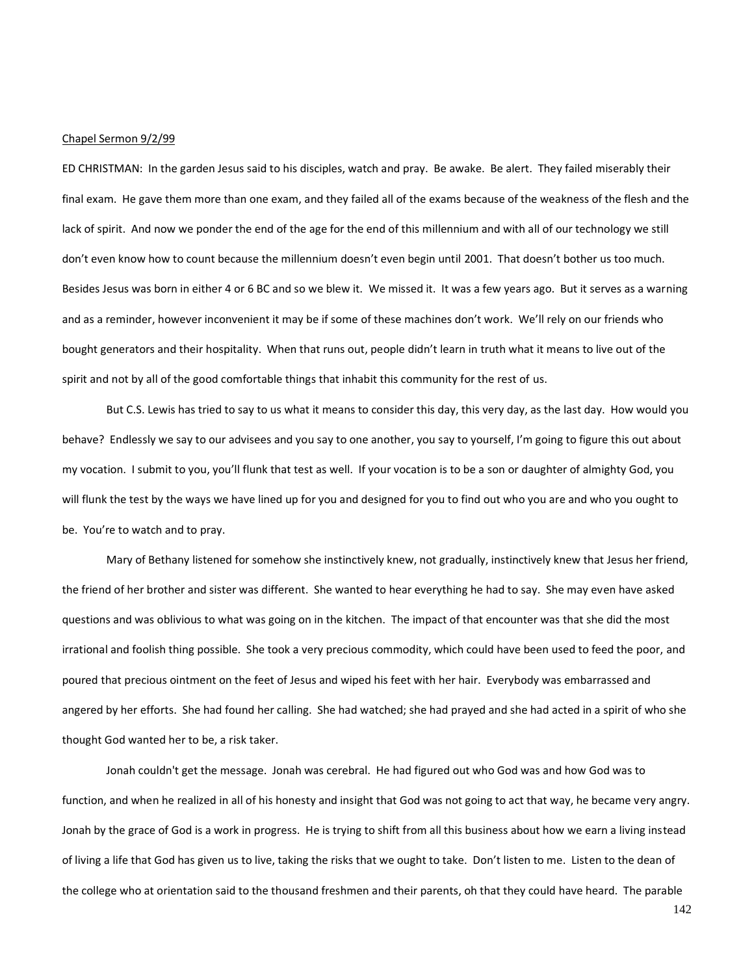#### Chapel Sermon 9/2/99

ED CHRISTMAN: In the garden Jesus said to his disciples, watch and pray. Be awake. Be alert. They failed miserably their final exam. He gave them more than one exam, and they failed all of the exams because of the weakness of the flesh and the lack of spirit. And now we ponder the end of the age for the end of this millennium and with all of our technology we still don't even know how to count because the millennium doesn't even begin until 2001. That doesn't bother us too much. Besides Jesus was born in either 4 or 6 BC and so we blew it. We missed it. It was a few years ago. But it serves as a warning and as a reminder, however inconvenient it may be if some of these machines don't work. We'll rely on our friends who bought generators and their hospitality. When that runs out, people didn't learn in truth what it means to live out of the spirit and not by all of the good comfortable things that inhabit this community for the rest of us.

But C.S. Lewis has tried to say to us what it means to consider this day, this very day, as the last day. How would you behave? Endlessly we say to our advisees and you say to one another, you say to yourself, I'm going to figure this out about my vocation. I submit to you, you'll flunk that test as well. If your vocation is to be a son or daughter of almighty God, you will flunk the test by the ways we have lined up for you and designed for you to find out who you are and who you ought to be. You're to watch and to pray.

Mary of Bethany listened for somehow she instinctively knew, not gradually, instinctively knew that Jesus her friend, the friend of her brother and sister was different. She wanted to hear everything he had to say. She may even have asked questions and was oblivious to what was going on in the kitchen. The impact of that encounter was that she did the most irrational and foolish thing possible. She took a very precious commodity, which could have been used to feed the poor, and poured that precious ointment on the feet of Jesus and wiped his feet with her hair. Everybody was embarrassed and angered by her efforts. She had found her calling. She had watched; she had prayed and she had acted in a spirit of who she thought God wanted her to be, a risk taker.

Jonah couldn't get the message. Jonah was cerebral. He had figured out who God was and how God was to function, and when he realized in all of his honesty and insight that God was not going to act that way, he became very angry. Jonah by the grace of God is a work in progress. He is trying to shift from all this business about how we earn a living instead of living a life that God has given us to live, taking the risks that we ought to take. Don't listen to me. Listen to the dean of the college who at orientation said to the thousand freshmen and their parents, oh that they could have heard. The parable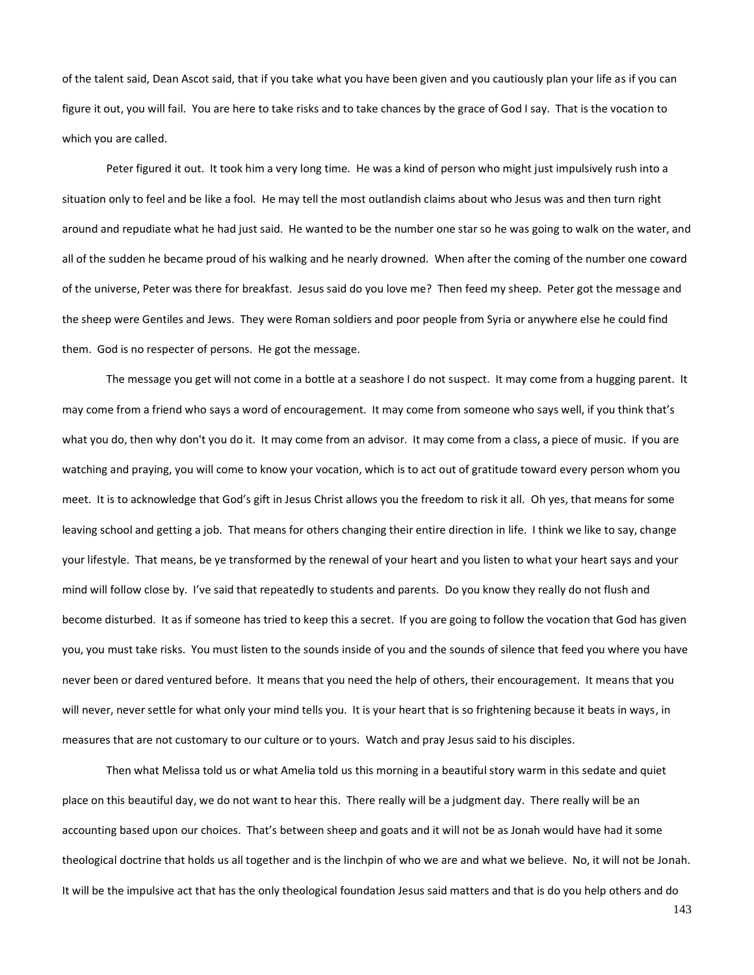of the talent said, Dean Ascot said, that if you take what you have been given and you cautiously plan your life as if you can figure it out, you will fail. You are here to take risks and to take chances by the grace of God I say. That is the vocation to which you are called.

Peter figured it out. It took him a very long time. He was a kind of person who might just impulsively rush into a situation only to feel and be like a fool. He may tell the most outlandish claims about who Jesus was and then turn right around and repudiate what he had just said. He wanted to be the number one star so he was going to walk on the water, and all of the sudden he became proud of his walking and he nearly drowned. When after the coming of the number one coward of the universe, Peter was there for breakfast. Jesus said do you love me? Then feed my sheep. Peter got the message and the sheep were Gentiles and Jews. They were Roman soldiers and poor people from Syria or anywhere else he could find them. God is no respecter of persons. He got the message.

The message you get will not come in a bottle at a seashore I do not suspect. It may come from a hugging parent. It may come from a friend who says a word of encouragement. It may come from someone who says well, if you think that's what you do, then why don't you do it. It may come from an advisor. It may come from a class, a piece of music. If you are watching and praying, you will come to know your vocation, which is to act out of gratitude toward every person whom you meet. It is to acknowledge that God's gift in Jesus Christ allows you the freedom to risk it all. Oh yes, that means for some leaving school and getting a job. That means for others changing their entire direction in life. I think we like to say, change your lifestyle. That means, be ye transformed by the renewal of your heart and you listen to what your heart says and your mind will follow close by. I've said that repeatedly to students and parents. Do you know they really do not flush and become disturbed. It as if someone has tried to keep this a secret. If you are going to follow the vocation that God has given you, you must take risks. You must listen to the sounds inside of you and the sounds of silence that feed you where you have never been or dared ventured before. It means that you need the help of others, their encouragement. It means that you will never, never settle for what only your mind tells you. It is your heart that is so frightening because it beats in ways, in measures that are not customary to our culture or to yours. Watch and pray Jesus said to his disciples.

Then what Melissa told us or what Amelia told us this morning in a beautiful story warm in this sedate and quiet place on this beautiful day, we do not want to hear this. There really will be a judgment day. There really will be an accounting based upon our choices. That's between sheep and goats and it will not be as Jonah would have had it some theological doctrine that holds us all together and is the linchpin of who we are and what we believe. No, it will not be Jonah. It will be the impulsive act that has the only theological foundation Jesus said matters and that is do you help others and do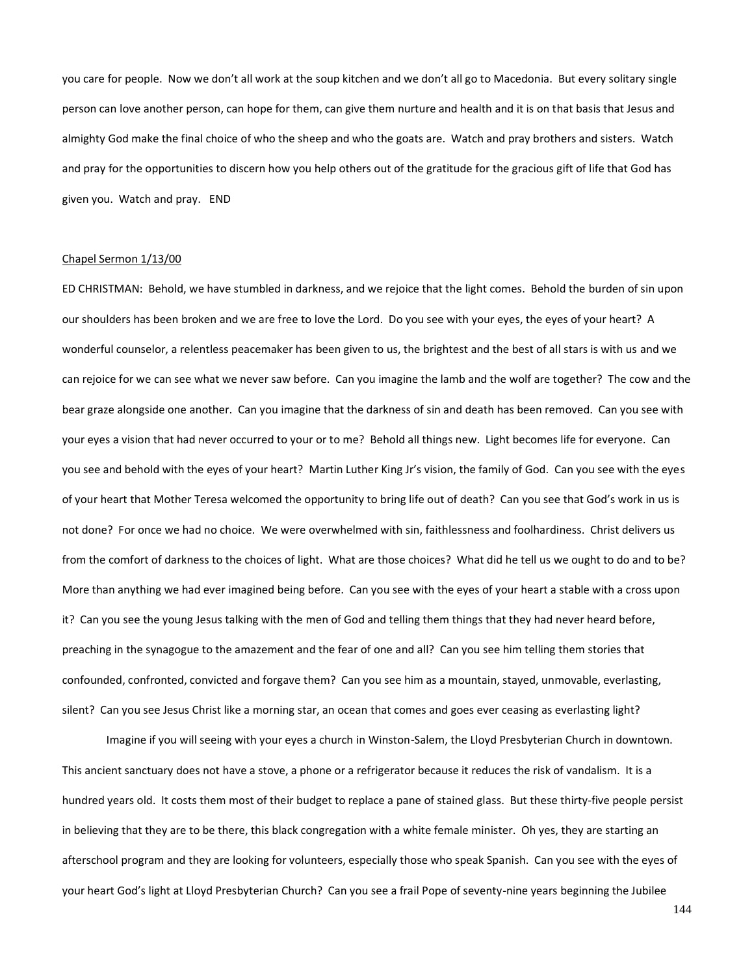you care for people. Now we don't all work at the soup kitchen and we don't all go to Macedonia. But every solitary single person can love another person, can hope for them, can give them nurture and health and it is on that basis that Jesus and almighty God make the final choice of who the sheep and who the goats are. Watch and pray brothers and sisters. Watch and pray for the opportunities to discern how you help others out of the gratitude for the gracious gift of life that God has given you. Watch and pray. END

### Chapel Sermon 1/13/00

ED CHRISTMAN: Behold, we have stumbled in darkness, and we rejoice that the light comes. Behold the burden of sin upon our shoulders has been broken and we are free to love the Lord. Do you see with your eyes, the eyes of your heart? A wonderful counselor, a relentless peacemaker has been given to us, the brightest and the best of all stars is with us and we can rejoice for we can see what we never saw before. Can you imagine the lamb and the wolf are together? The cow and the bear graze alongside one another. Can you imagine that the darkness of sin and death has been removed. Can you see with your eyes a vision that had never occurred to your or to me? Behold all things new. Light becomes life for everyone. Can you see and behold with the eyes of your heart? Martin Luther King Jr's vision, the family of God. Can you see with the eyes of your heart that Mother Teresa welcomed the opportunity to bring life out of death? Can you see that God's work in us is not done? For once we had no choice. We were overwhelmed with sin, faithlessness and foolhardiness. Christ delivers us from the comfort of darkness to the choices of light. What are those choices? What did he tell us we ought to do and to be? More than anything we had ever imagined being before. Can you see with the eyes of your heart a stable with a cross upon it? Can you see the young Jesus talking with the men of God and telling them things that they had never heard before, preaching in the synagogue to the amazement and the fear of one and all? Can you see him telling them stories that confounded, confronted, convicted and forgave them? Can you see him as a mountain, stayed, unmovable, everlasting, silent? Can you see Jesus Christ like a morning star, an ocean that comes and goes ever ceasing as everlasting light?

Imagine if you will seeing with your eyes a church in Winston-Salem, the Lloyd Presbyterian Church in downtown. This ancient sanctuary does not have a stove, a phone or a refrigerator because it reduces the risk of vandalism. It is a hundred years old. It costs them most of their budget to replace a pane of stained glass. But these thirty-five people persist in believing that they are to be there, this black congregation with a white female minister. Oh yes, they are starting an afterschool program and they are looking for volunteers, especially those who speak Spanish. Can you see with the eyes of your heart God's light at Lloyd Presbyterian Church? Can you see a frail Pope of seventy-nine years beginning the Jubilee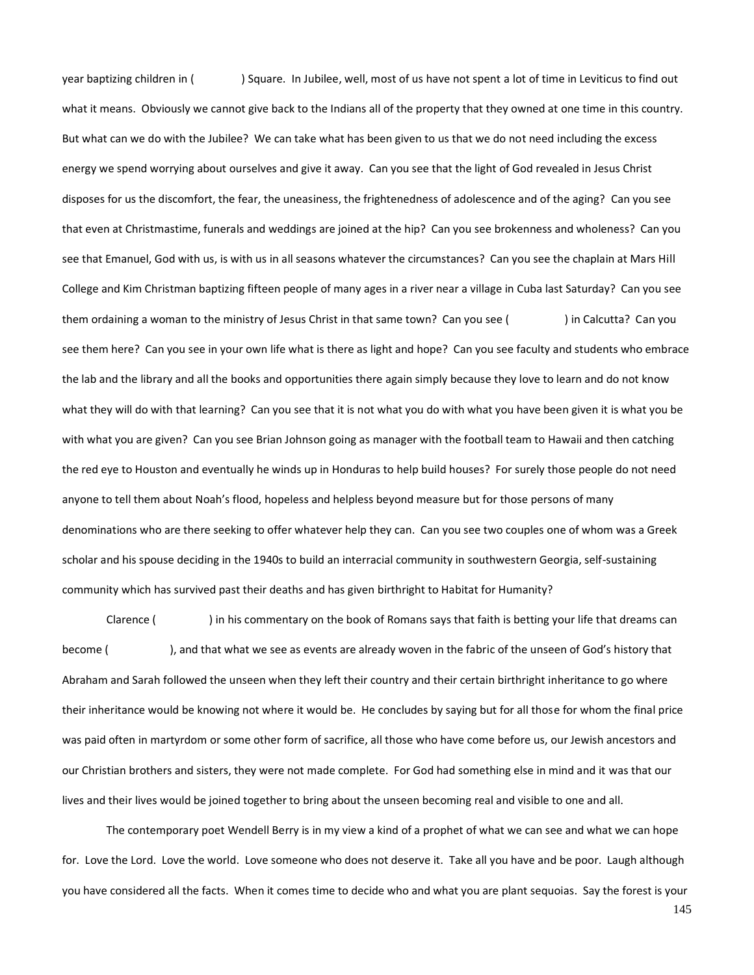year baptizing children in ( ) Square. In Jubilee, well, most of us have not spent a lot of time in Leviticus to find out what it means. Obviously we cannot give back to the Indians all of the property that they owned at one time in this country. But what can we do with the Jubilee? We can take what has been given to us that we do not need including the excess energy we spend worrying about ourselves and give it away. Can you see that the light of God revealed in Jesus Christ disposes for us the discomfort, the fear, the uneasiness, the frightenedness of adolescence and of the aging? Can you see that even at Christmastime, funerals and weddings are joined at the hip? Can you see brokenness and wholeness? Can you see that Emanuel, God with us, is with us in all seasons whatever the circumstances? Can you see the chaplain at Mars Hill College and Kim Christman baptizing fifteen people of many ages in a river near a village in Cuba last Saturday? Can you see them ordaining a woman to the ministry of Jesus Christ in that same town? Can you see ( ) in Calcutta? Can you see them here? Can you see in your own life what is there as light and hope? Can you see faculty and students who embrace the lab and the library and all the books and opportunities there again simply because they love to learn and do not know what they will do with that learning? Can you see that it is not what you do with what you have been given it is what you be with what you are given? Can you see Brian Johnson going as manager with the football team to Hawaii and then catching the red eye to Houston and eventually he winds up in Honduras to help build houses? For surely those people do not need anyone to tell them about Noah's flood, hopeless and helpless beyond measure but for those persons of many denominations who are there seeking to offer whatever help they can. Can you see two couples one of whom was a Greek scholar and his spouse deciding in the 1940s to build an interracial community in southwestern Georgia, self-sustaining community which has survived past their deaths and has given birthright to Habitat for Humanity?

Clarence ( ) in his commentary on the book of Romans says that faith is betting your life that dreams can become ( ), and that what we see as events are already woven in the fabric of the unseen of God's history that Abraham and Sarah followed the unseen when they left their country and their certain birthright inheritance to go where their inheritance would be knowing not where it would be. He concludes by saying but for all those for whom the final price was paid often in martyrdom or some other form of sacrifice, all those who have come before us, our Jewish ancestors and our Christian brothers and sisters, they were not made complete. For God had something else in mind and it was that our lives and their lives would be joined together to bring about the unseen becoming real and visible to one and all.

The contemporary poet Wendell Berry is in my view a kind of a prophet of what we can see and what we can hope for. Love the Lord. Love the world. Love someone who does not deserve it. Take all you have and be poor. Laugh although you have considered all the facts. When it comes time to decide who and what you are plant sequoias. Say the forest is your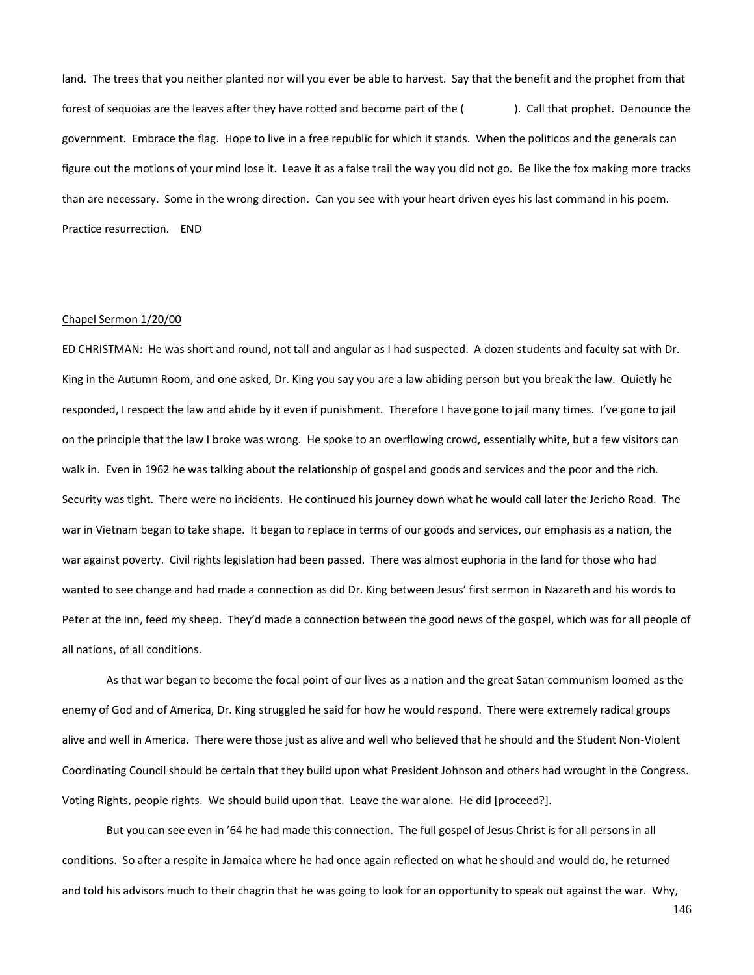land. The trees that you neither planted nor will you ever be able to harvest. Say that the benefit and the prophet from that forest of sequoias are the leaves after they have rotted and become part of the (
). Call that prophet. Denounce the government. Embrace the flag. Hope to live in a free republic for which it stands. When the politicos and the generals can figure out the motions of your mind lose it. Leave it as a false trail the way you did not go. Be like the fox making more tracks than are necessary. Some in the wrong direction. Can you see with your heart driven eyes his last command in his poem. Practice resurrection. END

# Chapel Sermon 1/20/00

ED CHRISTMAN: He was short and round, not tall and angular as I had suspected. A dozen students and faculty sat with Dr. King in the Autumn Room, and one asked, Dr. King you say you are a law abiding person but you break the law. Quietly he responded, I respect the law and abide by it even if punishment. Therefore I have gone to jail many times. I've gone to jail on the principle that the law I broke was wrong. He spoke to an overflowing crowd, essentially white, but a few visitors can walk in. Even in 1962 he was talking about the relationship of gospel and goods and services and the poor and the rich. Security was tight. There were no incidents. He continued his journey down what he would call later the Jericho Road. The war in Vietnam began to take shape. It began to replace in terms of our goods and services, our emphasis as a nation, the war against poverty. Civil rights legislation had been passed. There was almost euphoria in the land for those who had wanted to see change and had made a connection as did Dr. King between Jesus' first sermon in Nazareth and his words to Peter at the inn, feed my sheep. They'd made a connection between the good news of the gospel, which was for all people of all nations, of all conditions.

As that war began to become the focal point of our lives as a nation and the great Satan communism loomed as the enemy of God and of America, Dr. King struggled he said for how he would respond. There were extremely radical groups alive and well in America. There were those just as alive and well who believed that he should and the Student Non-Violent Coordinating Council should be certain that they build upon what President Johnson and others had wrought in the Congress. Voting Rights, people rights. We should build upon that. Leave the war alone. He did [proceed?].

But you can see even in '64 he had made this connection. The full gospel of Jesus Christ is for all persons in all conditions. So after a respite in Jamaica where he had once again reflected on what he should and would do, he returned and told his advisors much to their chagrin that he was going to look for an opportunity to speak out against the war. Why,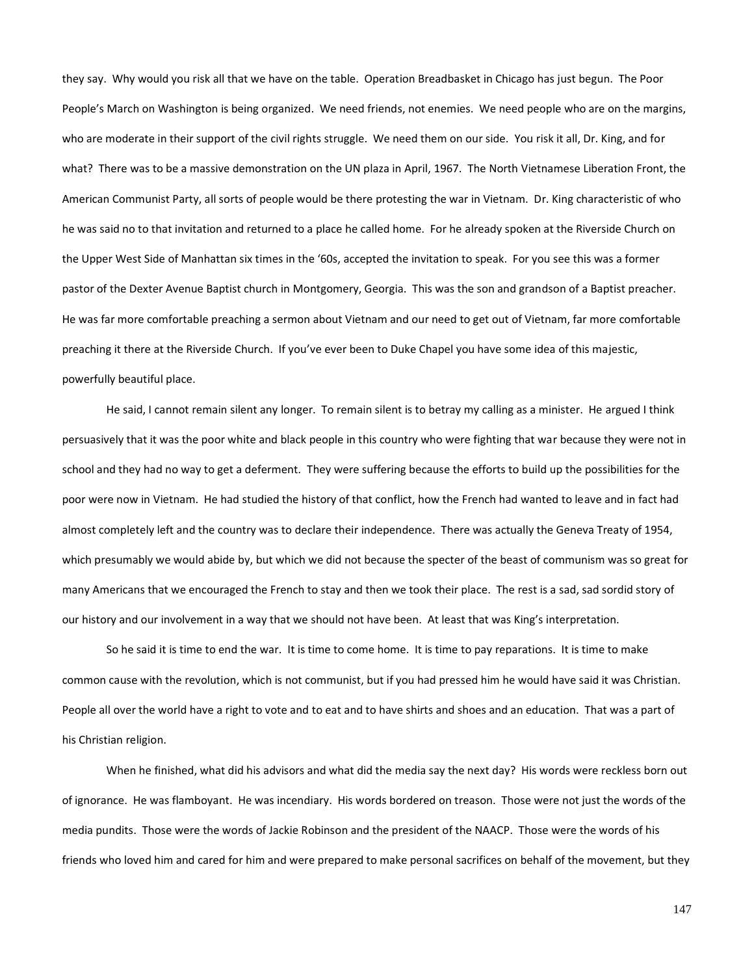they say. Why would you risk all that we have on the table. Operation Breadbasket in Chicago has just begun. The Poor People's March on Washington is being organized. We need friends, not enemies. We need people who are on the margins, who are moderate in their support of the civil rights struggle. We need them on our side. You risk it all, Dr. King, and for what? There was to be a massive demonstration on the UN plaza in April, 1967. The North Vietnamese Liberation Front, the American Communist Party, all sorts of people would be there protesting the war in Vietnam. Dr. King characteristic of who he was said no to that invitation and returned to a place he called home. For he already spoken at the Riverside Church on the Upper West Side of Manhattan six times in the '60s, accepted the invitation to speak. For you see this was a former pastor of the Dexter Avenue Baptist church in Montgomery, Georgia. This was the son and grandson of a Baptist preacher. He was far more comfortable preaching a sermon about Vietnam and our need to get out of Vietnam, far more comfortable preaching it there at the Riverside Church. If you've ever been to Duke Chapel you have some idea of this majestic, powerfully beautiful place.

He said, I cannot remain silent any longer. To remain silent is to betray my calling as a minister. He argued I think persuasively that it was the poor white and black people in this country who were fighting that war because they were not in school and they had no way to get a deferment. They were suffering because the efforts to build up the possibilities for the poor were now in Vietnam. He had studied the history of that conflict, how the French had wanted to leave and in fact had almost completely left and the country was to declare their independence. There was actually the Geneva Treaty of 1954, which presumably we would abide by, but which we did not because the specter of the beast of communism was so great for many Americans that we encouraged the French to stay and then we took their place. The rest is a sad, sad sordid story of our history and our involvement in a way that we should not have been. At least that was King's interpretation.

So he said it is time to end the war. It is time to come home. It is time to pay reparations. It is time to make common cause with the revolution, which is not communist, but if you had pressed him he would have said it was Christian. People all over the world have a right to vote and to eat and to have shirts and shoes and an education. That was a part of his Christian religion.

When he finished, what did his advisors and what did the media say the next day? His words were reckless born out of ignorance. He was flamboyant. He was incendiary. His words bordered on treason. Those were not just the words of the media pundits. Those were the words of Jackie Robinson and the president of the NAACP. Those were the words of his friends who loved him and cared for him and were prepared to make personal sacrifices on behalf of the movement, but they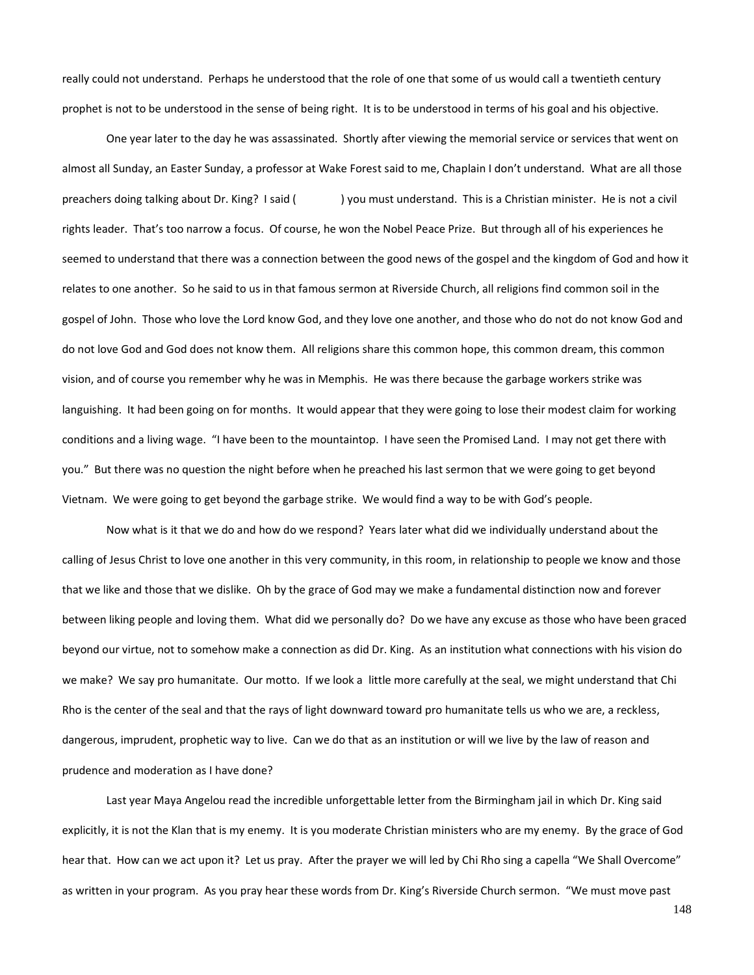really could not understand. Perhaps he understood that the role of one that some of us would call a twentieth century prophet is not to be understood in the sense of being right. It is to be understood in terms of his goal and his objective.

One year later to the day he was assassinated. Shortly after viewing the memorial service or services that went on almost all Sunday, an Easter Sunday, a professor at Wake Forest said to me, Chaplain I don't understand. What are all those preachers doing talking about Dr. King? I said () you must understand. This is a Christian minister. He is not a civil rights leader. That's too narrow a focus. Of course, he won the Nobel Peace Prize. But through all of his experiences he seemed to understand that there was a connection between the good news of the gospel and the kingdom of God and how it relates to one another. So he said to us in that famous sermon at Riverside Church, all religions find common soil in the gospel of John. Those who love the Lord know God, and they love one another, and those who do not do not know God and do not love God and God does not know them. All religions share this common hope, this common dream, this common vision, and of course you remember why he was in Memphis. He was there because the garbage workers strike was languishing. It had been going on for months. It would appear that they were going to lose their modest claim for working conditions and a living wage. "I have been to the mountaintop. I have seen the Promised Land. I may not get there with you." But there was no question the night before when he preached his last sermon that we were going to get beyond Vietnam. We were going to get beyond the garbage strike. We would find a way to be with God's people.

Now what is it that we do and how do we respond? Years later what did we individually understand about the calling of Jesus Christ to love one another in this very community, in this room, in relationship to people we know and those that we like and those that we dislike. Oh by the grace of God may we make a fundamental distinction now and forever between liking people and loving them. What did we personally do? Do we have any excuse as those who have been graced beyond our virtue, not to somehow make a connection as did Dr. King. As an institution what connections with his vision do we make? We say pro humanitate. Our motto. If we look a little more carefully at the seal, we might understand that Chi Rho is the center of the seal and that the rays of light downward toward pro humanitate tells us who we are, a reckless, dangerous, imprudent, prophetic way to live. Can we do that as an institution or will we live by the law of reason and prudence and moderation as I have done?

Last year Maya Angelou read the incredible unforgettable letter from the Birmingham jail in which Dr. King said explicitly, it is not the Klan that is my enemy. It is you moderate Christian ministers who are my enemy. By the grace of God hear that. How can we act upon it? Let us pray. After the prayer we will led by Chi Rho sing a capella "We Shall Overcome" as written in your program. As you pray hear these words from Dr. King's Riverside Church sermon. "We must move past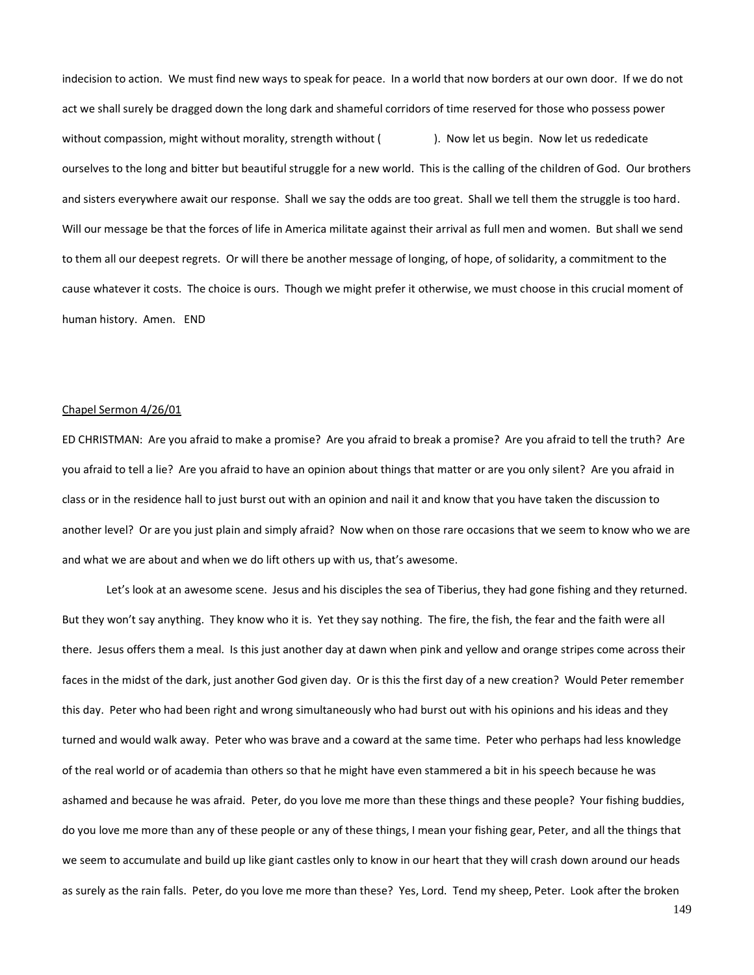indecision to action. We must find new ways to speak for peace. In a world that now borders at our own door. If we do not act we shall surely be dragged down the long dark and shameful corridors of time reserved for those who possess power without compassion, might without morality, strength without (). Now let us begin. Now let us rededicate ourselves to the long and bitter but beautiful struggle for a new world. This is the calling of the children of God. Our brothers and sisters everywhere await our response. Shall we say the odds are too great. Shall we tell them the struggle is too hard. Will our message be that the forces of life in America militate against their arrival as full men and women. But shall we send to them all our deepest regrets. Or will there be another message of longing, of hope, of solidarity, a commitment to the cause whatever it costs. The choice is ours. Though we might prefer it otherwise, we must choose in this crucial moment of human history. Amen. END

## Chapel Sermon 4/26/01

ED CHRISTMAN: Are you afraid to make a promise? Are you afraid to break a promise? Are you afraid to tell the truth? Are you afraid to tell a lie? Are you afraid to have an opinion about things that matter or are you only silent? Are you afraid in class or in the residence hall to just burst out with an opinion and nail it and know that you have taken the discussion to another level? Or are you just plain and simply afraid? Now when on those rare occasions that we seem to know who we are and what we are about and when we do lift others up with us, that's awesome.

Let's look at an awesome scene. Jesus and his disciples the sea of Tiberius, they had gone fishing and they returned. But they won't say anything. They know who it is. Yet they say nothing. The fire, the fish, the fear and the faith were all there. Jesus offers them a meal. Is this just another day at dawn when pink and yellow and orange stripes come across their faces in the midst of the dark, just another God given day. Or is this the first day of a new creation? Would Peter remember this day. Peter who had been right and wrong simultaneously who had burst out with his opinions and his ideas and they turned and would walk away. Peter who was brave and a coward at the same time. Peter who perhaps had less knowledge of the real world or of academia than others so that he might have even stammered a bit in his speech because he was ashamed and because he was afraid. Peter, do you love me more than these things and these people? Your fishing buddies, do you love me more than any of these people or any of these things, I mean your fishing gear, Peter, and all the things that we seem to accumulate and build up like giant castles only to know in our heart that they will crash down around our heads as surely as the rain falls. Peter, do you love me more than these? Yes, Lord. Tend my sheep, Peter. Look after the broken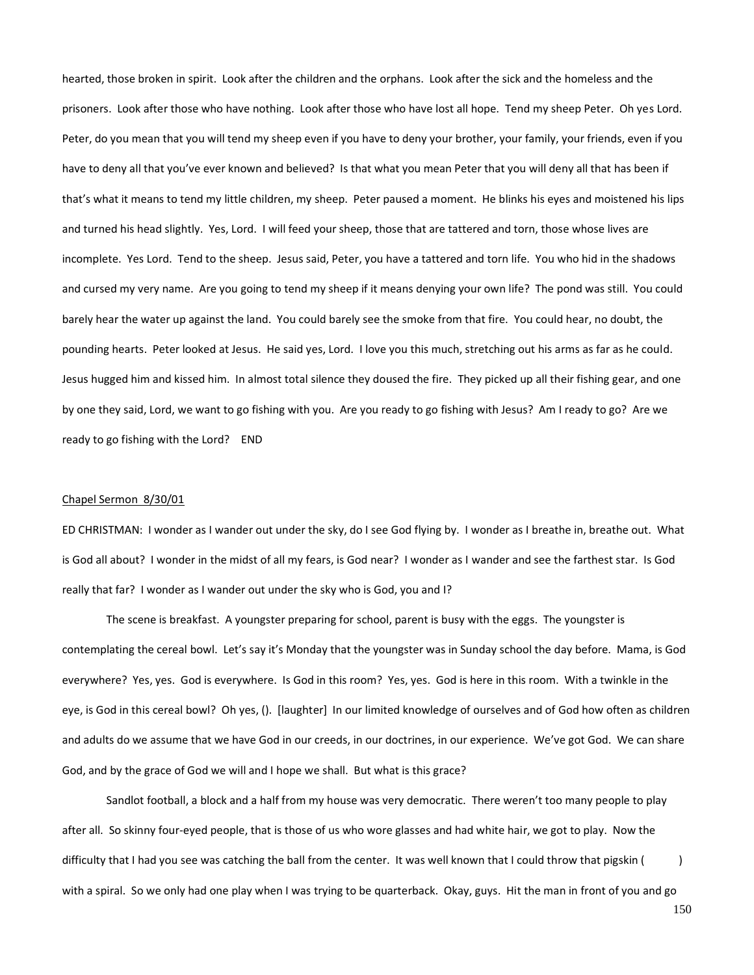hearted, those broken in spirit. Look after the children and the orphans. Look after the sick and the homeless and the prisoners. Look after those who have nothing. Look after those who have lost all hope. Tend my sheep Peter. Oh yes Lord. Peter, do you mean that you will tend my sheep even if you have to deny your brother, your family, your friends, even if you have to deny all that you've ever known and believed? Is that what you mean Peter that you will deny all that has been if that's what it means to tend my little children, my sheep. Peter paused a moment. He blinks his eyes and moistened his lips and turned his head slightly. Yes, Lord. I will feed your sheep, those that are tattered and torn, those whose lives are incomplete. Yes Lord. Tend to the sheep. Jesus said, Peter, you have a tattered and torn life. You who hid in the shadows and cursed my very name. Are you going to tend my sheep if it means denying your own life? The pond was still. You could barely hear the water up against the land. You could barely see the smoke from that fire. You could hear, no doubt, the pounding hearts. Peter looked at Jesus. He said yes, Lord. I love you this much, stretching out his arms as far as he could. Jesus hugged him and kissed him. In almost total silence they doused the fire. They picked up all their fishing gear, and one by one they said, Lord, we want to go fishing with you. Are you ready to go fishing with Jesus? Am I ready to go? Are we ready to go fishing with the Lord? END

## Chapel Sermon 8/30/01

ED CHRISTMAN: I wonder as I wander out under the sky, do I see God flying by. I wonder as I breathe in, breathe out. What is God all about? I wonder in the midst of all my fears, is God near? I wonder as I wander and see the farthest star. Is God really that far? I wonder as I wander out under the sky who is God, you and I?

The scene is breakfast. A youngster preparing for school, parent is busy with the eggs. The youngster is contemplating the cereal bowl. Let's say it's Monday that the youngster was in Sunday school the day before. Mama, is God everywhere? Yes, yes. God is everywhere. Is God in this room? Yes, yes. God is here in this room. With a twinkle in the eye, is God in this cereal bowl? Oh yes, (). [laughter] In our limited knowledge of ourselves and of God how often as children and adults do we assume that we have God in our creeds, in our doctrines, in our experience. We've got God. We can share God, and by the grace of God we will and I hope we shall. But what is this grace?

Sandlot football, a block and a half from my house was very democratic. There weren't too many people to play after all. So skinny four-eyed people, that is those of us who wore glasses and had white hair, we got to play. Now the difficulty that I had you see was catching the ball from the center. It was well known that I could throw that pigskin () with a spiral. So we only had one play when I was trying to be quarterback. Okay, guys. Hit the man in front of you and go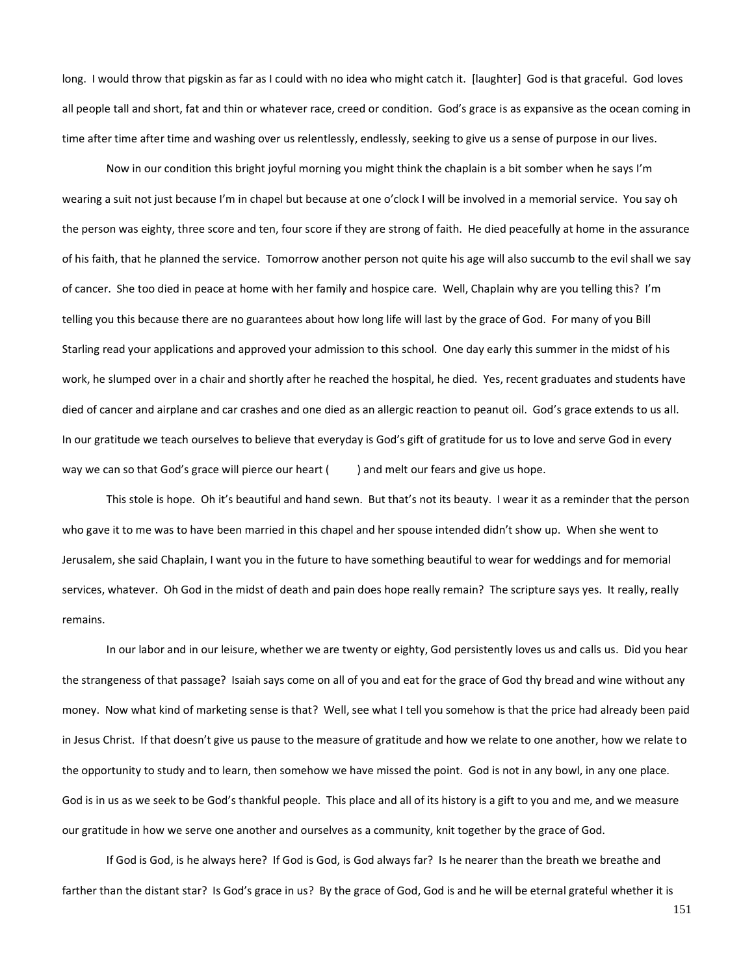long. I would throw that pigskin as far as I could with no idea who might catch it. [laughter] God is that graceful. God loves all people tall and short, fat and thin or whatever race, creed or condition. God's grace is as expansive as the ocean coming in time after time after time and washing over us relentlessly, endlessly, seeking to give us a sense of purpose in our lives.

Now in our condition this bright joyful morning you might think the chaplain is a bit somber when he says I'm wearing a suit not just because I'm in chapel but because at one o'clock I will be involved in a memorial service. You say oh the person was eighty, three score and ten, four score if they are strong of faith. He died peacefully at home in the assurance of his faith, that he planned the service. Tomorrow another person not quite his age will also succumb to the evil shall we say of cancer. She too died in peace at home with her family and hospice care. Well, Chaplain why are you telling this? I'm telling you this because there are no guarantees about how long life will last by the grace of God. For many of you Bill Starling read your applications and approved your admission to this school. One day early this summer in the midst of his work, he slumped over in a chair and shortly after he reached the hospital, he died. Yes, recent graduates and students have died of cancer and airplane and car crashes and one died as an allergic reaction to peanut oil. God's grace extends to us all. In our gratitude we teach ourselves to believe that everyday is God's gift of gratitude for us to love and serve God in every way we can so that God's grace will pierce our heart () and melt our fears and give us hope.

This stole is hope. Oh it's beautiful and hand sewn. But that's not its beauty. I wear it as a reminder that the person who gave it to me was to have been married in this chapel and her spouse intended didn't show up. When she went to Jerusalem, she said Chaplain, I want you in the future to have something beautiful to wear for weddings and for memorial services, whatever. Oh God in the midst of death and pain does hope really remain? The scripture says yes. It really, really remains.

In our labor and in our leisure, whether we are twenty or eighty, God persistently loves us and calls us. Did you hear the strangeness of that passage? Isaiah says come on all of you and eat for the grace of God thy bread and wine without any money. Now what kind of marketing sense is that? Well, see what I tell you somehow is that the price had already been paid in Jesus Christ. If that doesn't give us pause to the measure of gratitude and how we relate to one another, how we relate to the opportunity to study and to learn, then somehow we have missed the point. God is not in any bowl, in any one place. God is in us as we seek to be God's thankful people. This place and all of its history is a gift to you and me, and we measure our gratitude in how we serve one another and ourselves as a community, knit together by the grace of God.

If God is God, is he always here? If God is God, is God always far? Is he nearer than the breath we breathe and farther than the distant star? Is God's grace in us? By the grace of God, God is and he will be eternal grateful whether it is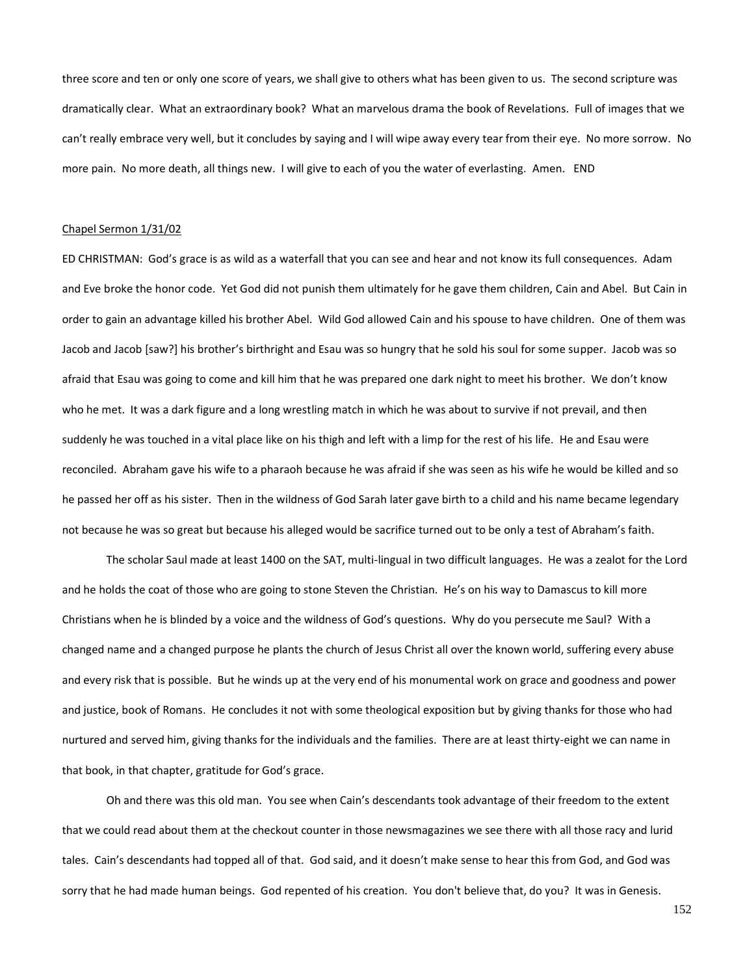three score and ten or only one score of years, we shall give to others what has been given to us. The second scripture was dramatically clear. What an extraordinary book? What an marvelous drama the book of Revelations. Full of images that we can't really embrace very well, but it concludes by saying and I will wipe away every tear from their eye. No more sorrow. No more pain. No more death, all things new. I will give to each of you the water of everlasting. Amen. END

## Chapel Sermon 1/31/02

ED CHRISTMAN: God's grace is as wild as a waterfall that you can see and hear and not know its full consequences. Adam and Eve broke the honor code. Yet God did not punish them ultimately for he gave them children, Cain and Abel. But Cain in order to gain an advantage killed his brother Abel. Wild God allowed Cain and his spouse to have children. One of them was Jacob and Jacob [saw?] his brother's birthright and Esau was so hungry that he sold his soul for some supper. Jacob was so afraid that Esau was going to come and kill him that he was prepared one dark night to meet his brother. We don't know who he met. It was a dark figure and a long wrestling match in which he was about to survive if not prevail, and then suddenly he was touched in a vital place like on his thigh and left with a limp for the rest of his life. He and Esau were reconciled. Abraham gave his wife to a pharaoh because he was afraid if she was seen as his wife he would be killed and so he passed her off as his sister. Then in the wildness of God Sarah later gave birth to a child and his name became legendary not because he was so great but because his alleged would be sacrifice turned out to be only a test of Abraham's faith.

The scholar Saul made at least 1400 on the SAT, multi-lingual in two difficult languages. He was a zealot for the Lord and he holds the coat of those who are going to stone Steven the Christian. He's on his way to Damascus to kill more Christians when he is blinded by a voice and the wildness of God's questions. Why do you persecute me Saul? With a changed name and a changed purpose he plants the church of Jesus Christ all over the known world, suffering every abuse and every risk that is possible. But he winds up at the very end of his monumental work on grace and goodness and power and justice, book of Romans. He concludes it not with some theological exposition but by giving thanks for those who had nurtured and served him, giving thanks for the individuals and the families. There are at least thirty-eight we can name in that book, in that chapter, gratitude for God's grace.

Oh and there was this old man. You see when Cain's descendants took advantage of their freedom to the extent that we could read about them at the checkout counter in those newsmagazines we see there with all those racy and lurid tales. Cain's descendants had topped all of that. God said, and it doesn't make sense to hear this from God, and God was sorry that he had made human beings. God repented of his creation. You don't believe that, do you? It was in Genesis.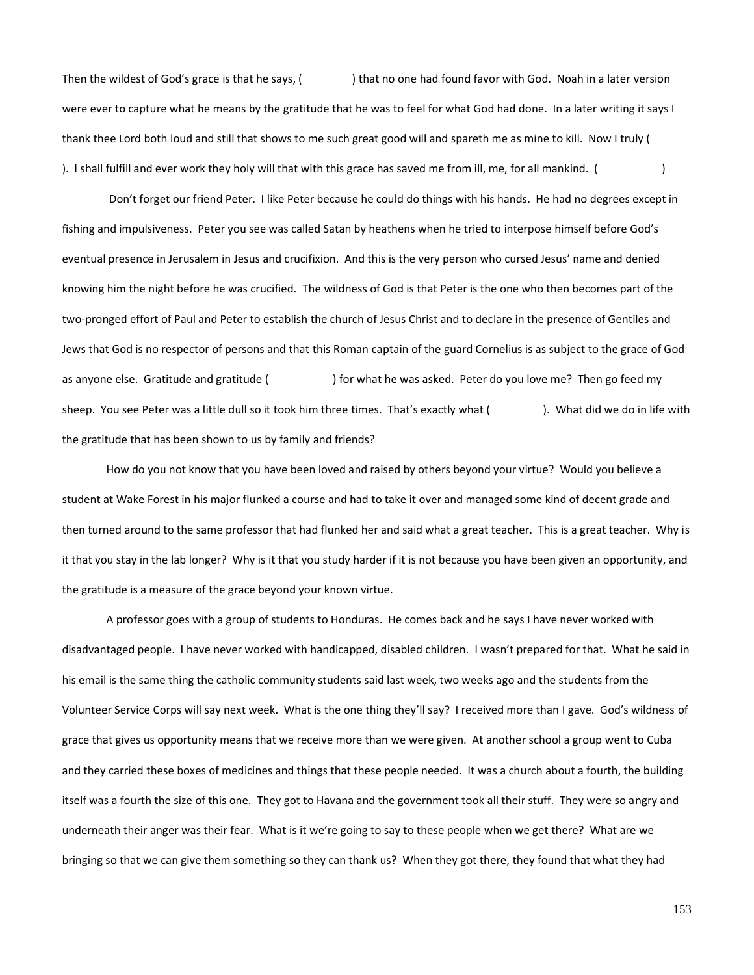Then the wildest of God's grace is that he says, () ) that no one had found favor with God. Noah in a later version were ever to capture what he means by the gratitude that he was to feel for what God had done. In a later writing it says I thank thee Lord both loud and still that shows to me such great good will and spareth me as mine to kill. Now I truly ( ). I shall fulfill and ever work they holy will that with this grace has saved me from ill, me, for all mankind. ( )

Don't forget our friend Peter. I like Peter because he could do things with his hands. He had no degrees except in fishing and impulsiveness. Peter you see was called Satan by heathens when he tried to interpose himself before God's eventual presence in Jerusalem in Jesus and crucifixion. And this is the very person who cursed Jesus' name and denied knowing him the night before he was crucified. The wildness of God is that Peter is the one who then becomes part of the two-pronged effort of Paul and Peter to establish the church of Jesus Christ and to declare in the presence of Gentiles and Jews that God is no respector of persons and that this Roman captain of the guard Cornelius is as subject to the grace of God as anyone else. Gratitude and gratitude ( ) for what he was asked. Peter do you love me? Then go feed my sheep. You see Peter was a little dull so it took him three times. That's exactly what ( ). What did we do in life with the gratitude that has been shown to us by family and friends?

How do you not know that you have been loved and raised by others beyond your virtue? Would you believe a student at Wake Forest in his major flunked a course and had to take it over and managed some kind of decent grade and then turned around to the same professor that had flunked her and said what a great teacher. This is a great teacher. Why is it that you stay in the lab longer? Why is it that you study harder if it is not because you have been given an opportunity, and the gratitude is a measure of the grace beyond your known virtue.

A professor goes with a group of students to Honduras. He comes back and he says I have never worked with disadvantaged people. I have never worked with handicapped, disabled children. I wasn't prepared for that. What he said in his email is the same thing the catholic community students said last week, two weeks ago and the students from the Volunteer Service Corps will say next week. What is the one thing they'll say? I received more than I gave. God's wildness of grace that gives us opportunity means that we receive more than we were given. At another school a group went to Cuba and they carried these boxes of medicines and things that these people needed. It was a church about a fourth, the building itself was a fourth the size of this one. They got to Havana and the government took all their stuff. They were so angry and underneath their anger was their fear. What is it we're going to say to these people when we get there? What are we bringing so that we can give them something so they can thank us? When they got there, they found that what they had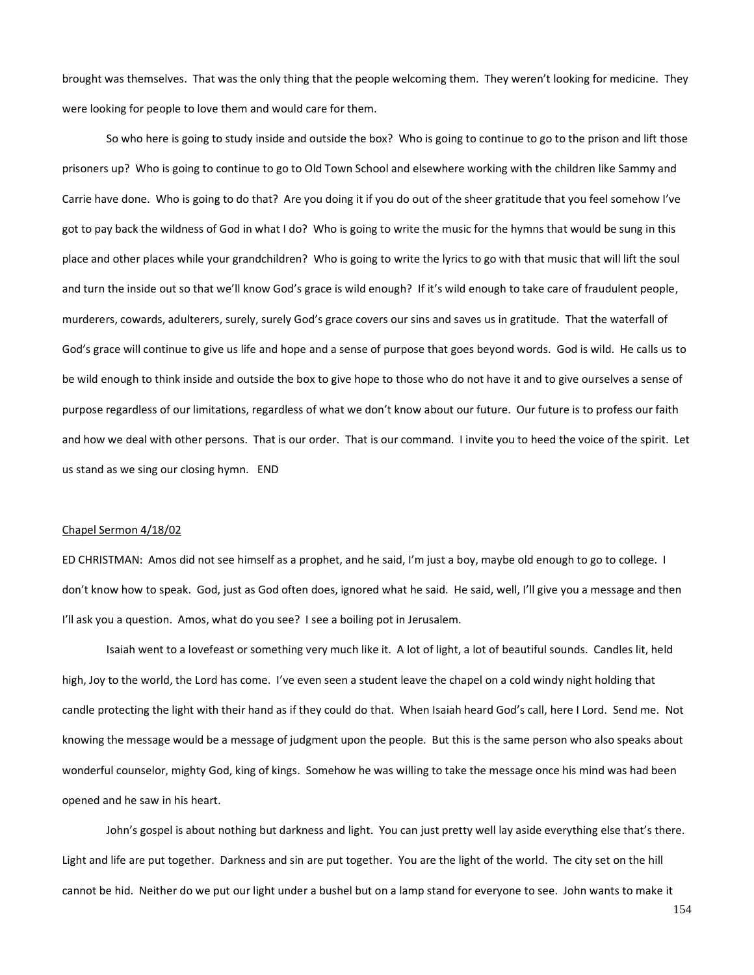brought was themselves. That was the only thing that the people welcoming them. They weren't looking for medicine. They were looking for people to love them and would care for them.

So who here is going to study inside and outside the box? Who is going to continue to go to the prison and lift those prisoners up? Who is going to continue to go to Old Town School and elsewhere working with the children like Sammy and Carrie have done. Who is going to do that? Are you doing it if you do out of the sheer gratitude that you feel somehow I've got to pay back the wildness of God in what I do? Who is going to write the music for the hymns that would be sung in this place and other places while your grandchildren? Who is going to write the lyrics to go with that music that will lift the soul and turn the inside out so that we'll know God's grace is wild enough? If it's wild enough to take care of fraudulent people, murderers, cowards, adulterers, surely, surely God's grace covers our sins and saves us in gratitude. That the waterfall of God's grace will continue to give us life and hope and a sense of purpose that goes beyond words. God is wild. He calls us to be wild enough to think inside and outside the box to give hope to those who do not have it and to give ourselves a sense of purpose regardless of our limitations, regardless of what we don't know about our future. Our future is to profess our faith and how we deal with other persons. That is our order. That is our command. I invite you to heed the voice of the spirit. Let us stand as we sing our closing hymn. END

#### Chapel Sermon 4/18/02

ED CHRISTMAN: Amos did not see himself as a prophet, and he said, I'm just a boy, maybe old enough to go to college. I don't know how to speak. God, just as God often does, ignored what he said. He said, well, I'll give you a message and then I'll ask you a question. Amos, what do you see? I see a boiling pot in Jerusalem.

Isaiah went to a lovefeast or something very much like it. A lot of light, a lot of beautiful sounds. Candles lit, held high, Joy to the world, the Lord has come. I've even seen a student leave the chapel on a cold windy night holding that candle protecting the light with their hand as if they could do that. When Isaiah heard God's call, here I Lord. Send me. Not knowing the message would be a message of judgment upon the people. But this is the same person who also speaks about wonderful counselor, mighty God, king of kings. Somehow he was willing to take the message once his mind was had been opened and he saw in his heart.

John's gospel is about nothing but darkness and light. You can just pretty well lay aside everything else that's there. Light and life are put together. Darkness and sin are put together. You are the light of the world. The city set on the hill cannot be hid. Neither do we put our light under a bushel but on a lamp stand for everyone to see. John wants to make it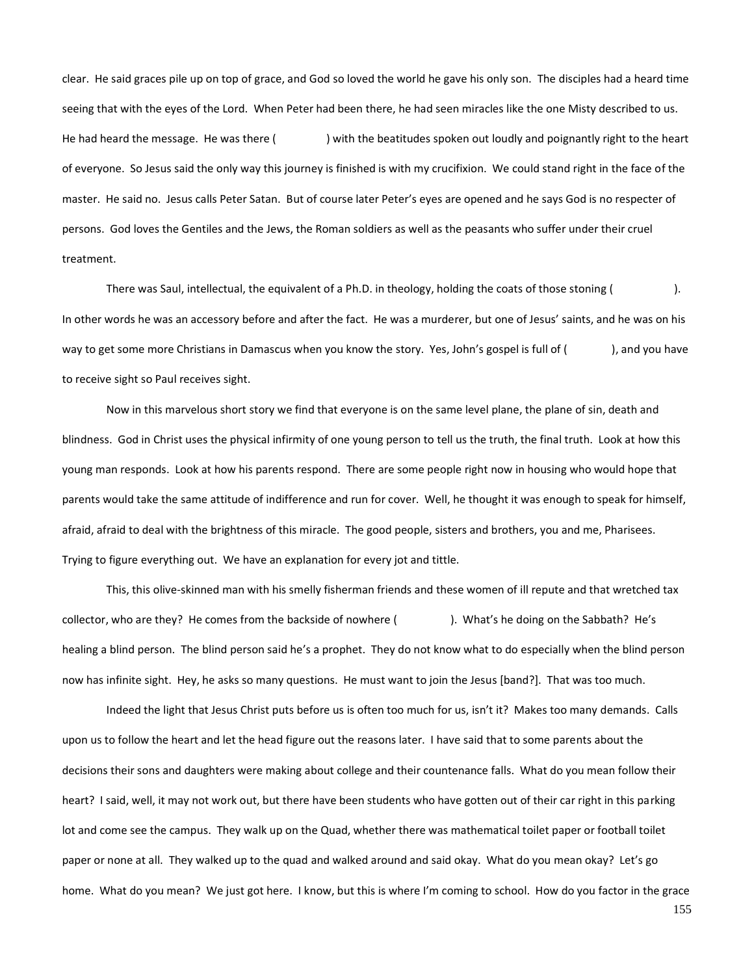clear. He said graces pile up on top of grace, and God so loved the world he gave his only son. The disciples had a heard time seeing that with the eyes of the Lord. When Peter had been there, he had seen miracles like the one Misty described to us. He had heard the message. He was there () with the beatitudes spoken out loudly and poignantly right to the heart of everyone. So Jesus said the only way this journey is finished is with my crucifixion. We could stand right in the face of the master. He said no. Jesus calls Peter Satan. But of course later Peter's eyes are opened and he says God is no respecter of persons. God loves the Gentiles and the Jews, the Roman soldiers as well as the peasants who suffer under their cruel treatment.

There was Saul, intellectual, the equivalent of a Ph.D. in theology, holding the coats of those stoning ( ). In other words he was an accessory before and after the fact. He was a murderer, but one of Jesus' saints, and he was on his way to get some more Christians in Damascus when you know the story. Yes, John's gospel is full of (), and you have to receive sight so Paul receives sight.

Now in this marvelous short story we find that everyone is on the same level plane, the plane of sin, death and blindness. God in Christ uses the physical infirmity of one young person to tell us the truth, the final truth. Look at how this young man responds. Look at how his parents respond. There are some people right now in housing who would hope that parents would take the same attitude of indifference and run for cover. Well, he thought it was enough to speak for himself, afraid, afraid to deal with the brightness of this miracle. The good people, sisters and brothers, you and me, Pharisees. Trying to figure everything out. We have an explanation for every jot and tittle.

This, this olive-skinned man with his smelly fisherman friends and these women of ill repute and that wretched tax collector, who are they? He comes from the backside of nowhere (). What's he doing on the Sabbath? He's healing a blind person. The blind person said he's a prophet. They do not know what to do especially when the blind person now has infinite sight. Hey, he asks so many questions. He must want to join the Jesus [band?]. That was too much.

Indeed the light that Jesus Christ puts before us is often too much for us, isn't it? Makes too many demands. Calls upon us to follow the heart and let the head figure out the reasons later. I have said that to some parents about the decisions their sons and daughters were making about college and their countenance falls. What do you mean follow their heart? I said, well, it may not work out, but there have been students who have gotten out of their car right in this parking lot and come see the campus. They walk up on the Quad, whether there was mathematical toilet paper or football toilet paper or none at all. They walked up to the quad and walked around and said okay. What do you mean okay? Let's go home. What do you mean? We just got here. I know, but this is where I'm coming to school. How do you factor in the grace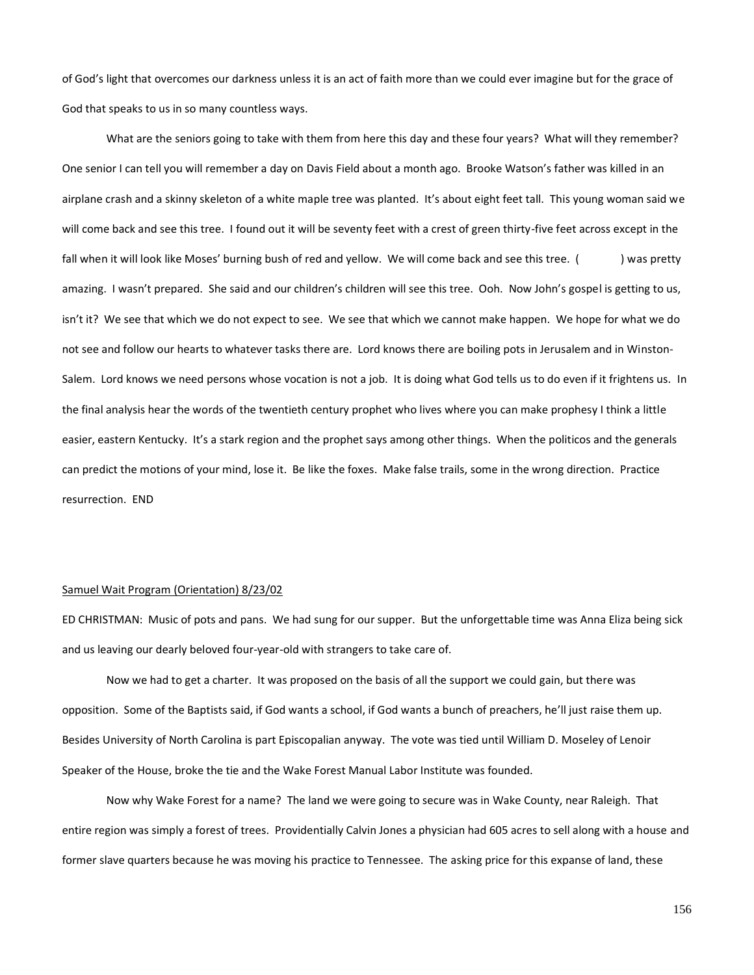of God's light that overcomes our darkness unless it is an act of faith more than we could ever imagine but for the grace of God that speaks to us in so many countless ways.

What are the seniors going to take with them from here this day and these four years? What will they remember? One senior I can tell you will remember a day on Davis Field about a month ago. Brooke Watson's father was killed in an airplane crash and a skinny skeleton of a white maple tree was planted. It's about eight feet tall. This young woman said we will come back and see this tree. I found out it will be seventy feet with a crest of green thirty-five feet across except in the fall when it will look like Moses' burning bush of red and yellow. We will come back and see this tree. () was pretty amazing. I wasn't prepared. She said and our children's children will see this tree. Ooh. Now John's gospel is getting to us, isn't it? We see that which we do not expect to see. We see that which we cannot make happen. We hope for what we do not see and follow our hearts to whatever tasks there are. Lord knows there are boiling pots in Jerusalem and in Winston-Salem. Lord knows we need persons whose vocation is not a job. It is doing what God tells us to do even if it frightens us. In the final analysis hear the words of the twentieth century prophet who lives where you can make prophesy I think a little easier, eastern Kentucky. It's a stark region and the prophet says among other things. When the politicos and the generals can predict the motions of your mind, lose it. Be like the foxes. Make false trails, some in the wrong direction. Practice resurrection. END

### Samuel Wait Program (Orientation) 8/23/02

ED CHRISTMAN: Music of pots and pans. We had sung for our supper. But the unforgettable time was Anna Eliza being sick and us leaving our dearly beloved four-year-old with strangers to take care of.

Now we had to get a charter. It was proposed on the basis of all the support we could gain, but there was opposition. Some of the Baptists said, if God wants a school, if God wants a bunch of preachers, he'll just raise them up. Besides University of North Carolina is part Episcopalian anyway. The vote was tied until William D. Moseley of Lenoir Speaker of the House, broke the tie and the Wake Forest Manual Labor Institute was founded.

Now why Wake Forest for a name? The land we were going to secure was in Wake County, near Raleigh. That entire region was simply a forest of trees. Providentially Calvin Jones a physician had 605 acres to sell along with a house and former slave quarters because he was moving his practice to Tennessee. The asking price for this expanse of land, these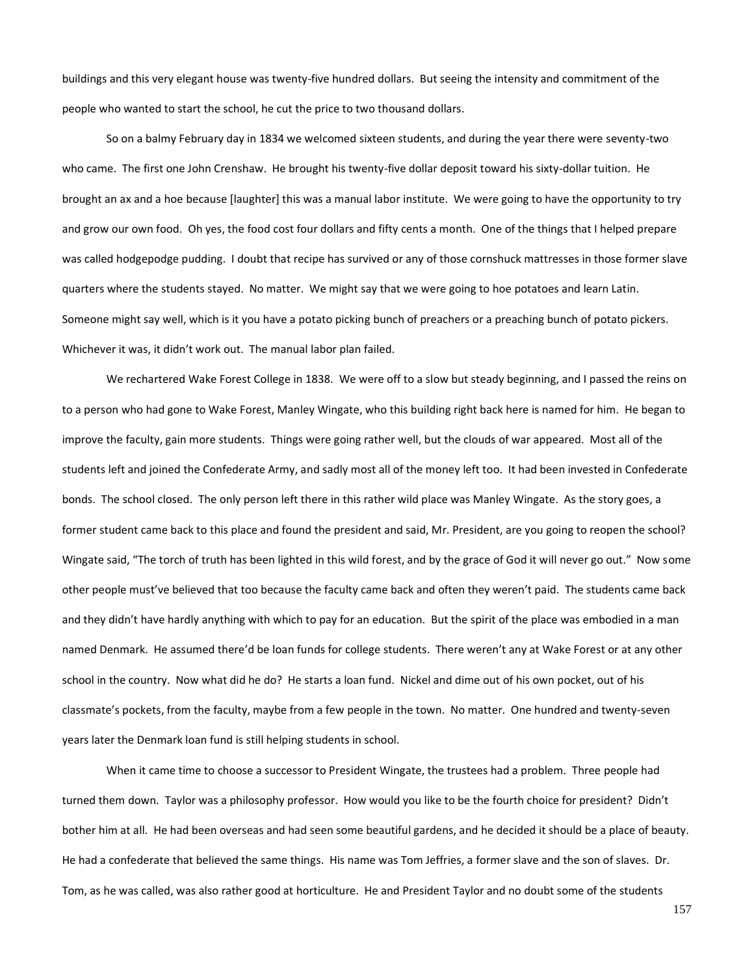buildings and this very elegant house was twenty-five hundred dollars. But seeing the intensity and commitment of the people who wanted to start the school, he cut the price to two thousand dollars.

So on a balmy February day in 1834 we welcomed sixteen students, and during the year there were seventy-two who came. The first one John Crenshaw. He brought his twenty-five dollar deposit toward his sixty-dollar tuition. He brought an ax and a hoe because [laughter] this was a manual labor institute. We were going to have the opportunity to try and grow our own food. Oh yes, the food cost four dollars and fifty cents a month. One of the things that I helped prepare was called hodgepodge pudding. I doubt that recipe has survived or any of those cornshuck mattresses in those former slave quarters where the students stayed. No matter. We might say that we were going to hoe potatoes and learn Latin. Someone might say well, which is it you have a potato picking bunch of preachers or a preaching bunch of potato pickers. Whichever it was, it didn't work out. The manual labor plan failed.

We rechartered Wake Forest College in 1838. We were off to a slow but steady beginning, and I passed the reins on to a person who had gone to Wake Forest, Manley Wingate, who this building right back here is named for him. He began to improve the faculty, gain more students. Things were going rather well, but the clouds of war appeared. Most all of the students left and joined the Confederate Army, and sadly most all of the money left too. It had been invested in Confederate bonds. The school closed. The only person left there in this rather wild place was Manley Wingate. As the story goes, a former student came back to this place and found the president and said, Mr. President, are you going to reopen the school? Wingate said, "The torch of truth has been lighted in this wild forest, and by the grace of God it will never go out." Now some other people must've believed that too because the faculty came back and often they weren't paid. The students came back and they didn't have hardly anything with which to pay for an education. But the spirit of the place was embodied in a man named Denmark. He assumed there'd be loan funds for college students. There weren't any at Wake Forest or at any other school in the country. Now what did he do? He starts a loan fund. Nickel and dime out of his own pocket, out of his classmate's pockets, from the faculty, maybe from a few people in the town. No matter. One hundred and twenty-seven years later the Denmark loan fund is still helping students in school.

When it came time to choose a successor to President Wingate, the trustees had a problem. Three people had turned them down. Taylor was a philosophy professor. How would you like to be the fourth choice for president? Didn't bother him at all. He had been overseas and had seen some beautiful gardens, and he decided it should be a place of beauty. He had a confederate that believed the same things. His name was Tom Jeffries, a former slave and the son of slaves. Dr. Tom, as he was called, was also rather good at horticulture. He and President Taylor and no doubt some of the students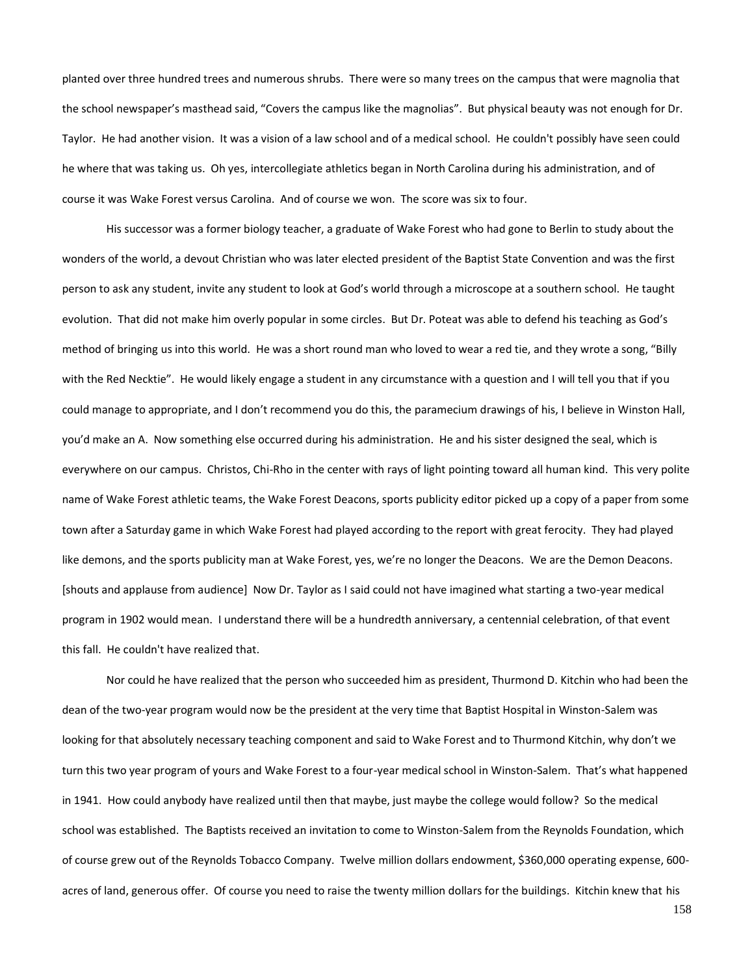planted over three hundred trees and numerous shrubs. There were so many trees on the campus that were magnolia that the school newspaper's masthead said, "Covers the campus like the magnolias". But physical beauty was not enough for Dr. Taylor. He had another vision. It was a vision of a law school and of a medical school. He couldn't possibly have seen could he where that was taking us. Oh yes, intercollegiate athletics began in North Carolina during his administration, and of course it was Wake Forest versus Carolina. And of course we won. The score was six to four.

His successor was a former biology teacher, a graduate of Wake Forest who had gone to Berlin to study about the wonders of the world, a devout Christian who was later elected president of the Baptist State Convention and was the first person to ask any student, invite any student to look at God's world through a microscope at a southern school. He taught evolution. That did not make him overly popular in some circles. But Dr. Poteat was able to defend his teaching as God's method of bringing us into this world. He was a short round man who loved to wear a red tie, and they wrote a song, "Billy with the Red Necktie". He would likely engage a student in any circumstance with a question and I will tell you that if you could manage to appropriate, and I don't recommend you do this, the paramecium drawings of his, I believe in Winston Hall, you'd make an A. Now something else occurred during his administration. He and his sister designed the seal, which is everywhere on our campus. Christos, Chi-Rho in the center with rays of light pointing toward all human kind. This very polite name of Wake Forest athletic teams, the Wake Forest Deacons, sports publicity editor picked up a copy of a paper from some town after a Saturday game in which Wake Forest had played according to the report with great ferocity. They had played like demons, and the sports publicity man at Wake Forest, yes, we're no longer the Deacons. We are the Demon Deacons. [shouts and applause from audience] Now Dr. Taylor as I said could not have imagined what starting a two-year medical program in 1902 would mean. I understand there will be a hundredth anniversary, a centennial celebration, of that event this fall. He couldn't have realized that.

Nor could he have realized that the person who succeeded him as president, Thurmond D. Kitchin who had been the dean of the two-year program would now be the president at the very time that Baptist Hospital in Winston-Salem was looking for that absolutely necessary teaching component and said to Wake Forest and to Thurmond Kitchin, why don't we turn this two year program of yours and Wake Forest to a four-year medical school in Winston-Salem. That's what happened in 1941. How could anybody have realized until then that maybe, just maybe the college would follow? So the medical school was established. The Baptists received an invitation to come to Winston-Salem from the Reynolds Foundation, which of course grew out of the Reynolds Tobacco Company. Twelve million dollars endowment, \$360,000 operating expense, 600 acres of land, generous offer. Of course you need to raise the twenty million dollars for the buildings. Kitchin knew that his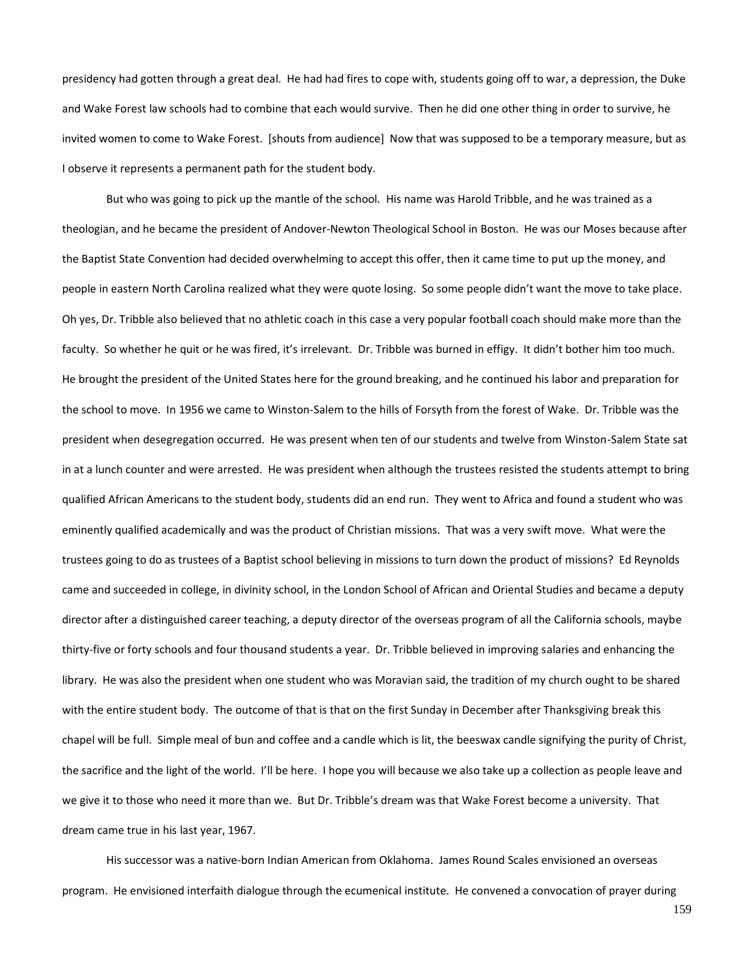presidency had gotten through a great deal. He had had fires to cope with, students going off to war, a depression, the Duke and Wake Forest law schools had to combine that each would survive. Then he did one other thing in order to survive, he invited women to come to Wake Forest. [shouts from audience] Now that was supposed to be a temporary measure, but as I observe it represents a permanent path for the student body.

But who was going to pick up the mantle of the school. His name was Harold Tribble, and he was trained as a theologian, and he became the president of Andover-Newton Theological School in Boston. He was our Moses because after the Baptist State Convention had decided overwhelming to accept this offer, then it came time to put up the money, and people in eastern North Carolina realized what they were quote losing. So some people didn't want the move to take place. Oh yes, Dr. Tribble also believed that no athletic coach in this case a very popular football coach should make more than the faculty. So whether he quit or he was fired, it's irrelevant. Dr. Tribble was burned in effigy. It didn't bother him too much. He brought the president of the United States here for the ground breaking, and he continued his labor and preparation for the school to move. In 1956 we came to Winston-Salem to the hills of Forsyth from the forest of Wake. Dr. Tribble was the president when desegregation occurred. He was present when ten of our students and twelve from Winston-Salem State sat in at a lunch counter and were arrested. He was president when although the trustees resisted the students attempt to bring qualified African Americans to the student body, students did an end run. They went to Africa and found a student who was eminently qualified academically and was the product of Christian missions. That was a very swift move. What were the trustees going to do as trustees of a Baptist school believing in missions to turn down the product of missions? Ed Reynolds came and succeeded in college, in divinity school, in the London School of African and Oriental Studies and became a deputy director after a distinguished career teaching, a deputy director of the overseas program of all the California schools, maybe thirty-five or forty schools and four thousand students a year. Dr. Tribble believed in improving salaries and enhancing the library. He was also the president when one student who was Moravian said, the tradition of my church ought to be shared with the entire student body. The outcome of that is that on the first Sunday in December after Thanksgiving break this chapel will be full. Simple meal of bun and coffee and a candle which is lit, the beeswax candle signifying the purity of Christ, the sacrifice and the light of the world. I'll be here. I hope you will because we also take up a collection as people leave and we give it to those who need it more than we. But Dr. Tribble's dream was that Wake Forest become a university. That dream came true in his last year, 1967.

His successor was a native-born Indian American from Oklahoma. James Round Scales envisioned an overseas program. He envisioned interfaith dialogue through the ecumenical institute. He convened a convocation of prayer during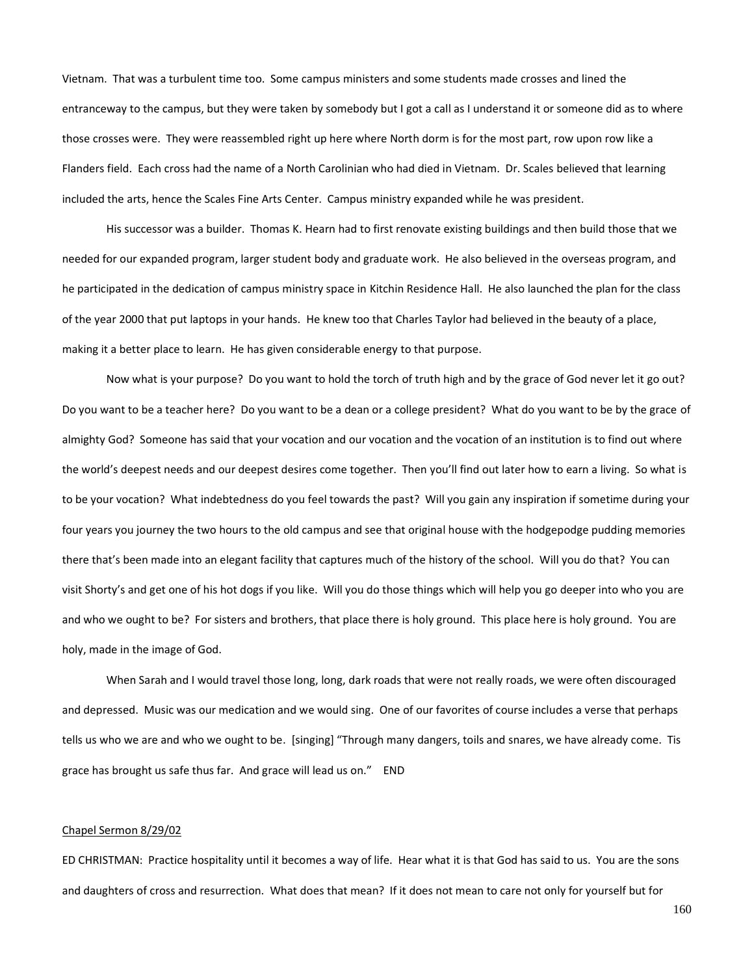Vietnam. That was a turbulent time too. Some campus ministers and some students made crosses and lined the entranceway to the campus, but they were taken by somebody but I got a call as I understand it or someone did as to where those crosses were. They were reassembled right up here where North dorm is for the most part, row upon row like a Flanders field. Each cross had the name of a North Carolinian who had died in Vietnam. Dr. Scales believed that learning included the arts, hence the Scales Fine Arts Center. Campus ministry expanded while he was president.

His successor was a builder. Thomas K. Hearn had to first renovate existing buildings and then build those that we needed for our expanded program, larger student body and graduate work. He also believed in the overseas program, and he participated in the dedication of campus ministry space in Kitchin Residence Hall. He also launched the plan for the class of the year 2000 that put laptops in your hands. He knew too that Charles Taylor had believed in the beauty of a place, making it a better place to learn. He has given considerable energy to that purpose.

Now what is your purpose? Do you want to hold the torch of truth high and by the grace of God never let it go out? Do you want to be a teacher here? Do you want to be a dean or a college president? What do you want to be by the grace of almighty God? Someone has said that your vocation and our vocation and the vocation of an institution is to find out where the world's deepest needs and our deepest desires come together. Then you'll find out later how to earn a living. So what is to be your vocation? What indebtedness do you feel towards the past? Will you gain any inspiration if sometime during your four years you journey the two hours to the old campus and see that original house with the hodgepodge pudding memories there that's been made into an elegant facility that captures much of the history of the school. Will you do that? You can visit Shorty's and get one of his hot dogs if you like. Will you do those things which will help you go deeper into who you are and who we ought to be? For sisters and brothers, that place there is holy ground. This place here is holy ground. You are holy, made in the image of God.

When Sarah and I would travel those long, long, dark roads that were not really roads, we were often discouraged and depressed. Music was our medication and we would sing. One of our favorites of course includes a verse that perhaps tells us who we are and who we ought to be. [singing] "Through many dangers, toils and snares, we have already come. Tis grace has brought us safe thus far. And grace will lead us on." END

### Chapel Sermon 8/29/02

ED CHRISTMAN: Practice hospitality until it becomes a way of life. Hear what it is that God has said to us. You are the sons and daughters of cross and resurrection. What does that mean? If it does not mean to care not only for yourself but for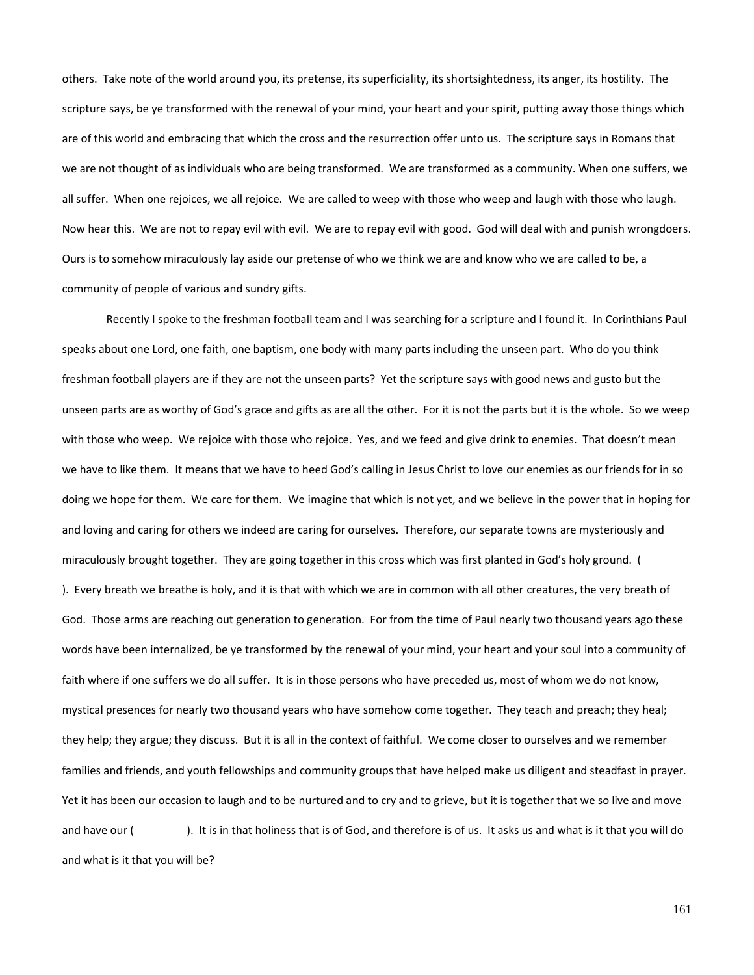others. Take note of the world around you, its pretense, its superficiality, its shortsightedness, its anger, its hostility. The scripture says, be ye transformed with the renewal of your mind, your heart and your spirit, putting away those things which are of this world and embracing that which the cross and the resurrection offer unto us. The scripture says in Romans that we are not thought of as individuals who are being transformed. We are transformed as a community. When one suffers, we all suffer. When one rejoices, we all rejoice. We are called to weep with those who weep and laugh with those who laugh. Now hear this. We are not to repay evil with evil. We are to repay evil with good. God will deal with and punish wrongdoers. Ours is to somehow miraculously lay aside our pretense of who we think we are and know who we are called to be, a community of people of various and sundry gifts.

Recently I spoke to the freshman football team and I was searching for a scripture and I found it. In Corinthians Paul speaks about one Lord, one faith, one baptism, one body with many parts including the unseen part. Who do you think freshman football players are if they are not the unseen parts? Yet the scripture says with good news and gusto but the unseen parts are as worthy of God's grace and gifts as are all the other. For it is not the parts but it is the whole. So we weep with those who weep. We rejoice with those who rejoice. Yes, and we feed and give drink to enemies. That doesn't mean we have to like them. It means that we have to heed God's calling in Jesus Christ to love our enemies as our friends for in so doing we hope for them. We care for them. We imagine that which is not yet, and we believe in the power that in hoping for and loving and caring for others we indeed are caring for ourselves. Therefore, our separate towns are mysteriously and miraculously brought together. They are going together in this cross which was first planted in God's holy ground. ( ). Every breath we breathe is holy, and it is that with which we are in common with all other creatures, the very breath of God. Those arms are reaching out generation to generation. For from the time of Paul nearly two thousand years ago these words have been internalized, be ye transformed by the renewal of your mind, your heart and your soul into a community of faith where if one suffers we do all suffer. It is in those persons who have preceded us, most of whom we do not know, mystical presences for nearly two thousand years who have somehow come together. They teach and preach; they heal; they help; they argue; they discuss. But it is all in the context of faithful. We come closer to ourselves and we remember families and friends, and youth fellowships and community groups that have helped make us diligent and steadfast in prayer. Yet it has been our occasion to laugh and to be nurtured and to cry and to grieve, but it is together that we so live and move and have our ( ). It is in that holiness that is of God, and therefore is of us. It asks us and what is it that you will do and what is it that you will be?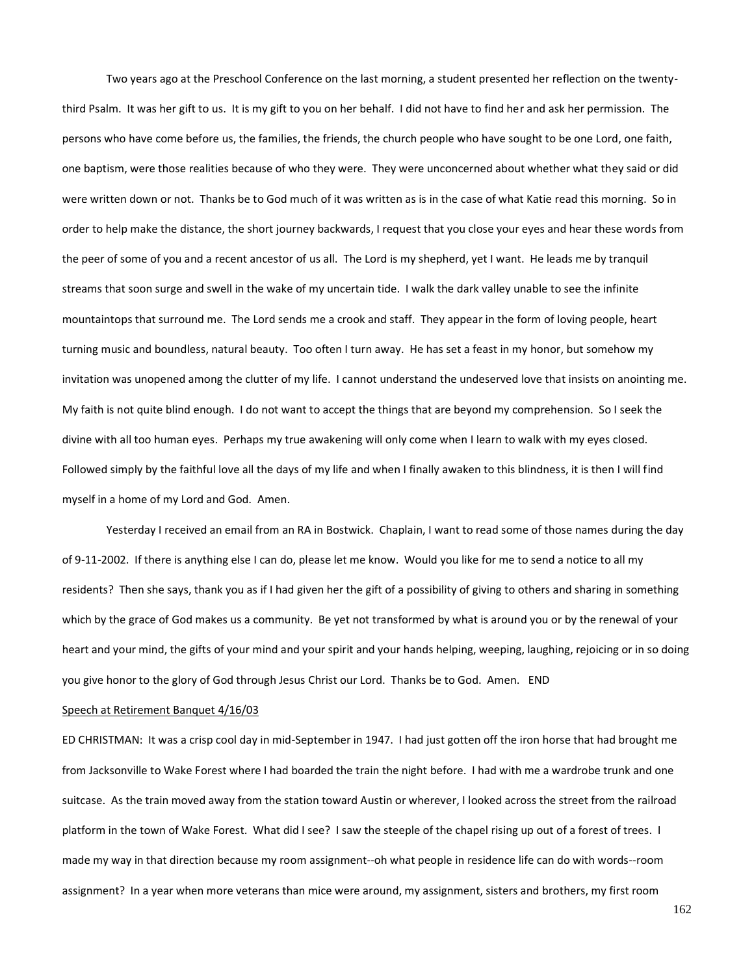Two years ago at the Preschool Conference on the last morning, a student presented her reflection on the twentythird Psalm. It was her gift to us. It is my gift to you on her behalf. I did not have to find her and ask her permission. The persons who have come before us, the families, the friends, the church people who have sought to be one Lord, one faith, one baptism, were those realities because of who they were. They were unconcerned about whether what they said or did were written down or not. Thanks be to God much of it was written as is in the case of what Katie read this morning. So in order to help make the distance, the short journey backwards, I request that you close your eyes and hear these words from the peer of some of you and a recent ancestor of us all. The Lord is my shepherd, yet I want. He leads me by tranquil streams that soon surge and swell in the wake of my uncertain tide. I walk the dark valley unable to see the infinite mountaintops that surround me. The Lord sends me a crook and staff. They appear in the form of loving people, heart turning music and boundless, natural beauty. Too often I turn away. He has set a feast in my honor, but somehow my invitation was unopened among the clutter of my life. I cannot understand the undeserved love that insists on anointing me. My faith is not quite blind enough. I do not want to accept the things that are beyond my comprehension. So I seek the divine with all too human eyes. Perhaps my true awakening will only come when I learn to walk with my eyes closed. Followed simply by the faithful love all the days of my life and when I finally awaken to this blindness, it is then I will find myself in a home of my Lord and God. Amen.

Yesterday I received an email from an RA in Bostwick. Chaplain, I want to read some of those names during the day of 9-11-2002. If there is anything else I can do, please let me know. Would you like for me to send a notice to all my residents? Then she says, thank you as if I had given her the gift of a possibility of giving to others and sharing in something which by the grace of God makes us a community. Be yet not transformed by what is around you or by the renewal of your heart and your mind, the gifts of your mind and your spirit and your hands helping, weeping, laughing, rejoicing or in so doing you give honor to the glory of God through Jesus Christ our Lord. Thanks be to God. Amen. END

# Speech at Retirement Banquet 4/16/03

ED CHRISTMAN: It was a crisp cool day in mid-September in 1947. I had just gotten off the iron horse that had brought me from Jacksonville to Wake Forest where I had boarded the train the night before. I had with me a wardrobe trunk and one suitcase. As the train moved away from the station toward Austin or wherever, I looked across the street from the railroad platform in the town of Wake Forest. What did I see? I saw the steeple of the chapel rising up out of a forest of trees. I made my way in that direction because my room assignment--oh what people in residence life can do with words--room assignment? In a year when more veterans than mice were around, my assignment, sisters and brothers, my first room